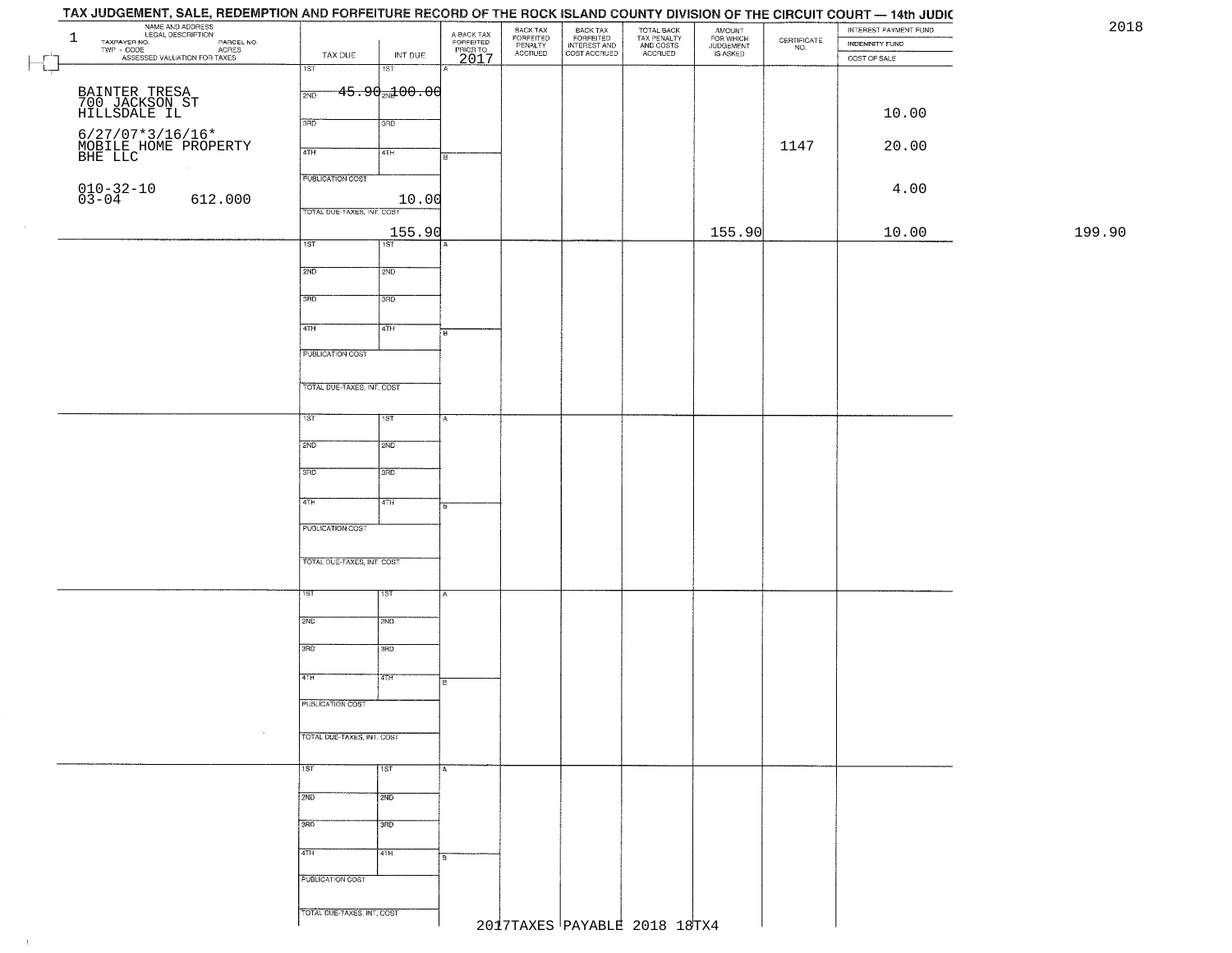| NAME AND ADDRESS<br>LEGAL DESCRIPTION<br>$\mathbf{1}$<br>TAXPAYER NO.<br>PARCEL NO.<br>ACRES<br>ASSESSED VALUATION FOR TAXES | TAX DUE<br>INT DUE                                                                  | A-BACK TAX<br>FORFEITED<br>PRIOR TO<br>2017 | BACK TAX<br>FORFEITED<br>PENALTY<br><b>ACCRUED</b> | BACK TAX<br>FORFEITED<br>INTEREST AND<br>COST ACCRUED | TOTAL BACK<br>TAX PENALTY<br>AND COSTS<br>ACCRUED | AMOUNT<br>FOR WHICH<br>JUDGEMENT<br>IS ASKED | $\begin{array}{c} \text{CERTIFICATE} \\ \text{NO.} \end{array}$ | INTEREST PAYMENT FUND<br>INDEMNITY FUND<br>COST OF SALE |        |
|------------------------------------------------------------------------------------------------------------------------------|-------------------------------------------------------------------------------------|---------------------------------------------|----------------------------------------------------|-------------------------------------------------------|---------------------------------------------------|----------------------------------------------|-----------------------------------------------------------------|---------------------------------------------------------|--------|
| BAINTER TRESA<br>700 JACKSON ST<br>HILLSDALE IL                                                                              | 1ST<br>1ST<br><del>45.90<sub>20</sub>100.00</del><br>2ND                            |                                             |                                                    |                                                       |                                                   |                                              |                                                                 |                                                         |        |
|                                                                                                                              | 3BD<br>3BD                                                                          |                                             |                                                    |                                                       |                                                   |                                              |                                                                 | 10.00                                                   |        |
| $6/27/07*3/16/16*$ MOBILE HOME PROPERTY BHE LLC                                                                              | 4TH<br>4TH                                                                          |                                             |                                                    |                                                       |                                                   |                                              | 1147                                                            | 20.00                                                   |        |
| $010 - 32 - 10$<br>$03 - 04$<br>612.000                                                                                      | <b>PUBLICATION COST</b><br>10.00                                                    |                                             |                                                    |                                                       |                                                   |                                              |                                                                 | 4.00                                                    |        |
|                                                                                                                              | TOTAL DUE-TAXES, INT. COST<br>155.90<br>$\overline{\text{IST}}$<br>$\overline{1ST}$ |                                             |                                                    |                                                       |                                                   | 155.90                                       |                                                                 | 10.00                                                   | 199.90 |
|                                                                                                                              | 2ND<br>2ND                                                                          |                                             |                                                    |                                                       |                                                   |                                              |                                                                 |                                                         |        |
|                                                                                                                              | 3RD<br>3RD                                                                          |                                             |                                                    |                                                       |                                                   |                                              |                                                                 |                                                         |        |
|                                                                                                                              | 47H<br>4TH                                                                          |                                             |                                                    |                                                       |                                                   |                                              |                                                                 |                                                         |        |
|                                                                                                                              | PUBLICATION COST<br>TOTAL DUE-TAXES, INT. COST                                      |                                             |                                                    |                                                       |                                                   |                                              |                                                                 |                                                         |        |
|                                                                                                                              | $1S$ T<br>1ST                                                                       |                                             |                                                    |                                                       |                                                   |                                              |                                                                 |                                                         |        |
|                                                                                                                              | 2ND<br>2ND                                                                          |                                             |                                                    |                                                       |                                                   |                                              |                                                                 |                                                         |        |
|                                                                                                                              | 3RD<br>3RD                                                                          |                                             |                                                    |                                                       |                                                   |                                              |                                                                 |                                                         |        |
|                                                                                                                              | 4TH<br>4TH<br>PUBLICATION COST                                                      | Ð.                                          |                                                    |                                                       |                                                   |                                              |                                                                 |                                                         |        |
|                                                                                                                              | TOTAL OUE-TAXES, INT. COST                                                          |                                             |                                                    |                                                       |                                                   |                                              |                                                                 |                                                         |        |
|                                                                                                                              | १९४<br>1ST                                                                          |                                             |                                                    |                                                       |                                                   |                                              |                                                                 |                                                         |        |
|                                                                                                                              | 2ND<br>2ND                                                                          |                                             |                                                    |                                                       |                                                   |                                              |                                                                 |                                                         |        |
|                                                                                                                              | 3RD<br>3RD                                                                          |                                             |                                                    |                                                       |                                                   |                                              |                                                                 |                                                         |        |
|                                                                                                                              | 4TH<br>वाम<br>PUBLICATION COST                                                      |                                             |                                                    |                                                       |                                                   |                                              |                                                                 |                                                         |        |
| $\sim$                                                                                                                       | TOTAL DUE-TAXES, INT. COST                                                          |                                             |                                                    |                                                       |                                                   |                                              |                                                                 |                                                         |        |
|                                                                                                                              | 1ST<br>  1ST                                                                        | I A                                         |                                                    |                                                       |                                                   |                                              |                                                                 |                                                         |        |
|                                                                                                                              | 2ND<br>2ND                                                                          |                                             |                                                    |                                                       |                                                   |                                              |                                                                 |                                                         |        |
|                                                                                                                              | 3BD<br>3RD<br>4TH<br>4TH                                                            |                                             |                                                    |                                                       |                                                   |                                              |                                                                 |                                                         |        |
|                                                                                                                              | PUBLICATION COST                                                                    | Iв                                          |                                                    |                                                       |                                                   |                                              |                                                                 |                                                         |        |
|                                                                                                                              | TOTAL DUE-TAXES, INT. COST                                                          |                                             |                                                    |                                                       |                                                   |                                              |                                                                 |                                                         |        |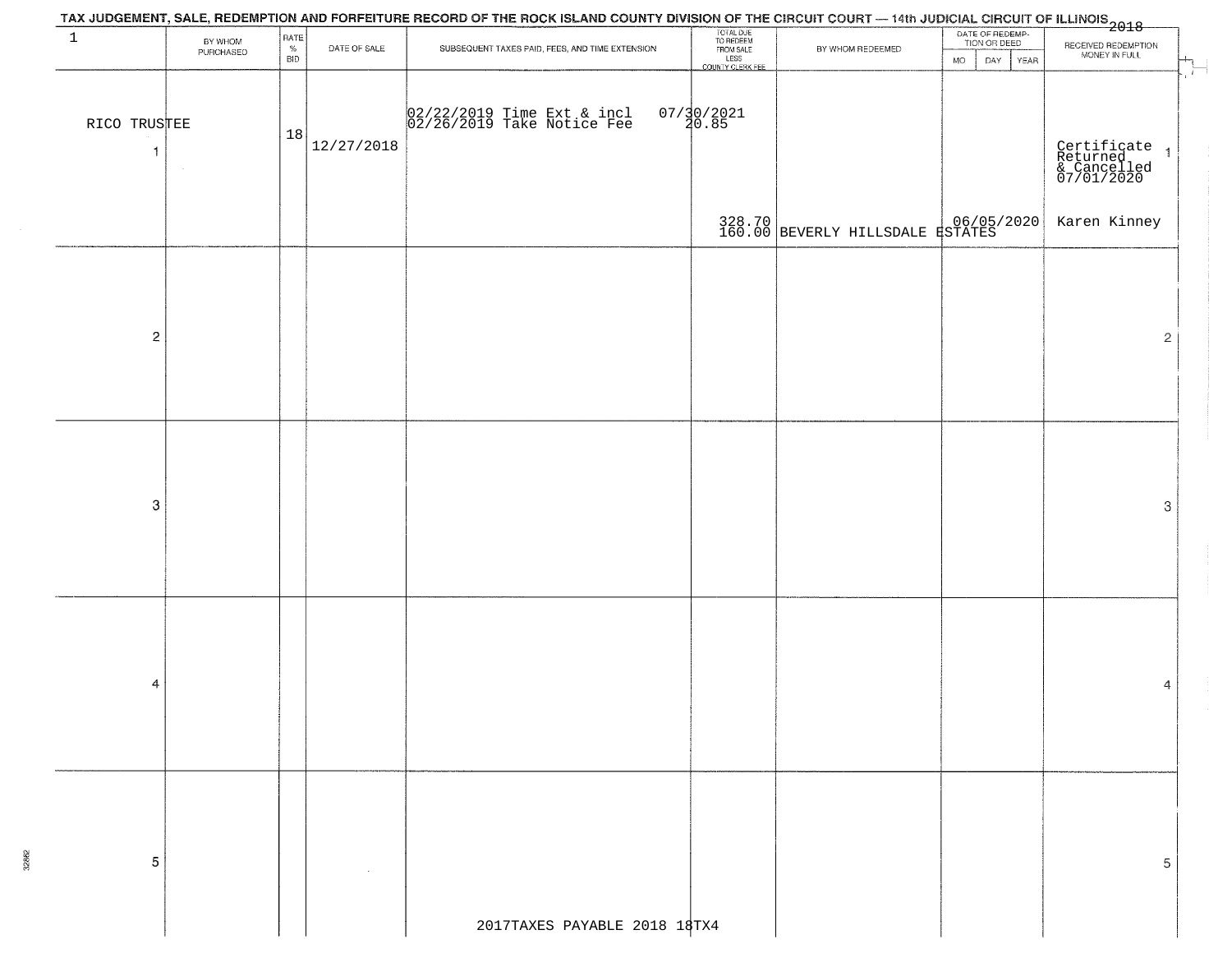|                   |                      |                         |              | TAX JUDGEMENT, SALE, REDEMPTION AND FORFEITURE RECORD OF THE ROCK ISLAND COUNTY DIVISION OF THE CIRCUIT COURT — 14th JUDICIAL CIRCUIT OF ILLINOIS<br>2018–10 10 10 10 10 10 10 10 11 10 11 10 11 10 11 10 11 10 11 10 11 10 11 10 |                                                                 |                                  |                                                             |                                                                           |
|-------------------|----------------------|-------------------------|--------------|-----------------------------------------------------------------------------------------------------------------------------------------------------------------------------------------------------------------------------------|-----------------------------------------------------------------|----------------------------------|-------------------------------------------------------------|---------------------------------------------------------------------------|
| $\mathbf{1}$      | BY WHOM<br>PURCHASED | RATE<br>%<br><b>BID</b> | DATE OF SALE | SUBSEQUENT TAXES PAID, FEES, AND TIME EXTENSION                                                                                                                                                                                   | TOTAL DUE<br>TO REDEEM<br>FROM SALE<br>LESS<br>COUNTY CLERK FEE | BY WHOM REDEEMED                 | DATE OF REDEMP-<br>TION OR DEED<br>DAY<br>YEAR<br><b>MO</b> | RECEIVED REDEMPTION<br>MONEY IN FULL                                      |
| RICO TRUSTEE<br>1 |                      | 18                      | 12/27/2018   | 02/22/2019 Time Ext & incl<br>02/26/2019 Take Notice Fee                                                                                                                                                                          | $07/30/2021$<br>20.85                                           |                                  |                                                             | $\mathcal{L}$<br>Certificate 1<br>Returned 1<br>& Cancelled<br>07/01/2020 |
|                   |                      |                         |              |                                                                                                                                                                                                                                   |                                                                 | 328.70 BEVERLY HILLSDALE RSTATES |                                                             | Karen Kinney                                                              |
|                   |                      |                         |              |                                                                                                                                                                                                                                   |                                                                 |                                  |                                                             |                                                                           |
| $\mathbf 2$       |                      |                         |              |                                                                                                                                                                                                                                   |                                                                 |                                  |                                                             | $\mathbf{2}$                                                              |
|                   |                      |                         |              |                                                                                                                                                                                                                                   |                                                                 |                                  |                                                             |                                                                           |
|                   |                      |                         |              |                                                                                                                                                                                                                                   |                                                                 |                                  |                                                             |                                                                           |
| $\mbox{3}$        |                      |                         |              |                                                                                                                                                                                                                                   |                                                                 |                                  |                                                             | 3                                                                         |
|                   |                      |                         |              |                                                                                                                                                                                                                                   |                                                                 |                                  |                                                             |                                                                           |
|                   |                      |                         |              |                                                                                                                                                                                                                                   |                                                                 |                                  |                                                             |                                                                           |
| 4                 |                      |                         |              |                                                                                                                                                                                                                                   |                                                                 |                                  |                                                             | 4                                                                         |
|                   |                      |                         |              |                                                                                                                                                                                                                                   |                                                                 |                                  |                                                             |                                                                           |
|                   |                      |                         |              |                                                                                                                                                                                                                                   |                                                                 |                                  |                                                             |                                                                           |
| 5                 |                      |                         |              |                                                                                                                                                                                                                                   |                                                                 |                                  |                                                             | 5                                                                         |
|                   |                      |                         |              |                                                                                                                                                                                                                                   |                                                                 |                                  |                                                             |                                                                           |
|                   |                      |                         |              | 2017TAXES PAYABLE 2018 18TX4                                                                                                                                                                                                      |                                                                 |                                  |                                                             |                                                                           |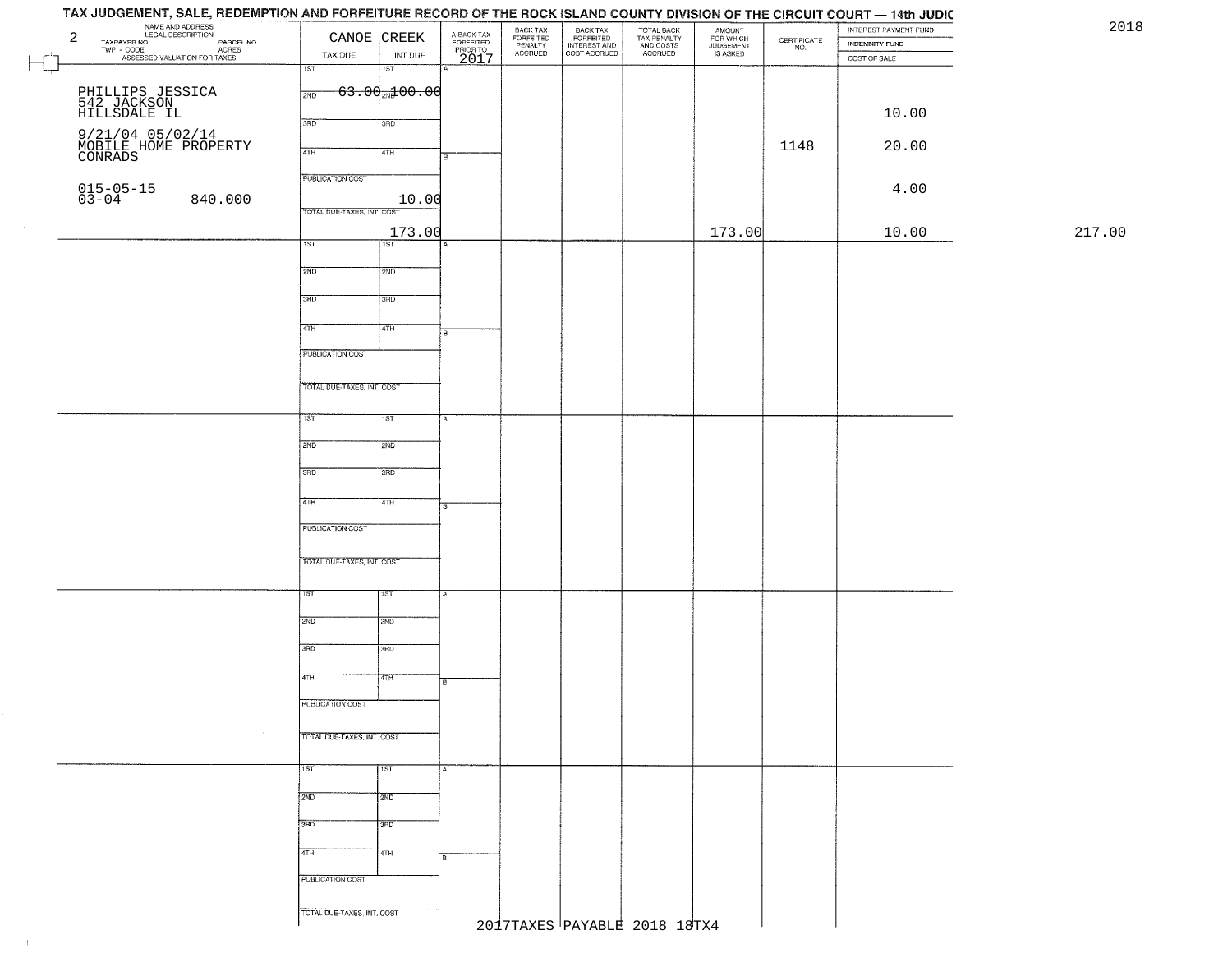## TAX JUDGEMENT, SALE, REDEMPTION AND FORFEITURE RECORD OF THE ROCK ISLAND COUNTY DIVISION OF THE CIRCUIT COURT - 14th JUDIC NAME AND ADDRESS<br>
TAXPAYER NO. COOL DESCRIPTION<br>
TWP - COOL ASSESSED VALUATION FOR TAXES<br>
ASSESSED VALUATION FOR TAXES<br>
TAX DUE INT DUE 2018BACK TAX<br>FORFEITED<br>INTEREST AND<br>COST ACCRUED TOTAL BACK<br>TAX PENALTY<br>AND COSTS AMOUNT<br>FOR WHICH<br>JUDGEMENT<br>IS ASKED INTEREST PAYMENT FUND BACK TAX FORFEITED<br>PENALTY<br>ACCRUED  $\begin{array}{c} \text{CEPTIFICATE} \\ \text{NO.} \end{array}$ INDEMNITY FUND TAX DUE INT DUE ACCRUED COST OF SALE 2017  $\Box$ गडा IST  $63.002100.00$ PHILLIPS JESSICA  $\frac{1}{200}$ 542 JACKSON HILLSDALE IL 10.00 9/21/04 05/02/14<br>MOBILE HOME PROPERTY<br>CONRADS 1 1148 20.00 **120 1148 1148 120.00 PUBLICATION COST** 015-05-15<br>03-04 840.000 10.00 4.00 TOTAL DUE-TAXES INT COST 173.00 173.00 10.00 217.00 $\overline{1ST}$ ist  $2ND$ 12ND 3RD 3RD  $\overline{47H}$ 4TH **FUBLICATION COST** TOTAL DUE-TAXES, INT. COST TST ST  $2ND$ **SMD**  $3BD$ 3RD  $4TH$  $4TH$ PUBLICATION COST TOTAL OUE-TAXES, INT. COST 2ND **T2ND** 3RD tarao 4TH īΤH PUBLICATION COST TOTAL DUE-TAXES, INT. COST 1ST 1ST  $2ND$  $\frac{1}{2ND}$ 3RD 3RD 4TH 4TH **PUBLICATION COST** TOTAL DUE-TAXES, INT. COST 2017TAXES PAYABLE 2018 18TX4

 $\pm 1$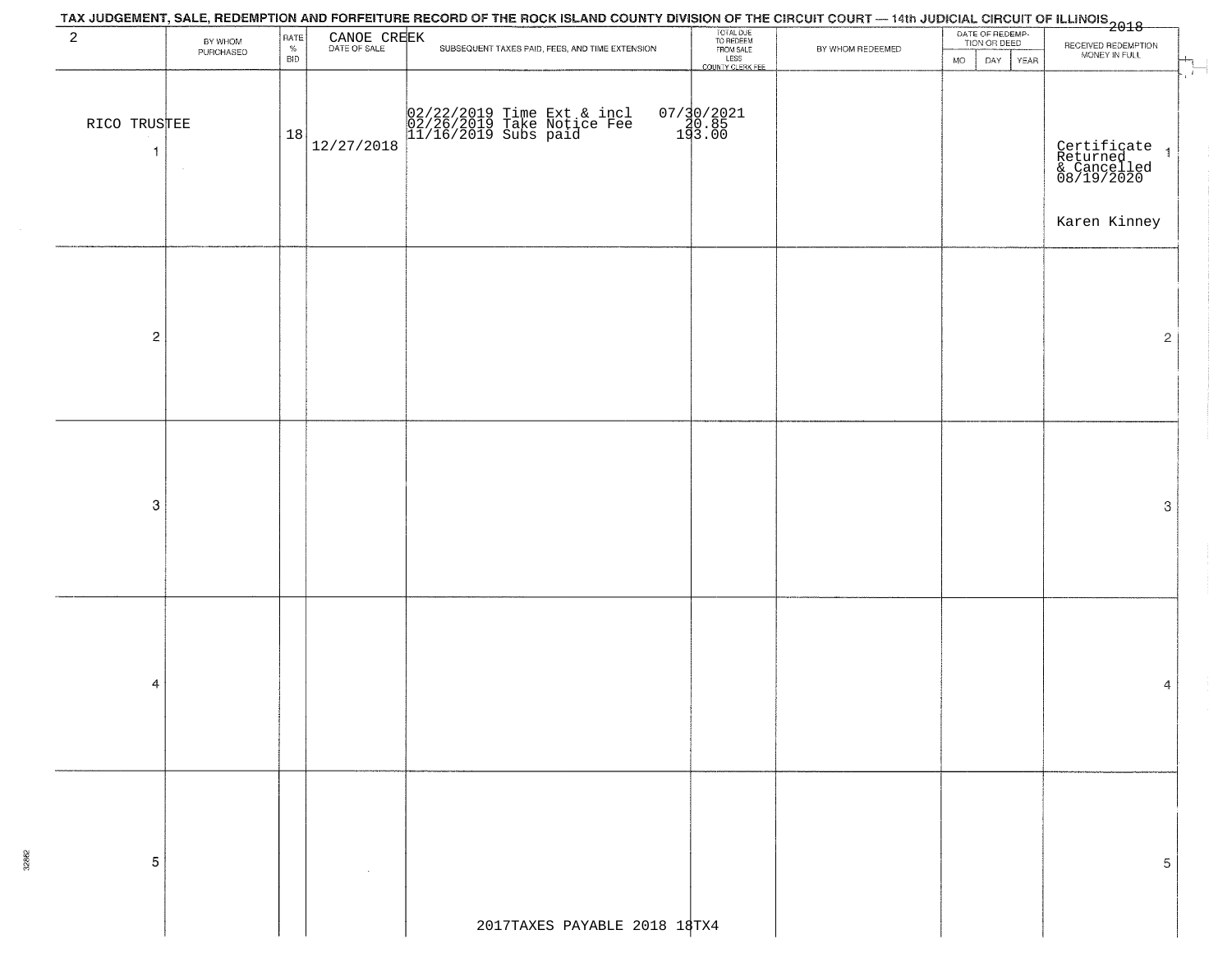|                              |           |                    |                             | TAX JUDGEMENT, SALE, REDEMPTION AND FORFEITURE RECORD OF THE ROCK ISLAND COUNTY DIVISION OF THE CIRCUIT COURT — 14th JUDICIAL CIRCUIT OF ILLINOIS<br>2018–10 10 10 10 10 10 10 10 11 10 11 10 11 10 11 10 11 10 11 10 11 10 11 10 |                                     |                  |                                 |                                                                                           |
|------------------------------|-----------|--------------------|-----------------------------|-----------------------------------------------------------------------------------------------------------------------------------------------------------------------------------------------------------------------------------|-------------------------------------|------------------|---------------------------------|-------------------------------------------------------------------------------------------|
| $\overline{a}$               | BY WHOM   | RATE               | CANOE CREEK<br>DATE OF SALE |                                                                                                                                                                                                                                   | TOTAL DUE<br>TO REDEEM<br>FROM SALE |                  | DATE OF REDEMP-<br>TION OR DEED |                                                                                           |
|                              | PURCHASED | $\%$<br><b>BID</b> |                             | SUBSEQUENT TAXES PAID, FEES, AND TIME EXTENSION                                                                                                                                                                                   | LESS<br>COUNTY CLERK FEE            | BY WHOM REDEEMED | <b>MO</b><br>DAY<br>YEAR        | RECEIVED REDEMPTION<br>MONEY IN FULL                                                      |
| RICO TRUSTEE<br>$\mathbf{1}$ |           | 18                 | 12/27/2018                  | 02/22/2019 Time Ext & incl<br>02/26/2019 Take Notice Fee<br>11/16/2019 Subs paid                                                                                                                                                  | 07/30/2021<br>140.85<br>193.00      |                  |                                 | $\mathcal{X}$<br>Certificate 1<br>Returned 1<br>& Cancelled<br>08/19/2020<br>Karen Kinney |
| $\overline{c}$               |           |                    |                             |                                                                                                                                                                                                                                   |                                     |                  |                                 | $\overline{2}$                                                                            |
| 3                            |           |                    |                             |                                                                                                                                                                                                                                   |                                     |                  |                                 | 3                                                                                         |
| 4                            |           |                    |                             |                                                                                                                                                                                                                                   |                                     |                  |                                 | 4                                                                                         |
| 5                            |           |                    |                             |                                                                                                                                                                                                                                   |                                     |                  |                                 | 5                                                                                         |
|                              |           |                    |                             | 2017TAXES PAYABLE 2018 18TX4                                                                                                                                                                                                      |                                     |                  |                                 |                                                                                           |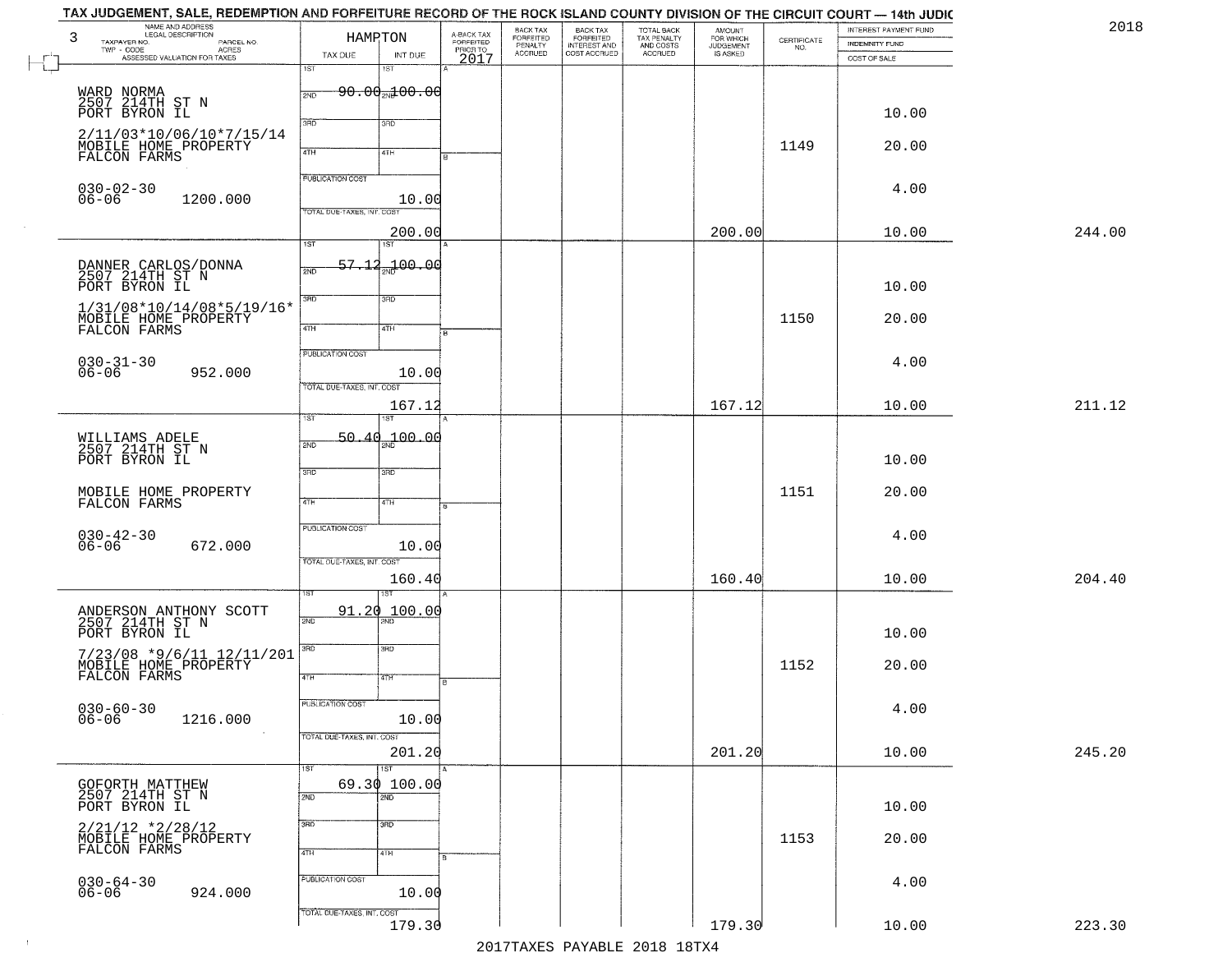| 2018   | INTEREST PAYMENT FUND | CERTIFICATE | <b>AMOUNT</b>                      | TOTAL BACK<br>TAX PENALTY<br>AND COSTS<br>ACCRUED | BACK TAX<br>FORFEITED        | BACK TAX<br>FORFEITED<br>PENALTY |                                     |                                     | HAMPTON                    | NAME AND ADDRESS<br>LEGAL DESCRIPTION                                                                     |
|--------|-----------------------|-------------|------------------------------------|---------------------------------------------------|------------------------------|----------------------------------|-------------------------------------|-------------------------------------|----------------------------|-----------------------------------------------------------------------------------------------------------|
|        | <b>INDEMNITY FUND</b> | NO.         | FOR WHICH<br>JUDGEMENT<br>IS ASKED |                                                   | INTEREST AND<br>COST ACCRUED | <b>ACCRUED</b>                   | A-BACK TAX<br>FORFEITED<br>PRIOR TO | INT DUE                             | TAX DUE                    | TAXPAYER NO.<br>PARCEL NO.<br><b>ACRES</b><br>TWP - CODE                                                  |
|        | COST OF SALE          |             |                                    |                                                   |                              |                                  | 2017                                | 15T                                 | 1ST                        | ASSESSED VALUATION FOR TAXES                                                                              |
|        |                       |             |                                    |                                                   |                              |                                  |                                     | <del>90.00<sub>20</sub>100.00</del> | 2ND                        |                                                                                                           |
|        | 10.00                 |             |                                    |                                                   |                              |                                  |                                     |                                     |                            | WARD NORMA<br>2507 214TH ST N<br>PORT BYRON IL                                                            |
|        |                       |             |                                    |                                                   |                              |                                  |                                     | 3RD                                 | 3BD                        | 2/11/03*10/06/10*7/15/14                                                                                  |
|        | 20.00                 | 1149        |                                    |                                                   |                              |                                  |                                     | 4TH                                 | 4TH                        | MOBILE HOME PROPERTY<br>FALCON FARMS                                                                      |
|        |                       |             |                                    |                                                   |                              |                                  |                                     |                                     | PUBLICATION COST           |                                                                                                           |
|        | 4.00                  |             |                                    |                                                   |                              |                                  |                                     | 10.00                               |                            | $030 - 02 - 30$<br>$06 - 06$<br>1200.000                                                                  |
|        |                       |             |                                    |                                                   |                              |                                  |                                     |                                     | TOTAL DUE-TAXES, INT. COST |                                                                                                           |
| 244.00 | 10.00                 |             | 200.00                             |                                                   |                              |                                  |                                     | 200.00<br>1ST                       | $\overline{1ST}$           |                                                                                                           |
|        |                       |             |                                    |                                                   |                              |                                  |                                     | an 00.00                            | 57.12                      |                                                                                                           |
|        |                       |             |                                    |                                                   |                              |                                  |                                     |                                     | 2ND                        | DANNER CARLOS/DONNA<br>2507 214TH ST N                                                                    |
|        | 10.00                 |             |                                    |                                                   |                              |                                  |                                     | 3RD                                 | $\overline{3BD}$           | PORT BYRON IL                                                                                             |
|        | 20.00                 | 1150        |                                    |                                                   |                              |                                  |                                     | 4TH                                 | $\overline{47H}$           | 1/31/08*10/14/08*5/19/16*<br>MOBILE HOME PROPERTY<br>FALCON FARMS                                         |
|        |                       |             |                                    |                                                   |                              |                                  |                                     |                                     |                            |                                                                                                           |
|        | 4.00                  |             |                                    |                                                   |                              |                                  |                                     |                                     | PUBLICATION COST           | $030 - 31 - 30$                                                                                           |
|        |                       |             |                                    |                                                   |                              |                                  |                                     | 10.00                               | TOTAL DUE-TAXES, INT. COST | $06 - 06$<br>952.000                                                                                      |
| 211.12 | 10.00                 |             | 167.12                             |                                                   |                              |                                  |                                     | 167.12                              |                            |                                                                                                           |
|        |                       |             |                                    |                                                   |                              |                                  |                                     | 18T                                 | ist                        |                                                                                                           |
|        |                       |             |                                    |                                                   |                              |                                  |                                     | 50.40 <sub>22</sub> 100.00          | 2ND                        | WILLIAMS ADELE<br>2507 214TH ST N                                                                         |
|        | 10.00                 |             |                                    |                                                   |                              |                                  |                                     | 3RD                                 | 3BD                        | PORT BYRON IL                                                                                             |
|        | 20.00                 | 1151        |                                    |                                                   |                              |                                  |                                     |                                     |                            | MOBILE HOME PROPERTY<br>FALCON FARMS                                                                      |
|        |                       |             |                                    |                                                   |                              |                                  |                                     | 4TH                                 | 4TH                        |                                                                                                           |
|        | 4.00                  |             |                                    |                                                   |                              |                                  |                                     |                                     | <b>PUBLICATION COST</b>    | 030-42-30<br>06-06                                                                                        |
|        |                       |             |                                    |                                                   |                              |                                  |                                     | 10.00                               | TOTAL OUE-TAXES, INT. COST | 672.000                                                                                                   |
| 204.40 | 10.00                 |             | 160.40                             |                                                   |                              |                                  |                                     | 160.40                              |                            |                                                                                                           |
|        |                       |             |                                    |                                                   |                              |                                  |                                     |                                     |                            |                                                                                                           |
|        |                       |             |                                    |                                                   |                              |                                  |                                     | 100.00                              | 91.20<br>2ND               | ANDERSON ANTHONY SCOTT<br>2507 214TH ST N                                                                 |
|        | 10.00                 |             |                                    |                                                   |                              |                                  |                                     | 3HD                                 | 3RD                        | PORT BYRON IL                                                                                             |
|        | 20.00                 | 1152        |                                    |                                                   |                              |                                  |                                     |                                     |                            | 7/23/08 *9/6/11 12/11/201<br>MOBILE HOME PROPERTY<br>FALCON FARMS                                         |
|        |                       |             |                                    |                                                   |                              |                                  |                                     | वाम                                 | 4TH                        |                                                                                                           |
|        | 4.00                  |             |                                    |                                                   |                              |                                  |                                     |                                     | PUBLICATION COST           | $030 - 60 - 30$<br>06-06                                                                                  |
|        |                       |             |                                    |                                                   |                              |                                  |                                     | 10.00                               | TOTAL DUE-TAXES, INT. COST | 1216.000                                                                                                  |
| 245.20 | 10.00                 |             | 201.20                             |                                                   |                              |                                  |                                     | 201.20                              |                            |                                                                                                           |
|        |                       |             |                                    |                                                   |                              |                                  |                                     | 1ST                                 | 1ST                        |                                                                                                           |
|        |                       |             |                                    |                                                   |                              |                                  |                                     | 69.30 100.00<br>$\overline{2ND}$    | 2ND                        | GOFORTH MATTHEW<br>2507 214TH ST N                                                                        |
|        | 10.00                 |             |                                    |                                                   |                              |                                  |                                     | 3 <sub>BD</sub>                     | 3RD                        | PORT BYRON IL                                                                                             |
|        | 20.00                 | 1153        |                                    |                                                   |                              |                                  |                                     |                                     |                            | $\begin{array}{ll} 2/21/12 * 2/28/12 \\ \text{MOBILE HOME PROPERTIES} \\ \text{FALCON FARMS} \end{array}$ |
|        |                       |             |                                    |                                                   |                              |                                  |                                     | 4TH                                 | 4TH                        |                                                                                                           |
|        | 4.00                  |             |                                    |                                                   |                              |                                  |                                     |                                     | PUBLICATION COST           | $030 - 64 - 30$<br>06-06                                                                                  |
|        |                       |             |                                    |                                                   |                              |                                  |                                     | 10.00                               |                            | 924.000                                                                                                   |
|        |                       |             |                                    |                                                   |                              |                                  |                                     |                                     | TOTAL DUE-TAXES, INT. COST |                                                                                                           |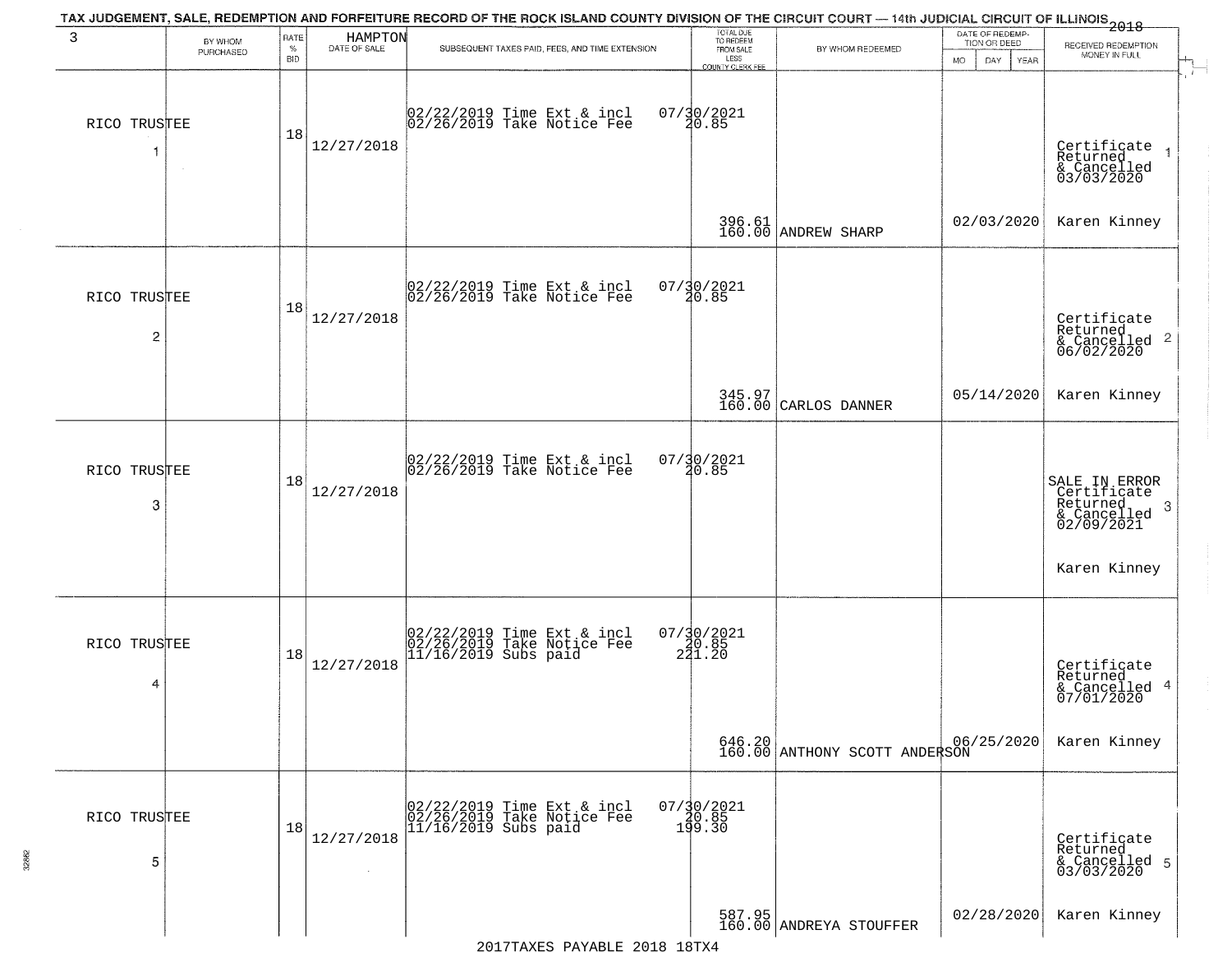| 3                 | BY WHOM<br>PURCHASED | RATE<br>$\%$     | HAMPTON<br>DATE OF SALE | TAX JUDGEMENT, SALE, REDEMPTION AND FORFEITURE RECORD OF THE ROCK ISLAND COUNTY DIVISION OF THE CIRCUIT COURT — 14th JUDICIAL CIRCUIT OF ILLINOIS 2018<br>SUBSEQUENT TAXES PAID, FEES, AND TIME EXTENSION | TOTAL DUE<br>TO REDEEM<br>FROM SALE                    | BY WHOM REDEEMED                            | DATE OF REDEMP-<br>TION OR DEED | RECEIVED REDEMPTION<br>MONEY IN FULL                                        |
|-------------------|----------------------|------------------|-------------------------|-----------------------------------------------------------------------------------------------------------------------------------------------------------------------------------------------------------|--------------------------------------------------------|---------------------------------------------|---------------------------------|-----------------------------------------------------------------------------|
| RICO TRUSTEE<br>1 | $\sim$               | <b>BID</b><br>18 | 12/27/2018              | 02/22/2019 Time Ext & incl<br>02/26/2019 Take Notice Fee                                                                                                                                                  | LESS<br><b>COUNTY CLERK FEE</b><br>07/30/2021<br>20.85 |                                             | <b>MO</b><br>DAY<br><b>YEAR</b> | Certificate<br>Returned<br>& Cancelled<br>03/03/2020                        |
|                   |                      |                  |                         |                                                                                                                                                                                                           |                                                        | 396.61<br>160.00 ANDREW SHARP               | 02/03/2020                      | Karen Kinney                                                                |
| RICO TRUSTEE<br>2 |                      | 18               | 12/27/2018              | 02/22/2019 Time Ext & incl<br>02/26/2019 Take Notice Fee                                                                                                                                                  | 07/30/2021<br>20.85                                    |                                             |                                 | Certificate<br>Returned<br>$\frac{1}{2}$ Cancelled 2<br>06/02/2020          |
|                   |                      |                  |                         |                                                                                                                                                                                                           |                                                        | 345.97<br>160.00 CARLOS DANNER              | 05/14/2020                      | Karen Kinney                                                                |
| RICO TRUSTEE<br>3 |                      | 18               | 12/27/2018              | 02/22/2019 Time Ext & incl<br>02/26/2019 Take Notice Fee                                                                                                                                                  | $07/30/2021$<br>20.85                                  |                                             |                                 | SALE IN ERROR<br>Certificate<br>Returned<br>-3<br>& Cancelled<br>02/09/2021 |
|                   |                      |                  |                         |                                                                                                                                                                                                           |                                                        |                                             |                                 | Karen Kinney                                                                |
| RICO TRUSTEE<br>4 |                      | 18               | 12/27/2018              | 02/22/2019 Time Ext & incl<br>02/26/2019 Take Notice Fee<br>11/16/2019 Subs paid                                                                                                                          | $07/\frac{30}{20}.85$<br>241.20                        |                                             |                                 | Certificate<br>Returned<br>& Cancelled 4<br>07/01/2020                      |
|                   |                      |                  |                         |                                                                                                                                                                                                           |                                                        | 646.20 06,<br>160.00 ANTHONY SCOTT ANDERSON | 06/25/2020                      | Karen Kinney                                                                |
| RICO TRUSTEE<br>5 |                      | 18               | 12/27/2018              | 02/22/2019 Time Ext & incl<br>02/26/2019 Take Notice Fee<br>11/16/2019 Subs paid                                                                                                                          | 07/30/2021<br>0.85<br>199.30                           |                                             |                                 | Certificate<br>Returned<br>& Cancelled 5<br>03/03/2020                      |
|                   |                      |                  |                         |                                                                                                                                                                                                           |                                                        | 587.95<br>160.00 ANDREYA STOUFFER           | 02/28/2020                      | Karen Kinney                                                                |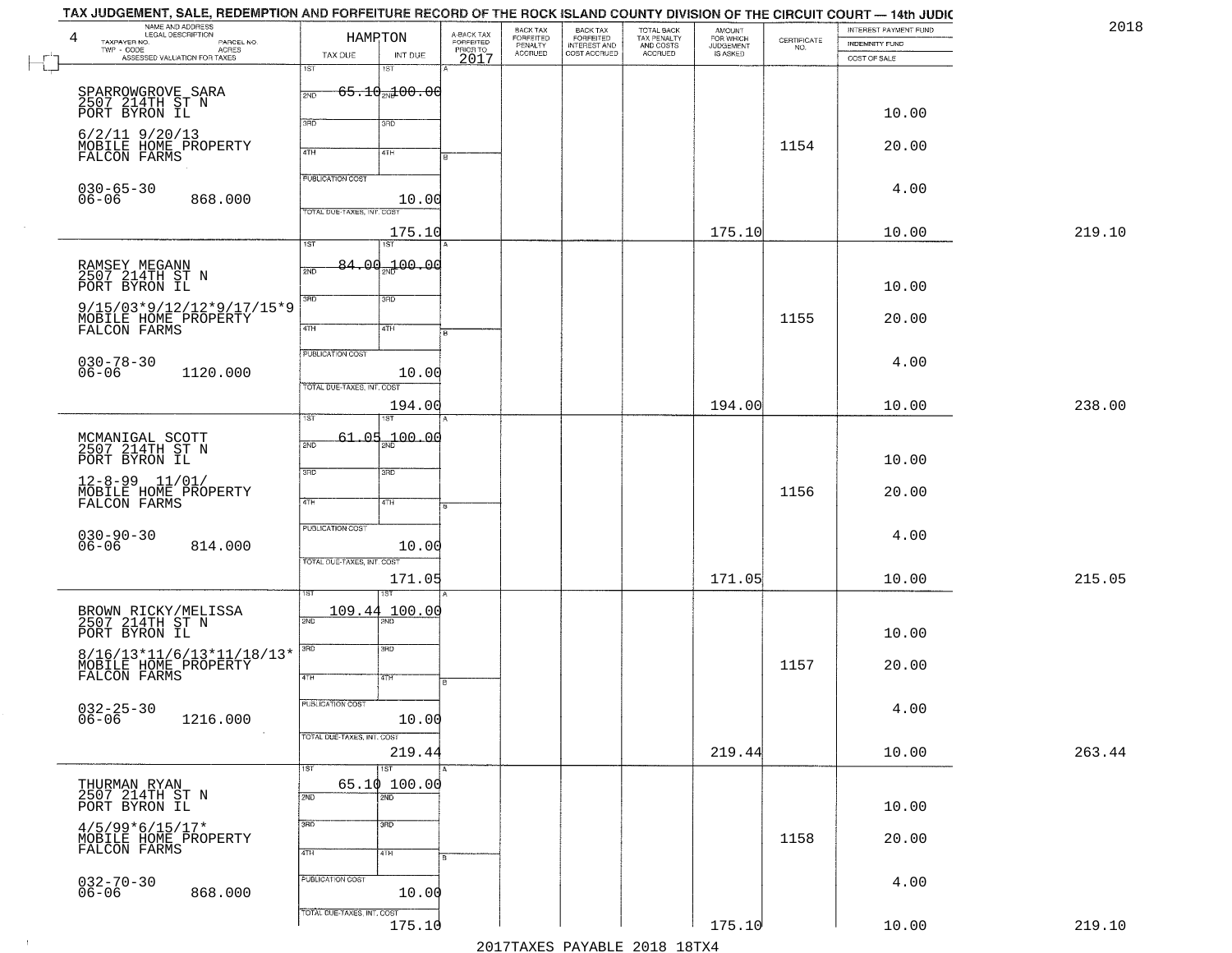| 4<br>TAXPAYER NO.                                     | NAME AND ADDRESS<br>LEGAL DESCRIPTION                                                                           |                            | HAMPTON                             |                                             | BACK TAX<br>FORFEITED<br>PENALTY | BACK TAX<br>FORFEITED<br>INTEREST AND | TOTAL BACK<br>TAX PENALTY<br>AND COSTS | AMOUNT<br>FOR WHICH<br>JUDGEMENT |                                                                 | INTEREST PAYMENT FUND                 |  |
|-------------------------------------------------------|-----------------------------------------------------------------------------------------------------------------|----------------------------|-------------------------------------|---------------------------------------------|----------------------------------|---------------------------------------|----------------------------------------|----------------------------------|-----------------------------------------------------------------|---------------------------------------|--|
| $TWP - CODE$                                          | LEGAL DESCRIPTION<br>- CODE PARCEL NO.<br>- CODE ACRES<br>- ASSESSED VALUATION FOR TAXES                        | TAX DUE                    | INT DUE                             | A-BACK TAX<br>FORFEITED<br>PRIOR TO<br>2017 | <b>ACCRUED</b>                   | COST ACCRUED                          | ACCRUED                                | IS ASKED                         | $\begin{array}{c} \text{CERTIFICATE} \\ \text{NO.} \end{array}$ | <b>INDEMNITY FUND</b><br>COST OF SALE |  |
|                                                       |                                                                                                                 | 1ST                        | 18T                                 |                                             |                                  |                                       |                                        |                                  |                                                                 |                                       |  |
|                                                       |                                                                                                                 | 2ND                        | <del>65.10<sub>20</sub>100.00</del> |                                             |                                  |                                       |                                        |                                  |                                                                 |                                       |  |
| SPARROWGROVE SARA<br>2507 214TH ST N<br>PORT BYRON IL |                                                                                                                 |                            |                                     |                                             |                                  |                                       |                                        |                                  |                                                                 |                                       |  |
|                                                       |                                                                                                                 | 370                        | 3RD                                 |                                             |                                  |                                       |                                        |                                  |                                                                 | 10.00                                 |  |
| $6/2/11$ 9/20/13                                      | MOBILE HOME PROPERTY                                                                                            |                            |                                     |                                             |                                  |                                       |                                        |                                  | 1154                                                            | 20.00                                 |  |
| FALCON FARMS                                          |                                                                                                                 | 4TH                        | 4TH                                 |                                             |                                  |                                       |                                        |                                  |                                                                 |                                       |  |
|                                                       |                                                                                                                 | <b>PUBLICATION COST</b>    |                                     |                                             |                                  |                                       |                                        |                                  |                                                                 |                                       |  |
| $030 - 65 - 30$                                       |                                                                                                                 |                            |                                     |                                             |                                  |                                       |                                        |                                  |                                                                 | 4.00                                  |  |
| $06 - 06$                                             | 868.000                                                                                                         | TOTAL DUE-TAXES, INT. COST | 10.00                               |                                             |                                  |                                       |                                        |                                  |                                                                 |                                       |  |
|                                                       |                                                                                                                 |                            | 175.10                              |                                             |                                  |                                       |                                        | 175.10                           |                                                                 | 10.00                                 |  |
|                                                       |                                                                                                                 | 1ST                        | 1ST                                 |                                             |                                  |                                       |                                        |                                  |                                                                 |                                       |  |
| RAMSEY MEGANN<br>2507 214TH ST N                      |                                                                                                                 | 2ND                        | 84.00 <sub>%</sub> 100.00           |                                             |                                  |                                       |                                        |                                  |                                                                 |                                       |  |
| PORT BYRON IL                                         |                                                                                                                 |                            |                                     |                                             |                                  |                                       |                                        |                                  |                                                                 | 10.00                                 |  |
|                                                       | 9/15/03*9/12/12*9/17/15*9                                                                                       | $\overline{3BD}$           | 3RD                                 |                                             |                                  |                                       |                                        |                                  |                                                                 |                                       |  |
|                                                       | MOBILE HOME PROPERTY<br>FALCON FARMS                                                                            |                            |                                     |                                             |                                  |                                       |                                        |                                  | 1155                                                            | 20.00                                 |  |
|                                                       |                                                                                                                 | 47H                        | 4TH                                 | $\overline{B}$                              |                                  |                                       |                                        |                                  |                                                                 |                                       |  |
| $030 - 78 - 30$                                       |                                                                                                                 | PUBLICATION COST           |                                     |                                             |                                  |                                       |                                        |                                  |                                                                 | 4.00                                  |  |
| $06 - 06$                                             | 1120.000                                                                                                        |                            | 10.00                               |                                             |                                  |                                       |                                        |                                  |                                                                 |                                       |  |
|                                                       |                                                                                                                 | TOTAL DUE-TAXES, INT. COST |                                     |                                             |                                  |                                       |                                        |                                  |                                                                 |                                       |  |
|                                                       |                                                                                                                 | īst                        | 194.00                              |                                             |                                  |                                       |                                        | 194.00                           |                                                                 | 10.00                                 |  |
|                                                       |                                                                                                                 |                            |                                     |                                             |                                  |                                       |                                        |                                  |                                                                 |                                       |  |
| MCMANIGAL SCOTT<br>2507 214TH ST N                    |                                                                                                                 | 61.05<br>2ND               | 00.04 م <del>ي</del> پ              |                                             |                                  |                                       |                                        |                                  |                                                                 |                                       |  |
| PORT BYRON IL                                         |                                                                                                                 | 3RD                        | 3 <sub>BD</sub>                     |                                             |                                  |                                       |                                        |                                  |                                                                 | 10.00                                 |  |
| $12 - 8 - 99$ $11/01/$                                |                                                                                                                 |                            |                                     |                                             |                                  |                                       |                                        |                                  |                                                                 |                                       |  |
|                                                       | MOBILE HOME PROPERTY<br>FALCON FARMS                                                                            | 4TH                        | 4TH                                 |                                             |                                  |                                       |                                        |                                  | 1156                                                            | 20.00                                 |  |
|                                                       |                                                                                                                 | PUBLICATION COST           |                                     |                                             |                                  |                                       |                                        |                                  |                                                                 |                                       |  |
| $030 - 90 - 30$<br>06-06                              | 814.000                                                                                                         |                            | 10.00                               |                                             |                                  |                                       |                                        |                                  |                                                                 | 4.00                                  |  |
|                                                       |                                                                                                                 | TOTAL OUE-TAXES, INT. COST |                                     |                                             |                                  |                                       |                                        |                                  |                                                                 |                                       |  |
|                                                       |                                                                                                                 |                            | 171.05                              |                                             |                                  |                                       |                                        | 171.05                           |                                                                 | 10.00                                 |  |
|                                                       |                                                                                                                 |                            |                                     |                                             |                                  |                                       |                                        |                                  |                                                                 |                                       |  |
|                                                       | BROWN RICKY/MELISSA<br>2507 214TH ST N                                                                          | 109.44<br>2ND              | 100.00                              |                                             |                                  |                                       |                                        |                                  |                                                                 |                                       |  |
| PORT BYRON IL                                         |                                                                                                                 |                            |                                     |                                             |                                  |                                       |                                        |                                  |                                                                 | 10.00                                 |  |
|                                                       |                                                                                                                 | 3RD                        | $\overline{3BD}$                    |                                             |                                  |                                       |                                        |                                  |                                                                 |                                       |  |
|                                                       | $\begin{array}{ll} 8/16/13*11/6/13*11/18/13* \\ \text{MOBILE HOME PROPERTY} \\ \text{FALCON FARMS} \end{array}$ | 4TH                        | वाम                                 |                                             |                                  |                                       |                                        |                                  | 1157                                                            | 20.00                                 |  |
|                                                       |                                                                                                                 |                            |                                     | в.                                          |                                  |                                       |                                        |                                  |                                                                 |                                       |  |
| $032 - 25 - 30$<br>06-06                              |                                                                                                                 | PUBLICATION COST           |                                     |                                             |                                  |                                       |                                        |                                  |                                                                 | 4.00                                  |  |
|                                                       | 1216.000                                                                                                        |                            | 10.00                               |                                             |                                  |                                       |                                        |                                  |                                                                 |                                       |  |
|                                                       |                                                                                                                 | TOTAL DUE-TAXES, INT. COST |                                     |                                             |                                  |                                       |                                        |                                  |                                                                 |                                       |  |
|                                                       |                                                                                                                 | 1ST                        | 219.44<br>1ST                       |                                             |                                  |                                       |                                        | 219.44                           |                                                                 | 10.00                                 |  |
| THURMAN RYAN                                          |                                                                                                                 |                            | 65.10 100.00                        |                                             |                                  |                                       |                                        |                                  |                                                                 |                                       |  |
| 2507 214TH ST N<br>PORT BYRON IL                      |                                                                                                                 | 2ND                        | $\overline{2ND}$                    |                                             |                                  |                                       |                                        |                                  |                                                                 | 10.00                                 |  |
|                                                       |                                                                                                                 | 3RD                        | 3HD                                 |                                             |                                  |                                       |                                        |                                  |                                                                 |                                       |  |
| $4/5/99*6/15/17*$                                     | MOBILE HOME PROPERTY                                                                                            |                            |                                     |                                             |                                  |                                       |                                        |                                  | 1158                                                            | 20.00                                 |  |
| FALCON FARMS                                          |                                                                                                                 | 4TH                        | 4TH                                 |                                             |                                  |                                       |                                        |                                  |                                                                 |                                       |  |
|                                                       |                                                                                                                 | PUBLICATION COST           |                                     |                                             |                                  |                                       |                                        |                                  |                                                                 |                                       |  |
| $032 - 70 - 30$<br>06-06                              | 868.000                                                                                                         |                            | 10.00                               |                                             |                                  |                                       |                                        |                                  |                                                                 | 4.00                                  |  |
|                                                       |                                                                                                                 | TOTAL OUE-TAXES, INT. COST |                                     |                                             |                                  |                                       |                                        |                                  |                                                                 |                                       |  |
|                                                       |                                                                                                                 |                            | 175.10                              |                                             |                                  |                                       |                                        | 175.10                           |                                                                 | 10.00                                 |  |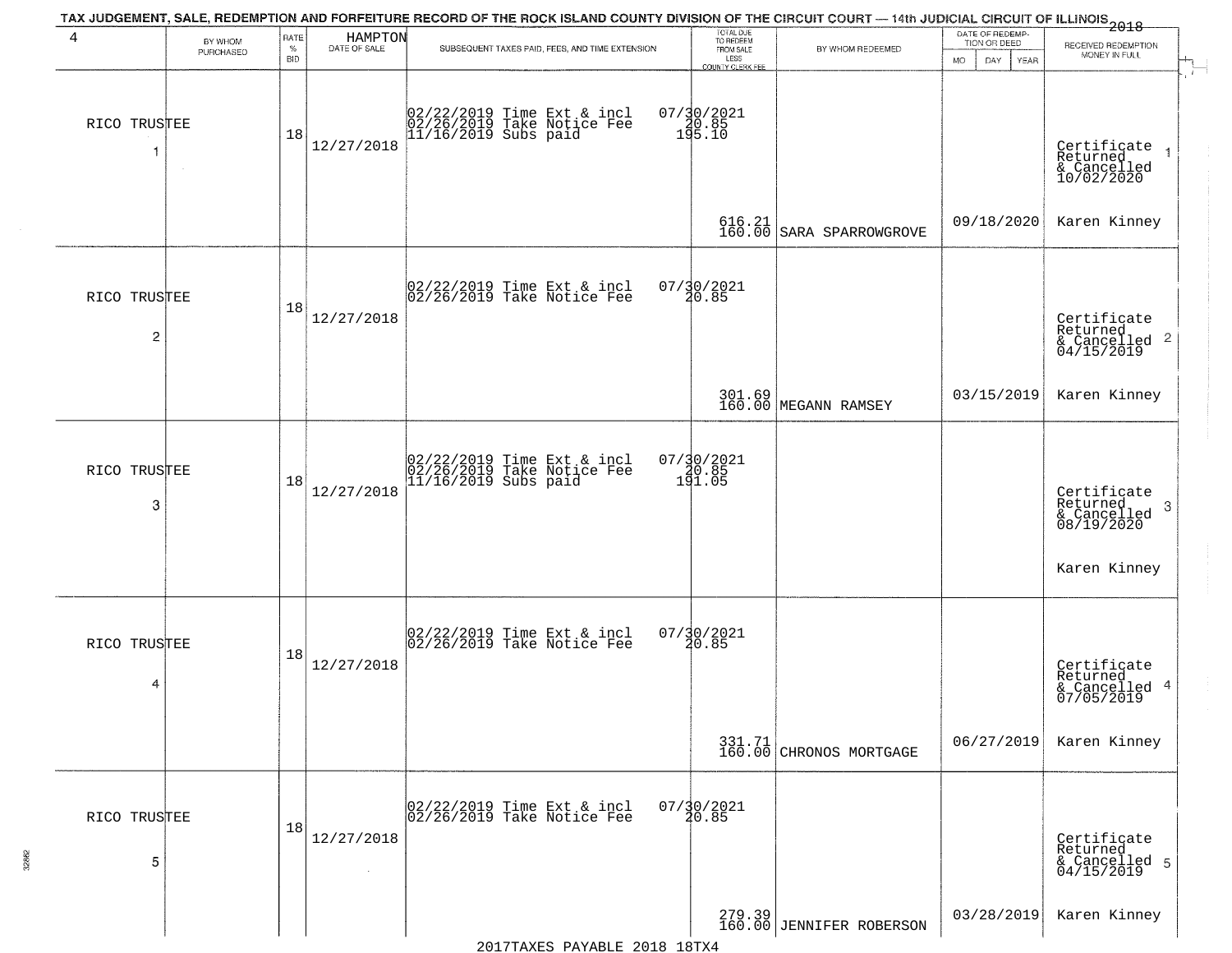|                   |                      |                            |                         | TAX JUDGEMENT, SALE, REDEMPTION AND FORFEITURE RECORD OF THE ROCK ISLAND COUNTY DIVISION OF THE CIRCUIT COURT — 14th JUDICIAL CIRCUIT OF ILLINOIS 2018 |                                                              |                                     | DATE OF REDEMP-                           |                                                                           |
|-------------------|----------------------|----------------------------|-------------------------|--------------------------------------------------------------------------------------------------------------------------------------------------------|--------------------------------------------------------------|-------------------------------------|-------------------------------------------|---------------------------------------------------------------------------|
| 4                 | BY WHOM<br>PURCHASED | RATE<br>$\%$<br><b>BID</b> | HAMPTON<br>DATE OF SALE | SUBSEQUENT TAXES PAID, FEES, AND TIME EXTENSION                                                                                                        | TOTAL DUE<br>TO REDEEM<br>FROM SALE                          | BY WHOM REDEEMED                    | TION OR DEED<br>DAY.<br>YEAR<br><b>MO</b> | RECEIVED REDEMPTION<br>MONEY IN FULL                                      |
| RICO TRUSTEE      | $\sim$               | 18                         | 12/27/2018              | 02/22/2019 Time Ext & incl<br>02/26/2019 Take Notice Fee<br>11/16/2019 Subs paid                                                                       | LESS<br>COUNTY CLERK FEE<br>$07/30/2021$<br>190.85<br>195.10 |                                     |                                           | Certificate<br>Returned<br>& Cancelled<br>10/02/2020                      |
|                   |                      |                            |                         |                                                                                                                                                        | $^{616.21}_{160.00}$                                         | SARA SPARROWGROVE                   | 09/18/2020                                | Karen Kinney                                                              |
| RICO TRUSTEE<br>2 |                      | 18                         | 12/27/2018              | 02/22/2019 Time Ext & incl<br>02/26/2019 Take Notice Fee                                                                                               | 07/30/2021<br>20.85                                          |                                     |                                           | Certificate<br>Returned<br>& Cancelled 2<br>04/15/2019                    |
|                   |                      |                            |                         |                                                                                                                                                        |                                                              | 301.69<br>160.00 MEGANN RAMSEY      | 03/15/2019                                | Karen Kinney                                                              |
| RICO TRUSTEE<br>3 |                      | 18                         | 12/27/2018              | 02/22/2019 Time Ext & incl<br>02/26/2019 Take Notice Fee<br>11/16/2019 Subs paid                                                                       | 07/30/2021<br>20.85<br>191.05                                |                                     |                                           | Certificate<br>Returned<br>3<br>& Cancelled<br>08/19/2020<br>Karen Kinney |
| RICO TRUSTEE<br>4 |                      | 18                         | 12/27/2018              | 02/22/2019 Time Ext & incl<br>02/26/2019 Take Notice Fee                                                                                               | $07/\frac{30}{20.85}$                                        |                                     |                                           | Certificate<br>Returned<br>& Cancelled 4<br>07/05/2019                    |
|                   |                      |                            |                         |                                                                                                                                                        |                                                              | $331.71$<br>160.00 CHRONOS MORTGAGE | 06/27/2019                                | Karen Kinney                                                              |
| RICO TRUSTEE<br>5 |                      | 18                         | 12/27/2018<br>$\sim$    | 02/22/2019 Time Ext & incl<br>02/26/2019 Take Notice Fee                                                                                               | $07/\frac{30}{20.85}$                                        |                                     |                                           | Certificate<br>Returned<br>& Cancelled 5<br>04/15/2019                    |
|                   |                      |                            |                         |                                                                                                                                                        |                                                              | 279.39 JENNIFER ROBERSON            | 03/28/2019                                | Karen Kinney                                                              |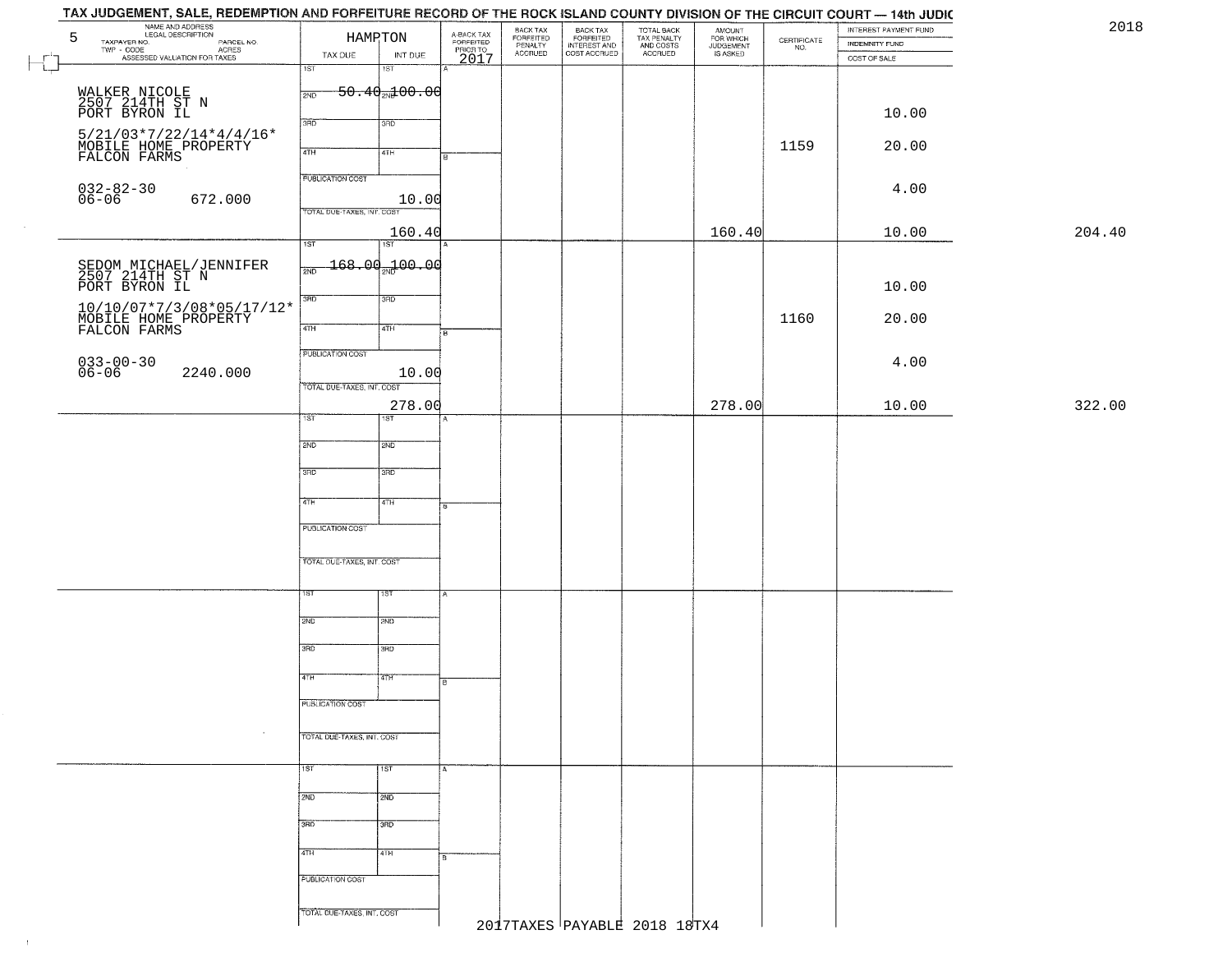| TAX JUDGEMENT, SALE, REDEMPTION AND FORFEITURE RECORD OF THE ROCK ISLAND COUNTY DIVISION OF THE CIRCUIT COURT - 14th JUDIC |                            |                            |                                     |                                  |                                                       |                                                   |                                    |                                                                 | INTEREST PAYMENT FUND | 2018   |
|----------------------------------------------------------------------------------------------------------------------------|----------------------------|----------------------------|-------------------------------------|----------------------------------|-------------------------------------------------------|---------------------------------------------------|------------------------------------|-----------------------------------------------------------------|-----------------------|--------|
| NAME AND ADDRESS<br>LEGAL DESCRIPTION<br>5<br>TAXPAYER NO.<br>PARCEL NO.                                                   |                            | HAMPTON                    | A-BACK TAX<br>FORFEITED<br>PRIOR TO | BACK TAX<br>FORFEITED<br>PENALTY | BACK TAX<br>FORFEITED<br>INTEREST AND<br>COST ACCRUED | TOTAL BACK<br>TAX PENALTY<br>AND COSTS<br>ACCRUED | <b>AMOUNT</b>                      | $\begin{array}{c} \text{CERTIFICATE} \\ \text{NO.} \end{array}$ | INDEMNITY FUND        |        |
| $TWP - CODE$<br>- CODE<br>ASSESSED VALUATION FOR TAXES                                                                     | TAX DUE                    | INT DUE                    | 2017                                | <b>ACCRUED</b>                   |                                                       |                                                   | FOR WHICH<br>JUDGEMENT<br>IS ASKED |                                                                 | COST OF SALE          |        |
|                                                                                                                            | 1ST                        | 1ST                        |                                     |                                  |                                                       |                                                   |                                    |                                                                 |                       |        |
|                                                                                                                            | 2ND                        | $-50.40$ $+00.06$          |                                     |                                  |                                                       |                                                   |                                    |                                                                 |                       |        |
| WALKER NICOLE<br>2507 214TH ST N<br>PORT BYRON IL                                                                          |                            |                            |                                     |                                  |                                                       |                                                   |                                    |                                                                 |                       |        |
|                                                                                                                            | 3RD                        | 3RD                        |                                     |                                  |                                                       |                                                   |                                    |                                                                 | 10.00                 |        |
| $5/21/03*7/22/14*4/4/16*$                                                                                                  |                            |                            |                                     |                                  |                                                       |                                                   |                                    |                                                                 |                       |        |
| MOBĪLE HOME PROPĒRTY<br>FALCON FARMS                                                                                       | 4TH                        | 4TH                        |                                     |                                  |                                                       |                                                   |                                    | 1159                                                            | 20.00                 |        |
|                                                                                                                            | <b>FUBLICATION COST</b>    |                            |                                     |                                  |                                                       |                                                   |                                    |                                                                 |                       |        |
| $032 - 82 - 30$<br>06-06                                                                                                   |                            |                            |                                     |                                  |                                                       |                                                   |                                    |                                                                 | 4.00                  |        |
| 672.000                                                                                                                    | TOTAL DUE-TAXES, INT. COST | 10.00                      |                                     |                                  |                                                       |                                                   |                                    |                                                                 |                       |        |
|                                                                                                                            |                            |                            |                                     |                                  |                                                       |                                                   |                                    |                                                                 |                       | 204.40 |
|                                                                                                                            | $\overline{1ST}$           | 160.40<br>$\overline{151}$ |                                     |                                  |                                                       |                                                   | 160.40                             |                                                                 | 10.00                 |        |
|                                                                                                                            |                            | $-168.00 - 00.00$          |                                     |                                  |                                                       |                                                   |                                    |                                                                 |                       |        |
| SEDOM MICHAEL/JENNIFER<br>2507 214TH ST N                                                                                  | 2ND                        |                            |                                     |                                  |                                                       |                                                   |                                    |                                                                 |                       |        |
| PORT BYRON IL                                                                                                              | 3RD                        | 3RD                        |                                     |                                  |                                                       |                                                   |                                    |                                                                 | 10.00                 |        |
| 10/10/07*7/3/08*05/17/12*                                                                                                  |                            |                            |                                     |                                  |                                                       |                                                   |                                    |                                                                 |                       |        |
| MOBILE HOME PROPERTY                                                                                                       | $\sqrt{47H}$               | 4TH                        | i B                                 |                                  |                                                       |                                                   |                                    | 1160                                                            | 20.00                 |        |
|                                                                                                                            |                            |                            |                                     |                                  |                                                       |                                                   |                                    |                                                                 |                       |        |
| $033 - 00 - 30$                                                                                                            | PUBLICATION COST           |                            |                                     |                                  |                                                       |                                                   |                                    |                                                                 | 4.00                  |        |
| $06 - 06$<br>2240.000                                                                                                      | TOTAL DUE-TAXES, INT. COST | 10.00                      |                                     |                                  |                                                       |                                                   |                                    |                                                                 |                       |        |
|                                                                                                                            |                            |                            |                                     |                                  |                                                       |                                                   |                                    |                                                                 |                       | 322.00 |
|                                                                                                                            | 1ST <sup>-</sup>           | 278.00<br><b>ST</b>        |                                     |                                  |                                                       |                                                   | 278.00                             |                                                                 | 10.00                 |        |
|                                                                                                                            |                            |                            |                                     |                                  |                                                       |                                                   |                                    |                                                                 |                       |        |
|                                                                                                                            | 2ND                        | 2ND                        |                                     |                                  |                                                       |                                                   |                                    |                                                                 |                       |        |
|                                                                                                                            | 3BD                        | 3RD                        |                                     |                                  |                                                       |                                                   |                                    |                                                                 |                       |        |
|                                                                                                                            |                            |                            |                                     |                                  |                                                       |                                                   |                                    |                                                                 |                       |        |
|                                                                                                                            | 4TH                        | 4TH                        |                                     |                                  |                                                       |                                                   |                                    |                                                                 |                       |        |
|                                                                                                                            | PUBLICATION COST           |                            |                                     |                                  |                                                       |                                                   |                                    |                                                                 |                       |        |
|                                                                                                                            |                            |                            |                                     |                                  |                                                       |                                                   |                                    |                                                                 |                       |        |
|                                                                                                                            | TOTAL OUE-TAXES, INT. COST |                            |                                     |                                  |                                                       |                                                   |                                    |                                                                 |                       |        |
|                                                                                                                            |                            |                            |                                     |                                  |                                                       |                                                   |                                    |                                                                 |                       |        |
|                                                                                                                            | 1ST                        | १९४                        |                                     |                                  |                                                       |                                                   |                                    |                                                                 |                       |        |
|                                                                                                                            |                            |                            |                                     |                                  |                                                       |                                                   |                                    |                                                                 |                       |        |
|                                                                                                                            | 2ND                        | 2ND                        |                                     |                                  |                                                       |                                                   |                                    |                                                                 |                       |        |
|                                                                                                                            | 3RD                        | 3BD                        |                                     |                                  |                                                       |                                                   |                                    |                                                                 |                       |        |
|                                                                                                                            |                            |                            |                                     |                                  |                                                       |                                                   |                                    |                                                                 |                       |        |
|                                                                                                                            | 4TH                        | 47H                        | в                                   |                                  |                                                       |                                                   |                                    |                                                                 |                       |        |
|                                                                                                                            | PUBLICATION COST           |                            |                                     |                                  |                                                       |                                                   |                                    |                                                                 |                       |        |
|                                                                                                                            |                            |                            |                                     |                                  |                                                       |                                                   |                                    |                                                                 |                       |        |
| $\sim$                                                                                                                     | TOTAL DUE-TAXES, INT. COST |                            |                                     |                                  |                                                       |                                                   |                                    |                                                                 |                       |        |
|                                                                                                                            |                            |                            |                                     |                                  |                                                       |                                                   |                                    |                                                                 |                       |        |
|                                                                                                                            | 1ST                        | 1ST                        |                                     |                                  |                                                       |                                                   |                                    |                                                                 |                       |        |
|                                                                                                                            |                            |                            |                                     |                                  |                                                       |                                                   |                                    |                                                                 |                       |        |
|                                                                                                                            | 2ND                        | 2ND                        |                                     |                                  |                                                       |                                                   |                                    |                                                                 |                       |        |
|                                                                                                                            | 3BD                        | 3 <sub>HD</sub>            |                                     |                                  |                                                       |                                                   |                                    |                                                                 |                       |        |
|                                                                                                                            |                            |                            |                                     |                                  |                                                       |                                                   |                                    |                                                                 |                       |        |
|                                                                                                                            | 4TH                        | 4TH                        |                                     |                                  |                                                       |                                                   |                                    |                                                                 |                       |        |
|                                                                                                                            | PUBLICATION COST           |                            |                                     |                                  |                                                       |                                                   |                                    |                                                                 |                       |        |
|                                                                                                                            |                            |                            |                                     |                                  |                                                       |                                                   |                                    |                                                                 |                       |        |
|                                                                                                                            | TOTAL DUE-TAXES, INT. COST |                            |                                     |                                  |                                                       |                                                   |                                    |                                                                 |                       |        |
|                                                                                                                            |                            |                            |                                     |                                  |                                                       | 2017TAXES PAYABLE 2018 18TX4                      |                                    |                                                                 |                       |        |

 $\sim 1$  .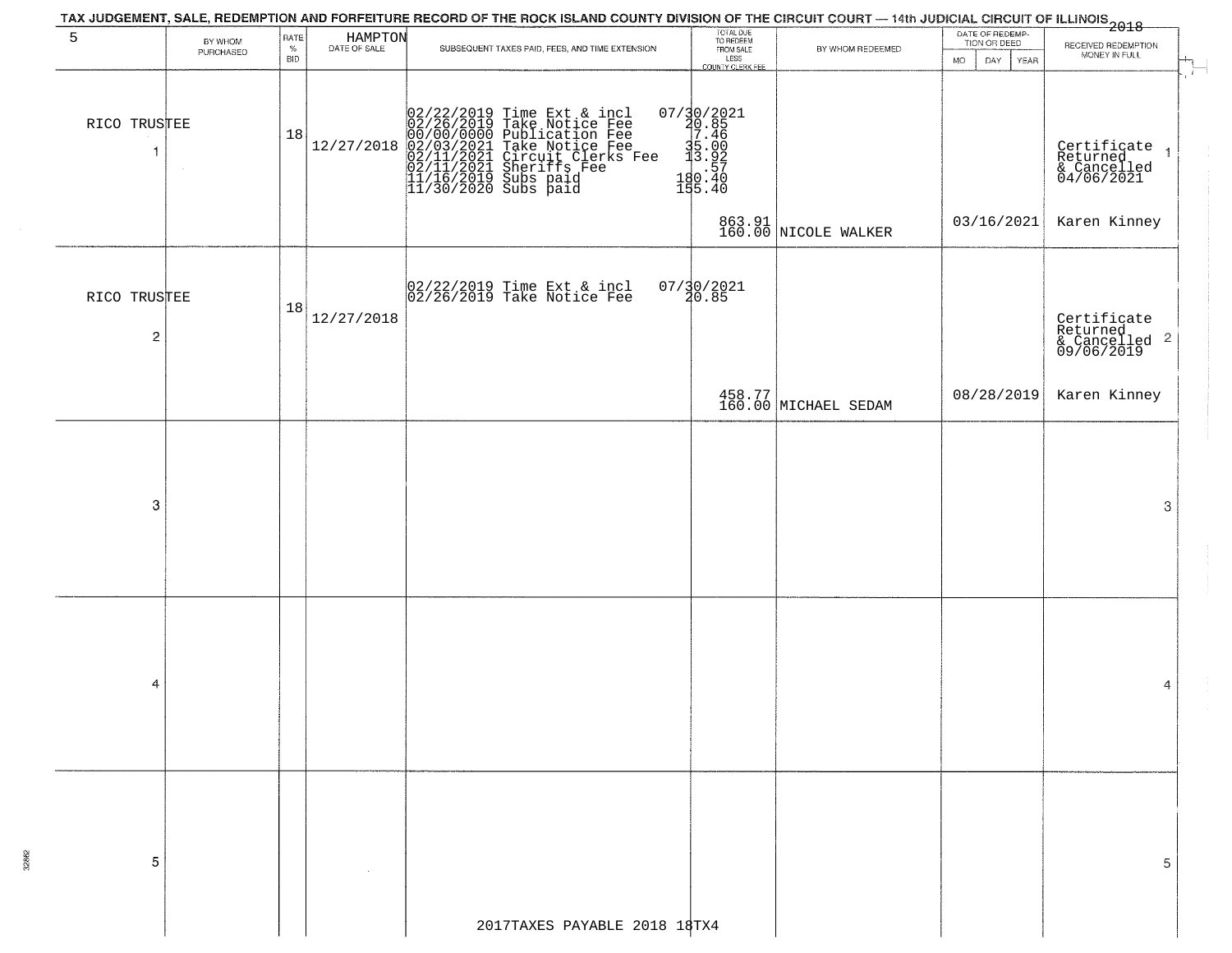|                   |                      |                            |                         | TAX JUDGEMENT, SALE, REDEMPTION AND FORFEITURE RECORD OF THE ROCK ISLAND COUNTY DIVISION OF THE CIRCUIT COURT — 14th JUDICIAL CIRCUIT OF ILLINOIS<br>2018 - The Contract of December 1999                                  |                                                                                                                |                                |                                                              |                                                                        |
|-------------------|----------------------|----------------------------|-------------------------|----------------------------------------------------------------------------------------------------------------------------------------------------------------------------------------------------------------------------|----------------------------------------------------------------------------------------------------------------|--------------------------------|--------------------------------------------------------------|------------------------------------------------------------------------|
| 5                 | BY WHOM<br>PURCHASED | RATE<br>$\%$<br><b>BID</b> | HAMPTON<br>DATE OF SALE | SUBSEQUENT TAXES PAID, FEES, AND TIME EXTENSION                                                                                                                                                                            | TOTAL DUE<br>TO REDEEM<br>FROM SALE<br>LESS<br>COUNTY CLERK FEE                                                | BY WHOM REDEEMED               | DATE OF REDEMP-<br>TION OR DEED<br><b>MO</b><br>DAY.<br>YEAR | RECEIVED REDEMPTION<br>MONEY IN FULL                                   |
| RICO TRUSTEE<br>1 |                      | 18                         | 12/27/2018              | $02/22/2019$ Time Ext & incl<br>02/26/2019 Take Notice Fee<br>00/00/00000 Publication Fee<br>02/03/2021 Take Notice Fee<br>02/11/2021 Sheriffs Fee<br>11/16/2019 Subs paid<br>11/16/2019 Subs paid<br>11/30/2020 Subs paid | $\begin{array}{r} 07/30/2021 \\ 20.85 \\ 7.46 \\ 35.00 \\ \textrm{s} \\ 19.57 \\ 180.40 \\ 195.40 \end{array}$ |                                |                                                              | $\overline{1}$<br>Certificate<br>Returned<br>& Cancelled<br>04/06/2021 |
|                   |                      |                            |                         |                                                                                                                                                                                                                            |                                                                                                                | 863.91<br>160.00 NICOLE WALKER | 03/16/2021                                                   | Karen Kinney                                                           |
| RICO TRUSTEE<br>2 |                      | 18                         | 12/27/2018              | 02/22/2019 Time Ext & incl<br>02/26/2019 Take Notice Fee                                                                                                                                                                   | $07/30/2021$<br>20.85                                                                                          |                                |                                                              | Certificate<br>Returned<br>& Cancelled <sup>2</sup><br>09/06/2019      |
|                   |                      |                            |                         |                                                                                                                                                                                                                            |                                                                                                                | 458.77<br>160.00 MICHAEL SEDAM | 08/28/2019                                                   | Karen Kinney                                                           |
|                   |                      |                            |                         |                                                                                                                                                                                                                            |                                                                                                                |                                |                                                              |                                                                        |
| -3                |                      |                            |                         |                                                                                                                                                                                                                            |                                                                                                                |                                |                                                              | 3                                                                      |
|                   |                      |                            |                         |                                                                                                                                                                                                                            |                                                                                                                |                                |                                                              |                                                                        |
| 4                 |                      |                            |                         |                                                                                                                                                                                                                            |                                                                                                                |                                |                                                              | 4                                                                      |
|                   |                      |                            |                         |                                                                                                                                                                                                                            |                                                                                                                |                                |                                                              |                                                                        |
| -5                |                      |                            |                         |                                                                                                                                                                                                                            |                                                                                                                |                                |                                                              | 5.                                                                     |
|                   |                      |                            |                         | 2017TAXES PAYABLE 2018 18TX4                                                                                                                                                                                               |                                                                                                                |                                |                                                              |                                                                        |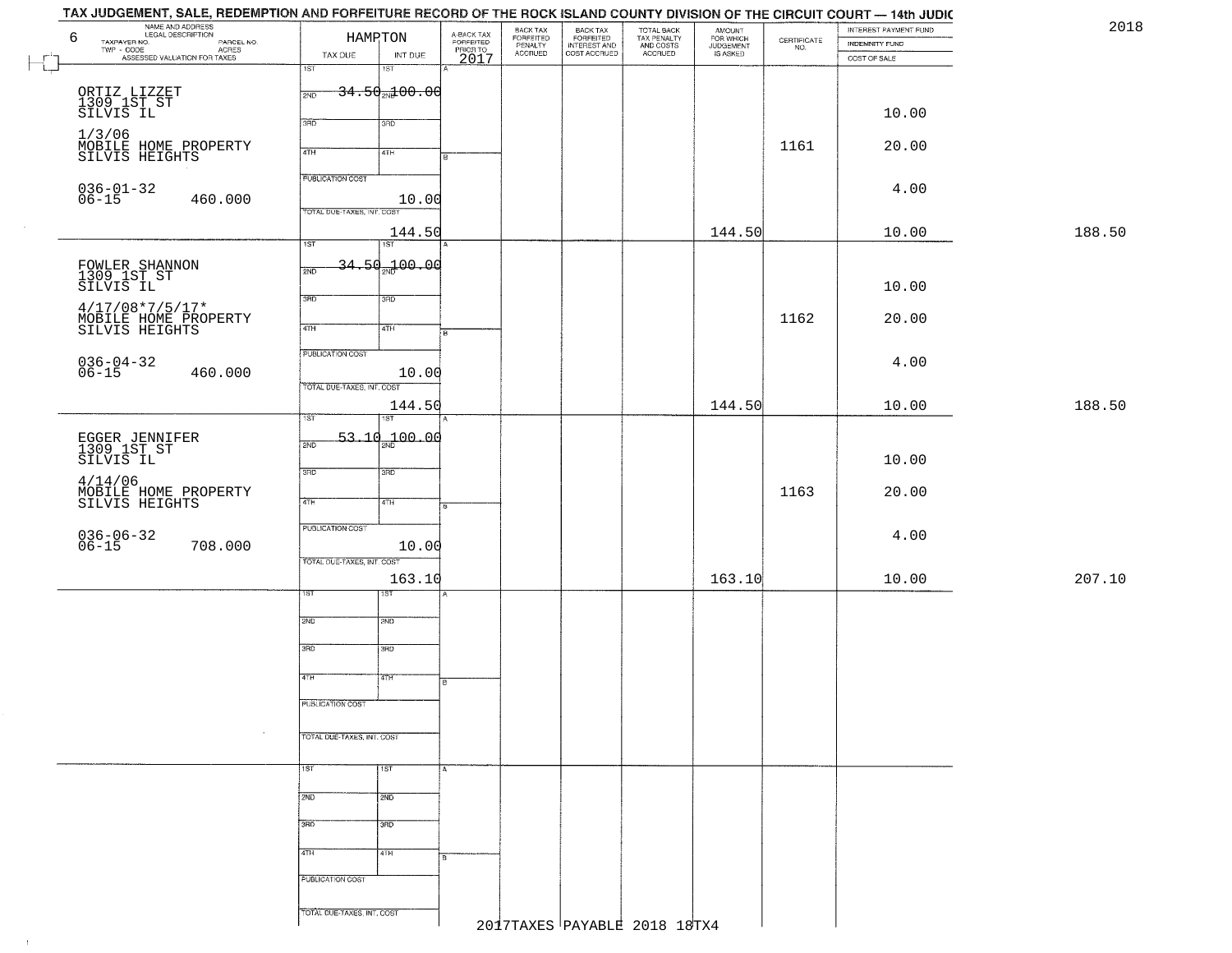| 2018   | INTEREST PAYMENT FUND |                                                                 | <b>AMOUNT</b>                      |                                                   |                                                       | BACK TAX<br>FORFEITED     |                                     |                                 | HAMRTON                    |         | 6                                                    |
|--------|-----------------------|-----------------------------------------------------------------|------------------------------------|---------------------------------------------------|-------------------------------------------------------|---------------------------|-------------------------------------|---------------------------------|----------------------------|---------|------------------------------------------------------|
|        | <b>INDEMNITY FUND</b> | $\begin{array}{c} \text{CERTIFICATE} \\ \text{NO.} \end{array}$ | FOR WHICH<br>JUDGEMENT<br>IS ASKED | TOTAL BACK<br>TAX PENALTY<br>AND COSTS<br>ACCRUED | BACK TAX<br>FORFEITED<br>INTEREST AND<br>COST ACCRUED | PENALTY<br><b>ACCRUED</b> | A-BACK TAX<br>FORFEITED<br>PRIOR TO | INT DUE                         | TAX DUE                    |         | NAME AND ADDRESS<br>NAME AND ADDRESS<br>TAXPAYER NO. |
|        | COST OF SALE          |                                                                 |                                    |                                                   |                                                       |                           | 2017                                | $\overline{181}$                | 1ST                        |         |                                                      |
|        |                       |                                                                 |                                    |                                                   |                                                       |                           |                                     |                                 |                            |         |                                                      |
|        |                       |                                                                 |                                    |                                                   |                                                       |                           |                                     | $-34.50$ <sub>21</sub> $+00.06$ | 2ND                        |         | ORTIZ LIZZET<br>1309 1ST ST<br>SILVIS IL             |
|        | 10.00                 |                                                                 |                                    |                                                   |                                                       |                           |                                     |                                 |                            |         |                                                      |
|        |                       |                                                                 |                                    |                                                   |                                                       |                           |                                     | 3RD                             | 3RD                        |         |                                                      |
|        | 20.00                 | 1161                                                            |                                    |                                                   |                                                       |                           |                                     |                                 |                            |         | 1/3/06<br>MOBILE HOME PROPERTY<br>SILVIS HEIGHTS     |
|        |                       |                                                                 |                                    |                                                   |                                                       |                           | l B                                 | 4TH                             | 4TH                        |         |                                                      |
|        |                       |                                                                 |                                    |                                                   |                                                       |                           |                                     |                                 | <b>PUBLICATION COST</b>    |         |                                                      |
|        | 4.00                  |                                                                 |                                    |                                                   |                                                       |                           |                                     |                                 |                            |         | $036 - 01 - 32$<br>06-15                             |
|        |                       |                                                                 |                                    |                                                   |                                                       |                           |                                     | 10.00                           | TOTAL DUE-TAXES, INT. COST | 460.000 |                                                      |
| 188.50 |                       |                                                                 | 144.50                             |                                                   |                                                       |                           |                                     |                                 |                            |         |                                                      |
|        | 10.00                 |                                                                 |                                    |                                                   |                                                       |                           |                                     | 144.50<br>1ST                   | 1ST                        |         |                                                      |
|        |                       |                                                                 |                                    |                                                   |                                                       |                           |                                     |                                 |                            |         |                                                      |
|        |                       |                                                                 |                                    |                                                   |                                                       |                           |                                     | <del>34.50.100.00</del>         | 2ND                        |         | FOWLER SHANNON<br>1309 1ST ST                        |
|        | 10.00                 |                                                                 |                                    |                                                   |                                                       |                           |                                     |                                 |                            |         | SILVIS IL                                            |
|        |                       |                                                                 |                                    |                                                   |                                                       |                           |                                     | 3RD                             | 3BD                        |         | $4/17/08*7/5/17*$                                    |
|        | 20.00                 | 1162                                                            |                                    |                                                   |                                                       |                           |                                     | 4TH                             | $\overline{47H}$           |         | MOBILE HOME PROPERTY<br>SILVIS HEIGHTS               |
|        |                       |                                                                 |                                    |                                                   |                                                       |                           | Fв                                  |                                 |                            |         |                                                      |
|        |                       |                                                                 |                                    |                                                   |                                                       |                           |                                     |                                 | PUBLICATION COST           |         |                                                      |
|        | 4.00                  |                                                                 |                                    |                                                   |                                                       |                           |                                     | 10.00                           |                            | 460.000 | $036 - 04 - 32$<br>06-15                             |
|        |                       |                                                                 |                                    |                                                   |                                                       |                           |                                     |                                 | TOTAL DUE-TAXES, INT. COST |         |                                                      |
| 188.50 | 10.00                 |                                                                 | 144.50                             |                                                   |                                                       |                           |                                     | 144.50                          |                            |         |                                                      |
|        |                       |                                                                 |                                    |                                                   |                                                       |                           |                                     | 1ST                             | ist.                       |         |                                                      |
|        |                       |                                                                 |                                    |                                                   |                                                       |                           |                                     | 53.10 <sub>2N</sub> 100.00      |                            |         |                                                      |
|        |                       |                                                                 |                                    |                                                   |                                                       |                           |                                     |                                 | 2ND                        |         | EGGER JENNIFER<br>1309 1ST ST                        |
|        | 10.00                 |                                                                 |                                    |                                                   |                                                       |                           |                                     | 3RD                             | 3RD                        |         | SILVIS IL                                            |
|        |                       |                                                                 |                                    |                                                   |                                                       |                           |                                     |                                 |                            |         | 4/14/06                                              |
|        | 20.00                 | 1163                                                            |                                    |                                                   |                                                       |                           |                                     | 4TH                             | 4TH                        |         | MOBILE HOME PROPERTY<br>SILVIS HEIGHTS               |
|        |                       |                                                                 |                                    |                                                   |                                                       |                           |                                     |                                 |                            |         |                                                      |
|        | 4.00                  |                                                                 |                                    |                                                   |                                                       |                           |                                     |                                 | PUBLICATION COST           |         |                                                      |
|        |                       |                                                                 |                                    |                                                   |                                                       |                           |                                     | 10.00                           |                            | 708.000 | $036 - 06 - 32$<br>06-15                             |
|        |                       |                                                                 |                                    |                                                   |                                                       |                           |                                     |                                 | TOTAL OUE-TAXES, INT. COST |         |                                                      |
| 207.10 | 10.00                 |                                                                 | 163.10                             |                                                   |                                                       |                           |                                     | 163.10                          |                            |         |                                                      |
|        |                       |                                                                 |                                    |                                                   |                                                       |                           |                                     | १९४                             | 1ST                        |         |                                                      |
|        |                       |                                                                 |                                    |                                                   |                                                       |                           |                                     |                                 |                            |         |                                                      |
|        |                       |                                                                 |                                    |                                                   |                                                       |                           |                                     | 2ND                             | 2ND                        |         |                                                      |
|        |                       |                                                                 |                                    |                                                   |                                                       |                           |                                     | 3BD                             | 3RD                        |         |                                                      |
|        |                       |                                                                 |                                    |                                                   |                                                       |                           |                                     |                                 |                            |         |                                                      |
|        |                       |                                                                 |                                    |                                                   |                                                       |                           | ाड                                  | 47H                             | 4TH                        |         |                                                      |
|        |                       |                                                                 |                                    |                                                   |                                                       |                           |                                     |                                 |                            |         |                                                      |
|        |                       |                                                                 |                                    |                                                   |                                                       |                           |                                     |                                 | <b>PUBLICATION COST</b>    |         |                                                      |
|        |                       |                                                                 |                                    |                                                   |                                                       |                           |                                     |                                 |                            |         |                                                      |
|        |                       |                                                                 |                                    |                                                   |                                                       |                           |                                     |                                 | TOTAL DUE-TAXES, INT. COST |         |                                                      |
|        |                       |                                                                 |                                    |                                                   |                                                       |                           |                                     |                                 |                            |         |                                                      |
|        |                       |                                                                 |                                    |                                                   |                                                       |                           |                                     | $\overline{1ST}$                | 1ST                        |         |                                                      |
|        |                       |                                                                 |                                    |                                                   |                                                       |                           |                                     | 2ND                             | 2ND                        |         |                                                      |
|        |                       |                                                                 |                                    |                                                   |                                                       |                           |                                     |                                 |                            |         |                                                      |
|        |                       |                                                                 |                                    |                                                   |                                                       |                           |                                     | 3 <sub>BD</sub>                 | 3RD                        |         |                                                      |
|        |                       |                                                                 |                                    |                                                   |                                                       |                           |                                     |                                 |                            |         |                                                      |
|        |                       |                                                                 |                                    |                                                   |                                                       |                           |                                     | 4TH                             | 4TH                        |         |                                                      |
|        |                       |                                                                 |                                    |                                                   |                                                       |                           |                                     |                                 |                            |         |                                                      |
|        |                       |                                                                 |                                    |                                                   |                                                       |                           |                                     |                                 | PUBLICATION COST           |         |                                                      |
|        |                       |                                                                 |                                    |                                                   |                                                       |                           |                                     |                                 |                            |         |                                                      |
|        |                       |                                                                 |                                    |                                                   |                                                       |                           |                                     |                                 | TOTAL DUE-TAXES, INT. COST |         |                                                      |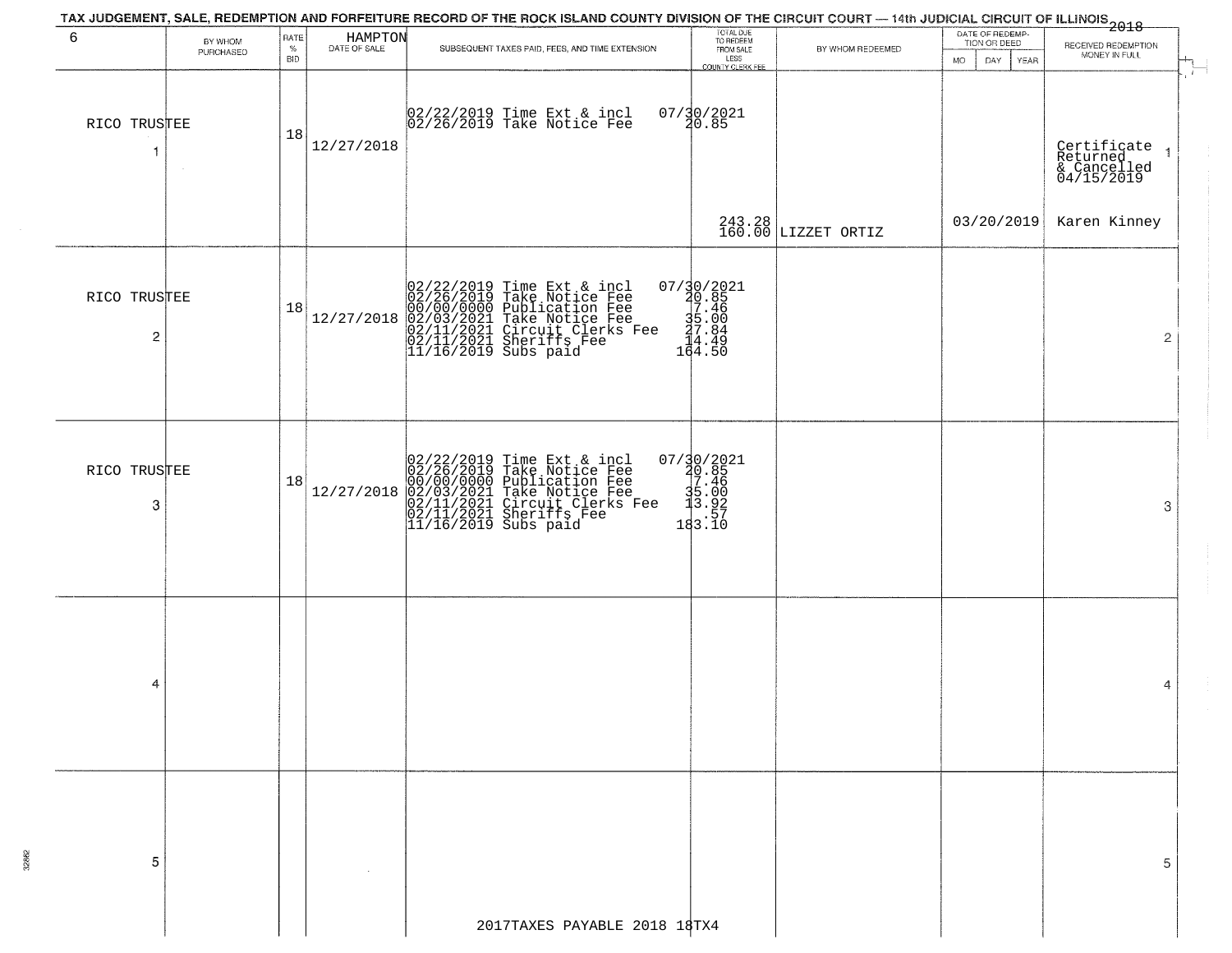|                   |                      |              |                         | TAX JUDGEMENT, SALE, REDEMPTION AND FORFEITURE RECORD OF THE ROCK ISLAND COUNTY DIVISION OF THE CIRCUIT COURT — 14th JUDICIAL CIRCUIT OF ILLINOIS 2018                                                      |                                                                                                                                                                  |                               |                                 |                                                      |
|-------------------|----------------------|--------------|-------------------------|-------------------------------------------------------------------------------------------------------------------------------------------------------------------------------------------------------------|------------------------------------------------------------------------------------------------------------------------------------------------------------------|-------------------------------|---------------------------------|------------------------------------------------------|
| 6                 | BY WHOM<br>PURCHASED | RATE<br>$\%$ | HAMPTON<br>DATE OF SALE | SUBSEQUENT TAXES PAID, FEES, AND TIME EXTENSION                                                                                                                                                             | TOTAL DUE<br>TO REDEEM<br>FROM SALE                                                                                                                              | BY WHOM REDEEMED              | DATE OF REDEMP-<br>TION OR DEED | RECEIVED REDEMPTION                                  |
|                   |                      | <b>BID</b>   |                         |                                                                                                                                                                                                             | LESS<br>COUNTY CLERK FEE                                                                                                                                         |                               | DAY.<br>YEAR<br><b>MO</b>       | MONEY IN FULL                                        |
| RICO TRUSTEE<br>1 |                      | 18           | 12/27/2018              | 02/22/2019 Time Ext & incl<br>02/26/2019 Take Notice Fee                                                                                                                                                    | 07/30/2021<br>20.85                                                                                                                                              |                               |                                 | Certificate<br>Returned<br>& Cancelled<br>04/15/2019 |
|                   |                      |              |                         |                                                                                                                                                                                                             |                                                                                                                                                                  | 243.28<br>160.00 LIZZET ORTIZ |                                 | 03/20/2019 Karen Kinney                              |
| RICO TRUSTEE<br>2 |                      | 18           | 12/27/2018              | 02/22/2019 Time Ext & incl 0<br>02/26/2019 Take Notice Fee<br>00/00/00000 Publication Fee<br>02/03/2021 Take Notice Fee<br>02/11/2021 Circuit Clerks Fee<br>02/11/2021 Sheriffs Fee<br>11/16/2019 Subs paid | $\begin{array}{r} 07 \ / \ \ 10 \ / \ \ 2021 \\ \ 20 \ . \ 85 \\ \ 17 \ . \ 46 \\ \ 35 \ . \ 00 \\ \ 27 \ . \ 84 \\ \ 14 \ . \ 49 \\ \ 164 \ . \ 50 \end{array}$ |                               |                                 | $\overline{2}$                                       |
| RICO TRUSTEE<br>3 |                      | 18           | 12/27/2018              | 02/22/2019 Time Ext & incl<br>02/26/2019 Take Notice Fee<br>00/00/00000 Publication Fee<br>02/03/2021 Take Notice Fee<br>02/11/2021 Circuit Clerks Fee<br>02/11/2021 Sheriffs Fee<br>11/16/2019 Subs paid   | $\begin{smallmatrix} 07/30/2021\\ 20.85\\ 7.46\\ 35.92\\ \vdots\\ 183.10 \end{smallmatrix}$                                                                      |                               |                                 | 3                                                    |
| 4                 |                      |              |                         |                                                                                                                                                                                                             |                                                                                                                                                                  |                               |                                 | 4                                                    |
| 5                 |                      |              |                         |                                                                                                                                                                                                             |                                                                                                                                                                  |                               |                                 | 5                                                    |
|                   |                      |              |                         |                                                                                                                                                                                                             |                                                                                                                                                                  |                               |                                 |                                                      |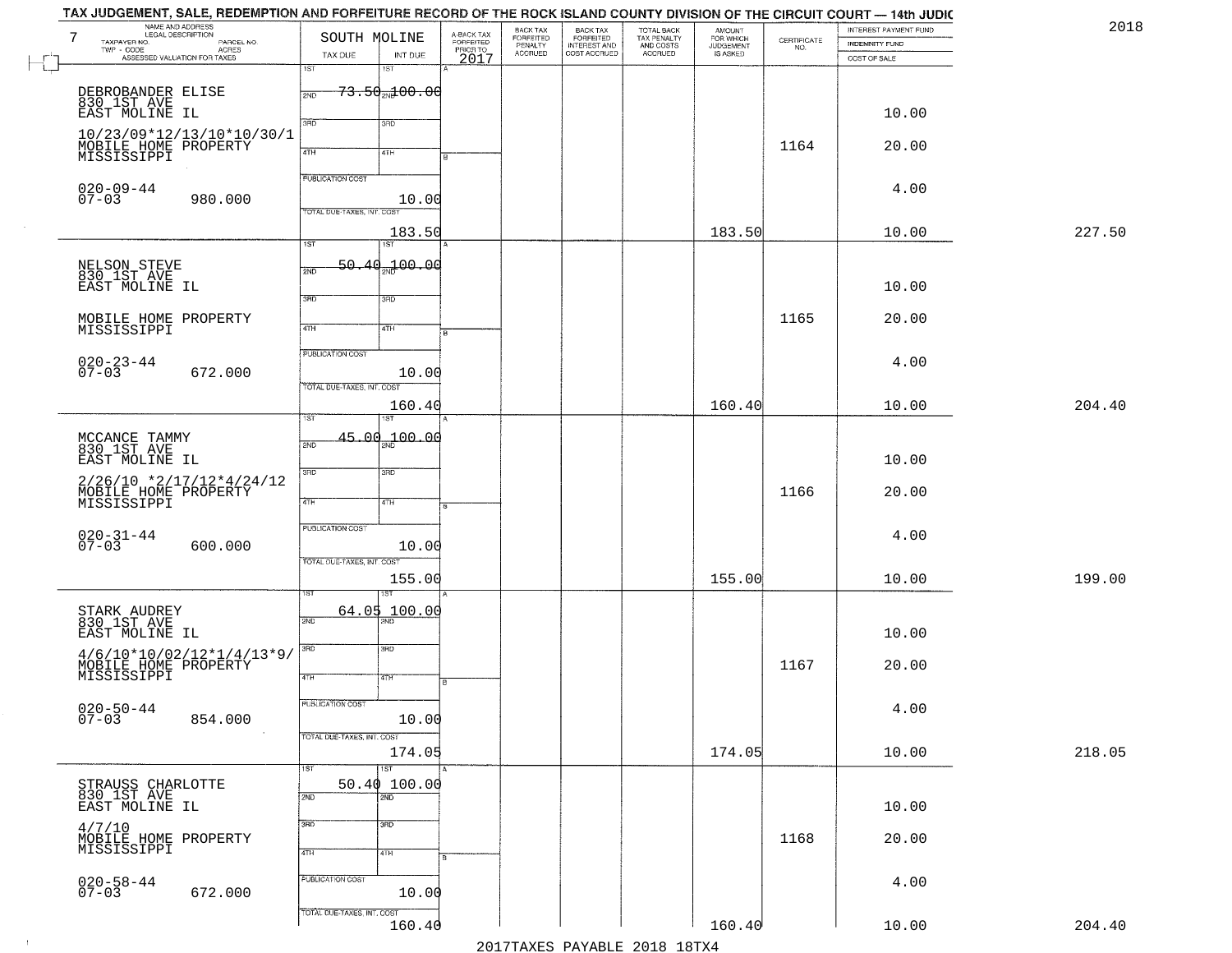|        |                                       |                                                                 |                                              |                                                   |                                                       |                                        |                                             | SOUTH MOLINE              |                            |                                                                                          | $7\phantom{.0}$                               |
|--------|---------------------------------------|-----------------------------------------------------------------|----------------------------------------------|---------------------------------------------------|-------------------------------------------------------|----------------------------------------|---------------------------------------------|---------------------------|----------------------------|------------------------------------------------------------------------------------------|-----------------------------------------------|
|        | <b>INDEMNITY FUND</b><br>COST OF SALE | $\begin{array}{c} \text{CERTIFICATE} \\ \text{NO.} \end{array}$ | AMOUNT<br>FOR WHICH<br>JUDGEMENT<br>IS ASKED | TOTAL BACK<br>TAX PENALTY<br>AND COSTS<br>ACCRUED | BACK TAX<br>FORFEITED<br>INTEREST AND<br>COST ACCRUED | FORFEITED<br>PENALTY<br><b>ACCRUED</b> | A-BACK TAX<br>FORFEITED<br>PRIOR TO<br>2017 | INT DUE                   | TAX DUE                    | LEGAL DESCRIPTION<br>- CODE PARCEL NO.<br>- CODE ACRES<br>- ASSESSED VALUATION FOR TAXES | TAXPAYER NO.<br>$\textsf{TWP} \textsf{-CODE}$ |
|        |                                       |                                                                 |                                              |                                                   |                                                       |                                        |                                             | 18T                       | 1ST                        |                                                                                          |                                               |
|        |                                       |                                                                 |                                              |                                                   |                                                       |                                        |                                             | <del>73.50 ad 00.00</del> |                            |                                                                                          | DEBROBANDER ELISE                             |
|        |                                       |                                                                 |                                              |                                                   |                                                       |                                        |                                             |                           | 2ND                        |                                                                                          | 830 IST AVE<br>EAST MOLINE IL                 |
|        | 10.00                                 |                                                                 |                                              |                                                   |                                                       |                                        |                                             | 3RD                       | 3PD                        |                                                                                          |                                               |
|        |                                       |                                                                 |                                              |                                                   |                                                       |                                        |                                             |                           |                            | 10/23/09*12/13/10*10/30/1                                                                |                                               |
|        | 20.00                                 | 1164                                                            |                                              |                                                   |                                                       |                                        |                                             | 4TH                       | 4TH                        |                                                                                          | MOBILE HOME PROPERTY<br>MISSISSIPPI           |
|        |                                       |                                                                 |                                              |                                                   |                                                       |                                        |                                             |                           | <b>PUBLICATION COST</b>    |                                                                                          |                                               |
|        | 4.00                                  |                                                                 |                                              |                                                   |                                                       |                                        |                                             |                           |                            |                                                                                          | $020 - 09 - 44$                               |
|        |                                       |                                                                 |                                              |                                                   |                                                       |                                        |                                             | 10.00                     | TOTAL DUE-TAXES, INT. COST | 980.000                                                                                  | $07 - 03$                                     |
| 227.50 | 10.00                                 |                                                                 | 183.50                                       |                                                   |                                                       |                                        |                                             | 183.50                    |                            |                                                                                          |                                               |
|        |                                       |                                                                 |                                              |                                                   |                                                       |                                        |                                             | 1ST                       | 1ST                        |                                                                                          |                                               |
|        |                                       |                                                                 |                                              |                                                   |                                                       |                                        |                                             | 00.00 <del>.4</del> مهر   | 50.<br>2ND                 |                                                                                          | NELSON STEVE<br>830 1ST AVE                   |
|        | 10.00                                 |                                                                 |                                              |                                                   |                                                       |                                        |                                             |                           |                            |                                                                                          | EAST MOLINE IL                                |
|        |                                       |                                                                 |                                              |                                                   |                                                       |                                        |                                             | 3RD                       | उन्नठ                      |                                                                                          |                                               |
|        | 20.00                                 | 1165                                                            |                                              |                                                   |                                                       |                                        |                                             |                           | $\overline{47H}$           |                                                                                          | MOBILE HOME PROPERTY<br>MISSISSIPPI           |
|        |                                       |                                                                 |                                              |                                                   |                                                       |                                        | $\overline{B}$                              | 4TH                       |                            |                                                                                          |                                               |
|        | 4.00                                  |                                                                 |                                              |                                                   |                                                       |                                        |                                             |                           | PUBLICATION COST           |                                                                                          |                                               |
|        |                                       |                                                                 |                                              |                                                   |                                                       |                                        |                                             | 10.00                     |                            | 672.000                                                                                  | $020 - 23 - 44$<br>07-03                      |
|        |                                       |                                                                 |                                              |                                                   |                                                       |                                        |                                             |                           | TOTAL DUE-TAXES, INT. COST |                                                                                          |                                               |
| 204.40 | 10.00                                 |                                                                 | 160.40                                       |                                                   |                                                       |                                        |                                             | 160.40                    | īst                        |                                                                                          |                                               |
|        |                                       |                                                                 |                                              |                                                   |                                                       |                                        |                                             |                           |                            |                                                                                          |                                               |
|        |                                       |                                                                 |                                              |                                                   |                                                       |                                        |                                             | $45.00_{\text{m}1}00.00$  | 2ND                        |                                                                                          | MCCANCE TAMMY<br>830 1ST AVE                  |
|        | 10.00                                 |                                                                 |                                              |                                                   |                                                       |                                        |                                             | 3 <sub>BD</sub>           | 3 <sub>BD</sub>            |                                                                                          | EAST MOLINE IL                                |
|        | 20.00                                 | 1166                                                            |                                              |                                                   |                                                       |                                        |                                             |                           |                            | $2/26/10$ *2/17/12*4/24/12                                                               |                                               |
|        |                                       |                                                                 |                                              |                                                   |                                                       |                                        |                                             | 4TH                       | 4TH                        |                                                                                          | MOBILE HOME PROPERTY<br>MISSISSIPPI           |
|        |                                       |                                                                 |                                              |                                                   |                                                       |                                        |                                             |                           | <b>PUBLICATION COST</b>    |                                                                                          |                                               |
|        | 4.00                                  |                                                                 |                                              |                                                   |                                                       |                                        |                                             | 10.00                     |                            | 600.000                                                                                  | $020 - 31 - 44$<br>07-03                      |
|        |                                       |                                                                 |                                              |                                                   |                                                       |                                        |                                             |                           | TOTAL OUE-TAXES, INT. COST |                                                                                          |                                               |
| 199.00 | 10.00                                 |                                                                 | 155.00                                       |                                                   |                                                       |                                        |                                             | 155.00                    |                            |                                                                                          |                                               |
|        |                                       |                                                                 |                                              |                                                   |                                                       |                                        |                                             |                           |                            |                                                                                          |                                               |
|        |                                       |                                                                 |                                              |                                                   |                                                       |                                        |                                             | 100.00                    | 64.05<br>2ND               |                                                                                          | STARK AUDREY<br>830 1ST AVE                   |
|        | 10.00                                 |                                                                 |                                              |                                                   |                                                       |                                        |                                             |                           |                            |                                                                                          | EAST MOLINE IL                                |
|        |                                       |                                                                 |                                              |                                                   |                                                       |                                        |                                             | $\overline{3BD}$          | 3RD                        |                                                                                          |                                               |
|        | 20.00                                 | 1167                                                            |                                              |                                                   |                                                       |                                        | в.                                          | वाम                       | 4TH                        | 4/6/10*10/02/12*1/4/13*9/<br>MOBILE HOME PROPERTY<br>MISSISSIPPI                         |                                               |
|        |                                       |                                                                 |                                              |                                                   |                                                       |                                        |                                             |                           |                            |                                                                                          |                                               |
|        | 4.00                                  |                                                                 |                                              |                                                   |                                                       |                                        |                                             |                           | <b>PUBLICATION COST</b>    |                                                                                          | $020 - 50 - 44$<br>07-03                      |
|        |                                       |                                                                 |                                              |                                                   |                                                       |                                        |                                             | 10.00                     | TOTAL DUE-TAXES, INT. COST | 854.000                                                                                  |                                               |
| 218.05 | 10.00                                 |                                                                 | 174.05                                       |                                                   |                                                       |                                        |                                             | 174.05                    |                            |                                                                                          |                                               |
|        |                                       |                                                                 |                                              |                                                   |                                                       |                                        |                                             | 1ST                       | 1ST                        |                                                                                          |                                               |
|        |                                       |                                                                 |                                              |                                                   |                                                       |                                        |                                             | 50.40100.00               |                            |                                                                                          | STRAUSS CHARLOTTE<br>830 1ST AVE              |
|        | 10.00                                 |                                                                 |                                              |                                                   |                                                       |                                        |                                             | $\overline{2ND}$          | 2ND                        |                                                                                          | EAST MOLINE IL                                |
|        |                                       |                                                                 |                                              |                                                   |                                                       |                                        |                                             | 3HD                       | 3RD                        |                                                                                          | 4/7/10                                        |
|        | 20.00                                 | 1168                                                            |                                              |                                                   |                                                       |                                        |                                             |                           |                            |                                                                                          | MOBILE HOME PROPERTY<br>MISSISSIPPI           |
|        |                                       |                                                                 |                                              |                                                   |                                                       |                                        |                                             | 4TH                       | 4TH                        |                                                                                          |                                               |
|        | 4.00                                  |                                                                 |                                              |                                                   |                                                       |                                        |                                             |                           | PUBLICATION COST           |                                                                                          |                                               |
|        |                                       |                                                                 |                                              |                                                   |                                                       |                                        |                                             | 10.00                     |                            | 672.000                                                                                  | $020 - 58 - 44$<br>07-03                      |
|        |                                       |                                                                 |                                              |                                                   |                                                       |                                        |                                             |                           | TOTAL DUE-TAXES, INT. COST |                                                                                          |                                               |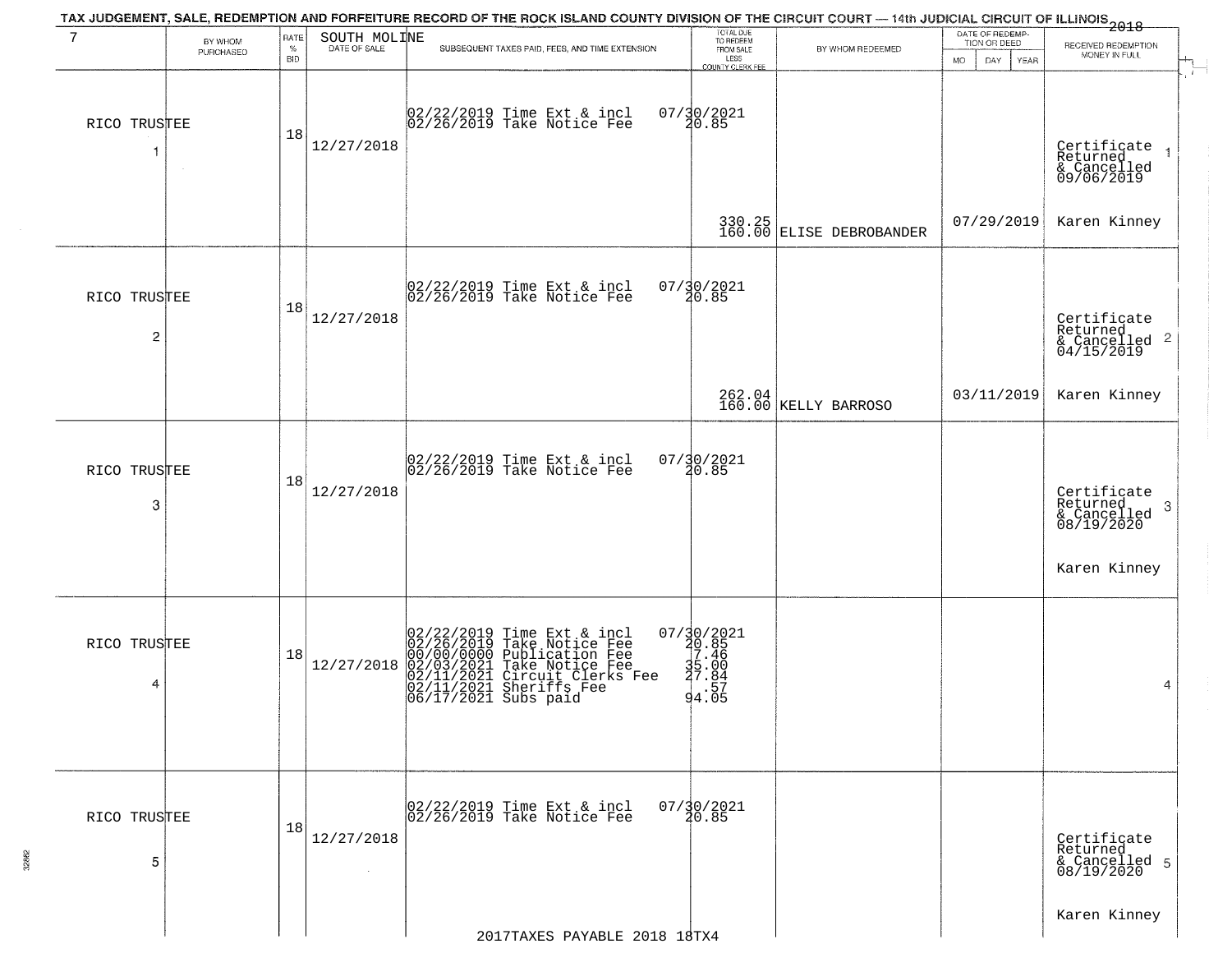| 7                              | BY WHOM   | RATE               | SOUTH MOLINE                 | TAX JUDGEMENT, SALE, REDEMPTION AND FORFEITURE RECORD OF THE ROCK ISLAND COUNTY DIVISION OF THE CIRCUIT COURT — 14th JUDICIAL CIRCUIT OF ILLINOIS 2018                                                      | TOTAL DUE<br>TO REDEEM                                 |                                      | DATE OF REDEMP-<br>TION OR DEED |                                                           |
|--------------------------------|-----------|--------------------|------------------------------|-------------------------------------------------------------------------------------------------------------------------------------------------------------------------------------------------------------|--------------------------------------------------------|--------------------------------------|---------------------------------|-----------------------------------------------------------|
|                                | PURCHASED | $\%$<br><b>BID</b> | DATE OF SALE                 | SUBSEQUENT TAXES PAID, FEES, AND TIME EXTENSION                                                                                                                                                             | FROM SALE<br>LESS<br>COUNTY CLERK FEE                  | BY WHOM REDEEMED                     | MO.<br>DAY.<br>YEAR             | RECEIVED REDEMPTION<br>MONEY IN FULL                      |
| RICO TRUSTEE<br>1              | $\sim$    | 18                 | 12/27/2018                   | 02/22/2019 Time Ext & incl<br>02/26/2019 Take Notice Fee                                                                                                                                                    | 07/30/2021<br>20.85                                    |                                      |                                 | Certificate<br>Returned<br>& Cancelled<br>09/06/2019      |
|                                |           |                    |                              |                                                                                                                                                                                                             |                                                        | $330.25$<br>160.00 ELISE DEBROBANDER | 07/29/2019                      | Karen Kinney                                              |
| RICO TRUSTEE<br>$\overline{c}$ |           | 18                 | 12/27/2018                   | 02/22/2019 Time Ext & incl<br>02/26/2019 Take Notice Fee                                                                                                                                                    | $07/\frac{30}{20.85}$                                  |                                      |                                 | Certificate<br>Returned<br>& Cancelled 2<br>04/15/2019    |
|                                |           |                    |                              |                                                                                                                                                                                                             |                                                        | 262.04<br>160.00 KELLY BARROSO       | 03/11/2019                      | Karen Kinney                                              |
| RICO TRUSTEE<br>3              |           | 18                 | 12/27/2018                   | 02/22/2019 Time Ext & incl<br>02/26/2019 Take Notice Fee                                                                                                                                                    | 07/30/2021<br>20.85                                    |                                      |                                 | Certificate<br>Returned<br>3<br>& Cancelled<br>08/19/2020 |
|                                |           |                    |                              |                                                                                                                                                                                                             |                                                        |                                      |                                 | Karen Kinney                                              |
| RICO TRUSTEE<br>4              |           | 18                 | 12/27/2018                   | $02/22/2019$ Time Ext & incl<br>02/26/2019 Take Notice Fee<br>00/00/00000 Publication Fee<br>02/11/2021 Take Notice Fee<br>02/11/2021 Circuit Clerks Fee<br>02/11/2021 Sheriffs Fee<br>06/17/2021 Subs paid | 07/30/2021<br>20.85<br>7.46<br>35.00<br>37.84<br>94.05 |                                      |                                 | 4                                                         |
| RICO TRUSTEE<br>5              |           | 18                 | 12/27/2018<br>$\sim 10^{-1}$ | 02/22/2019 Time Ext & incl<br>02/26/2019 Take Notice Fee                                                                                                                                                    | $07/\frac{30}{20.85}$                                  |                                      |                                 | Certificate<br>Returned<br>& Cancelled 5<br>08/19/2020    |
|                                |           |                    |                              | 2017TAXES PAYABLE 2018 18TX4                                                                                                                                                                                |                                                        |                                      |                                 | Karen Kinney                                              |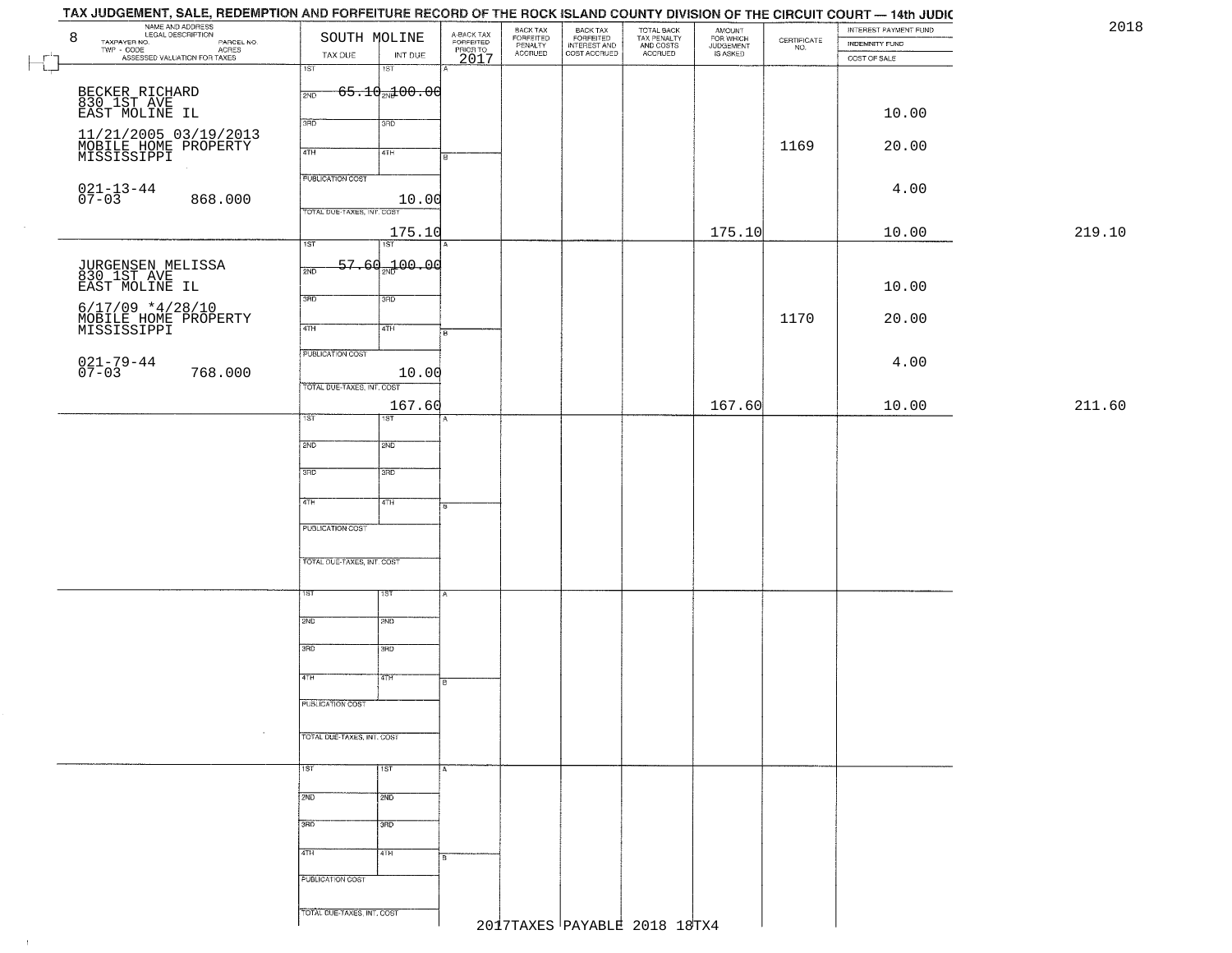|        | TAX JUDGEMENT, SALE, REDEMPTION AND FORFEITURE RECORD OF THE ROCK ISLAND COUNTY DIVISION OF THE CIRCUIT COURT — 14th JUDIC |                            |                                 |                                             |                                 |                                                       |                                                   |                                              |                                                                 |                       |        |
|--------|----------------------------------------------------------------------------------------------------------------------------|----------------------------|---------------------------------|---------------------------------------------|---------------------------------|-------------------------------------------------------|---------------------------------------------------|----------------------------------------------|-----------------------------------------------------------------|-----------------------|--------|
|        | NAME AND ADDRESS                                                                                                           |                            |                                 |                                             | BACK TAX                        | BACK TAX<br>FORFEITED<br>INTEREST AND<br>COST ACCRUED | TOTAL BACK<br>TAX PENALTY<br>AND COSTS<br>ACCRUED | AMOUNT<br>FOR WHICH<br>JUDGEMENT<br>IS ASKED |                                                                 | INTEREST PAYMENT FUND | 2018   |
|        | 8<br>PARCEL NO.                                                                                                            | SOUTH MOLINE               |                                 |                                             | FORFEITED<br>PENALTY<br>ACCRUED |                                                       |                                                   |                                              | $\begin{array}{c} \text{CERTIFICATE} \\ \text{NO.} \end{array}$ | INDEMNITY FUND        |        |
|        | TWP - CODE ASSESSED VALUATION FOR TAXES                                                                                    | TAX DUE                    | INT DUE                         | A-BACK TAX<br>FORFEITED<br>PRIOR TO<br>2017 |                                 |                                                       |                                                   |                                              |                                                                 | COST OF SALE          |        |
| ــد    |                                                                                                                            | $\overline{1ST}$           | $\overline{181}$                |                                             |                                 |                                                       |                                                   |                                              |                                                                 |                       |        |
|        |                                                                                                                            |                            | $-65.10$ <sub>2N</sub> $100.00$ |                                             |                                 |                                                       |                                                   |                                              |                                                                 |                       |        |
|        | BECKER RICHARD<br>830 1ST AVE                                                                                              | 2ND                        |                                 |                                             |                                 |                                                       |                                                   |                                              |                                                                 |                       |        |
|        | EAST MOLINE IL                                                                                                             |                            |                                 |                                             |                                 |                                                       |                                                   |                                              |                                                                 | 10.00                 |        |
|        |                                                                                                                            | 3RD                        | 3RD                             |                                             |                                 |                                                       |                                                   |                                              |                                                                 |                       |        |
|        | 11/21/2005 03/19/2013                                                                                                      |                            |                                 |                                             |                                 |                                                       |                                                   |                                              | 1169                                                            | 20.00                 |        |
|        | MOBILE HOME PROPERTY<br>MISSISSIPPI                                                                                        | 4TH                        | 4TH                             | Iв                                          |                                 |                                                       |                                                   |                                              |                                                                 |                       |        |
|        |                                                                                                                            | <b>PUBLICATION COST</b>    |                                 |                                             |                                 |                                                       |                                                   |                                              |                                                                 |                       |        |
|        |                                                                                                                            |                            |                                 |                                             |                                 |                                                       |                                                   |                                              |                                                                 | 4.00                  |        |
|        | $021 - 13 - 44$<br>07-03<br>868.000                                                                                        |                            | 10.00                           |                                             |                                 |                                                       |                                                   |                                              |                                                                 |                       |        |
|        |                                                                                                                            | TOTAL DUE-TAXES, INT. COST |                                 |                                             |                                 |                                                       |                                                   |                                              |                                                                 |                       |        |
| $\sim$ |                                                                                                                            |                            | 175.10                          |                                             |                                 |                                                       |                                                   | 175.10                                       |                                                                 | 10.00                 | 219.10 |
|        |                                                                                                                            | $\overline{1ST}$           | 1ST                             |                                             |                                 |                                                       |                                                   |                                              |                                                                 |                       |        |
|        |                                                                                                                            |                            |                                 |                                             |                                 |                                                       |                                                   |                                              |                                                                 |                       |        |
|        | JURGENSEN MELISSA<br>830 1ST AVE                                                                                           | 2ND                        | 57.60 <sub>2N</sub> 100.00      |                                             |                                 |                                                       |                                                   |                                              |                                                                 |                       |        |
|        | EAST MOLINE IL                                                                                                             |                            |                                 |                                             |                                 |                                                       |                                                   |                                              |                                                                 | 10.00                 |        |
|        | $6/17/09$ *4/28/10                                                                                                         | 3RD                        | 3RD                             |                                             |                                 |                                                       |                                                   |                                              |                                                                 |                       |        |
|        |                                                                                                                            |                            |                                 |                                             |                                 |                                                       |                                                   |                                              | 1170                                                            | 20.00                 |        |
|        | MOBILE HOME PROPERTY<br>MISSISSIPPI                                                                                        | $\sqrt{47H}$               | 4TH                             | i B                                         |                                 |                                                       |                                                   |                                              |                                                                 |                       |        |
|        |                                                                                                                            | PUBLICATION COST           |                                 |                                             |                                 |                                                       |                                                   |                                              |                                                                 |                       |        |
|        | 021-79-44<br>07-03                                                                                                         |                            |                                 |                                             |                                 |                                                       |                                                   |                                              |                                                                 | 4.00                  |        |
|        | 768.000                                                                                                                    |                            | 10.00                           |                                             |                                 |                                                       |                                                   |                                              |                                                                 |                       |        |
|        |                                                                                                                            | TOTAL DUE-TAXES, INT. COST |                                 |                                             |                                 |                                                       |                                                   |                                              |                                                                 |                       |        |
|        |                                                                                                                            |                            | 167.60                          |                                             |                                 |                                                       |                                                   | 167.60                                       |                                                                 | 10.00                 | 211.60 |
|        |                                                                                                                            | 1ST.                       | 1ST                             | А                                           |                                 |                                                       |                                                   |                                              |                                                                 |                       |        |
|        |                                                                                                                            |                            |                                 |                                             |                                 |                                                       |                                                   |                                              |                                                                 |                       |        |
|        |                                                                                                                            | 2ND                        | <b>2ND</b>                      |                                             |                                 |                                                       |                                                   |                                              |                                                                 |                       |        |
|        |                                                                                                                            |                            |                                 |                                             |                                 |                                                       |                                                   |                                              |                                                                 |                       |        |
|        |                                                                                                                            | 3RD                        | 3RD                             |                                             |                                 |                                                       |                                                   |                                              |                                                                 |                       |        |
|        |                                                                                                                            |                            |                                 |                                             |                                 |                                                       |                                                   |                                              |                                                                 |                       |        |
|        |                                                                                                                            | 4TH                        | 4TH                             | 8.                                          |                                 |                                                       |                                                   |                                              |                                                                 |                       |        |
|        |                                                                                                                            | <b>PUBLICATION COST</b>    |                                 |                                             |                                 |                                                       |                                                   |                                              |                                                                 |                       |        |
|        |                                                                                                                            |                            |                                 |                                             |                                 |                                                       |                                                   |                                              |                                                                 |                       |        |
|        |                                                                                                                            |                            |                                 |                                             |                                 |                                                       |                                                   |                                              |                                                                 |                       |        |
|        |                                                                                                                            | TOTAL OUE-TAXES, INT. COST |                                 |                                             |                                 |                                                       |                                                   |                                              |                                                                 |                       |        |
|        |                                                                                                                            |                            |                                 |                                             |                                 |                                                       |                                                   |                                              |                                                                 |                       |        |
|        |                                                                                                                            | ΙSΤ                        | 1ST                             |                                             |                                 |                                                       |                                                   |                                              |                                                                 |                       |        |
|        |                                                                                                                            |                            |                                 |                                             |                                 |                                                       |                                                   |                                              |                                                                 |                       |        |
|        |                                                                                                                            | 2ND                        | 2ND                             |                                             |                                 |                                                       |                                                   |                                              |                                                                 |                       |        |
|        |                                                                                                                            |                            |                                 |                                             |                                 |                                                       |                                                   |                                              |                                                                 |                       |        |
|        |                                                                                                                            | 3RD                        | 3BD                             |                                             |                                 |                                                       |                                                   |                                              |                                                                 |                       |        |
|        |                                                                                                                            |                            |                                 |                                             |                                 |                                                       |                                                   |                                              |                                                                 |                       |        |
|        |                                                                                                                            | 4TH                        | 47H                             | B                                           |                                 |                                                       |                                                   |                                              |                                                                 |                       |        |
|        |                                                                                                                            |                            |                                 |                                             |                                 |                                                       |                                                   |                                              |                                                                 |                       |        |
|        |                                                                                                                            | <b>PUBLICATION COST</b>    |                                 |                                             |                                 |                                                       |                                                   |                                              |                                                                 |                       |        |
|        |                                                                                                                            |                            |                                 |                                             |                                 |                                                       |                                                   |                                              |                                                                 |                       |        |
|        |                                                                                                                            | TOTAL DUE-TAXES, INT. COST |                                 |                                             |                                 |                                                       |                                                   |                                              |                                                                 |                       |        |
|        |                                                                                                                            |                            |                                 |                                             |                                 |                                                       |                                                   |                                              |                                                                 |                       |        |
|        |                                                                                                                            | 1ST                        | $\overline{1ST}$                | A                                           |                                 |                                                       |                                                   |                                              |                                                                 |                       |        |
|        |                                                                                                                            |                            |                                 |                                             |                                 |                                                       |                                                   |                                              |                                                                 |                       |        |
|        |                                                                                                                            | 2ND                        | 2ND                             |                                             |                                 |                                                       |                                                   |                                              |                                                                 |                       |        |
|        |                                                                                                                            |                            |                                 |                                             |                                 |                                                       |                                                   |                                              |                                                                 |                       |        |
|        |                                                                                                                            | 3RD                        | 3RD                             |                                             |                                 |                                                       |                                                   |                                              |                                                                 |                       |        |
|        |                                                                                                                            |                            |                                 |                                             |                                 |                                                       |                                                   |                                              |                                                                 |                       |        |
|        |                                                                                                                            | 4TH                        | 4TH                             | в                                           |                                 |                                                       |                                                   |                                              |                                                                 |                       |        |
|        |                                                                                                                            |                            |                                 |                                             |                                 |                                                       |                                                   |                                              |                                                                 |                       |        |
|        |                                                                                                                            | PUBLICATION COST           |                                 |                                             |                                 |                                                       |                                                   |                                              |                                                                 |                       |        |
|        |                                                                                                                            |                            |                                 |                                             |                                 |                                                       |                                                   |                                              |                                                                 |                       |        |
|        |                                                                                                                            | TOTAL DUE-TAXES, INT. COST |                                 |                                             |                                 |                                                       |                                                   |                                              |                                                                 |                       |        |
|        |                                                                                                                            |                            |                                 |                                             |                                 |                                                       | 2017TAXES PAYABLE 2018 18TX4                      |                                              |                                                                 |                       |        |
|        |                                                                                                                            |                            |                                 |                                             |                                 |                                                       |                                                   |                                              |                                                                 |                       |        |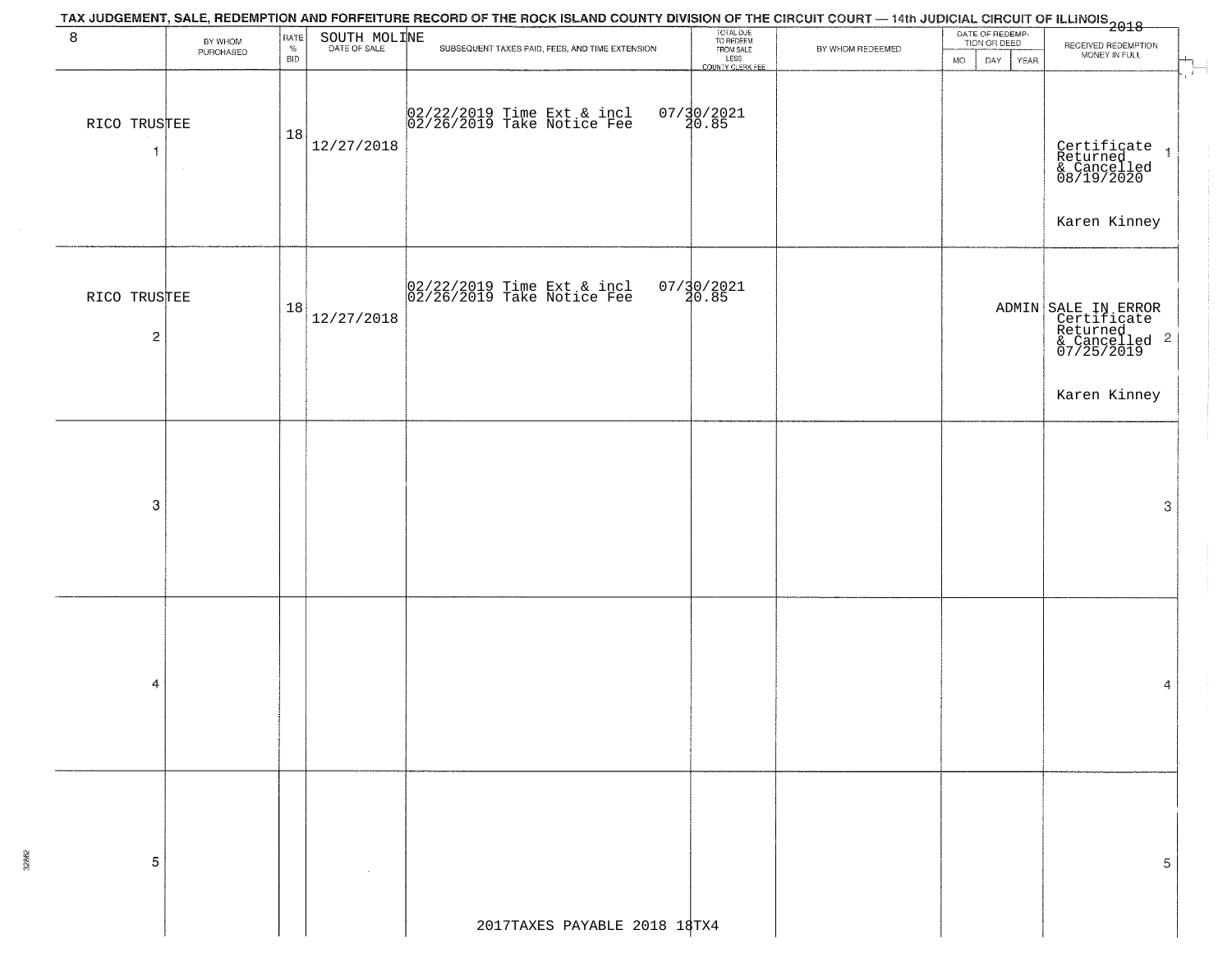|                                |                      |                            |              | TAX JUDGEMENT, SALE, REDEMPTION AND FORFEITURE RECORD OF THE ROCK ISLAND COUNTY DIVISION OF THE CIRCUIT COURT — 14th JUDICIAL CIRCUIT OF ILLINOIS<br>1 2018 |                                                                 |                  |                                                             |                                                                                                                           |
|--------------------------------|----------------------|----------------------------|--------------|-------------------------------------------------------------------------------------------------------------------------------------------------------------|-----------------------------------------------------------------|------------------|-------------------------------------------------------------|---------------------------------------------------------------------------------------------------------------------------|
| 8                              | BY WHOM<br>PURCHASED | RATE<br>$\%$<br><b>BID</b> | SOUTH MOLINE | SUBSEQUENT TAXES PAID, FEES, AND TIME EXTENSION                                                                                                             | TOTAL DUE<br>TO REDEEM<br>FROM SALE<br>LESS<br>COUNTY CLERK FEE | BY WHOM REDEEMED | DATE OF REDEMP-<br>TION OR DEED<br><b>MO</b><br>DAY<br>YEAR | RECEIVED REDEMPTION<br>MONEY IN FULL<br>$\begin{array}{c} \mathbf{H}_{\text{max}} \\ \mathbf{H}_{\text{max}} \end{array}$ |
| RICO TRUSTEE<br>$\overline{1}$ |                      | 18                         | 12/27/2018   | 02/22/2019 Time Ext & incl<br>02/26/2019 Take Notice Fee                                                                                                    | $07/30/2021$<br>20.85                                           |                  |                                                             | Certificate<br>Returned 1<br>& Cancelled<br>08/19/2020<br>Karen Kinney                                                    |
| RICO TRUSTEE<br>$\sqrt{2}$     |                      | 18                         | 12/27/2018   | $\begin{array}{c}  02/22/2019 \text{ Time Ext} & \text{incl} \\  02/26/2019 \text{ Take Notice Fee} \end{array}$                                            | $07/30/2021$<br>$30.85$                                         |                  |                                                             | ADMIN SALE IN ERROR<br>Certificate<br>Returned<br>& Cancelled 2<br>07/25/2019<br>Karen Kinney                             |
|                                |                      |                            |              |                                                                                                                                                             |                                                                 |                  |                                                             |                                                                                                                           |
| 3                              |                      |                            |              |                                                                                                                                                             |                                                                 |                  |                                                             | 3                                                                                                                         |
| 4                              |                      |                            |              |                                                                                                                                                             |                                                                 |                  |                                                             | 4                                                                                                                         |
| 5                              |                      |                            |              |                                                                                                                                                             |                                                                 |                  |                                                             | 5                                                                                                                         |
|                                |                      |                            |              | 2017TAXES PAYABLE 2018 18TX4                                                                                                                                |                                                                 |                  |                                                             |                                                                                                                           |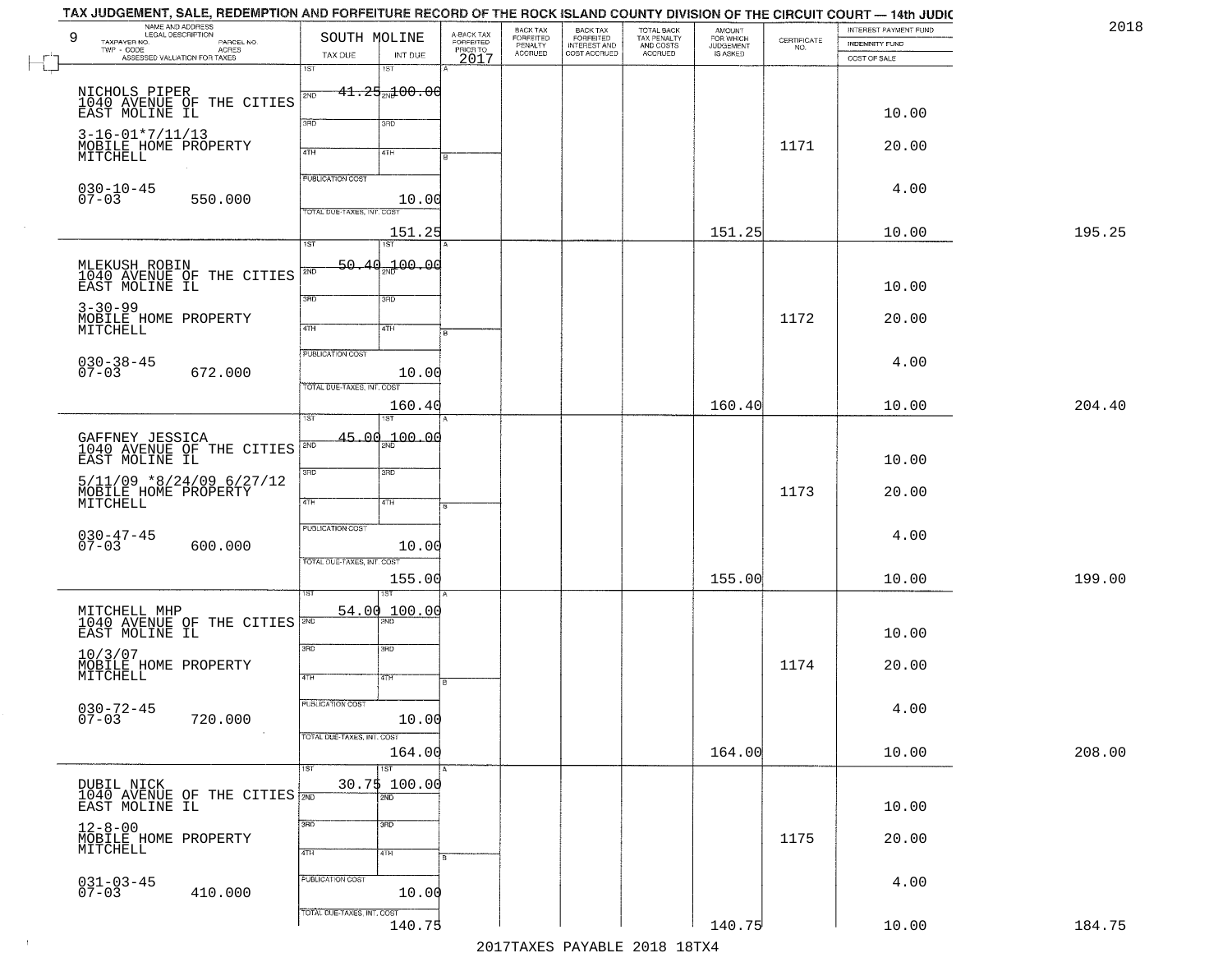| 9        | TAX JUDGEMENT, SALE, REDEMPTION AND FORFEITURE RECORD OF THE ROCK ISLAND COUNTY DIVISION OF THE CIRCUIT COURT — 14th JUDIC<br>NAME AND ADDRESS<br>LEGAL DESCRIPTION<br>TAXPAYER NO.<br>PARCEL NO. | SOUTH MOLINE                                          |                                                 | A-BACK TAX<br>FORFEITED<br>PRIOR TO<br>2017 | BACK TAX<br>FORFEITED<br>PENALTY | BACK TAX<br>FORFEITED<br>INTEREST AND | TOTAL BACK<br>TAX PENALTY<br>AND COSTS | AMOUNT<br>FOR WHICH<br>JUDGEMENT | $\begin{array}{c} \text{CERTIFICATE} \\ \text{NO.} \end{array}$ | INTEREST PAYMENT FUND<br><b>INDEMNITY FUND</b> | 2018   |
|----------|---------------------------------------------------------------------------------------------------------------------------------------------------------------------------------------------------|-------------------------------------------------------|-------------------------------------------------|---------------------------------------------|----------------------------------|---------------------------------------|----------------------------------------|----------------------------------|-----------------------------------------------------------------|------------------------------------------------|--------|
| <b>L</b> | ACRES<br>$TWP - CODE$<br>ASSESSED VALUATION FOR TAXES                                                                                                                                             | TAX DUE<br>1ST                                        | INT DUE<br>1ST                                  |                                             | <b>ACCRUED</b>                   | COST ACCRUED                          | <b>ACCRUED</b>                         | IS ASKED                         |                                                                 | COST OF SALE                                   |        |
|          | NICHOLS PIPER<br>1040 AVENUE OF THE CITIES<br>EAST MOLINE IL                                                                                                                                      | 2ND<br>3RD                                            | −41.25 <sub>2N</sub> 100.00<br>3RD              |                                             |                                  |                                       |                                        |                                  |                                                                 | 10.00                                          |        |
|          | $3 - 16 - 01 * 7 / 11 / 13$<br>MOBILE HOME PROPERTY<br>MITCHELL                                                                                                                                   | 4TH                                                   | 41H                                             |                                             |                                  |                                       |                                        |                                  | 1171                                                            | 20.00                                          |        |
|          | $030 - 10 - 45$<br>$07 - 03$<br>550.000                                                                                                                                                           | PUBLICATION COST<br>TOTAL DUE-TAXES, INT. COST        | 10.00                                           |                                             |                                  |                                       |                                        |                                  |                                                                 | 4.00                                           |        |
|          |                                                                                                                                                                                                   | 1ST                                                   | 151.25<br>1ST                                   |                                             |                                  |                                       |                                        | 151.25                           |                                                                 | 10.00                                          | 195.25 |
|          | MLEKUSH ROBIN<br>1040 AVENUE OF THE CITIES<br>EAST MOLINE IL                                                                                                                                      | 2ND                                                   | 50.40 <sub>37</sub> 100.00                      |                                             |                                  |                                       |                                        |                                  |                                                                 | 10.00                                          |        |
|          | $3 - 30 - 99$<br>MOBILE HOME PROPERTY<br>MITCHELL                                                                                                                                                 | 3BD<br>$\overline{47H}$                               | 3RD<br>4TH                                      |                                             |                                  |                                       |                                        |                                  | 1172                                                            | 20.00                                          |        |
|          | $030 - 38 - 45$<br>07-03<br>672.000                                                                                                                                                               | PUBLICATION COST<br>TOTAL DUE-TAXES, INT. COST        | 10.00                                           |                                             |                                  |                                       |                                        |                                  |                                                                 | 4.00                                           |        |
|          |                                                                                                                                                                                                   | isT                                                   | 160.40<br>1ST                                   |                                             |                                  |                                       |                                        | 160.40                           |                                                                 | 10.00                                          | 204.40 |
|          | GAFFNEY JESSICA<br>1040 AVENUE OF THE CITIES<br>EAST MOLINE IL                                                                                                                                    | 2ND<br>3BD                                            | $45.00 + 00.00$<br>3BD                          |                                             |                                  |                                       |                                        |                                  |                                                                 | 10.00                                          |        |
|          | $5/11/09$ *8/24/09 6/27/12<br>MOBILE HOME PROPERTY<br>MITCHELL                                                                                                                                    | 4TH                                                   | 4TH                                             |                                             |                                  |                                       |                                        |                                  | 1173                                                            | 20.00                                          |        |
|          | $030 - 47 - 45$<br>07-03<br>600.000                                                                                                                                                               | <b>PUBLICATION COST</b><br>TOTAL OUE-TAXES, INT. COST | 10.00                                           |                                             |                                  |                                       |                                        |                                  |                                                                 | 4.00                                           |        |
|          |                                                                                                                                                                                                   |                                                       | 155.00<br>1ST                                   |                                             |                                  |                                       |                                        | 155.00                           |                                                                 | 10.00                                          | 199.00 |
|          | MITCHELL MHP<br>1040 AVENUE OF THE CITIES<br>EAST MOLINE IL                                                                                                                                       | 54.00                                                 | 100.00                                          |                                             |                                  |                                       |                                        |                                  |                                                                 | 10.00                                          |        |
|          | 10/3/07<br>MOBILE HOME PROPERTY<br>MITCHELL                                                                                                                                                       | 3RD<br>4TH                                            | 3BD<br>4TH                                      | ۱B.                                         |                                  |                                       |                                        |                                  | 1174                                                            | 20.00                                          |        |
|          | $030 - 72 - 45$<br>07-03<br>720.000                                                                                                                                                               | PUBLICATION COST<br>TOTAL DUE-TAXES, INT. COST        | 10.00                                           |                                             |                                  |                                       |                                        |                                  |                                                                 | 4.00                                           |        |
|          |                                                                                                                                                                                                   |                                                       | 164.00                                          |                                             |                                  |                                       |                                        | 164.00                           |                                                                 | 10.00                                          | 208.00 |
|          | DUBIL NICK<br>1040 AVENUE OF THE CITIES TO                                                                                                                                                        | 1ST                                                   | $\overline{\text{1ST}}$<br>30.75 100.00<br>2ND. |                                             |                                  |                                       |                                        |                                  |                                                                 | 10.00                                          |        |
|          | 12-8-00<br>MOBILE HOME PROPERTY<br>MITCHELL                                                                                                                                                       | 3RD<br>4TH                                            | 3BD<br>4TH                                      |                                             |                                  |                                       |                                        |                                  | 1175                                                            | 20.00                                          |        |
|          | $031 - 03 - 45$<br>07-03<br>410.000                                                                                                                                                               | PUBLICATION COST                                      | 10.00                                           |                                             |                                  |                                       |                                        |                                  |                                                                 | 4.00                                           |        |
|          |                                                                                                                                                                                                   | TOTAL DUE-TAXES, INT. COST                            | 140.75                                          |                                             |                                  |                                       |                                        | 140.75                           |                                                                 | 10.00                                          | 184.75 |
|          |                                                                                                                                                                                                   |                                                       |                                                 |                                             |                                  |                                       | 2017 THAYES DAVARIE 2010 19TYA         |                                  |                                                                 |                                                |        |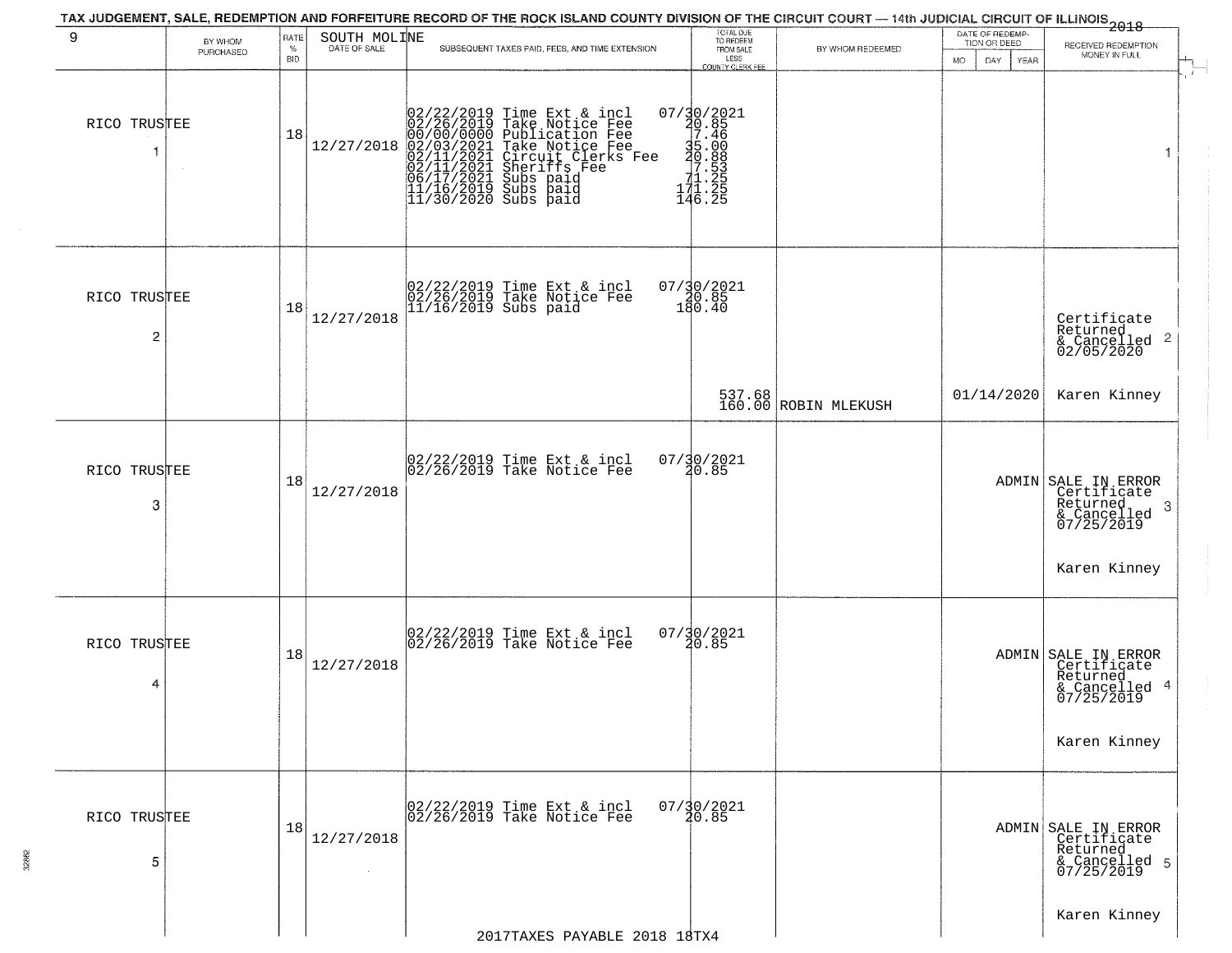| 9                 | BY WHOM<br>PURCHASED | RATE<br>$\%$<br><b>BID</b> | SOUTH MOLINE         | TAX JUDGEMENT, SALE, REDEMPTION AND FORFEITURE RECORD OF THE ROCK ISLAND COUNTY DIVISION OF THE CIRCUIT COURT — 14th JUDICIAL CIRCUIT OF ILLINOIS 2018<br>SUBSEQUENT TAXES PAID, FEES, AND TIME EXTENSION                                            | TOTAL DUE<br>TO REDEEM<br>FROM SALE<br>LESS<br>COUNTY CLERK FEE                                                         | BY WHOM REDEEMED               | DATE OF REDEMP-<br>TION OR DEED<br>DAY<br><b>MO</b><br><b>YEAR</b> | RECEIVED REDEMPTION<br>MONEY IN FULL                                                                          |
|-------------------|----------------------|----------------------------|----------------------|------------------------------------------------------------------------------------------------------------------------------------------------------------------------------------------------------------------------------------------------------|-------------------------------------------------------------------------------------------------------------------------|--------------------------------|--------------------------------------------------------------------|---------------------------------------------------------------------------------------------------------------|
| RICO TRUSTEE<br>1 |                      | 18                         | 12/27/2018           | 02/22/2019 Time Ext & incl<br>02/26/2019 Take Notice Fee<br>00/00/000 Publication Fee<br>02/01/2021 Take Notice Fee<br>02/11/2021 Circuit Clerks Fee<br>02/11/2021 Subs paid<br>06/17/2021 Subs paid<br>11/16/2019 Subs paid<br>11/30/2020 Subs paid | $\begin{smallmatrix} 07/30/2021\\ 20.85\\ 7.46\\ 35.00\\ -2.538\\ -1.255\\ 11.255\\ 14.225 \end{smallmatrix}$<br>146.25 |                                |                                                                    | 1                                                                                                             |
| RICO TRUSTEE<br>2 |                      | 18                         | 12/27/2018           | 02/22/2019 Time Ext & incl<br>02/26/2019 Take Notice Fee<br>11/16/2019 Subs paid                                                                                                                                                                     | $07/30/2021$<br>$30.85$<br>$180.40$                                                                                     |                                |                                                                    | Certificate<br>Returned<br>& Cancelled 2<br>02/05/2020                                                        |
|                   |                      |                            |                      |                                                                                                                                                                                                                                                      |                                                                                                                         | 537.68<br>160.00 ROBIN MLEKUSH | 01/14/2020                                                         | Karen Kinney                                                                                                  |
| RICO TRUSTEE<br>3 |                      | 18                         | 12/27/2018           | 02/22/2019 Time Ext & incl<br>02/26/2019 Take Notice Fee                                                                                                                                                                                             | 07/30/2021<br>20.85                                                                                                     |                                |                                                                    | ADMIN SALE IN ERROR<br>Certificate<br>Returned<br>-3<br>& Cancelled<br>07/25/2019                             |
| RICO TRUSTEE<br>4 |                      | 18                         | 12/27/2018           | 02/22/2019 Time Ext & incl<br>02/26/2019 Take Notice Fee                                                                                                                                                                                             | 07/30/2021<br>20.85                                                                                                     |                                |                                                                    | Karen Kinney<br>ADMIN SALE IN ERROR<br>Certificate<br>Returned<br>& Cancelled 4<br>07/25/2019<br>Karen Kinney |
| RICO TRUSTEE<br>5 |                      | 18                         | 12/27/2018<br>$\sim$ | 02/22/2019 Time Ext & incl<br>02/26/2019 Take Notice Fee                                                                                                                                                                                             | $07/\frac{30}{20}.85$                                                                                                   |                                |                                                                    | ADMIN SALE IN ERROR<br>Certificate<br>Returned<br>& Cancelled 5<br>07/25/2019                                 |
|                   |                      |                            |                      | 2017TAXES PAYABLE 2018 18TX4                                                                                                                                                                                                                         |                                                                                                                         |                                |                                                                    | Karen Kinney                                                                                                  |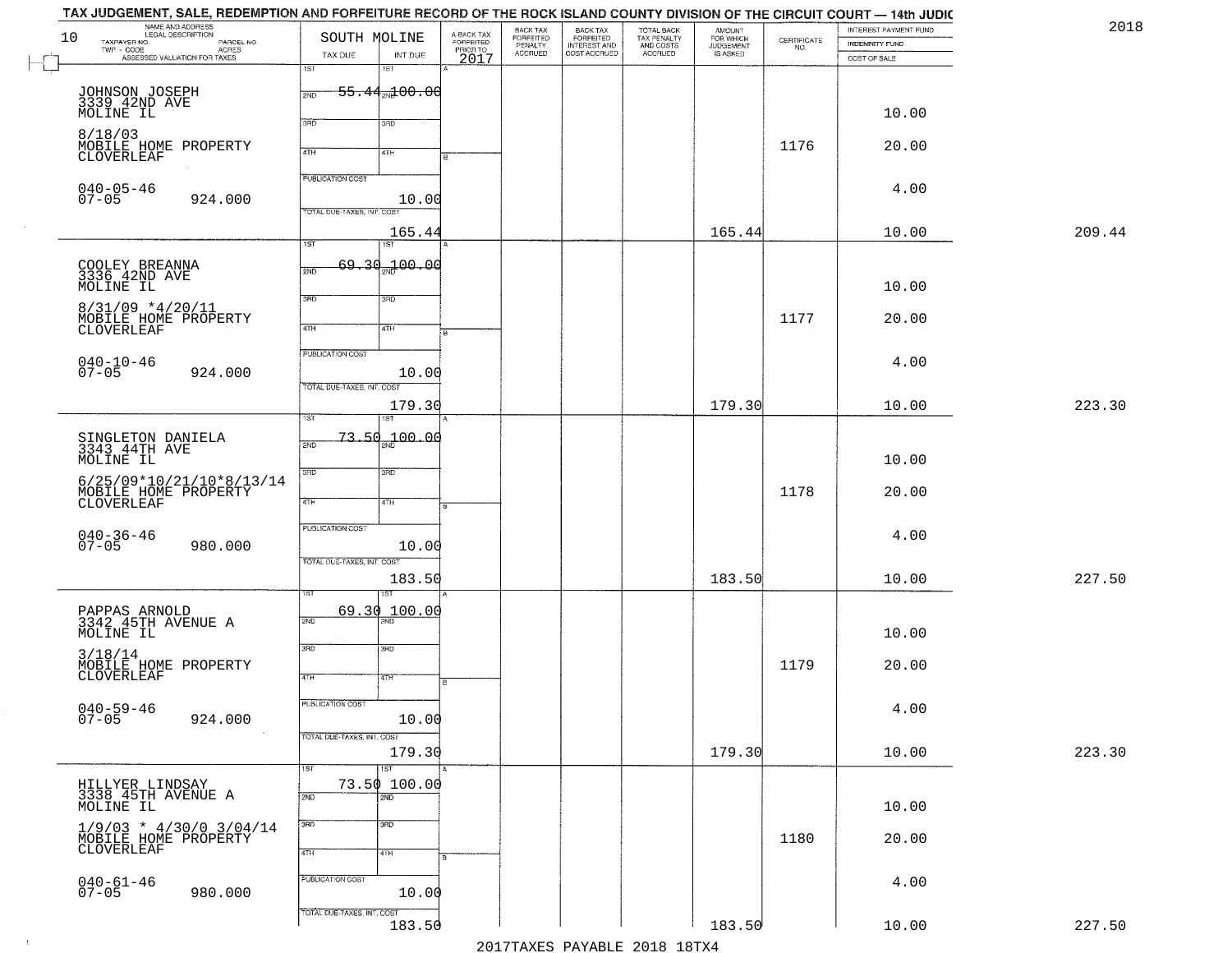|        | INTEREST PAYMENT FUND<br><b>INDEMNITY FUND</b><br>COST OF SALE | $\begin{array}{c} \text{CERTIFICATE} \\ \text{NO.} \end{array}$ | <b>AMOUNT</b><br>FOR WHICH<br>JUDGEMENT<br>IS ASKED | TOTAL BACK<br>TAX PENALTY<br>AND COSTS<br>ACCRUED | BACK TAX<br>FORFEITED<br>INTEREST AND<br>COST ACCRUED | BACK TAX<br>FORFEITED<br>PENALTY<br>ACCRUED | A-BACK TAX<br>FORFEITED<br>PRIOR TO<br>2017 | INT DUE                                | SOUTH MOLINE<br>TAX DUE    | NAME AND ADDRESS<br>LEGAL DESCRIPTION<br>TAXPAYER NO.<br>PARCEL NO.<br>TWP - CODE<br>ASSESSED VALUATION FOR TAXES | 10 |
|--------|----------------------------------------------------------------|-----------------------------------------------------------------|-----------------------------------------------------|---------------------------------------------------|-------------------------------------------------------|---------------------------------------------|---------------------------------------------|----------------------------------------|----------------------------|-------------------------------------------------------------------------------------------------------------------|----|
|        |                                                                |                                                                 |                                                     |                                                   |                                                       |                                             |                                             | 18T                                    | 1ST                        |                                                                                                                   |    |
|        |                                                                |                                                                 |                                                     |                                                   |                                                       |                                             |                                             | <del>55.44<sub>20</sub>100.00</del>    | 2ND                        | JOHNSON JOSEPH<br>3339 42ND AVE                                                                                   |    |
|        | 10.00                                                          |                                                                 |                                                     |                                                   |                                                       |                                             |                                             |                                        | 3BD                        | MOLINE IL                                                                                                         |    |
|        |                                                                |                                                                 |                                                     |                                                   |                                                       |                                             |                                             | 3RD                                    |                            | 8/18/03                                                                                                           |    |
|        | 20.00                                                          | 1176                                                            |                                                     |                                                   |                                                       |                                             |                                             | 4TH                                    | 4TH                        | MOBILE HOME PROPERTY<br><b>CLOVERLEAF</b>                                                                         |    |
|        | 4.00                                                           |                                                                 |                                                     |                                                   |                                                       |                                             |                                             |                                        | <b>PUBLICATION COST</b>    | $040 - 05 - 46$                                                                                                   |    |
|        |                                                                |                                                                 |                                                     |                                                   |                                                       |                                             |                                             | 10.00                                  |                            | $07 - 05$<br>924.000                                                                                              |    |
| 209.44 | 10.00                                                          |                                                                 | 165.44                                              |                                                   |                                                       |                                             |                                             |                                        | TOTAL DUE-TAXES, INT. COS  |                                                                                                                   |    |
|        |                                                                |                                                                 |                                                     |                                                   |                                                       |                                             |                                             | 165.44<br>1ST                          | $\overline{1ST}$           |                                                                                                                   |    |
|        |                                                                |                                                                 |                                                     |                                                   |                                                       |                                             |                                             | 69.30.100.00                           | 2ND                        | COOLEY BREANNA<br>3336 42ND AVE                                                                                   |    |
|        | 10.00                                                          |                                                                 |                                                     |                                                   |                                                       |                                             |                                             |                                        |                            | MOLINE IL                                                                                                         |    |
|        | 20.00                                                          | 1177                                                            |                                                     |                                                   |                                                       |                                             |                                             | 3RD                                    | 3BD                        | $8/31/09$ *4/20/11                                                                                                |    |
|        |                                                                |                                                                 |                                                     |                                                   |                                                       |                                             |                                             | 4TH                                    | $\sqrt{47H}$               | MOBILE HOME PROPERTY<br>CLOVERLEAF                                                                                |    |
|        | 4.00                                                           |                                                                 |                                                     |                                                   |                                                       |                                             |                                             |                                        | PUBLICATION COST           |                                                                                                                   |    |
|        |                                                                |                                                                 |                                                     |                                                   |                                                       |                                             |                                             | 10.00                                  |                            | $040 - 10 - 46$<br>07-05<br>924.000                                                                               |    |
| 223.30 | 10.00                                                          |                                                                 | 179.30                                              |                                                   |                                                       |                                             |                                             | 179.30                                 | TOTAL DUE-TAXES, INT. COST |                                                                                                                   |    |
|        |                                                                |                                                                 |                                                     |                                                   |                                                       |                                             |                                             |                                        | īst                        |                                                                                                                   |    |
|        |                                                                |                                                                 |                                                     |                                                   |                                                       |                                             |                                             | <del>73.5</del> 0 <sub>2N</sub> 100.00 | 2ND                        | SINGLETON DANIELA<br>3343 44TH AVE                                                                                |    |
|        | 10.00                                                          |                                                                 |                                                     |                                                   |                                                       |                                             |                                             |                                        |                            | MOLINE IL                                                                                                         |    |
|        | 20.00                                                          | 1178                                                            |                                                     |                                                   |                                                       |                                             |                                             | 3 <sub>3</sub>                         | 3RD                        | $6/25/09*10/21/10*8/13/14$<br>MOBILE HOME PROPERTY                                                                |    |
|        |                                                                |                                                                 |                                                     |                                                   |                                                       |                                             |                                             | 4TH                                    | 4TH                        | CLOVERLEAF                                                                                                        |    |
|        | 4.00                                                           |                                                                 |                                                     |                                                   |                                                       |                                             |                                             |                                        | PUBLICATION COST           |                                                                                                                   |    |
|        |                                                                |                                                                 |                                                     |                                                   |                                                       |                                             |                                             | 10.00                                  |                            | 040-36-46<br>07-05<br>980.000                                                                                     |    |
| 227.50 | 10.00                                                          |                                                                 | 183.50                                              |                                                   |                                                       |                                             |                                             | 183.50                                 | TOTAL OUE-TAXES, INT. COST |                                                                                                                   |    |
|        |                                                                |                                                                 |                                                     |                                                   |                                                       |                                             |                                             |                                        |                            |                                                                                                                   |    |
|        |                                                                |                                                                 |                                                     |                                                   |                                                       |                                             |                                             | 69.30 100.00                           | 2ND                        | PAPPAS ARNOLD<br>3342 45TH AVENUE A                                                                               |    |
|        | 10.00                                                          |                                                                 |                                                     |                                                   |                                                       |                                             |                                             |                                        |                            | MOLINE IL                                                                                                         |    |
|        | 20.00                                                          | 1179                                                            |                                                     |                                                   |                                                       |                                             |                                             | 3BD                                    | 3RD                        | 3/18/14                                                                                                           |    |
|        |                                                                |                                                                 |                                                     |                                                   |                                                       |                                             | в                                           | 47H                                    | 4TH                        | MOBILE HOME PROPERTY<br>CLOVERLEAF                                                                                |    |
|        | 4.00                                                           |                                                                 |                                                     |                                                   |                                                       |                                             |                                             |                                        | <b>PUBLICATION COST</b>    | $040 - 59 - 46$                                                                                                   |    |
|        |                                                                |                                                                 |                                                     |                                                   |                                                       |                                             |                                             | 10.00                                  |                            | $07 - 05$<br>924.000                                                                                              |    |
| 223.30 | 10.00                                                          |                                                                 | 179.30                                              |                                                   |                                                       |                                             |                                             | 179.30                                 | TOTAL DUE-TAXES, INT. COST | $\sim 100$                                                                                                        |    |
|        |                                                                |                                                                 |                                                     |                                                   |                                                       |                                             |                                             | $\overline{151}$                       | 1ST                        |                                                                                                                   |    |
|        |                                                                |                                                                 |                                                     |                                                   |                                                       |                                             |                                             | 73.50 100.00<br>2ND                    | 2ND                        | HILLYER LINDSAY<br>3338 45TH AVENUE A                                                                             |    |
|        | 10.00                                                          |                                                                 |                                                     |                                                   |                                                       |                                             |                                             |                                        |                            | MOLINE IL                                                                                                         |    |
|        | 20.00                                                          | 1180                                                            |                                                     |                                                   |                                                       |                                             |                                             | 3 <sub>BD</sub>                        | 3RD                        | $1/9/03$ * $4/30/0$ $3/04/14$                                                                                     |    |
|        |                                                                |                                                                 |                                                     |                                                   |                                                       |                                             |                                             | 4TH                                    | 4TH                        | MOBILE HOME PROPERTY                                                                                              |    |
|        | 4.00                                                           |                                                                 |                                                     |                                                   |                                                       |                                             |                                             |                                        | PUBLICATION COST           |                                                                                                                   |    |
|        |                                                                |                                                                 |                                                     |                                                   |                                                       |                                             |                                             | 10.00                                  |                            | $040 - 61 - 46$<br>07-05<br>980.000                                                                               |    |
|        |                                                                |                                                                 |                                                     |                                                   |                                                       |                                             |                                             |                                        | TOTAL DUE-TAXES, INT. COST |                                                                                                                   |    |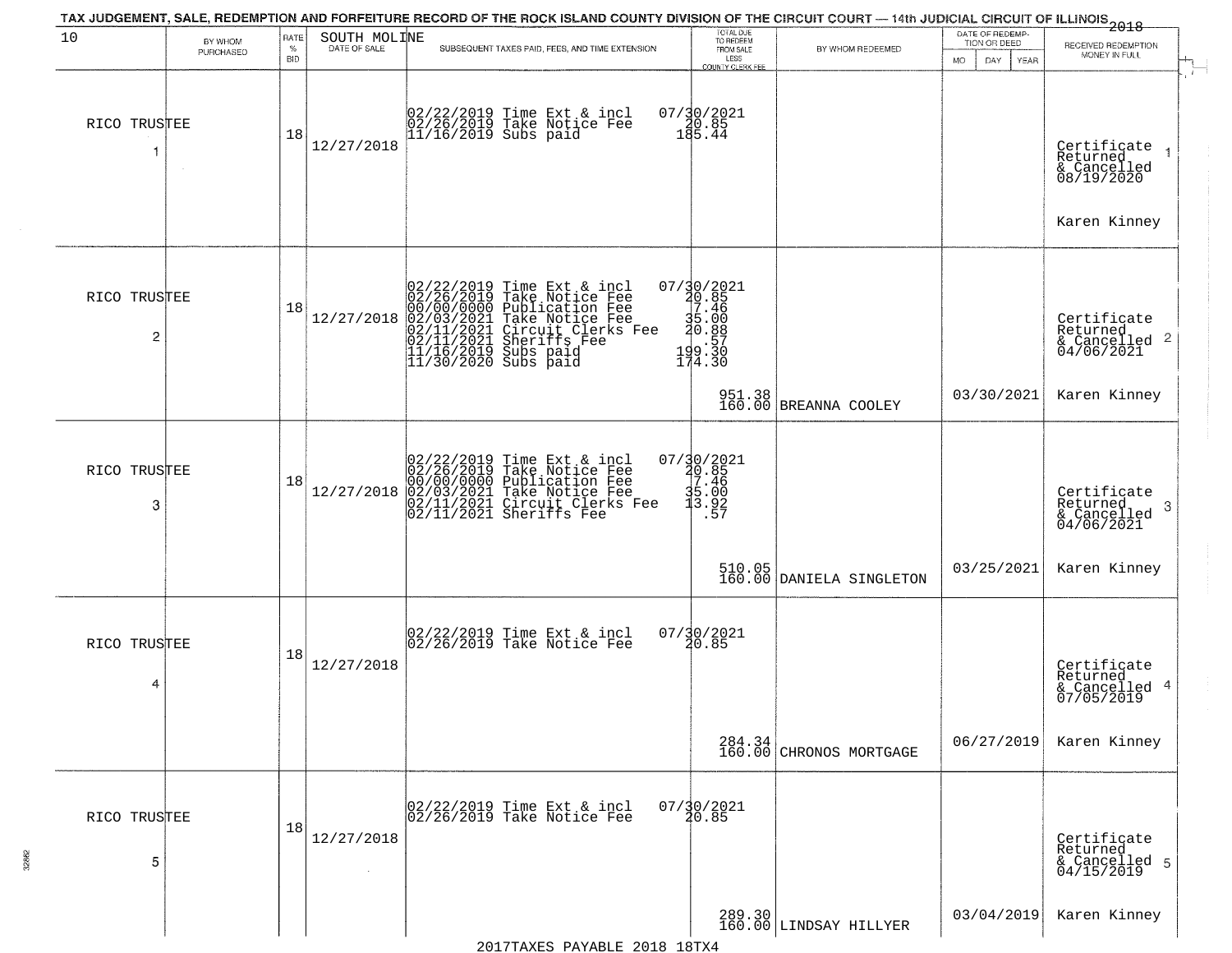| 10                             |                      | RATE       |                      | TAX JUDGEMENT, SALE, REDEMPTION AND FORFEITURE RECORD OF THE ROCK ISLAND COUNTY DIVISION OF THE CIRCUIT COURT — 14th JUDICIAL CIRCUIT OF ILLINOIS<br>2018 - The Contemporary of the Circuit County of the Circuit County of the                                                                                                                         | TOTAL DUE<br>TO REDEEM                                                   |                                                                     | DATE OF REDEMP-  |                                                           |
|--------------------------------|----------------------|------------|----------------------|---------------------------------------------------------------------------------------------------------------------------------------------------------------------------------------------------------------------------------------------------------------------------------------------------------------------------------------------------------|--------------------------------------------------------------------------|---------------------------------------------------------------------|------------------|-----------------------------------------------------------|
|                                | BY WHOM<br>PURCHASED | $\%$       | SOUTH MOLINE         | SUBSEQUENT TAXES PAID, FEES, AND TIME EXTENSION                                                                                                                                                                                                                                                                                                         | FROM SALE                                                                | BY WHOM REDEEMED                                                    | TION OR DEED     | RECEIVED REDEMPTION<br>MONEY IN FULL                      |
|                                |                      | <b>BID</b> |                      |                                                                                                                                                                                                                                                                                                                                                         | LESS<br>COUNTY CLERK FEE                                                 |                                                                     | <b>MO</b><br>DAY | YEAR<br>$\overline{1}$                                    |
| RICO TRUSTEE                   | $\sim$               | 18         | 12/27/2018           | 02/22/2019 Time Ext & incl<br>02/26/2019 Take Notice Fee<br>11/16/2019 Subs paid                                                                                                                                                                                                                                                                        | $07/30/2021$<br>180.85<br>185.44                                         |                                                                     |                  | Certificate<br>Returned<br>& Cancelled<br>08/19/2020      |
|                                |                      |            |                      |                                                                                                                                                                                                                                                                                                                                                         |                                                                          |                                                                     |                  | Karen Kinney                                              |
| RICO TRUSTEE<br>$\overline{c}$ |                      | 18         |                      | $[02/22/2019 \text{ Time Ext & incl} \newline [02/26/2019 \text{ Take Notice Free} \newline 00/00/00000 \text{ Publication Free} \newline 12/27/2018 \text{ [02/03/2021 \text{ Take Notice Free} \newline 02/11/2021 \text{ Sheriffs} \newline 02/11/2021 \text{ Sheriffs} \newline 11/16/2019 \text{ Subs paid} \newline 11/30/2020 \text{ Subs paid}$ | 07/30/2021<br>20.85<br>7.46<br>$\frac{35.00}{40.88}$<br>199.30<br>174.30 |                                                                     |                  | Certificate<br>Returned<br>& Cancelled 2<br>04/06/2021    |
|                                |                      |            |                      |                                                                                                                                                                                                                                                                                                                                                         |                                                                          | 951.38<br>160.00 BREANNA COOLEY                                     | 03/30/2021       | Karen Kinney                                              |
| RICO TRUSTEE<br>3              |                      | 18         | 12/27/2018           | $02/22/2019$ Time Ext & incl<br>02/26/2019 Take Notice Fee<br>00/00/00000 Publication Fee<br>02/03/2021 Take Notice Fee<br>02/11/2021 Circuit Clerks Fee<br>02/11/2021 Sheriffs Fee                                                                                                                                                                     | 07/30/2021<br>20.85<br>7.46<br>35.00<br>3.92<br>.57                      |                                                                     |                  | Certificate<br>Returned<br>3<br>& Cancelled<br>04/06/2021 |
|                                |                      |            |                      |                                                                                                                                                                                                                                                                                                                                                         |                                                                          | $\begin{array}{c c} 510.05 \\ 160.00 \end{array}$ DANIELA SINGLETON | 03/25/2021       | Karen Kinney                                              |
| RICO TRUSTEE<br>4              |                      | 18         | 12/27/2018           | 02/22/2019 Time Ext & incl<br>02/26/2019 Take Notice Fee                                                                                                                                                                                                                                                                                                | $07/\frac{3}{2}0/\frac{2021}{85}$                                        |                                                                     |                  | Certificate<br>Returned<br>& Cancelled 4<br>07/05/2019    |
|                                |                      |            |                      |                                                                                                                                                                                                                                                                                                                                                         |                                                                          | $\begin{array}{c} 284.34 \\ 160.00 \end{array}$ CHRONOS MORTGAGE    | 06/27/2019       | Karen Kinney                                              |
| RICO TRUSTEE<br>5              |                      | 18         | 12/27/2018<br>$\sim$ | 02/22/2019 Time Ext & incl<br>02/26/2019 Take Notice Fee                                                                                                                                                                                                                                                                                                | $07/\frac{30}{20.85}$                                                    |                                                                     |                  | Certificate<br>Returned<br>& Cancelled 5<br>04/15/2019    |
|                                |                      |            |                      |                                                                                                                                                                                                                                                                                                                                                         |                                                                          | 289.30<br>160.00 LINDSAY HILLYER                                    | 03/04/2019       | Karen Kinney                                              |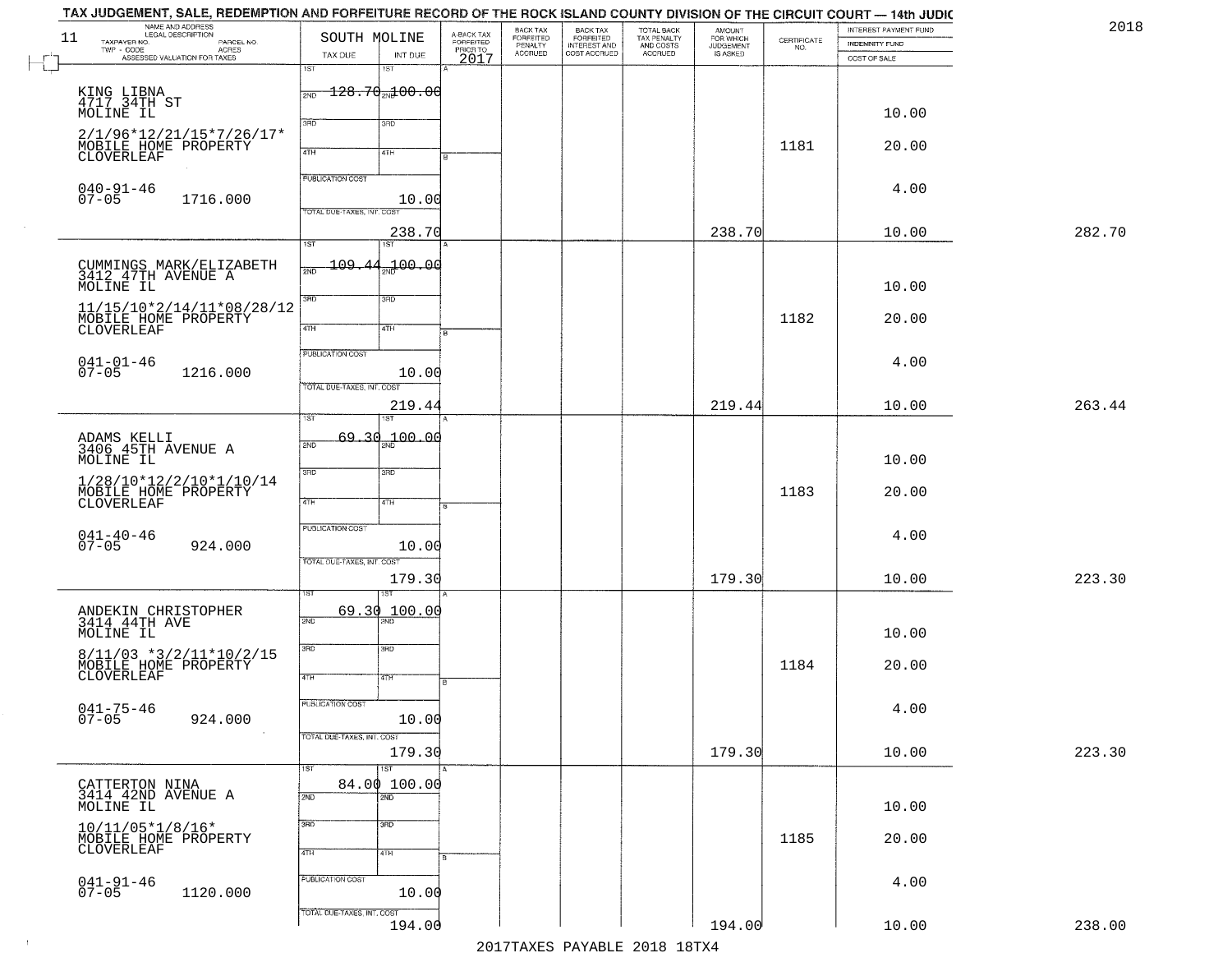| 11 | NAME AND ADDRESS<br>LEGAL DESCRIPTION<br>TAXPAYER NO.                                                                | SOUTH MOLINE                                          |                     |                                             | BACK TAX<br>FORFEITED<br>PENALTY | BACK TAX<br>FORFEITED<br>INTEREST AND | TOTAL BACK<br>TAX PENALTY<br>AND COSTS | AMOUNT<br>FOR WHICH<br>JUDGEMENT |                                                                 | INTEREST PAYMENT FUND |  |
|----|----------------------------------------------------------------------------------------------------------------------|-------------------------------------------------------|---------------------|---------------------------------------------|----------------------------------|---------------------------------------|----------------------------------------|----------------------------------|-----------------------------------------------------------------|-----------------------|--|
|    | LEGAL DESCRIPTION<br>- CODE ACRES<br>- CODE ACRES<br>- ASSESSED VALUATION FOR TAXES<br>$\textsf{TWP} \textsf{-CODE}$ | TAX DUE                                               | INT DUE             | A-BACK TAX<br>FORFEITED<br>PRIOR TO<br>2017 | <b>ACCRUED</b>                   | COST ACCRUED                          | ACCRUED                                | IS ASKED                         | $\begin{array}{c} \text{CERTIFICATE} \\ \text{NO.} \end{array}$ | <b>INDEMNITY FUND</b> |  |
|    |                                                                                                                      | 1ST                                                   | 18T                 |                                             |                                  |                                       |                                        |                                  |                                                                 | COST OF SALE          |  |
|    |                                                                                                                      | $\frac{1}{200} - 1.28 - 70$ <sub>2N</sub> $\pm$ 00.00 |                     |                                             |                                  |                                       |                                        |                                  |                                                                 |                       |  |
|    | KING LIBNA<br>4717 34TH ST                                                                                           |                                                       |                     |                                             |                                  |                                       |                                        |                                  |                                                                 |                       |  |
|    | MOLINE IL                                                                                                            | 3RD                                                   | 3RD                 |                                             |                                  |                                       |                                        |                                  |                                                                 | 10.00                 |  |
|    | 2/1/96*12/21/15*7/26/17*<br>MOBILE HOME PROPERTY                                                                     |                                                       |                     |                                             |                                  |                                       |                                        |                                  | 1181                                                            | 20.00                 |  |
|    | CLOVERLEAF                                                                                                           | 4TH                                                   | 4TH                 |                                             |                                  |                                       |                                        |                                  |                                                                 |                       |  |
|    |                                                                                                                      | <b>PUBLICATION COST</b>                               |                     |                                             |                                  |                                       |                                        |                                  |                                                                 |                       |  |
|    | $040 - 91 - 46$<br>$07 - 05$<br>1716.000                                                                             |                                                       | 10.00               |                                             |                                  |                                       |                                        |                                  |                                                                 | 4.00                  |  |
|    |                                                                                                                      | TOTAL DUE-TAXES, INT. COST                            |                     |                                             |                                  |                                       |                                        |                                  |                                                                 |                       |  |
|    |                                                                                                                      |                                                       | 238.70              |                                             |                                  |                                       |                                        | 238.70                           |                                                                 | 10.00                 |  |
|    |                                                                                                                      | 1ST                                                   | 1ST <sup></sup>     |                                             |                                  |                                       |                                        |                                  |                                                                 |                       |  |
|    | CUMMINGS MARK/ELIZABETH<br>3412 47TH AVENUE A                                                                        | 109.44<br>2ND                                         | 00.00 ل             |                                             |                                  |                                       |                                        |                                  |                                                                 |                       |  |
|    | MOLINE IL                                                                                                            |                                                       |                     |                                             |                                  |                                       |                                        |                                  |                                                                 | 10.00                 |  |
|    | 11/15/10*2/14/11*08/28/12                                                                                            | 3BD                                                   | 3RD                 |                                             |                                  |                                       |                                        |                                  |                                                                 |                       |  |
|    | MOBILE HOME PROPERTY<br>CLOVERLEAF                                                                                   | $\sqrt{4}$                                            | 4TH                 |                                             |                                  |                                       |                                        |                                  | 1182                                                            | 20.00                 |  |
|    |                                                                                                                      |                                                       |                     | $\overline{B}$                              |                                  |                                       |                                        |                                  |                                                                 |                       |  |
|    | $041 - 01 - 46$<br>07-05                                                                                             | PUBLICATION COST                                      |                     |                                             |                                  |                                       |                                        |                                  |                                                                 | 4.00                  |  |
|    | 1216.000                                                                                                             | TOTAL DUE-TAXES, INT. COST                            | 10.00               |                                             |                                  |                                       |                                        |                                  |                                                                 |                       |  |
|    |                                                                                                                      |                                                       | 219.44              |                                             |                                  |                                       |                                        | 219.44                           |                                                                 | 10.00                 |  |
|    |                                                                                                                      | īst                                                   |                     |                                             |                                  |                                       |                                        |                                  |                                                                 |                       |  |
|    |                                                                                                                      | 69.30<br>2ND                                          | 700.00              |                                             |                                  |                                       |                                        |                                  |                                                                 |                       |  |
|    | ADAMS KELLI<br>3406 45TH AVENUE A<br>MOLINE IL                                                                       |                                                       |                     |                                             |                                  |                                       |                                        |                                  |                                                                 | 10.00                 |  |
|    | 1/28/10*12/2/10*1/10/14                                                                                              | 3RD                                                   | 3 <sub>BD</sub>     |                                             |                                  |                                       |                                        |                                  |                                                                 |                       |  |
|    | MOBILE HOME PROPERTY                                                                                                 |                                                       |                     |                                             |                                  |                                       |                                        |                                  | 1183                                                            | 20.00                 |  |
|    |                                                                                                                      | 4TH                                                   | 4TH                 |                                             |                                  |                                       |                                        |                                  |                                                                 |                       |  |
|    |                                                                                                                      | <b>PUBLICATION COST</b>                               |                     |                                             |                                  |                                       |                                        |                                  |                                                                 | 4.00                  |  |
|    | $041 - 40 - 46$<br>07-05<br>924.000                                                                                  |                                                       | 10.00               |                                             |                                  |                                       |                                        |                                  |                                                                 |                       |  |
|    |                                                                                                                      | TOTAL OUE-TAXES, INT. COST                            |                     |                                             |                                  |                                       |                                        |                                  |                                                                 |                       |  |
|    |                                                                                                                      |                                                       | 179.30              |                                             |                                  |                                       |                                        | 179.30                           |                                                                 | 10.00                 |  |
|    |                                                                                                                      | 69.30                                                 | 100.00              |                                             |                                  |                                       |                                        |                                  |                                                                 |                       |  |
|    | ANDEKIN CHRISTOPHER<br>3414 44TH AVE<br>MOLINE IL                                                                    | 2ND                                                   |                     |                                             |                                  |                                       |                                        |                                  |                                                                 | 10.00                 |  |
|    |                                                                                                                      | 3RD                                                   | $\overline{3BD}$    |                                             |                                  |                                       |                                        |                                  |                                                                 |                       |  |
|    | 8/11/03 *3/2/11*10/2/15<br>MOBILE HOME PROPERTY<br>CLOVERLEAF                                                        |                                                       |                     |                                             |                                  |                                       |                                        |                                  | 1184                                                            | 20.00                 |  |
|    |                                                                                                                      | 4TH                                                   | वाम                 | в.                                          |                                  |                                       |                                        |                                  |                                                                 |                       |  |
|    |                                                                                                                      | <b>PUBLICATION COST</b>                               |                     |                                             |                                  |                                       |                                        |                                  |                                                                 | 4.00                  |  |
|    | $041 - 75 - 46$<br>07-05<br>924.000                                                                                  |                                                       | 10.00               |                                             |                                  |                                       |                                        |                                  |                                                                 |                       |  |
|    |                                                                                                                      | TOTAL DUE-TAXES, INT. COST                            |                     |                                             |                                  |                                       |                                        |                                  |                                                                 |                       |  |
|    |                                                                                                                      |                                                       | 179.30              |                                             |                                  |                                       |                                        | 179.30                           |                                                                 | 10.00                 |  |
|    | CATTERTON NINA                                                                                                       | 1ST                                                   | 1ST<br>84.00 100.00 |                                             |                                  |                                       |                                        |                                  |                                                                 |                       |  |
|    | 3414 42ND AVENUE A                                                                                                   | 2ND                                                   | $\overline{2ND}$    |                                             |                                  |                                       |                                        |                                  |                                                                 |                       |  |
|    | MOLINE IL                                                                                                            | 3RD                                                   | 3HD                 |                                             |                                  |                                       |                                        |                                  |                                                                 | 10.00                 |  |
|    | $10/11/05*1/8/16*$<br>MOBILE HOME PROPERTY                                                                           |                                                       |                     |                                             |                                  |                                       |                                        |                                  | 1185                                                            | 20.00                 |  |
|    | CLOVERLEAF                                                                                                           | 4TH                                                   | 4TH                 |                                             |                                  |                                       |                                        |                                  |                                                                 |                       |  |
|    |                                                                                                                      | PUBLICATION COST                                      |                     |                                             |                                  |                                       |                                        |                                  |                                                                 |                       |  |
|    | $041 - 91 - 46$<br>07-05<br>1120.000                                                                                 |                                                       | 10.00               |                                             |                                  |                                       |                                        |                                  |                                                                 | 4.00                  |  |
|    |                                                                                                                      | TOTAL DUE-TAXES, INT. COST                            |                     |                                             |                                  |                                       |                                        |                                  |                                                                 |                       |  |
|    |                                                                                                                      |                                                       | 194.00              |                                             |                                  |                                       |                                        | 194.00                           |                                                                 | 10.00                 |  |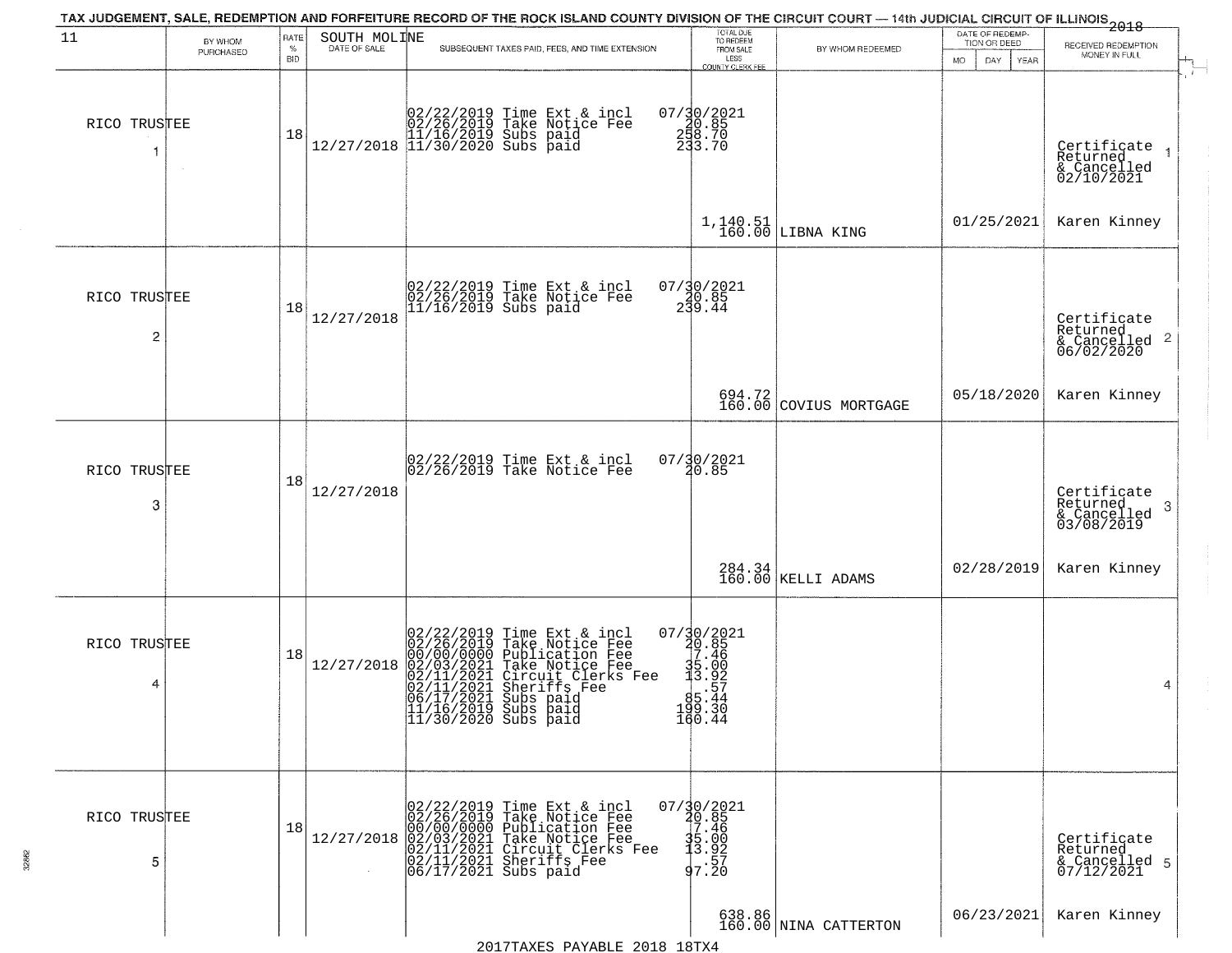|                   |                      |                     |              | TAX JUDGEMENT, SALE, REDEMPTION AND FORFEITURE RECORD OF THE ROCK ISLAND COUNTY DIVISION OF THE CIRCUIT COURT — 14th JUDICIAL CIRCUIT OF ILLINOIS 2018                                                                                                   |                                                                                                   |                                  |                                                        |                                                                    |
|-------------------|----------------------|---------------------|--------------|----------------------------------------------------------------------------------------------------------------------------------------------------------------------------------------------------------------------------------------------------------|---------------------------------------------------------------------------------------------------|----------------------------------|--------------------------------------------------------|--------------------------------------------------------------------|
| 11                | BY WHOM<br>PURCHASED | RATE<br>$\%$<br>BID | SOUTH MOLINE | SUBSEQUENT TAXES PAID, FEES, AND TIME EXTENSION                                                                                                                                                                                                          | TOTAL DUE<br>TO REDEEM<br>FROM SALE<br>LESS<br>COUNTY CLERK FEE                                   | BY WHOM REDEEMED                 | DATE OF REDEMP-<br>TION OR DEED<br>MO.<br>DAY.<br>YEAR | RECEIVED REDEMPTION<br>MONEY IN FULL                               |
| RICO TRUSTEE<br>1 |                      | 18                  |              | $[02/22/2019 \text{ Time Ext & incl} \brack 02/26/2019 \text{ Take Notice } \text{Fee} \brack 11/16/2019 \text{ Subs paid} \brack 11/30/2020 \text{ Subs paid}$                                                                                          | 07/30/2021<br>$\begin{array}{c} 230.85 \\ 258.70 \\ 233.70 \end{array}$                           |                                  |                                                        | Certificate<br>Returned<br>& Cancelled<br>02/10/2021               |
|                   |                      |                     |              |                                                                                                                                                                                                                                                          |                                                                                                   | $1,140.51$ LIBNA KING            | 01/25/2021                                             | Karen Kinney                                                       |
| RICO TRUSTEE<br>2 |                      | 18                  | 12/27/2018   | 02/22/2019 Time Ext & incl<br>02/26/2019 Take Notice Fee<br>11/16/2019 Subs paid                                                                                                                                                                         | $07/30/2021$<br>20.85<br>239.44                                                                   |                                  |                                                        | Certificate<br>Returned<br>$\frac{1}{2}$ Cancelled 2<br>06/02/2020 |
|                   |                      |                     |              |                                                                                                                                                                                                                                                          |                                                                                                   | 694.72<br>160.00 COVIUS MORTGAGE | 05/18/2020                                             | Karen Kinney                                                       |
| RICO TRUSTEE<br>3 |                      | 18                  | 12/27/2018   | 02/22/2019 Time Ext & incl<br>02/26/2019 Take Notice Fee                                                                                                                                                                                                 | 07/30/2021<br>20.85                                                                               |                                  |                                                        | Certifiçate<br>Returned<br>3<br>& Cancelled<br>03/08/2019          |
|                   |                      |                     |              |                                                                                                                                                                                                                                                          |                                                                                                   | 284.34<br>160.00 KELLI ADAMS     | 02/28/2019                                             | Karen Kinney                                                       |
| RICO TRUSTEE<br>4 |                      | 18                  | 12/27/2018   | 02/22/2019 Time Ext & incl<br>02/26/2019 Take Notice Fee<br>00/00/0000 Publication Fee<br>02/03/2021 Take Notice Fee<br>02/11/2021 Circuit Clerks Fee<br>02/11/2021 Sheriffs Fee<br>06/17/2021 Subs paid<br>11/16/2019 Subs paid<br>11/30/2020 Subs paid | $07/30/2021$<br>20.85<br>17.46<br>$\frac{35.00}{3.92}$<br>$\frac{5.00}{5.44}$<br>199.30<br>160.44 |                                  |                                                        | 4                                                                  |
| RICO TRUSTEE<br>5 |                      | 18                  | 12/27/2018   | 02/22/2019 Time Ext & incl<br>02/26/2019 Take Notice Fee<br>00/00/0000 Publication Fee<br>02/03/2021 Take Notice Fee<br>02/11/2021 Circuit Clerks Fee<br>02/11/2021 Sheriffs Fee<br>06/17/2021 Subs paid                                                 | $07/30/2021$<br>$40.85$<br>$17.46$<br>$\begin{array}{c} 35.00 \\ 13.92 \\ -57.20 \end{array}$     |                                  |                                                        | Certificate<br>Returned<br>& Cancelled 5<br>07/12/2021             |
|                   |                      |                     |              | $0.017$ mavn $0.01$<br>0010                                                                                                                                                                                                                              |                                                                                                   | 638.86<br>160.00 NINA CATTERTON  | 06/23/2021                                             | Karen Kinney                                                       |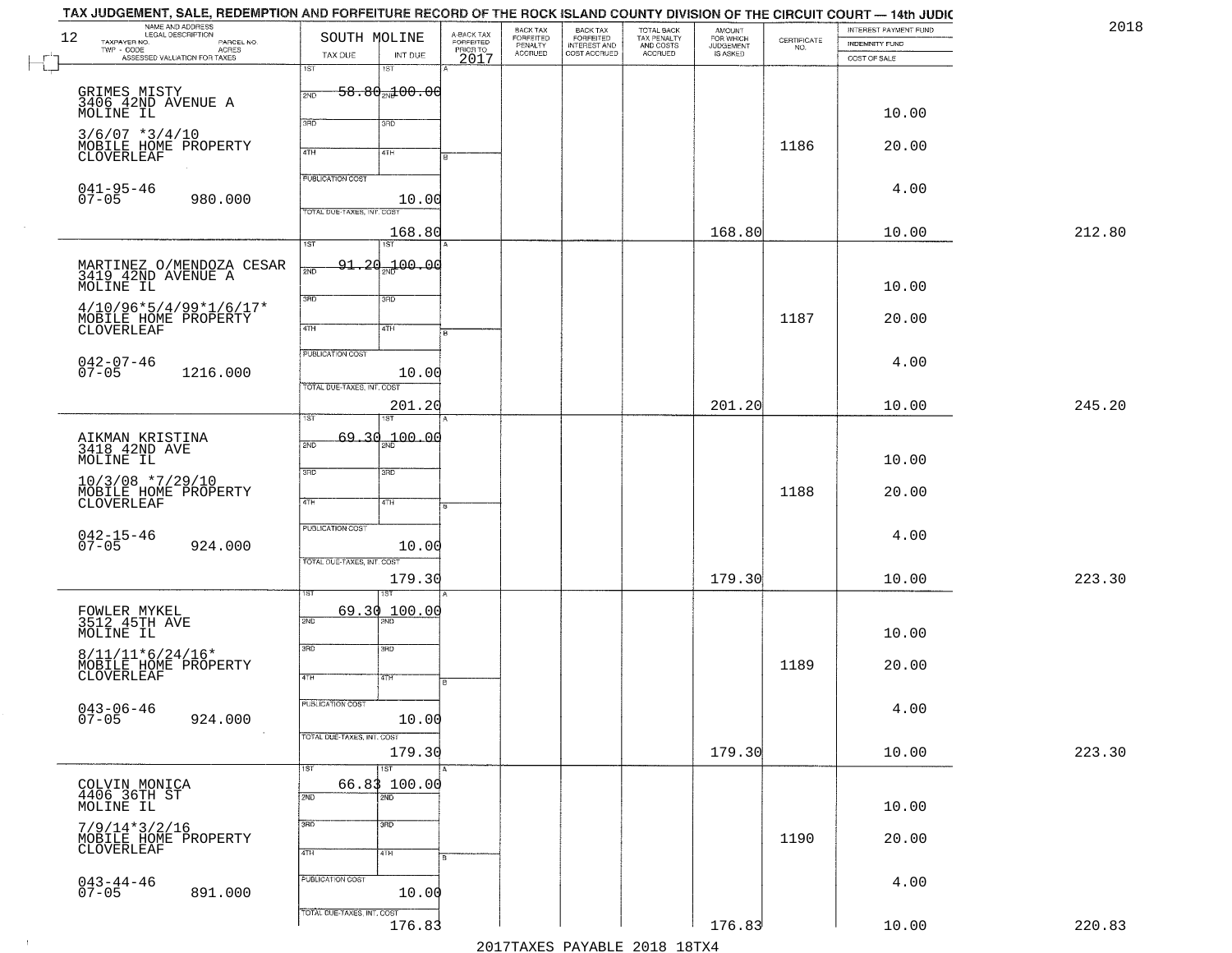| 2018   | INTEREST PAYMENT FUND<br><b>INDEMNITY FUND</b> | $\begin{array}{c} \text{CERTIFICATE} \\ \text{NO.} \end{array}$ | AMOUNT<br>FOR WHICH<br>JUDGEMENT<br>IS ASKED | TOTAL BACK<br>TAX PENALTY<br>AND COSTS | BACK TAX<br>FORFEITED<br>INTEREST AND | BACK TAX<br>FORFEITED<br>PENALTY | A-BACK TAX<br>FORFEITED<br>PRIOR TO<br>2017 |                                                 | SOUTH MOLINE                                          | TAX JUDGEMENT, SALE, REDEMPTION AND FORFEITURE RECORD OF THE ROCK ISLAND COUNTY DIVISION OF THE CIRCUIT COURT — 14th JUDIC<br>NAME AND ADDRESS<br>LEGAL DESCRIPTION | 12<br>TAXPAYER NO.                            |
|--------|------------------------------------------------|-----------------------------------------------------------------|----------------------------------------------|----------------------------------------|---------------------------------------|----------------------------------|---------------------------------------------|-------------------------------------------------|-------------------------------------------------------|---------------------------------------------------------------------------------------------------------------------------------------------------------------------|-----------------------------------------------|
|        | COST OF SALE                                   |                                                                 |                                              | ACCRUED                                | COST ACCRUED                          | <b>ACCRUED</b>                   |                                             | INT DUE<br>1ST                                  | TAX DUE<br>1ST                                        | LEGAL DESCRIPTION<br>- CODE PARCEL NO.<br>- CODE ACRES<br>- ASSESSED VALUATION FOR TAXES                                                                            | $\textsf{TWP} \textsf{-}\textsf{CODE}$        |
|        | 10.00                                          |                                                                 |                                              |                                        |                                       |                                  |                                             | <del>58.80<sub>20</sub>100.00</del>             | 2ND                                                   | GRIMES MISTY<br>3406 42ND AVENUE A                                                                                                                                  | MOLINE IL                                     |
|        | 20.00                                          | 1186                                                            |                                              |                                        |                                       |                                  |                                             | 3RD<br>41H                                      | 370<br>4TH                                            | MOBILE HOME PROPERTY                                                                                                                                                | $3/6/07$ *3/4/10<br>CLOVERLEAF                |
|        | 4.00                                           |                                                                 |                                              |                                        |                                       |                                  |                                             | 10.00                                           | PUBLICATION COST<br>TOTAL DUE-TAXES, INT. COST        | 980.000                                                                                                                                                             | $041 - 95 - 46$<br>07-05                      |
| 212.80 | 10.00                                          |                                                                 | 168.80                                       |                                        |                                       |                                  |                                             | 168.80<br>1ST                                   | 1ST                                                   |                                                                                                                                                                     |                                               |
|        | 10.00                                          |                                                                 |                                              |                                        |                                       |                                  |                                             | <del>91.20<sub>30</sub>1</del> 00.00            | 2ND                                                   | MARTINEZ O/MENDOZA CESAR<br>3419 42ND AVENUE A                                                                                                                      | MOLINE IL                                     |
|        | 20.00                                          | 1187                                                            |                                              |                                        |                                       |                                  |                                             | 3RD<br>4TH                                      | 3BD<br>$\sqrt{4}$                                     | $4/10/96*5/4/99*1/6/17*$<br>MOBILE HOME PROPERTY                                                                                                                    | CLOVERLEAF                                    |
|        | 4.00                                           |                                                                 |                                              |                                        |                                       |                                  |                                             | 10.00                                           | PUBLICATION COST                                      | 1216.000                                                                                                                                                            | $042 - 07 - 46$<br>07-05                      |
| 245.20 | 10.00                                          |                                                                 | 201.20                                       |                                        |                                       |                                  |                                             | 201.20                                          | TOTAL DUE-TAXES, INT. COST                            |                                                                                                                                                                     |                                               |
|        | 10.00                                          |                                                                 |                                              |                                        |                                       |                                  |                                             | $-100.00$                                       | TST<br>69.30<br>2ND                                   |                                                                                                                                                                     | AIKMAN KRISTINA<br>3418 42ND AVE<br>MOLINE IL |
|        | 20.00                                          | 1188                                                            |                                              |                                        |                                       |                                  |                                             | 3RD<br>4TH                                      | 3RD<br>4TH                                            | $10/3/08$ *7/29/10<br>MOBILE HOME PROPERTY<br>CLOVERLEAF                                                                                                            |                                               |
|        | 4.00                                           |                                                                 |                                              |                                        |                                       |                                  |                                             | 10.00                                           | <b>PUBLICATION COST</b><br>TOTAL OUE-TAXES, INT. COST | 924.000                                                                                                                                                             | $042 - 15 - 46$<br>07-05                      |
| 223.30 | 10.00                                          |                                                                 | 179.30                                       |                                        |                                       |                                  |                                             | 179.30                                          |                                                       |                                                                                                                                                                     |                                               |
|        | 10.00                                          |                                                                 |                                              |                                        |                                       |                                  |                                             | 100.00<br>2ND                                   | 69.30<br>2ND                                          |                                                                                                                                                                     | FOWLER MYKEL<br>3512 45TH AVE<br>MOLINE IL    |
|        | 20.00                                          | 1189                                                            |                                              |                                        |                                       |                                  | ۱B.                                         | 3BD<br>4TH                                      | 3RD<br>4TH                                            | MOBILE HOME PROPERTY                                                                                                                                                | $8/11/11*6/24/16*$<br>CLOVERLEAF              |
|        | 4.00                                           |                                                                 |                                              |                                        |                                       |                                  |                                             | 10.00                                           | PUBLICATION COST<br>TOTAL DUE-TAXES, INT. COST        | 924.000                                                                                                                                                             | $043 - 06 - 46$<br>07-05                      |
| 223.30 | 10.00                                          |                                                                 | 179.30                                       |                                        |                                       |                                  |                                             | 179.30                                          |                                                       |                                                                                                                                                                     |                                               |
|        | 10.00                                          |                                                                 |                                              |                                        |                                       |                                  |                                             | $\overline{\text{1ST}}$<br>66.83 100.00<br>2ND. | 1ST<br>2ND                                            |                                                                                                                                                                     | COLVIN MONICA<br>4406 36TH ST<br>MOLINE IL    |
|        | 20.00                                          | 1190                                                            |                                              |                                        |                                       |                                  |                                             | 3BD<br>4TH                                      | 3RD<br>4TH                                            | MOBILE HOME PROPERTY                                                                                                                                                | $7/9/14*3/2/16$<br>CLOVERLEAF                 |
|        | 4.00                                           |                                                                 |                                              |                                        |                                       |                                  |                                             | 10.00                                           | PUBLICATION COST                                      | 891.000                                                                                                                                                             | $043 - 44 - 46$<br>07-05                      |
| 220.83 | 10.00                                          |                                                                 | 176.83                                       |                                        |                                       |                                  |                                             | 176.83                                          | TOTAL DUE-TAXES, INT. COST                            |                                                                                                                                                                     |                                               |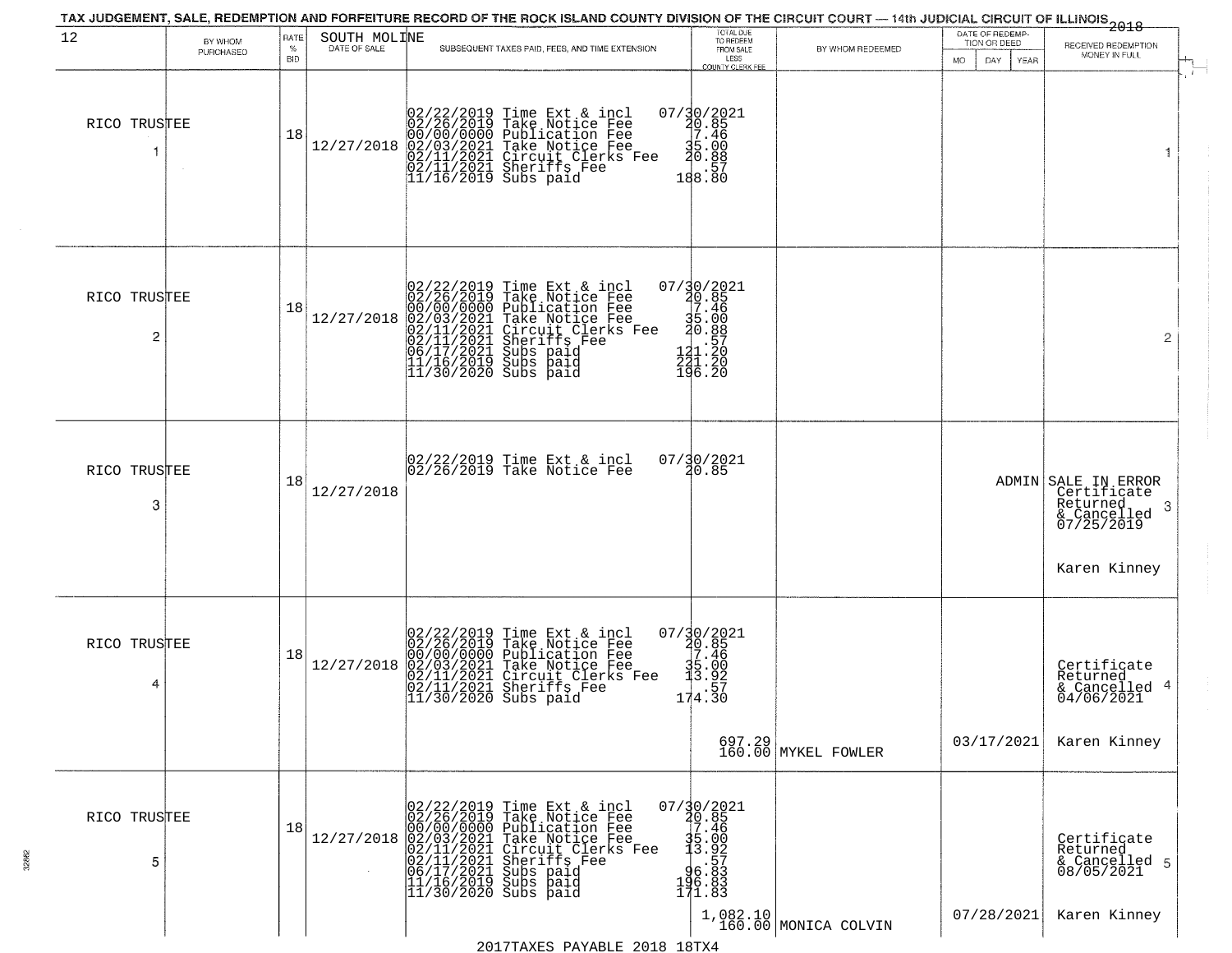| 12                | BY WHOM<br>PURCHASED | RATE<br>℅<br><b>BID</b> | SOUTH MOLINE<br>DATE OF SALE | TAX JUDGEMENT, SALE, REDEMPTION AND FORFEITURE RECORD OF THE ROCK ISLAND COUNTY DIVISION OF THE CIRCUIT COURT — 14th JUDICIAL CIRCUIT OF ILLINOIS 2018<br>SUBSEQUENT TAXES PAID, FEES, AND TIME EXTENSION                                                                                                                                                                                   | TOTAL DUE<br>TO REDEEM<br>FROM SALE                                                                                                   | BY WHOM REDEEMED              | DATE OF REDEMP-<br>TION OR DEED | RECEIVED REDEMPTION<br>MONEY IN FULL                                                              |
|-------------------|----------------------|-------------------------|------------------------------|---------------------------------------------------------------------------------------------------------------------------------------------------------------------------------------------------------------------------------------------------------------------------------------------------------------------------------------------------------------------------------------------|---------------------------------------------------------------------------------------------------------------------------------------|-------------------------------|---------------------------------|---------------------------------------------------------------------------------------------------|
| RICO TRUSTEE      |                      | 18                      | 12/27/2018                   | 02/22/2019 Time Ext & incl<br>02/26/2019 Take Notice Fee<br>00/00/00000 Publication Fee<br>02/11/2021 Take Notice Fee<br>02/11/2021 Circuit Clerks Fee<br>02/11/2021 Sheriffs Fee<br>11/16/2019 Subs paid                                                                                                                                                                                   | LESS<br>COUNTY CLERK FEE<br>07/30/2021<br>10.85<br>7.46<br>15.00<br>20.88<br>188:80                                                   |                               | MO.<br>DAY.<br>YEAR             | $\mathbf{1}$                                                                                      |
| RICO TRUSTEE<br>2 |                      | 18                      | 12/27/2018                   | 02/22/2019 Time Ext & incl<br>02/26/2019 Take Notice Fee<br>00/00/000 Publication Fee<br>02/01/2021 Take Notice Fee<br>02/11/2021 Circuit Clerks Fee<br>02/11/2021 Subs paid<br>06/17/2021 Subs paid<br>11/16/2019 Subs paid<br>11/30/2020 Subs paid                                                                                                                                        | 07/30/2021<br>$\frac{20.85}{7.46}$<br>$\frac{35.000}{20.887}$<br>221.20<br>196.20                                                     |                               |                                 | $\overline{2}$                                                                                    |
| RICO TRUSTEE<br>3 |                      | 18                      | 12/27/2018                   | 02/22/2019 Time Ext & incl<br>02/26/2019 Take Notice Fee                                                                                                                                                                                                                                                                                                                                    | 07/30/2021<br>20.85                                                                                                                   |                               |                                 | ADMIN SALE IN ERROR<br>Certificate<br>Returned<br>-3<br>& Cancelled<br>07/25/2019<br>Karen Kinney |
| RICO TRUSTEE      |                      | 18                      | 12/27/2018                   | 02/22/2019 Time Ext & incl<br>02/26/2019 Take Notice Fee<br>00/00/0000 Publication Fee<br>02/03/2021 Take Notice Fee<br>02/11/2021 Circuit Clerks Fee<br>02/11/2021 Sheriffs Fee<br>11/30/2020 Subs paid                                                                                                                                                                                    | $07/30/2021$<br>20.85<br>17.46<br>$\begin{array}{r} 35.00 \\ 13.92 \\ -174.30 \end{array}$                                            | 697.29<br>160.00 MYKEL FOWLER | 03/17/2021                      | Certificate<br>Returned<br>& Cancelled 4<br>04/06/2021<br>Karen Kinney                            |
| RICO TRUSTEE<br>5 |                      | 18                      |                              | $\begin{array}{ c c c c c } \hline &02/22/2019 &\mbox{Time Ext &\&~incl}& 0 \\ \hline &02/26/2019 &\mbox{Take Notice Free}}{00/00/0000} &\mbox{ Publication Free}} \\ \hline &12/27/2018 &02/03/2021 &\mbox{Take Notice Free}}{02/11/2021} &\mbox{Chreuits Checke} &\mbox{Free}} \\ \hline &02/11/2021 &\mbox{Sheerifs Free}} &\mbox{See}\\ \hline &06/17/2021 &\mbox{Subs paid}}{11/16/20$ | $07/\frac{30}{20}.85$<br>10.85<br>7.46<br>$\begin{array}{r} 1.7600 \\ 1.76002 \\ -1.86002 \\ -1.86003 \\ 1.7100 \\ -1.83 \end{array}$ | $1,082.10$ MONICA COLVIN      | 07/28/2021                      | Certificate<br>Returned<br>& Cancelled 5<br>08/05/2021<br>Karen Kinney                            |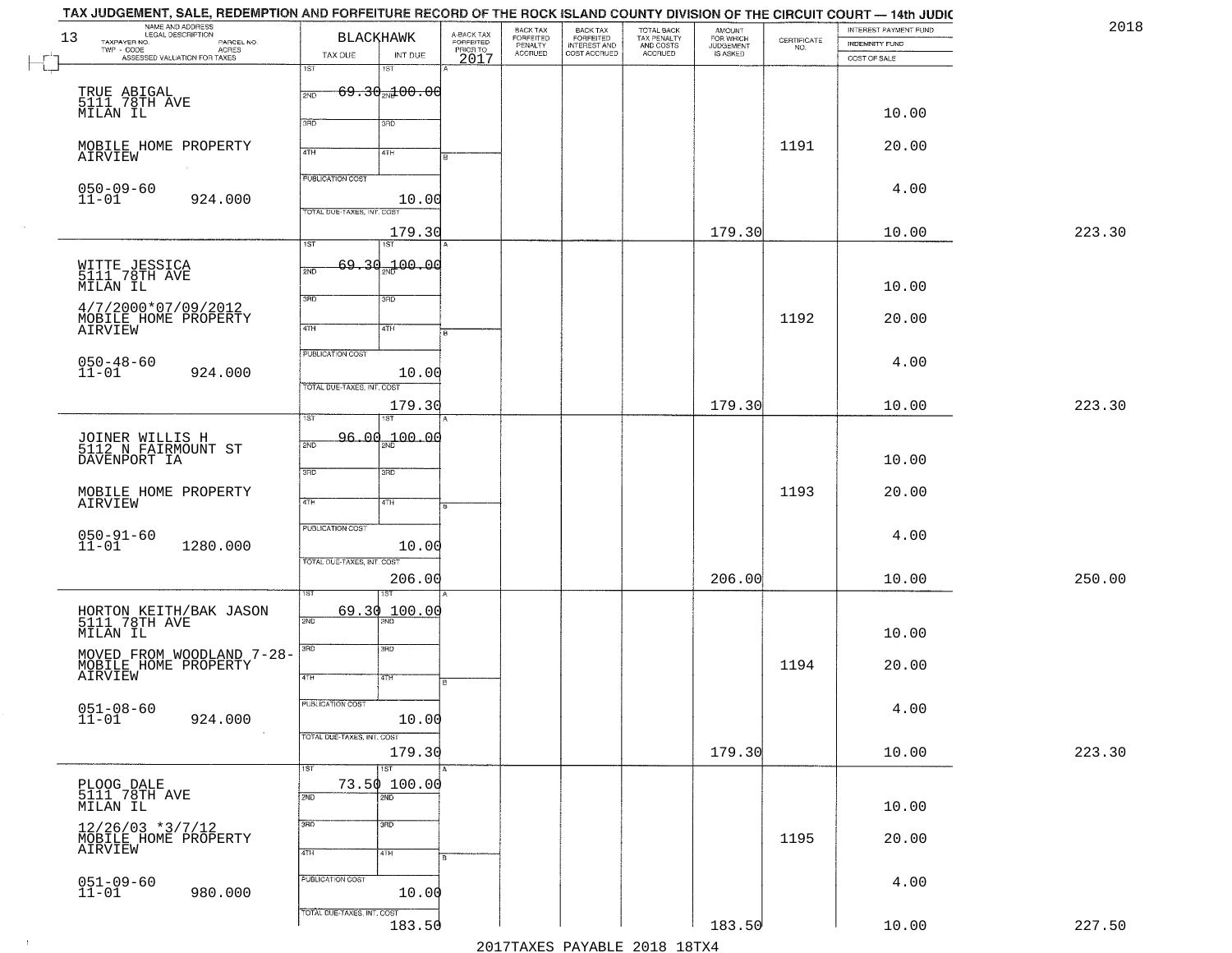| TAX JUDGEMENT, SALE, REDEMPTION AND FORFEITURE RECORD OF THE ROCK ISLAND COUNTY DIVISION OF THE CIRCUIT COURT — 14th JUDIC<br>NAME AND ADDRESS<br>LEGAL DESCRIPTION |                                      |                         | BACK TAX                        |                                                       |                                                   | <b>AMOUNT</b>                      |                                                                 | INTEREST PAYMENT FUND | 2018   |
|---------------------------------------------------------------------------------------------------------------------------------------------------------------------|--------------------------------------|-------------------------|---------------------------------|-------------------------------------------------------|---------------------------------------------------|------------------------------------|-----------------------------------------------------------------|-----------------------|--------|
| 13<br>TAXPAYER NO.<br>PARCEL NO.<br>TWP - CODE<br>- CODE ACRES<br>ASSESSED VALUATION FOR TAXES                                                                      | <b>BLACKHAWK</b>                     | A-BACK TAX<br>FORFEITED | FORFEITED<br>PENALTY<br>ACCRUED | BACK TAX<br>FORFEITED<br>INTEREST AND<br>COST ACCRUED | TOTAL BACK<br>TAX PENALTY<br>AND COSTS<br>ACCRUED | FOR WHICH<br>JUDGEMENT<br>IS ASKED | $\begin{array}{c} \text{CEPTIFICATE} \\ \text{NO.} \end{array}$ | <b>INDEMNITY FUND</b> |        |
|                                                                                                                                                                     | TAX DUE<br>INT DUE<br>1ST<br>1ST     | PRIOR TO<br>2017        |                                 |                                                       |                                                   |                                    |                                                                 | COST OF SALE          |        |
| TRUE ABIGAL<br>5111 78TH AVE                                                                                                                                        | $69.30_{20}100.00$<br>2ND            |                         |                                 |                                                       |                                                   |                                    |                                                                 |                       |        |
| MILAN IL                                                                                                                                                            |                                      |                         |                                 |                                                       |                                                   |                                    |                                                                 | 10.00                 |        |
|                                                                                                                                                                     | 3RD<br>3RD                           |                         |                                 |                                                       |                                                   |                                    |                                                                 |                       |        |
| MOBILE HOME PROPERTY<br>AIRVIEW                                                                                                                                     | 4TH<br>4TH                           |                         |                                 |                                                       |                                                   |                                    | 1191                                                            | 20.00                 |        |
| $050 - 09 - 60$                                                                                                                                                     | <b>PUBLICATION COST</b>              |                         |                                 |                                                       |                                                   |                                    |                                                                 | 4.00                  |        |
| $11 - 01$<br>924.000                                                                                                                                                | 10.00<br>TOTAL DUE-TAXES, INT. COST  |                         |                                 |                                                       |                                                   |                                    |                                                                 |                       |        |
|                                                                                                                                                                     | 179.30                               |                         |                                 |                                                       |                                                   | 179.30                             |                                                                 | 10.00                 | 223.30 |
|                                                                                                                                                                     | $\overline{1ST}$<br>$\overline{1ST}$ |                         |                                 |                                                       |                                                   |                                    |                                                                 |                       |        |
| WITTE JESSICA<br>5111 78TH AVE                                                                                                                                      | 69.30<br>2ND 00.00<br>2ND            |                         |                                 |                                                       |                                                   |                                    |                                                                 |                       |        |
| MILAN IL                                                                                                                                                            | 3RD<br>3RD                           |                         |                                 |                                                       |                                                   |                                    |                                                                 | 10.00                 |        |
| 4/7/2000*07/09/2012<br>MOBILE HOME PROPERTY                                                                                                                         | $\sqrt{4}$<br>4TH                    |                         |                                 |                                                       |                                                   |                                    | 1192                                                            | 20.00                 |        |
| AIRVIEW                                                                                                                                                             |                                      |                         |                                 |                                                       |                                                   |                                    |                                                                 |                       |        |
| $050 - 48 - 60$<br>11-01<br>924.000                                                                                                                                 | PUBLICATION COST<br>10.00            |                         |                                 |                                                       |                                                   |                                    |                                                                 | 4.00                  |        |
|                                                                                                                                                                     | TOTAL DUE-TAXES, INT. COST           |                         |                                 |                                                       |                                                   |                                    |                                                                 |                       |        |
|                                                                                                                                                                     | 179.30<br>1ST<br>ST                  |                         |                                 |                                                       |                                                   | 179.30                             |                                                                 | 10.00                 | 223.30 |
| JOINER WILLIS H<br>5112 N FAIRMOUNT ST                                                                                                                              | 96.00 <sub>»</sub> 100.00<br>2ND     |                         |                                 |                                                       |                                                   |                                    |                                                                 |                       |        |
| DAVENPORT IA                                                                                                                                                        |                                      |                         |                                 |                                                       |                                                   |                                    |                                                                 | 10.00                 |        |
|                                                                                                                                                                     | 3RD<br>3BD                           |                         |                                 |                                                       |                                                   |                                    | 1193                                                            | 20.00                 |        |
| MOBILE HOME PROPERTY<br>AIRVIEW                                                                                                                                     | 4TH<br>4TH                           |                         |                                 |                                                       |                                                   |                                    |                                                                 |                       |        |
|                                                                                                                                                                     | <b>PUBLICATION COST</b>              |                         |                                 |                                                       |                                                   |                                    |                                                                 | 4.00                  |        |
| $050 - 91 - 60$<br>11-01<br>1280.000                                                                                                                                | 10.00<br>TOTAL OUE-TAXES, INT. COST  |                         |                                 |                                                       |                                                   |                                    |                                                                 |                       |        |
|                                                                                                                                                                     | 206.00                               |                         |                                 |                                                       |                                                   | 206.00                             |                                                                 | 10.00                 | 250.00 |
|                                                                                                                                                                     |                                      |                         |                                 |                                                       |                                                   |                                    |                                                                 |                       |        |
| HORTON KEITH/BAK JASON<br>5111 78TH AVE                                                                                                                             | 69.30<br>100.00<br>2ND               |                         |                                 |                                                       |                                                   |                                    |                                                                 |                       |        |
| MILAN IL<br>MOVED FROM WOODLAND 7-28-                                                                                                                               | 3 <sub>BD</sub><br>3RD               |                         |                                 |                                                       |                                                   |                                    |                                                                 | 10.00                 |        |
| MOBILE HOME PROPERTY<br>AIRVIEW                                                                                                                                     | 4TH<br>4TH                           |                         |                                 |                                                       |                                                   |                                    | 1194                                                            | 20.00                 |        |
|                                                                                                                                                                     |                                      |                         |                                 |                                                       |                                                   |                                    |                                                                 |                       |        |
| $051 - 08 - 60$<br>11-01<br>924.000                                                                                                                                 | PUBLICATION COST<br>10.00            |                         |                                 |                                                       |                                                   |                                    |                                                                 | 4.00                  |        |
|                                                                                                                                                                     | TOTAL DUE-TAXES, INT. COST           |                         |                                 |                                                       |                                                   |                                    |                                                                 |                       |        |
|                                                                                                                                                                     | 179.30<br>$\overline{1}$ ST<br>1ST   |                         |                                 |                                                       |                                                   | 179.30                             |                                                                 | 10.00                 | 223.30 |
| PLOOG DALE<br>5111 78TH AVE                                                                                                                                         | 73.50 100.00                         |                         |                                 |                                                       |                                                   |                                    |                                                                 |                       |        |
| MILAN IL                                                                                                                                                            | 2ND<br>2ND                           |                         |                                 |                                                       |                                                   |                                    |                                                                 | 10.00                 |        |
| $12/26/03$ *3/7/12                                                                                                                                                  | 3RD<br>3 <sub>BD</sub>               |                         |                                 |                                                       |                                                   |                                    | 1195                                                            | 20.00                 |        |
| MOBILE HOME PROPERTY<br>AIRVIEW                                                                                                                                     | 4TH<br>4TH                           |                         |                                 |                                                       |                                                   |                                    |                                                                 |                       |        |
| $051 - 09 - 60$<br>11-01                                                                                                                                            | PUBLICATION COST                     |                         |                                 |                                                       |                                                   |                                    |                                                                 | 4.00                  |        |
| 980.000                                                                                                                                                             | 10.00                                |                         |                                 |                                                       |                                                   |                                    |                                                                 |                       |        |
|                                                                                                                                                                     | TOTAL DUE-TAXES, INT. COST<br>183.50 |                         |                                 |                                                       |                                                   | 183.50                             |                                                                 | 10.00                 | 227.50 |
|                                                                                                                                                                     |                                      |                         |                                 |                                                       | 2017 THAVEC DAVARIE 2010 19TVA                    |                                    |                                                                 |                       |        |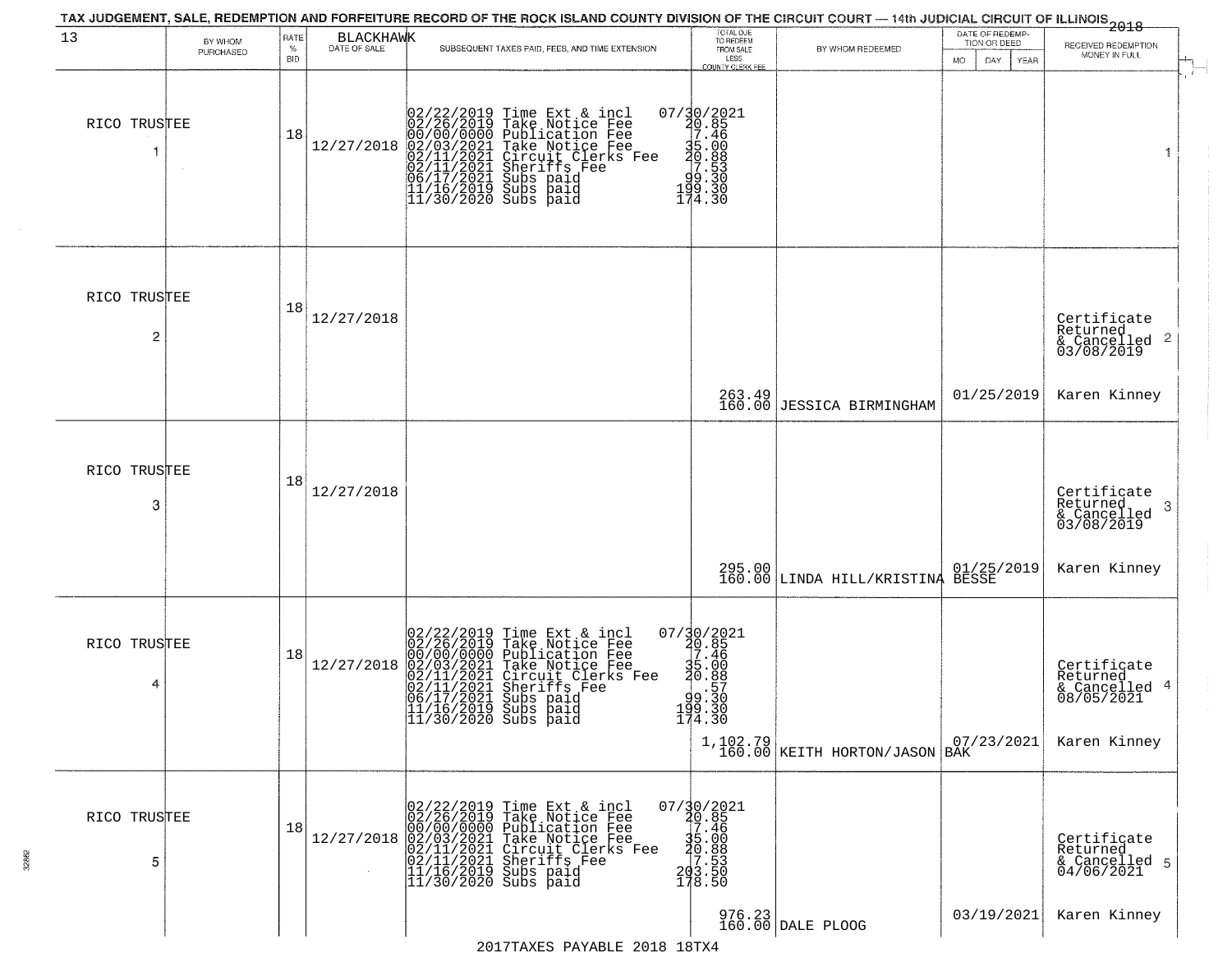| 13                             | BY WHOM   | RATE               | <b>BLACKHAWK</b> |                                                                                                                                                                                                                                                                                                                                                                              | TOTAL DUE<br>TO REDEEM                                                                           |                                                                                            | DATE OF REDEMP-<br>TION OR DEED | --------------<br>2018                                                    |
|--------------------------------|-----------|--------------------|------------------|------------------------------------------------------------------------------------------------------------------------------------------------------------------------------------------------------------------------------------------------------------------------------------------------------------------------------------------------------------------------------|--------------------------------------------------------------------------------------------------|--------------------------------------------------------------------------------------------|---------------------------------|---------------------------------------------------------------------------|
|                                | PURCHASED | $\%$<br><b>BID</b> | DATE OF SALE     | SUBSEQUENT TAXES PAID, FEES, AND TIME EXTENSION                                                                                                                                                                                                                                                                                                                              | FROM SALE<br>LESS                                                                                | BY WHOM REDEEMED                                                                           | <b>MO</b><br>DAY<br>YEAR        | RECEIVED REDEMPTION<br>MONEY IN FULL                                      |
| RICO TRUSTEE                   |           | 18                 |                  | 02/22/2019 Time Ext & incl<br>02/26/2019 Take Notice Fee<br>00/00/0000 Publication Fee<br>00/00/0000 Publication Fee<br>12/27/2018 02/03/2021 Take Notice Fee<br>02/11/2021 Circuit Clerks Fee<br>02/11/2021 Circuit Clerks Fee<br>02/11/2021 Subs paid<br>06/17/2021 Subs paid<br>11/16/2019 Subs paid<br>11/30/2020 Subs paid                                              | COUNTY CLERK FEE<br>07/30/2021<br>20.85<br>27.46<br>35:00<br>30.883<br>70.530<br>99.30<br>174.30 |                                                                                            |                                 | $\mathbf{r}$<br>1                                                         |
| RICO TRUSTEE<br>$\overline{c}$ |           | 18                 | 12/27/2018       |                                                                                                                                                                                                                                                                                                                                                                              | 263.49<br>160.00                                                                                 | JESSICA BIRMINGHAM                                                                         | 01/25/2019                      | Certificate<br>Returned<br>& Cancelled 2<br>03/08/2019<br>Karen Kinney    |
| RICO TRUSTEE<br>3              |           | 18                 | 12/27/2018       |                                                                                                                                                                                                                                                                                                                                                                              |                                                                                                  |                                                                                            |                                 | Certificate<br>Returned<br>3<br>& Cancelled<br>03/08/2019<br>Karen Kinney |
| RICO TRUSTEE<br>4              |           | 18                 | 12/27/2018       | 02/22/2019 Time Ext & incl<br>02/26/2019 Take Notice Fee<br>00/00/0000 Publication Fee<br>02/03/2021 Take Notice Fee<br>02/11/2021 Circuit Clerks Fee<br>02/11/2021 Subs paid<br>06/17/2021 Subs paid<br>11/16/2019 Subs paid<br>11/16/2019 Subs paid                                                                                                                        | 07/30/2021<br>20.85<br>7.46<br>35.00<br>30.89<br>99.57<br>199.30<br>174.30                       | 295.00 01/25/2019<br>160.00 LINDA HILL/KRISTINA BESSE<br>$1,102.79$ KEITH HORTON/JASON BAK | 07/23/2021                      | Certificate<br>Returned<br>& Cancelled 4<br>08/05/2021<br>Karen Kinney    |
| RICO TRUSTEE<br>5              |           | 18                 |                  | $12/27/2018 \begin{array}{l} 02/22/2019 \text{ Time Ext & incl} \\ 02/26/2019 \text{ Take Notice Free} \\ 00/00/00000 \text{ Publication Free} \\ 02/03/2021 \text{ Take Notice Free} \\ 022/11/2021 \text{ Sheriffs Free} \\ 022/11/2021 \text{ Sheriffs See} \\ 11/16/2019 \text{ Subs paid} \\ 11/30/2020 \text{ Subs paid} \end{array}$<br>2017 TAYES DAVARIE 2018 18TYA | 07/30/2021<br>20.85<br>35.46<br>35.00<br>30.88<br>203.553<br>203.550<br>178.50                   | 976.23<br>160.00 DALE PLOOG                                                                | 03/19/2021                      | Certificate<br>Returned<br>& Cancelled 5<br>04/06/2021<br>Karen Kinney    |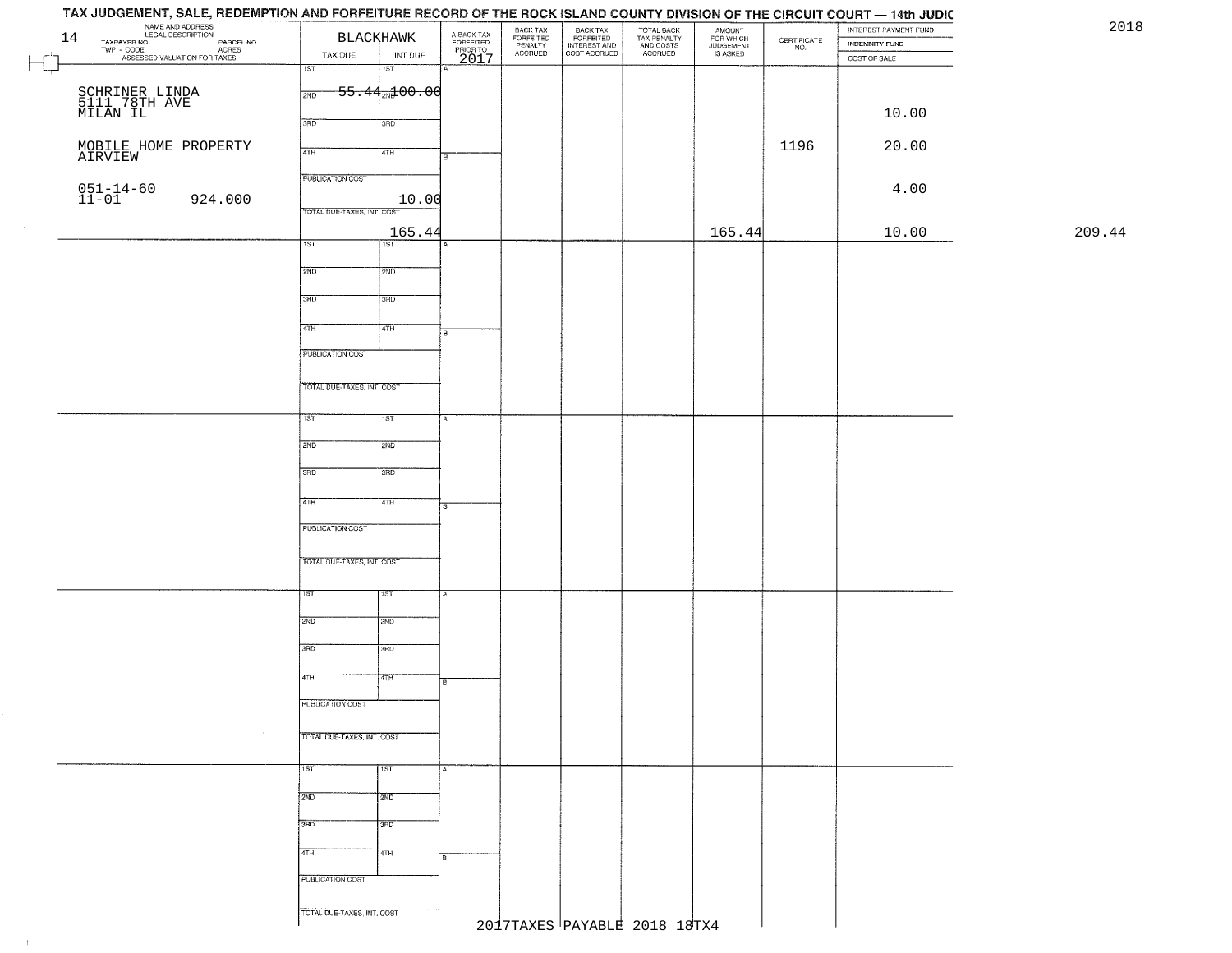| 14 | NAME AND ADDRESS<br>LEGAL DESCRIPTION<br>TAXPAYER NO. PARCEL NO.<br>TWP - CODE ASSESSED VALUATION FOR TAXES |                            | <b>BLACKHAWK</b>           | A-BACK TAX<br>FORFEITED<br>PRIOR TO | BACK TAX<br>FORFEITED<br>PENALTY | BACK TAX<br>FORFEITED<br>INTEREST AND<br>COST ACCRUED | TOTAL BACK<br>TAX PENALTY<br>AND COSTS<br>ACCRUED | AMOUNT<br>FOR WHICH<br>JUDGEMENT<br>IS ASKED | $\begin{array}{c} \text{CERTIFICATE} \\ \text{NO.} \end{array}$ | INTEREST PAYMENT FUND                     | 2018   |
|----|-------------------------------------------------------------------------------------------------------------|----------------------------|----------------------------|-------------------------------------|----------------------------------|-------------------------------------------------------|---------------------------------------------------|----------------------------------------------|-----------------------------------------------------------------|-------------------------------------------|--------|
|    |                                                                                                             | TAX DUE                    | INT DUE                    |                                     | <b>ACCRUED</b>                   |                                                       |                                                   |                                              |                                                                 | INDEMNITY FUND<br>$\texttt{COST OF SALE}$ |        |
|    |                                                                                                             | $\overline{1ST}$           | 1ST                        | 2017                                |                                  |                                                       |                                                   |                                              |                                                                 |                                           |        |
|    |                                                                                                             |                            | $-55.44$ and $00.00$       |                                     |                                  |                                                       |                                                   |                                              |                                                                 |                                           |        |
|    | SCHRINER LINDA<br>5111 78TH AVE<br>MILAN IL                                                                 | 2ND                        |                            |                                     |                                  |                                                       |                                                   |                                              |                                                                 |                                           |        |
|    |                                                                                                             | 3RD                        | 3RD                        |                                     |                                  |                                                       |                                                   |                                              |                                                                 | 10.00                                     |        |
|    |                                                                                                             |                            |                            |                                     |                                  |                                                       |                                                   |                                              |                                                                 |                                           |        |
|    | MOBILE HOME PROPERTY<br>AIRVIEW                                                                             | 4TH                        | 4TH                        |                                     |                                  |                                                       |                                                   |                                              | 1196                                                            | 20.00                                     |        |
|    |                                                                                                             |                            |                            |                                     |                                  |                                                       |                                                   |                                              |                                                                 |                                           |        |
|    |                                                                                                             | <b>PUBLICATION COST</b>    |                            |                                     |                                  |                                                       |                                                   |                                              |                                                                 | 4.00                                      |        |
|    | $051 - 14 - 60$<br>11-01<br>924.000                                                                         |                            | 10.00                      |                                     |                                  |                                                       |                                                   |                                              |                                                                 |                                           |        |
|    |                                                                                                             | TOTAL DUE-TAXES, INT. COST |                            |                                     |                                  |                                                       |                                                   |                                              |                                                                 |                                           |        |
|    |                                                                                                             | 1ST                        | 165.44<br>$\overline{1ST}$ |                                     |                                  |                                                       |                                                   | 165.44                                       |                                                                 | 10.00                                     | 209.44 |
|    |                                                                                                             |                            |                            |                                     |                                  |                                                       |                                                   |                                              |                                                                 |                                           |        |
|    |                                                                                                             | 2ND                        | 2ND                        |                                     |                                  |                                                       |                                                   |                                              |                                                                 |                                           |        |
|    |                                                                                                             |                            |                            |                                     |                                  |                                                       |                                                   |                                              |                                                                 |                                           |        |
|    |                                                                                                             | 3RD                        | 3RD                        |                                     |                                  |                                                       |                                                   |                                              |                                                                 |                                           |        |
|    |                                                                                                             | $\overline{47H}$           | 4TH                        |                                     |                                  |                                                       |                                                   |                                              |                                                                 |                                           |        |
|    |                                                                                                             |                            |                            | Fв                                  |                                  |                                                       |                                                   |                                              |                                                                 |                                           |        |
|    |                                                                                                             | PUBLICATION COST           |                            |                                     |                                  |                                                       |                                                   |                                              |                                                                 |                                           |        |
|    |                                                                                                             |                            |                            |                                     |                                  |                                                       |                                                   |                                              |                                                                 |                                           |        |
|    |                                                                                                             | TOTAL DUE-TAXES, INT. COST |                            |                                     |                                  |                                                       |                                                   |                                              |                                                                 |                                           |        |
|    |                                                                                                             |                            |                            |                                     |                                  |                                                       |                                                   |                                              |                                                                 |                                           |        |
|    |                                                                                                             | 1ST                        | 1ST                        |                                     |                                  |                                                       |                                                   |                                              |                                                                 |                                           |        |
|    |                                                                                                             | 2ND                        | 2ND                        |                                     |                                  |                                                       |                                                   |                                              |                                                                 |                                           |        |
|    |                                                                                                             |                            |                            |                                     |                                  |                                                       |                                                   |                                              |                                                                 |                                           |        |
|    |                                                                                                             | 3RD                        | 3RD                        |                                     |                                  |                                                       |                                                   |                                              |                                                                 |                                           |        |
|    |                                                                                                             |                            |                            |                                     |                                  |                                                       |                                                   |                                              |                                                                 |                                           |        |
|    |                                                                                                             | 4TH                        | 4TH                        |                                     |                                  |                                                       |                                                   |                                              |                                                                 |                                           |        |
|    |                                                                                                             | PUBLICATION COST           |                            |                                     |                                  |                                                       |                                                   |                                              |                                                                 |                                           |        |
|    |                                                                                                             |                            |                            |                                     |                                  |                                                       |                                                   |                                              |                                                                 |                                           |        |
|    |                                                                                                             | TOTAL OUE-TAXES, INT. COST |                            |                                     |                                  |                                                       |                                                   |                                              |                                                                 |                                           |        |
|    |                                                                                                             |                            |                            |                                     |                                  |                                                       |                                                   |                                              |                                                                 |                                           |        |
|    |                                                                                                             | 1ST                        | १९४                        |                                     |                                  |                                                       |                                                   |                                              |                                                                 |                                           |        |
|    |                                                                                                             |                            |                            |                                     |                                  |                                                       |                                                   |                                              |                                                                 |                                           |        |
|    |                                                                                                             | 2ND                        | 2ND                        |                                     |                                  |                                                       |                                                   |                                              |                                                                 |                                           |        |
|    |                                                                                                             | 3RD                        | 3BD                        |                                     |                                  |                                                       |                                                   |                                              |                                                                 |                                           |        |
|    |                                                                                                             |                            |                            |                                     |                                  |                                                       |                                                   |                                              |                                                                 |                                           |        |
|    |                                                                                                             | 4TH                        | <b>ATH</b>                 | ╔                                   |                                  |                                                       |                                                   |                                              |                                                                 |                                           |        |
|    |                                                                                                             | PUBLICATION COST           |                            |                                     |                                  |                                                       |                                                   |                                              |                                                                 |                                           |        |
|    |                                                                                                             |                            |                            |                                     |                                  |                                                       |                                                   |                                              |                                                                 |                                           |        |
|    |                                                                                                             | TOTAL DUE-TAXES, INT. COST |                            |                                     |                                  |                                                       |                                                   |                                              |                                                                 |                                           |        |
|    |                                                                                                             |                            |                            |                                     |                                  |                                                       |                                                   |                                              |                                                                 |                                           |        |
|    |                                                                                                             | १ङा                        | 1ST                        |                                     |                                  |                                                       |                                                   |                                              |                                                                 |                                           |        |
|    |                                                                                                             |                            |                            |                                     |                                  |                                                       |                                                   |                                              |                                                                 |                                           |        |
|    |                                                                                                             | 2ND                        | 2ND                        |                                     |                                  |                                                       |                                                   |                                              |                                                                 |                                           |        |
|    |                                                                                                             | 3RD                        | 3RD                        |                                     |                                  |                                                       |                                                   |                                              |                                                                 |                                           |        |
|    |                                                                                                             |                            |                            |                                     |                                  |                                                       |                                                   |                                              |                                                                 |                                           |        |
|    |                                                                                                             | 4TH                        | 4TH                        |                                     |                                  |                                                       |                                                   |                                              |                                                                 |                                           |        |
|    |                                                                                                             |                            |                            |                                     |                                  |                                                       |                                                   |                                              |                                                                 |                                           |        |
|    |                                                                                                             | PUBLICATION COST           |                            |                                     |                                  |                                                       |                                                   |                                              |                                                                 |                                           |        |
|    |                                                                                                             |                            |                            |                                     |                                  |                                                       |                                                   |                                              |                                                                 |                                           |        |
|    |                                                                                                             | TOTAL DUE-TAXES, INT. COST |                            |                                     |                                  |                                                       | 2017TAXES PAYABLE 2018 18TX4                      |                                              |                                                                 |                                           |        |
|    |                                                                                                             |                            |                            |                                     |                                  |                                                       |                                                   |                                              |                                                                 |                                           |        |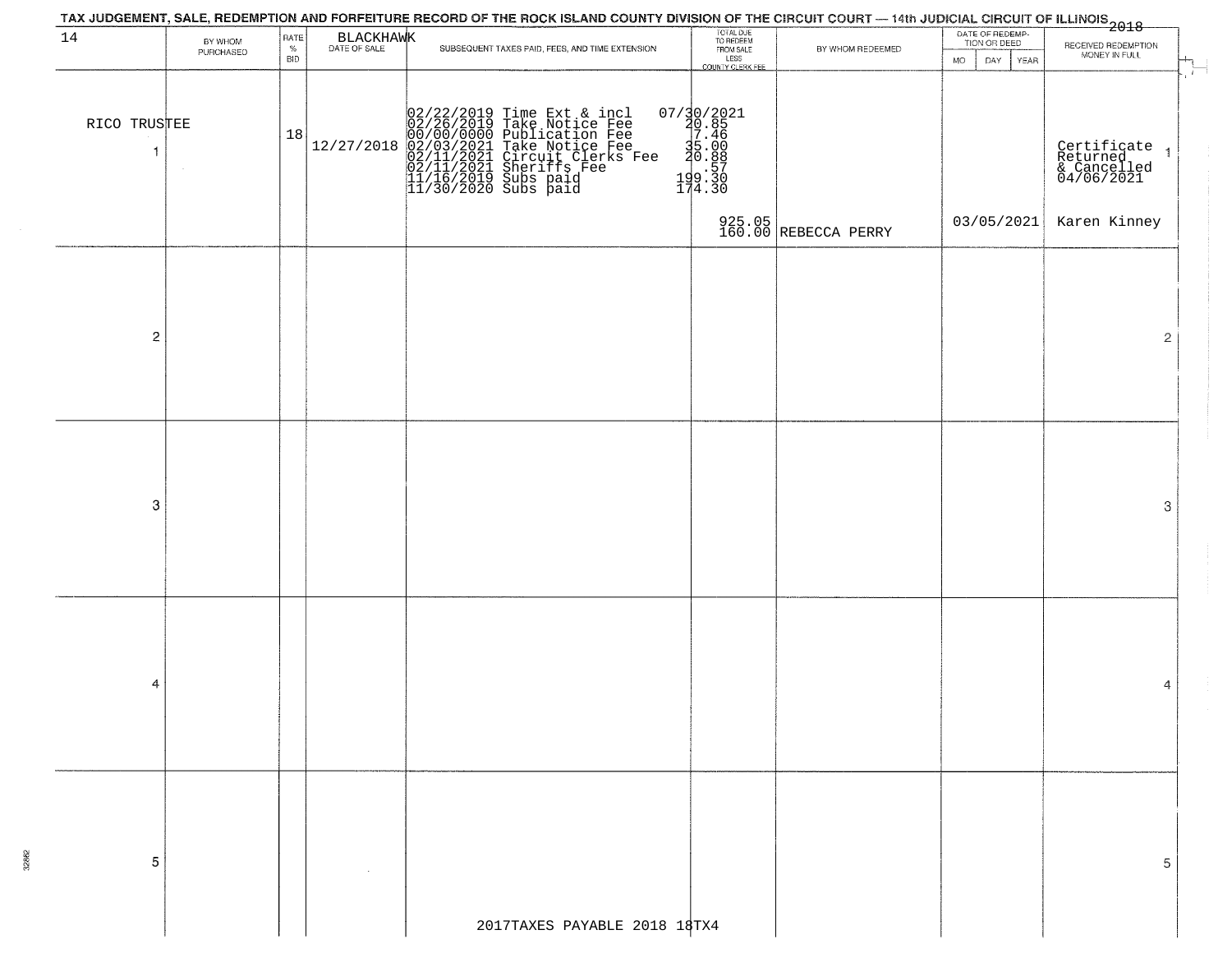|                              | TAX JUDGEMENT, SALE, REDEMPTION AND FORFEITURE RECORD OF THE ROCK ISLAND COUNTY DIVISION OF THE CIRCUIT COURT — 14th JUDICIAL CIRCUIT OF ILLINOIS 2018<br>DATE OF REDEMP-<br>TION OR DEED<br>RATE<br>BY WHOM<br>SUBSEQUENT TAXES PAID, FEES, AND TIME EXTENSION |                    |                           |  |                                                                                                                                                                                                   |                                                                                                              |                                |                           |                                                             |  |  |  |  |  |
|------------------------------|-----------------------------------------------------------------------------------------------------------------------------------------------------------------------------------------------------------------------------------------------------------------|--------------------|---------------------------|--|---------------------------------------------------------------------------------------------------------------------------------------------------------------------------------------------------|--------------------------------------------------------------------------------------------------------------|--------------------------------|---------------------------|-------------------------------------------------------------|--|--|--|--|--|
| 14                           | PURCHASED                                                                                                                                                                                                                                                       | $\%$<br><b>BID</b> | BLACKHAWK<br>DATE OF SALE |  |                                                                                                                                                                                                   | TOTAL DUE<br>TO REDEEM<br>FROM SALE<br>LESS<br>COUNTY CLERK FEE                                              | BY WHOM REDEEMED               | MO.<br>DAY<br><b>YEAR</b> | RECEIVED REDEMPTION<br>MONEY IN FULL                        |  |  |  |  |  |
| RICO TRUSTEE<br>$\mathbf{1}$ |                                                                                                                                                                                                                                                                 | 18                 | 12/27/2018                |  | 02/22/2019 Time Ext & incl<br>02/26/2019 Take Notice Fee<br>00/00/00/000 Publication Fee<br>02/03/2021 Take Notice Fee<br>02/11/2021 Sheriffs Fee<br>11/16/2019 Subs paid<br>11/30/2020 Subs paid | $\begin{smallmatrix} 07/30/2021\\ 20.85\\ 7.46\\ 35.00\\ 20.88\\ \vdots\\ 199.30\\ 174.30 \end{smallmatrix}$ |                                |                           | - 1<br>Certificate<br>Returned<br>& Cancelled<br>04/06/2021 |  |  |  |  |  |
|                              |                                                                                                                                                                                                                                                                 |                    |                           |  |                                                                                                                                                                                                   |                                                                                                              | 925.05<br>160.00 REBECCA PERRY | 03/05/2021                | Karen Kinney                                                |  |  |  |  |  |
| $\overline{c}$               |                                                                                                                                                                                                                                                                 |                    |                           |  |                                                                                                                                                                                                   |                                                                                                              |                                |                           | 2                                                           |  |  |  |  |  |
| 3                            |                                                                                                                                                                                                                                                                 |                    |                           |  |                                                                                                                                                                                                   |                                                                                                              |                                |                           | 3                                                           |  |  |  |  |  |
| 4                            |                                                                                                                                                                                                                                                                 |                    |                           |  |                                                                                                                                                                                                   |                                                                                                              |                                |                           | 4                                                           |  |  |  |  |  |
| 5                            |                                                                                                                                                                                                                                                                 |                    |                           |  |                                                                                                                                                                                                   |                                                                                                              |                                |                           | 5                                                           |  |  |  |  |  |
|                              |                                                                                                                                                                                                                                                                 |                    |                           |  | 2017TAXES PAYABLE 2018 18TX4                                                                                                                                                                      |                                                                                                              |                                |                           |                                                             |  |  |  |  |  |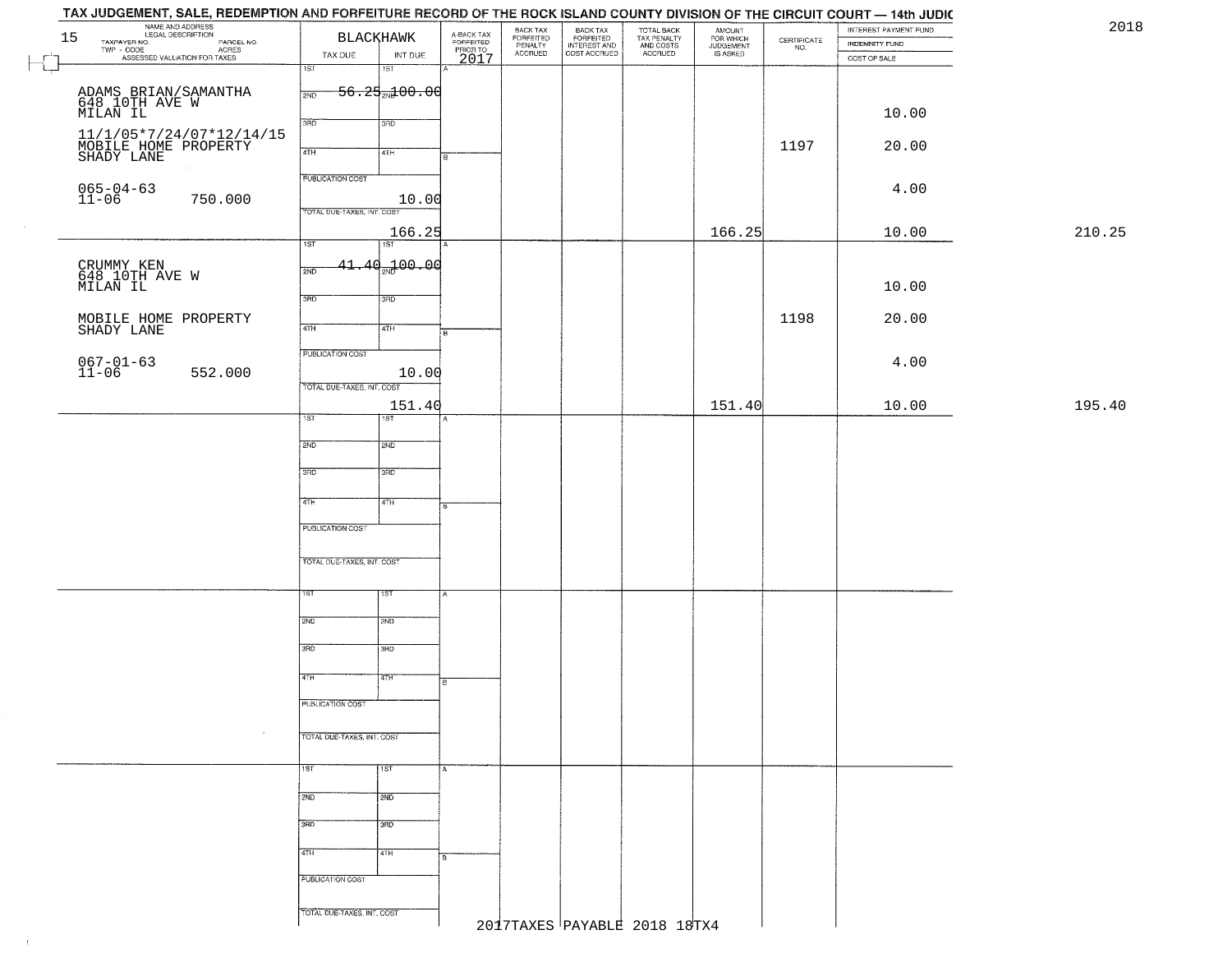|        | INTEREST PAYMENT FUND<br>INDEMNITY FUND | $\begin{array}{c} \text{CERTIFICATE} \\ \text{NO.} \end{array}$ | AMOUNT<br>FOR WHICH<br>JUDGEMENT<br>IS ASKED | TOTAL BACK<br>TAX PENALTY<br>AND COSTS<br>ACCRUED | BACK TAX<br>FORFEITED<br>INTEREST AND<br>COST ACCRUED | BACK TAX                        | A-BACK TAX<br>FORFEITED<br>PRIOR TO<br>2017 | <b>BLACKHAWK</b>   |                            | NAME AND ADDRESS<br>LEGAL DESCRIPTION<br>TAXPAYER NO.<br>15                      |
|--------|-----------------------------------------|-----------------------------------------------------------------|----------------------------------------------|---------------------------------------------------|-------------------------------------------------------|---------------------------------|---------------------------------------------|--------------------|----------------------------|----------------------------------------------------------------------------------|
|        | COST OF SALE                            |                                                                 |                                              |                                                   |                                                       | FORFEITED<br>PENALTY<br>ACCRUED |                                             | INT DUE            | TAX DUE                    | LEGAL DESCRIPTION PARCEL NO.<br>TWP - CODE AGRES<br>ASSESSED VALUATION FOR TAXES |
|        |                                         |                                                                 |                                              |                                                   |                                                       |                                 |                                             | $\overline{1ST}$   | $\overline{1ST}$           |                                                                                  |
|        |                                         |                                                                 |                                              |                                                   |                                                       |                                 |                                             | $56.25 + 00.00$    | 2ND                        |                                                                                  |
|        |                                         |                                                                 |                                              |                                                   |                                                       |                                 |                                             |                    |                            | ADAMS BRIAN/SAMANTHA<br>648 10TH AVE W<br>MILAN IL                               |
|        | 10.00                                   |                                                                 |                                              |                                                   |                                                       |                                 |                                             | 3RD                | 3BD                        |                                                                                  |
|        | 20.00                                   | 1197                                                            |                                              |                                                   |                                                       |                                 |                                             |                    |                            |                                                                                  |
|        |                                         |                                                                 |                                              |                                                   |                                                       |                                 | $\overline{B}$                              | 4TH                | 4TH                        | 11/1/05*7/24/07*12/14/15<br>MOBILE HOME PROPERTY<br>SHADY LANE                   |
|        |                                         |                                                                 |                                              |                                                   |                                                       |                                 |                                             |                    | <b>PUBLICATION COST</b>    |                                                                                  |
|        | 4.00                                    |                                                                 |                                              |                                                   |                                                       |                                 |                                             | 10.00              |                            | $065 - 04 - 63$<br>11-06<br>750.000                                              |
|        |                                         |                                                                 |                                              |                                                   |                                                       |                                 |                                             |                    | TOTAL DUE-TAXES, INT. COST |                                                                                  |
| 210.25 | 10.00                                   |                                                                 | 166.25                                       |                                                   |                                                       |                                 |                                             | 166.25             |                            |                                                                                  |
|        |                                         |                                                                 |                                              |                                                   |                                                       |                                 |                                             | 75T                | 1ST                        |                                                                                  |
|        |                                         |                                                                 |                                              |                                                   |                                                       |                                 |                                             | $41.40_{20}$ 00.00 | 2ND                        |                                                                                  |
|        | 10.00                                   |                                                                 |                                              |                                                   |                                                       |                                 |                                             |                    |                            | CRUMMY KEN<br>648 10TH AVE W<br>MILAN IL                                         |
|        |                                         |                                                                 |                                              |                                                   |                                                       |                                 |                                             | 3RD                | 3RD                        |                                                                                  |
|        | 20.00                                   | 1198                                                            |                                              |                                                   |                                                       |                                 |                                             |                    |                            | MOBILE HOME PROPERTY<br>SHADY LANE                                               |
|        |                                         |                                                                 |                                              |                                                   |                                                       |                                 | i B                                         | 4TH                | $\sqrt{47H}$               |                                                                                  |
|        |                                         |                                                                 |                                              |                                                   |                                                       |                                 |                                             |                    | PUBLICATION COST           |                                                                                  |
|        | 4.00                                    |                                                                 |                                              |                                                   |                                                       |                                 |                                             | 10.00              |                            | $067 - 01 - 63$<br>11-06<br>552.000                                              |
|        |                                         |                                                                 |                                              |                                                   |                                                       |                                 |                                             |                    | TOTAL DUE-TAXES, INT. COST |                                                                                  |
| 195.40 | 10.00                                   |                                                                 | 151.40                                       |                                                   |                                                       |                                 |                                             | 151.40             |                            |                                                                                  |
|        |                                         |                                                                 |                                              |                                                   |                                                       |                                 |                                             | 1ST                | 1ST.                       |                                                                                  |
|        |                                         |                                                                 |                                              |                                                   |                                                       |                                 |                                             | 2ND                | 2ND                        |                                                                                  |
|        |                                         |                                                                 |                                              |                                                   |                                                       |                                 |                                             |                    |                            |                                                                                  |
|        |                                         |                                                                 |                                              |                                                   |                                                       |                                 |                                             | 3BD                | 3RD                        |                                                                                  |
|        |                                         |                                                                 |                                              |                                                   |                                                       |                                 |                                             | 4TH                | 4TH                        |                                                                                  |
|        |                                         |                                                                 |                                              |                                                   |                                                       |                                 | F                                           |                    |                            |                                                                                  |
|        |                                         |                                                                 |                                              |                                                   |                                                       |                                 |                                             |                    | <b>PUBLICATION COST</b>    |                                                                                  |
|        |                                         |                                                                 |                                              |                                                   |                                                       |                                 |                                             |                    |                            |                                                                                  |
|        |                                         |                                                                 |                                              |                                                   |                                                       |                                 |                                             |                    | TOTAL OUE-TAXES, INT. COST |                                                                                  |
|        |                                         |                                                                 |                                              |                                                   |                                                       |                                 |                                             | १९४                | 1ST                        |                                                                                  |
|        |                                         |                                                                 |                                              |                                                   |                                                       |                                 |                                             |                    |                            |                                                                                  |
|        |                                         |                                                                 |                                              |                                                   |                                                       |                                 |                                             | 2ND                | 2ND                        |                                                                                  |
|        |                                         |                                                                 |                                              |                                                   |                                                       |                                 |                                             | 3BD                | 3BD                        |                                                                                  |
|        |                                         |                                                                 |                                              |                                                   |                                                       |                                 |                                             |                    |                            |                                                                                  |
|        |                                         |                                                                 |                                              |                                                   |                                                       |                                 | B.                                          | 47H                | 4TH                        |                                                                                  |
|        |                                         |                                                                 |                                              |                                                   |                                                       |                                 |                                             |                    | PUBLICATION COST           |                                                                                  |
|        |                                         |                                                                 |                                              |                                                   |                                                       |                                 |                                             |                    |                            |                                                                                  |
|        |                                         |                                                                 |                                              |                                                   |                                                       |                                 |                                             |                    | TOTAL DUE-TAXES, INT. COST | $\cdot$                                                                          |
|        |                                         |                                                                 |                                              |                                                   |                                                       |                                 |                                             |                    |                            |                                                                                  |
|        |                                         |                                                                 |                                              |                                                   |                                                       |                                 | A                                           | 1ST                | 115T                       |                                                                                  |
|        |                                         |                                                                 |                                              |                                                   |                                                       |                                 |                                             |                    |                            |                                                                                  |
|        |                                         |                                                                 |                                              |                                                   |                                                       |                                 |                                             | 2ND                | 2ND                        |                                                                                  |
|        |                                         |                                                                 |                                              |                                                   |                                                       |                                 |                                             | 3BD                | 3BD                        |                                                                                  |
|        |                                         |                                                                 |                                              |                                                   |                                                       |                                 |                                             |                    |                            |                                                                                  |
|        |                                         |                                                                 |                                              |                                                   |                                                       |                                 | в.                                          | 4TH                | 4TH                        |                                                                                  |
|        |                                         |                                                                 |                                              |                                                   |                                                       |                                 |                                             |                    | PUBLICATION COST           |                                                                                  |
|        |                                         |                                                                 |                                              |                                                   |                                                       |                                 |                                             |                    |                            |                                                                                  |
|        |                                         |                                                                 |                                              |                                                   |                                                       |                                 |                                             |                    |                            |                                                                                  |

 $\sim 4\%$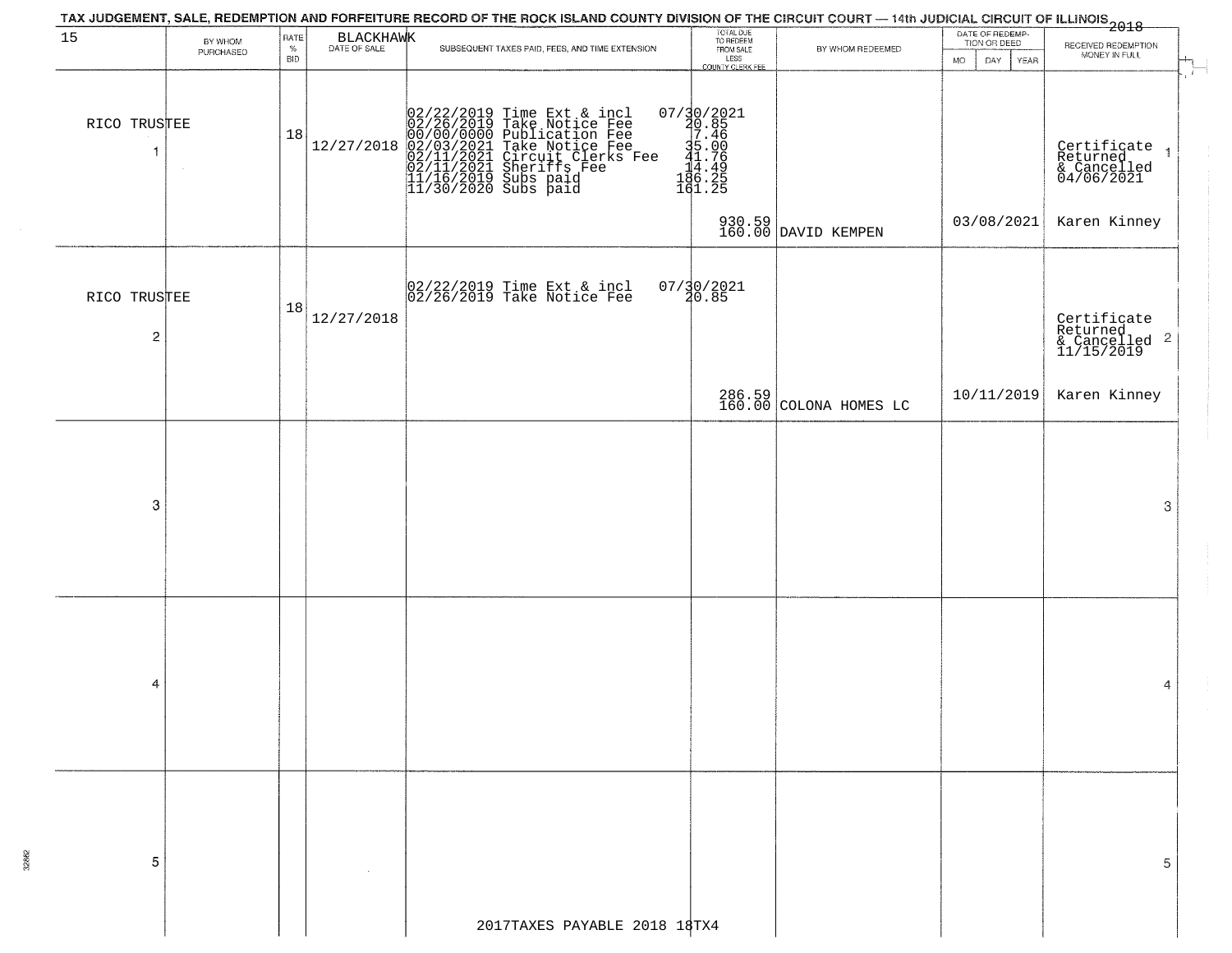|                                | TAX JUDGEMENT, SALE, REDEMPTION AND FORFEITURE RECORD OF THE ROCK ISLAND COUNTY DIVISION OF THE CIRCUIT COURT — 14th JUDICIAL CIRCUIT OF ILLINOIS<br>2018 - The Contract of December 1999<br>TOTAL DUE<br>TO REDEEM<br>DATE OF REDEMP-<br>BLACKHAWK<br>RATE<br>BY WHOM<br>TION OR DEED<br>RECEIVED REDEMPTION<br>$\%$ |            |            |                                                                                                                                                                                                                           |                                                                                             |                                  |                           |                                                                      |  |  |  |  |  |  |
|--------------------------------|-----------------------------------------------------------------------------------------------------------------------------------------------------------------------------------------------------------------------------------------------------------------------------------------------------------------------|------------|------------|---------------------------------------------------------------------------------------------------------------------------------------------------------------------------------------------------------------------------|---------------------------------------------------------------------------------------------|----------------------------------|---------------------------|----------------------------------------------------------------------|--|--|--|--|--|--|
| 15                             | PURCHASED                                                                                                                                                                                                                                                                                                             | <b>BID</b> |            | SUBSEQUENT TAXES PAID, FEES, AND TIME EXTENSION                                                                                                                                                                           | FROM SALE<br>LESS<br>COUNTY CLERK FEE                                                       | BY WHOM REDEEMED                 | <b>MO</b><br>DAY.<br>YEAR | MONEY IN FULL                                                        |  |  |  |  |  |  |
| RICO TRUSTEE<br>-1             |                                                                                                                                                                                                                                                                                                                       | 18         | 12/27/2018 | 02/22/2019 Time Ext & incl<br>02/26/2019 Take Notice Fee<br>00/00/00/000 Publication Fee<br>02/03/2021 Take Notice Fee<br>02/11/2021 Sheriffs Fee<br>11/16/2019 Subs paid<br>11/16/2019 Subs paid<br>11/30/2020 Subs paid | $\begin{smallmatrix}07/30/2021\\20.85\\7.46\\35.00\\14.496\\18.28\end{smallmatrix}$ e 11.00 |                                  |                           | $\vdash$<br>Certificate 1<br>Returned 1<br>& Cancelled<br>04/06/2021 |  |  |  |  |  |  |
|                                |                                                                                                                                                                                                                                                                                                                       |            |            |                                                                                                                                                                                                                           |                                                                                             | 930.59<br>160.00 DAVID KEMPEN    | 03/08/2021                | Karen Kinney                                                         |  |  |  |  |  |  |
| RICO TRUSTEE<br>$\overline{c}$ |                                                                                                                                                                                                                                                                                                                       | 18         | 12/27/2018 | $ 02/22/2019$ Time Ext & incl<br>$ 02/26/2019$ Take Notice Fee                                                                                                                                                            | $07/30/2021$<br>$30.85$                                                                     |                                  |                           | Certificate<br>Returned<br>& Cancelled <sup>2</sup><br>11/15/2019    |  |  |  |  |  |  |
|                                |                                                                                                                                                                                                                                                                                                                       |            |            |                                                                                                                                                                                                                           |                                                                                             | 286.59<br>160.00 COLONA HOMES LC | 10/11/2019                | Karen Kinney                                                         |  |  |  |  |  |  |
| 3                              |                                                                                                                                                                                                                                                                                                                       |            |            |                                                                                                                                                                                                                           |                                                                                             |                                  |                           | 3                                                                    |  |  |  |  |  |  |
| 4                              |                                                                                                                                                                                                                                                                                                                       |            |            |                                                                                                                                                                                                                           |                                                                                             |                                  |                           | 4                                                                    |  |  |  |  |  |  |
| 5                              |                                                                                                                                                                                                                                                                                                                       |            |            |                                                                                                                                                                                                                           |                                                                                             |                                  |                           | 5                                                                    |  |  |  |  |  |  |
|                                |                                                                                                                                                                                                                                                                                                                       |            |            | 2017TAXES PAYABLE 2018 18TX4                                                                                                                                                                                              |                                                                                             |                                  |                           |                                                                      |  |  |  |  |  |  |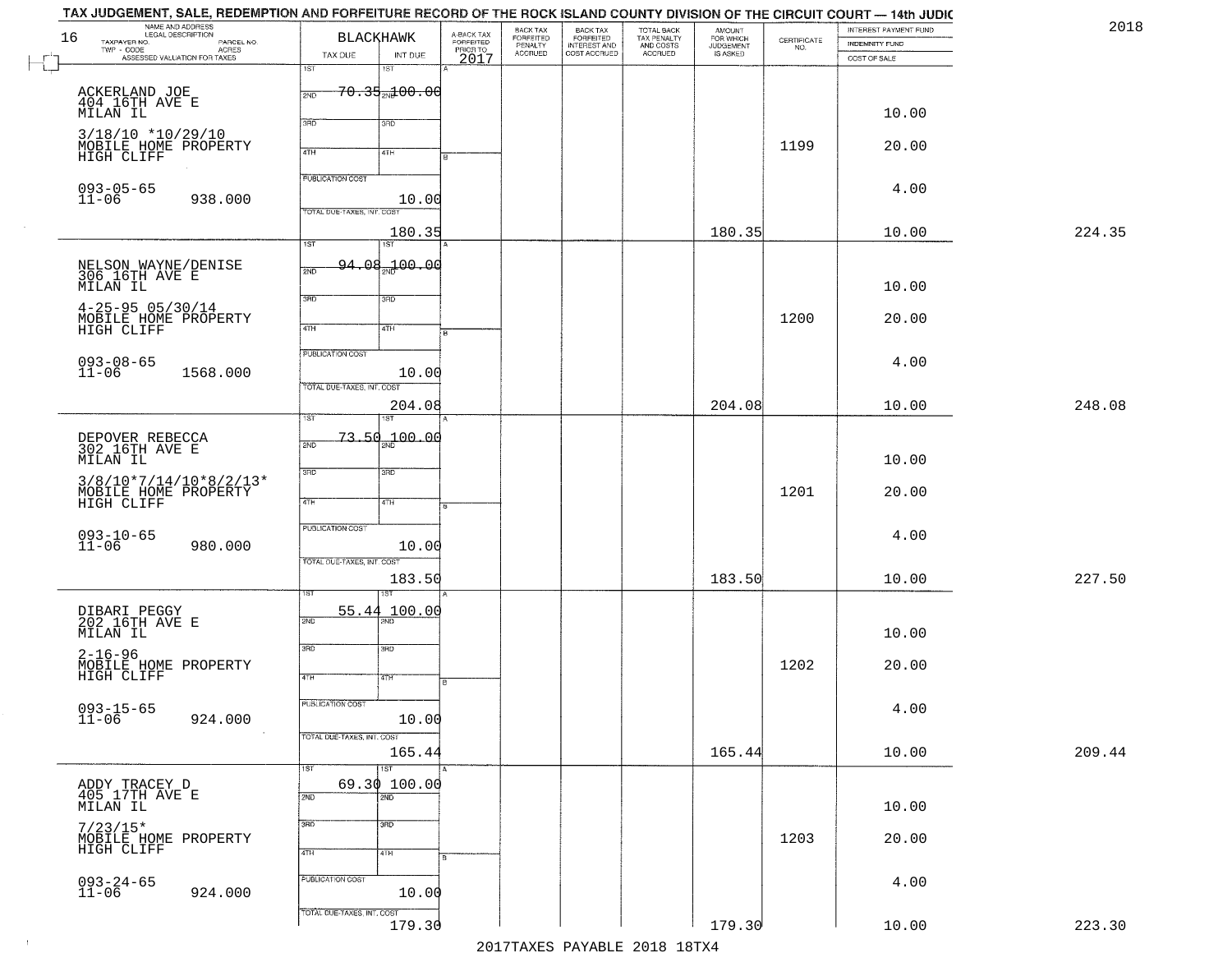| 2018   | INTEREST PAYMENT FUND<br><b>INDEMNITY FUND</b> | $\begin{array}{c} \text{CERTIFICATE} \\ \text{NO.} \end{array}$ | AMOUNT<br>FOR WHICH<br>JUDGEMENT<br>IS ASKED | TOTAL BACK<br>TAX PENALTY<br>AND COSTS | BACK TAX<br>FORFEITED<br>INTEREST AND | BACK TAX<br>FORFEITED<br>PENALTY | A-BACK TAX<br>FORFEITED<br>PRIOR TO<br>2017 | <b>BLACKHAWK</b>                    |                                    | NAME AND ADDRESS<br>LEGAL DESCRIPTION<br>TAXPAYER NO.                                                                       | 16        |
|--------|------------------------------------------------|-----------------------------------------------------------------|----------------------------------------------|----------------------------------------|---------------------------------------|----------------------------------|---------------------------------------------|-------------------------------------|------------------------------------|-----------------------------------------------------------------------------------------------------------------------------|-----------|
|        | COST OF SALE                                   |                                                                 |                                              | ACCRUED                                | COST ACCRUED                          | <b>ACCRUED</b>                   |                                             | INT DUE<br>1ST                      | TAX DUE<br>1ST                     | LEGAL DESCRIPTION<br>- CODE ACRES<br>- CODE ACRES<br>ASSESSED VALUATION FOR TAXES<br>$\textsf{TWP} \textsf{-}\textsf{CODE}$ | $\perp$   |
|        | 10.00                                          |                                                                 |                                              |                                        |                                       |                                  |                                             | <del>70.35<sub>20</sub>100.00</del> | 2ND                                | ACKERLAND JOE<br>404 16TH AVE E<br>MILAN IL                                                                                 |           |
|        | 20.00                                          | 1199                                                            |                                              |                                        |                                       |                                  |                                             | 3RD<br>41H                          | 370<br>4TH                         | $3/18/10$ *10/29/10<br>MOBILE HOME PROPERTY<br>HIGH CLIFF                                                                   |           |
|        | 4.00                                           |                                                                 |                                              |                                        |                                       |                                  |                                             | 10.00                               | PUBLICATION COST                   | $093 - 05 - 65$<br>938.000                                                                                                  | $11 - 06$ |
| 224.35 | 10.00                                          |                                                                 | 180.35                                       |                                        |                                       |                                  |                                             | 180.35<br>1ST                       | TOTAL DUE-TAXES, INT. COST<br>1ST  |                                                                                                                             |           |
|        | 10.00                                          |                                                                 |                                              |                                        |                                       |                                  |                                             | <del>94.08<sub>20</sub>100.00</del> | 2ND                                | NELSON WAYNE/DENISE<br>306 16TH AVE E<br>MILAN IL                                                                           |           |
|        | 20.00                                          | 1200                                                            |                                              |                                        |                                       |                                  |                                             | 3RD<br>4TH                          | 3BD<br>$\sqrt{4}$                  | $4 - 25 - 9505/30/14$<br>MOBILE HOME PROPERTY<br>HIGH CLIFF                                                                 |           |
|        | 4.00                                           |                                                                 |                                              |                                        |                                       |                                  |                                             | 10.00                               | PUBLICATION COST                   | $093 - 08 - 65$<br>11-06<br>1568.000                                                                                        |           |
| 248.08 | 10.00                                          |                                                                 | 204.08                                       |                                        |                                       |                                  |                                             | 204.08                              | TOTAL DUE-TAXES, INT. COST<br>TST. |                                                                                                                             |           |
|        | 10.00                                          |                                                                 |                                              |                                        |                                       |                                  |                                             | 100.00                              | 73.50<br>2ND                       | DEPOVER REBECCA<br>302 16TH AVE E<br>MILAN IL                                                                               |           |
|        | 20.00                                          | 1201                                                            |                                              |                                        |                                       |                                  |                                             | 3RD<br>4TH                          | 3RD<br>4TH                         | $3/8/10*7/14/10*8/2/13*$<br>MOBILE HOME PROPERTY<br>HIGH CLIFF                                                              |           |
|        | 4.00                                           |                                                                 |                                              |                                        |                                       |                                  |                                             | 10.00                               | <b>PUBLICATION COST</b>            | $093 - 10 - 65$<br>11-06<br>980.000                                                                                         |           |
| 227.50 | 10.00                                          |                                                                 | 183.50                                       |                                        |                                       |                                  |                                             | 183.50                              | TOTAL OUE-TAXES, INT. COST         |                                                                                                                             |           |
|        | 10.00                                          |                                                                 |                                              |                                        |                                       |                                  |                                             | 100.00                              | 55.44<br>2ND                       | DIBARI PEGGY<br>202 16TH AVE E<br>MĪLAN IL                                                                                  |           |
|        | 20.00                                          | 1202                                                            |                                              |                                        |                                       |                                  | R                                           | 3BD<br>4TH                          | 3RD<br>4TH                         | $2 - 16 - 96$<br>MOBILE HOME PROPERTY<br>HIGH CLIFF                                                                         |           |
|        | 4.00                                           |                                                                 |                                              |                                        |                                       |                                  |                                             | 10.00                               | PUBLICATION COST                   | $093 - 15 - 65$<br>11-06<br>924.000                                                                                         |           |
| 209.44 | 10.00                                          |                                                                 | 165.44                                       |                                        |                                       |                                  |                                             | 165.44<br><b>IST</b>                | TOTAL DUE-TAXES, INT. COST<br>1ST  |                                                                                                                             |           |
|        | 10.00                                          |                                                                 |                                              |                                        |                                       |                                  |                                             | 69.30 100.00<br>$\overline{2ND}$    | 2ND                                | ADDY TRACEY D<br>405 17TH AVE E<br>MILAN IL                                                                                 |           |
|        | 20.00                                          | 1203                                                            |                                              |                                        |                                       |                                  |                                             | 3BD<br>4TH                          | 3RD<br>4TH                         | $7/23/15*$<br>MOBILE HOME PROPERTY<br>HIGH CLIFF                                                                            |           |
|        | 4.00                                           |                                                                 |                                              |                                        |                                       |                                  |                                             | 10.00                               | PUBLICATION COST                   | $093 - 24 - 65$<br>11-06<br>924.000                                                                                         |           |
| 223.30 | 10.00                                          |                                                                 | 179.30                                       |                                        |                                       |                                  |                                             | 179.30                              | TOTAL DUE-TAXES, INT. COST         |                                                                                                                             |           |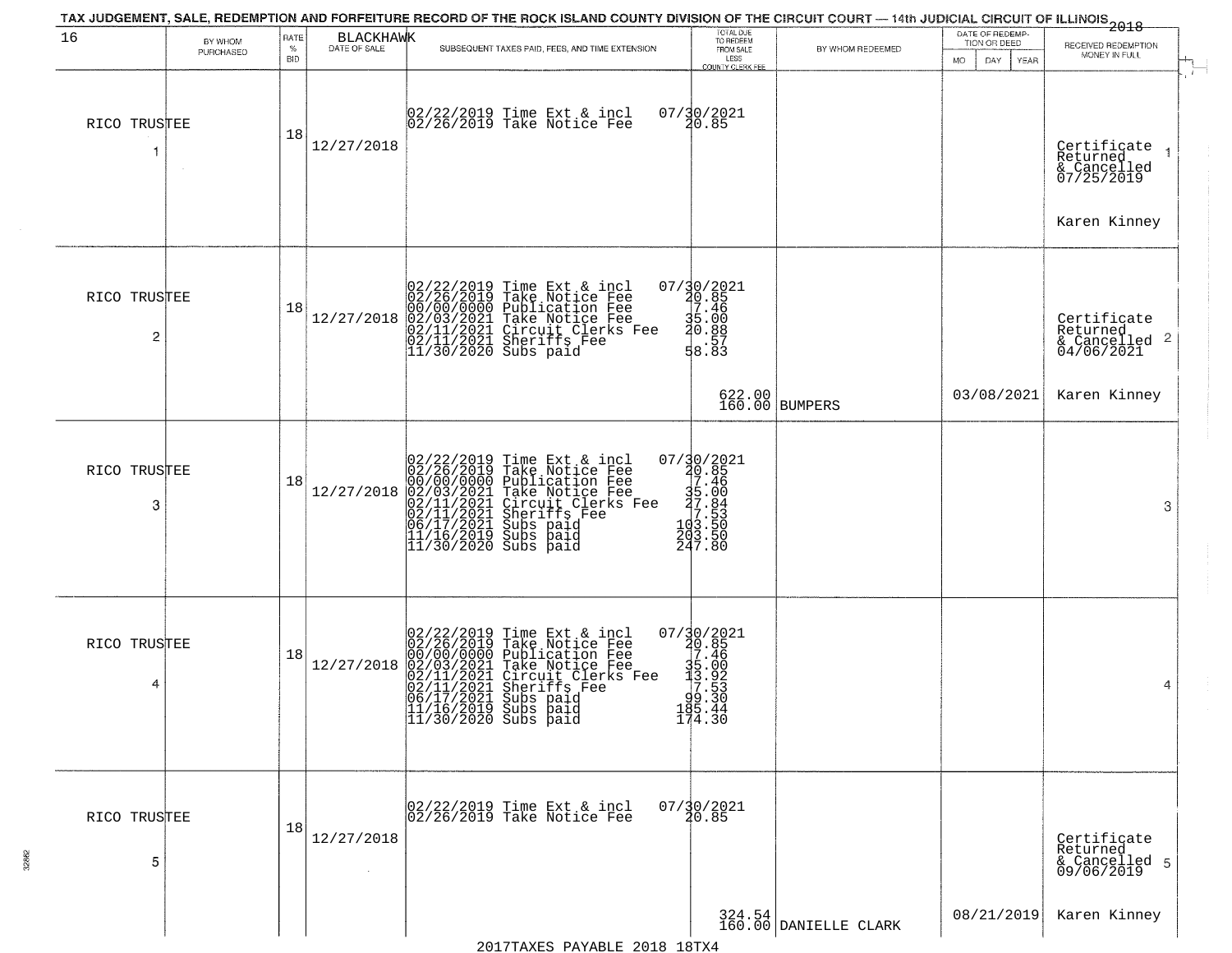| 16                             | BY WHOM   | RATE               | <b>BLACKHAWK</b> |                                                                                                                                                                                                                                                          | TOTAL DUE<br>TO REDEEM                                                                                                     |                                 | DATE OF REDEMP-<br>TION OR DEED | .<br>2018<br>RECEIVED REDEMPTION                                                       |
|--------------------------------|-----------|--------------------|------------------|----------------------------------------------------------------------------------------------------------------------------------------------------------------------------------------------------------------------------------------------------------|----------------------------------------------------------------------------------------------------------------------------|---------------------------------|---------------------------------|----------------------------------------------------------------------------------------|
|                                | PURCHASED | $\%$<br><b>BID</b> | DATE OF SALE     | SUBSEQUENT TAXES PAID, FEES, AND TIME EXTENSION                                                                                                                                                                                                          | FROM SALE<br>LESS<br><b>COUNTY CLERK FEE</b>                                                                               | BY WHOM REDEEMED                | <b>MO</b><br>DAY<br>YEAR        | MONEY IN FULL                                                                          |
| RICO TRUSTEE                   |           | 18                 | 12/27/2018       | 02/22/2019 Time Ext & incl<br>02/26/2019 Take Notice Fee                                                                                                                                                                                                 | 07/30/2021<br>20.85                                                                                                        |                                 |                                 | $\mathbf{r}$<br>Certificate 1<br>Returned<br>& Cancelled<br>07/25/2019<br>Karen Kinney |
| RICO TRUSTEE<br>$\overline{c}$ |           | 18                 | 12/27/2018       | $02/22/2019$ Time Ext & incl<br>02/26/2019 Take Notice Fee<br>00/00/0000 Publication Fee<br>02/03/2021 Take Notice Fee<br>02/11/2021 Circuit Clerks Fee<br>02/11/2021 Sheriffs Fee<br>11/30/2020 Subs paid                                               | 07/30/2021<br>20.85<br>30.85<br>35.46<br>30.88<br>8.83                                                                     |                                 | 03/08/2021                      | Certificate<br>Returned<br>$\frac{1}{6}$ Cancelled 2<br>04/06/2021<br>Karen Kinney     |
|                                |           |                    |                  |                                                                                                                                                                                                                                                          |                                                                                                                            | 622.00 BUMPERS                  |                                 |                                                                                        |
| RICO TRUSTEE<br>3              |           | 18                 | 12/27/2018       | 02/22/2019 Time Ext & incl<br>02/26/2019 Take Notice Fee<br>00/00/000 Publication Fee<br>02/01/2021 Take Notice Fee<br>02/11/2021 Circuit Clerks Fee<br>02/11/2021 Subs paid<br>06/17/2021 Subs paid<br>11/16/2019 Subs paid<br>11/16/2019 Subs paid<br> | $\begin{smallmatrix}07/30/2021\\20.85\\7.46\\7.46\\19.50\\10.7\\10.84\\10.53\\10.50\\203.50\\247.80\end{smallmatrix}$      |                                 |                                 | 3                                                                                      |
| RICO TRUSTEE<br>4              |           | 18                 | 12/27/2018       | 02/22/2019 Time Ext & incl<br>02/26/2019 Take Notice Fee<br>00/00/0000 Publication Fee<br>02/01/2021 Take Notice Fee<br>02/11/2021 Circuit Clerks Fee<br>02/11/2021 Subs paid<br>06/17/2021 Subs paid<br>11/16/2019 Subs paid<br>11/16/2019 Subs paid    | $\begin{smallmatrix} 07/30/2021\\ 20.85\\ 7.46\\ 15.90\\ 15.923\\ -15.923\\ -19.530\\ 165.44\\ 174.30\\ \end{smallmatrix}$ |                                 |                                 | $\overline{4}$                                                                         |
| RICO TRUSTEE<br>5              |           | 18                 | 12/27/2018       | 02/22/2019 Time Ext & incl<br>02/26/2019 Take Notice Fee                                                                                                                                                                                                 | $07/\frac{30}{20.85}$                                                                                                      |                                 |                                 | Certificate<br>Returned<br>& Cancelled 5<br>09/06/2019                                 |
|                                |           |                    |                  |                                                                                                                                                                                                                                                          |                                                                                                                            | 324.54<br>160.00 DANIELLE CLARK | 08/21/2019                      | Karen Kinney                                                                           |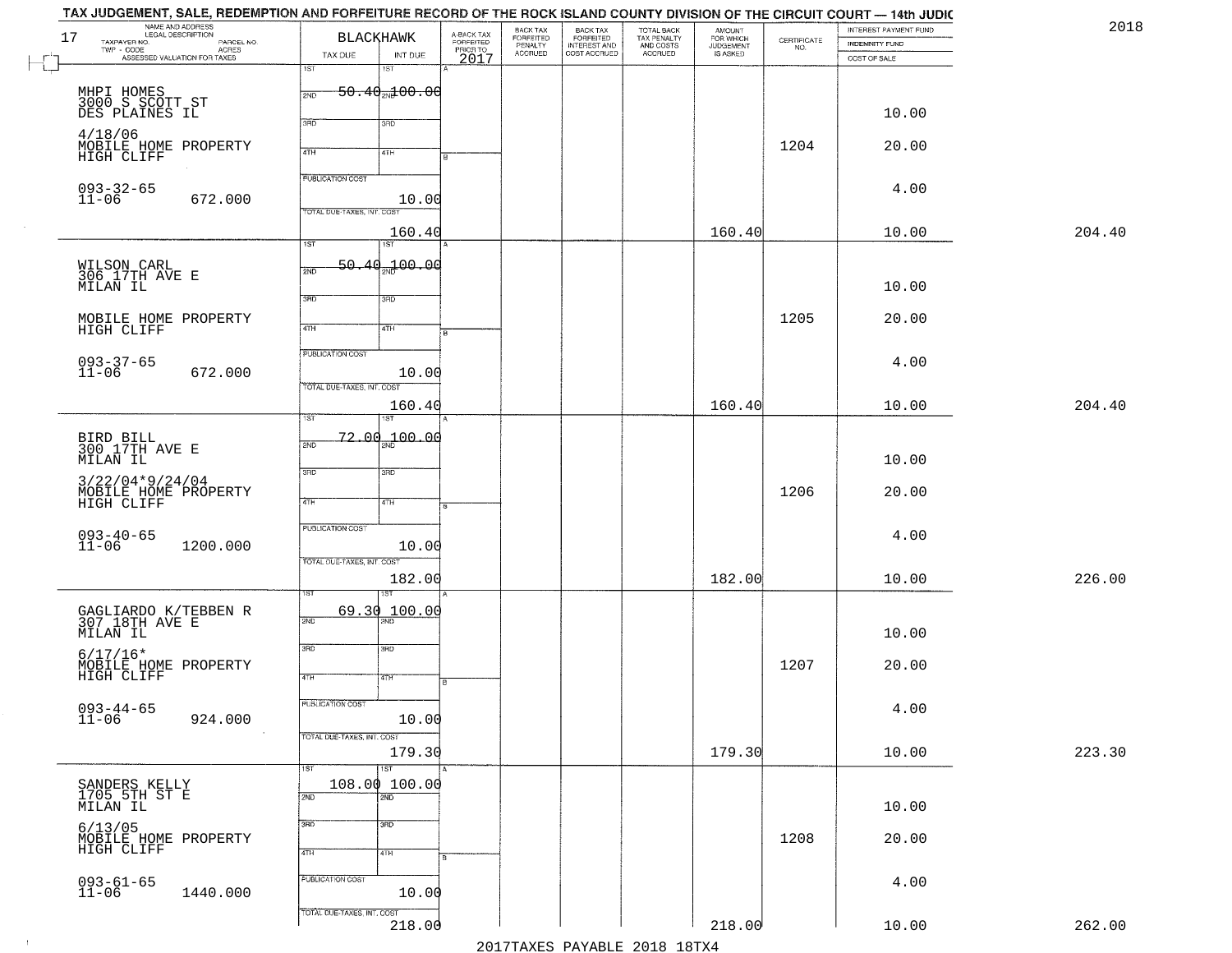| TAX JUDGEMENT, SALE, REDEMPTION AND FORFEITURE RECORD OF THE ROCK ISLAND COUNTY DIVISION OF THE CIRCUIT COURT — 14th JUDIC |                               |         |                         |                       |                                                       |                                                   |                                    |                                                                |                       |        |
|----------------------------------------------------------------------------------------------------------------------------|-------------------------------|---------|-------------------------|-----------------------|-------------------------------------------------------|---------------------------------------------------|------------------------------------|----------------------------------------------------------------|-----------------------|--------|
| NAME AND ADDRESS<br>LEGAL DESCRIPTION<br>17                                                                                | <b>BLACKHAWK</b>              |         | A-BACK TAX<br>FORFEITED | BACK TAX<br>FORFEITED |                                                       |                                                   | <b>AMOUNT</b>                      |                                                                | INTEREST PAYMENT FUND | 2018   |
| TAXPAYER NO.<br>PARCEL NO.<br>TWP - CODE<br>- CODE ACRES<br>ASSESSED VALUATION FOR TAXES                                   | TAX DUE                       | INT DUE |                         | PENALTY<br>ACCRUED    | BACK TAX<br>FORFEITED<br>INTEREST AND<br>COST ACCRUED | TOTAL BACK<br>TAX PENALTY<br>AND COSTS<br>ACCRUED | FOR WHICH<br>JUDGEMENT<br>IS ASKED | $\begin{array}{c} \text{GETIFICATE} \\ \text{NO.} \end{array}$ | <b>INDEMNITY FUND</b> |        |
|                                                                                                                            | 1ST<br>1ST                    |         | PRIOR TO<br>2017        |                       |                                                       |                                                   |                                    |                                                                | COST OF SALE          |        |
|                                                                                                                            |                               |         |                         |                       |                                                       |                                                   |                                    |                                                                |                       |        |
| MHPI HOMES<br>3000 S SCOTT ST<br>DES PLAINES IL                                                                            | $50.40$ and $00.00$<br>2ND    |         |                         |                       |                                                       |                                                   |                                    |                                                                |                       |        |
|                                                                                                                            |                               |         |                         |                       |                                                       |                                                   |                                    |                                                                | 10.00                 |        |
|                                                                                                                            | 3RD<br>3RD                    |         |                         |                       |                                                       |                                                   |                                    |                                                                |                       |        |
| 4/18/06<br>MOBILE HOME PROPERTY                                                                                            |                               |         |                         |                       |                                                       |                                                   |                                    | 1204                                                           | 20.00                 |        |
| HIGH CLIFF                                                                                                                 | 4TH<br>4TH                    |         |                         |                       |                                                       |                                                   |                                    |                                                                |                       |        |
|                                                                                                                            | <b>PUBLICATION COST</b>       |         |                         |                       |                                                       |                                                   |                                    |                                                                |                       |        |
|                                                                                                                            |                               |         |                         |                       |                                                       |                                                   |                                    |                                                                | 4.00                  |        |
| $093 - 32 - 65$<br>11-06<br>672.000                                                                                        |                               | 10.00   |                         |                       |                                                       |                                                   |                                    |                                                                |                       |        |
|                                                                                                                            | TOTAL DUE-TAXES, INT. COST    |         |                         |                       |                                                       |                                                   |                                    |                                                                |                       |        |
|                                                                                                                            |                               | 160.40  |                         |                       |                                                       |                                                   | 160.40                             |                                                                | 10.00                 | 204.40 |
|                                                                                                                            | $\overline{1ST}$<br>1ST       |         |                         |                       |                                                       |                                                   |                                    |                                                                |                       |        |
| WILSON CARL<br>306 17TH AVE E                                                                                              | 50.40<br>2ND                  | 200.00  |                         |                       |                                                       |                                                   |                                    |                                                                |                       |        |
| MILAN IL                                                                                                                   |                               |         |                         |                       |                                                       |                                                   |                                    |                                                                | 10.00                 |        |
|                                                                                                                            | 3RD<br>3RD                    |         |                         |                       |                                                       |                                                   |                                    |                                                                |                       |        |
| MOBILE HOME PROPERTY                                                                                                       |                               |         |                         |                       |                                                       |                                                   |                                    | 1205                                                           | 20.00                 |        |
| HIGH CLIFF                                                                                                                 | $\overline{47H}$<br>4TH       |         |                         |                       |                                                       |                                                   |                                    |                                                                |                       |        |
|                                                                                                                            | PUBLICATION COST              |         |                         |                       |                                                       |                                                   |                                    |                                                                |                       |        |
| $093 - 37 - 65$<br>11-06                                                                                                   |                               |         |                         |                       |                                                       |                                                   |                                    |                                                                | 4.00                  |        |
| 672.000                                                                                                                    | TOTAL DUE-TAXES, INT. COST    | 10.00   |                         |                       |                                                       |                                                   |                                    |                                                                |                       |        |
|                                                                                                                            |                               |         |                         |                       |                                                       |                                                   |                                    |                                                                |                       |        |
|                                                                                                                            | 1ST<br>ST                     | 160.40  |                         |                       |                                                       |                                                   | 160.40                             |                                                                | 10.00                 | 204.40 |
|                                                                                                                            |                               |         |                         |                       |                                                       |                                                   |                                    |                                                                |                       |        |
| BIRD BILL<br>300 17TH AVE E                                                                                                | $-72.00_{20}$ $-00.00$<br>2ND |         |                         |                       |                                                       |                                                   |                                    |                                                                |                       |        |
| MILAN IL                                                                                                                   |                               |         |                         |                       |                                                       |                                                   |                                    |                                                                | 10.00                 |        |
| $3/22/04*9/24/04$                                                                                                          | 3RD<br>3BD                    |         |                         |                       |                                                       |                                                   |                                    |                                                                |                       |        |
| MOBILE HOME PROPERTY                                                                                                       |                               |         |                         |                       |                                                       |                                                   |                                    | 1206                                                           | 20.00                 |        |
| HIGH CLIFF                                                                                                                 | 4TH<br>4TH                    |         |                         |                       |                                                       |                                                   |                                    |                                                                |                       |        |
|                                                                                                                            | <b>PUBLICATION COST</b>       |         |                         |                       |                                                       |                                                   |                                    |                                                                |                       |        |
| $093 - 40 - 65$<br>11-06<br>1200.000                                                                                       |                               | 10.00   |                         |                       |                                                       |                                                   |                                    |                                                                | 4.00                  |        |
|                                                                                                                            | TOTAL OUE-TAXES, INT. COST    |         |                         |                       |                                                       |                                                   |                                    |                                                                |                       |        |
|                                                                                                                            |                               | 182.00  |                         |                       |                                                       |                                                   | 182.00                             |                                                                | 10.00                 | 226.00 |
|                                                                                                                            | ख़                            |         |                         |                       |                                                       |                                                   |                                    |                                                                |                       |        |
|                                                                                                                            | 69.30                         | 100.00  |                         |                       |                                                       |                                                   |                                    |                                                                |                       |        |
| GAGLIARDO K/TEBBEN R<br>307 18TH AVE E                                                                                     | 2ND                           |         |                         |                       |                                                       |                                                   |                                    |                                                                |                       |        |
| MILAN IL                                                                                                                   |                               |         |                         |                       |                                                       |                                                   |                                    |                                                                | 10.00                 |        |
| $6/17/16*$                                                                                                                 | 3RD<br>3RD                    |         |                         |                       |                                                       |                                                   |                                    |                                                                |                       |        |
| MOBILE HOME PROPERTY<br>HIGH CLIFF                                                                                         |                               |         |                         |                       |                                                       |                                                   |                                    | 1207                                                           | 20.00                 |        |
|                                                                                                                            | 4TH<br>4TH                    |         |                         |                       |                                                       |                                                   |                                    |                                                                |                       |        |
|                                                                                                                            | PUBLICATION COST              |         |                         |                       |                                                       |                                                   |                                    |                                                                |                       |        |
| 093-44-65<br>11-06<br>924.000                                                                                              |                               | 10.00   |                         |                       |                                                       |                                                   |                                    |                                                                | 4.00                  |        |
|                                                                                                                            | TOTAL DUE-TAXES, INT. COST    |         |                         |                       |                                                       |                                                   |                                    |                                                                |                       |        |
|                                                                                                                            |                               | 179.30  |                         |                       |                                                       |                                                   | 179.30                             |                                                                | 10.00                 | 223.30 |
|                                                                                                                            | 1ST<br>1ST                    |         |                         |                       |                                                       |                                                   |                                    |                                                                |                       |        |
|                                                                                                                            | 108.00 100.00                 |         |                         |                       |                                                       |                                                   |                                    |                                                                |                       |        |
| SANDERS KELLY<br>1705 5TH ST E                                                                                             | $\overline{2ND}$<br>2ND       |         |                         |                       |                                                       |                                                   |                                    |                                                                |                       |        |
| MILAN IL                                                                                                                   |                               |         |                         |                       |                                                       |                                                   |                                    |                                                                | 10.00                 |        |
| 6/13/05                                                                                                                    | 3RD<br>$\overline{3}$ RD      |         |                         |                       |                                                       |                                                   |                                    |                                                                |                       |        |
| MOBILE HOME PROPERTY<br>HIGH CLIFF                                                                                         | 4TH                           |         |                         |                       |                                                       |                                                   |                                    | 1208                                                           | 20.00                 |        |
|                                                                                                                            | 4TH                           |         |                         |                       |                                                       |                                                   |                                    |                                                                |                       |        |
|                                                                                                                            | PUBLICATION COST              |         |                         |                       |                                                       |                                                   |                                    |                                                                | 4.00                  |        |
| $093 - 61 - 65$<br>11-06<br>1440.000                                                                                       |                               | 10.00   |                         |                       |                                                       |                                                   |                                    |                                                                |                       |        |
|                                                                                                                            | TOTAL DUE-TAXES, INT. COST    |         |                         |                       |                                                       |                                                   |                                    |                                                                |                       |        |
|                                                                                                                            |                               | 218.00  |                         |                       |                                                       |                                                   | 218.00                             |                                                                | 10.00                 | 262.00 |
|                                                                                                                            |                               |         |                         |                       |                                                       | 2017 THAVEC DAVARIE 2010 19TVA                    |                                    |                                                                |                       |        |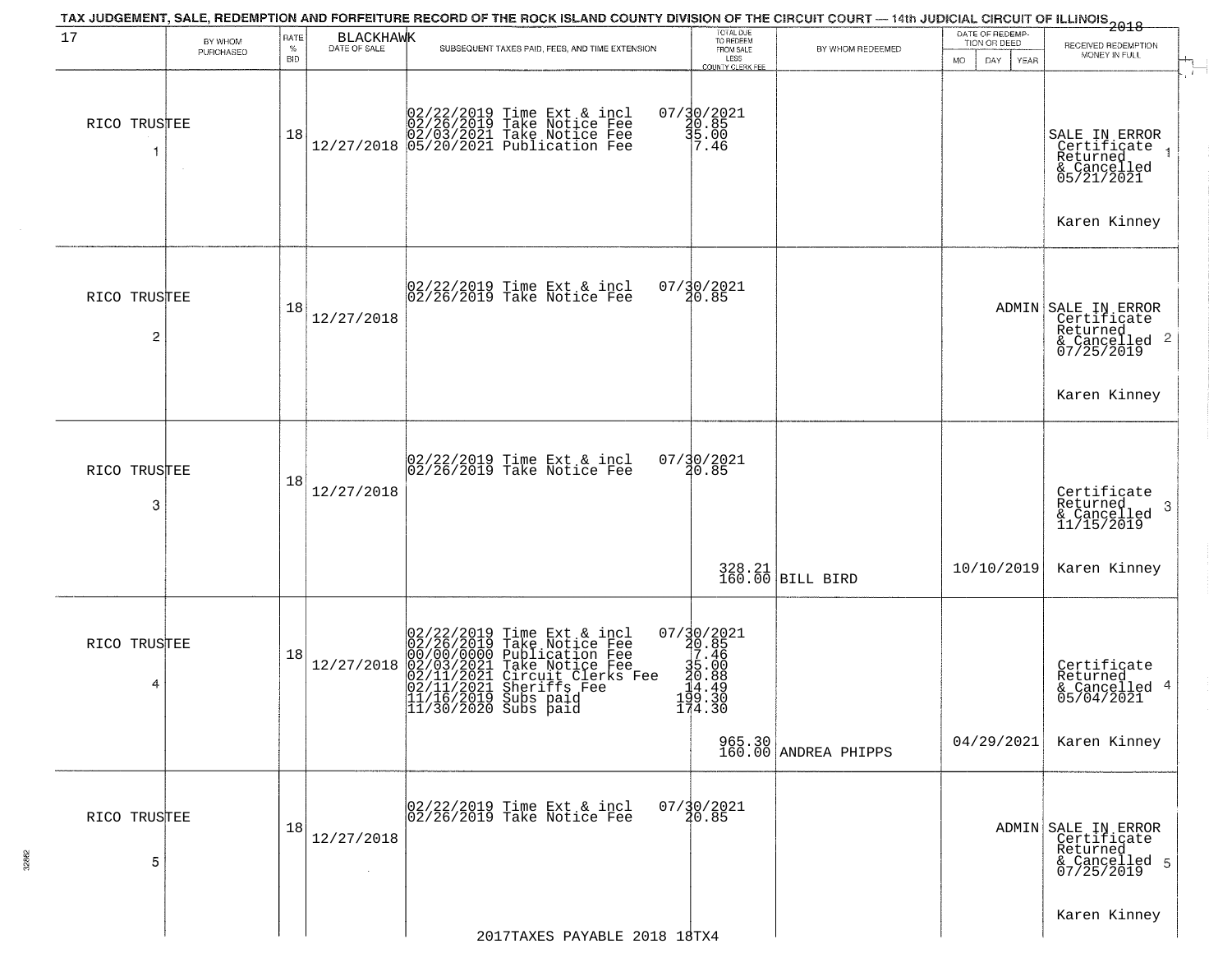| 17                | BY WHOM<br>PURCHASED | RATE<br>$\%$<br><b>BID</b> | BLACKHAWK  | TAX JUDGEMENT, SALE, REDEMPTION AND FORFEITURE RECORD OF THE ROCK ISLAND COUNTY DIVISION OF THE CIRCUIT COURT — 14th JUDICIAL CIRCUIT OF ILLINOIS 2018<br>SUBSEQUENT TAXES PAID, FEES, AND TIME EXTENSION                         | TOTAL DUE<br>TO REDEEM<br>FROM SALE<br>LESS<br>COUNTY CLERK FEE                | BY WHOM REDEEMED               | DATE OF REDEMP-<br>TION OR DEED<br>DAY<br><b>MO</b><br><b>YEAR</b> | RECEIVED REDEMPTION<br>MONEY IN FULL                                                          |
|-------------------|----------------------|----------------------------|------------|-----------------------------------------------------------------------------------------------------------------------------------------------------------------------------------------------------------------------------------|--------------------------------------------------------------------------------|--------------------------------|--------------------------------------------------------------------|-----------------------------------------------------------------------------------------------|
| RICO TRUSTEE<br>1 |                      | 18                         |            | $[02/22/2019 \text{ Time Ext & incl} \brack 02/26/2019 \text{ Take Notice Free} \brack 02/03/2021 \text{ Take Notice Free} \brack 12/27/2018 \begin{bmatrix} 05/20/2021 \text{ Publication} \end{bmatrix}$                        | $07/30/2021$<br>$30.85$<br>$5.00$<br>7.46                                      |                                |                                                                    | SALE IN ERROR<br>Certificate<br>Returned<br>& Cancelled<br>05/21/2021<br>Karen Kinney         |
| RICO TRUSTEE<br>2 |                      | 18                         | 12/27/2018 | 02/22/2019 Time Ext & incl<br>02/26/2019 Take Notice Fee                                                                                                                                                                          | 07/30/2021<br>20.85                                                            |                                |                                                                    | ADMIN SALE IN ERROR<br>Certificate<br>Returned<br>& Cancelled 2<br>07/25/2019<br>Karen Kinney |
| RICO TRUSTEE<br>3 |                      | 18                         | 12/27/2018 | 02/22/2019 Time Ext & incl<br>02/26/2019 Take Notice Fee                                                                                                                                                                          | 07/30/2021<br>20.85                                                            |                                |                                                                    | Certificate<br>Returned<br>-3<br>& Cancelled<br>11/15/2019                                    |
|                   |                      |                            |            |                                                                                                                                                                                                                                   |                                                                                | 328.21<br>160.00 BILL BIRD     | 10/10/2019                                                         | Karen Kinney                                                                                  |
| RICO TRUSTEE<br>4 |                      | 18                         | 12/27/2018 | 02/22/2019 Time Ext & incl<br>02/26/2019 Take Notice Fee<br>00/00/00000 Publication Fee<br>02/11/2021 Take Notice Fee<br>02/11/2021 Circuit Clerks Fee<br>02/11/2021 Sheriffs Fee<br>11/16/2019 Subs paid<br>11/30/2020 Subs paid | 07/30/2021<br>20.85<br>35.46<br>35.46<br>36.008<br>34.489<br>194.330<br>174.30 |                                |                                                                    | Certificate<br>Returned<br>& Cancelled 4<br>05/04/2021                                        |
|                   |                      |                            |            |                                                                                                                                                                                                                                   |                                                                                | 965.30<br>160.00 ANDREA PHIPPS | 04/29/2021                                                         | Karen Kinney                                                                                  |
| RICO TRUSTEE<br>5 |                      | 18                         | 12/27/2018 | 02/22/2019 Time Ext & incl<br>02/26/2019 Take Notice Fee                                                                                                                                                                          | $07/\frac{30}{20.85}$                                                          |                                |                                                                    | ADMIN SALE IN ERROR<br>Certificate<br>Returned<br>& Cancelled 5<br>07/25/2019                 |
|                   |                      |                            |            | 2017TAXES PAYABLE 2018 18TX4                                                                                                                                                                                                      |                                                                                |                                |                                                                    | Karen Kinney                                                                                  |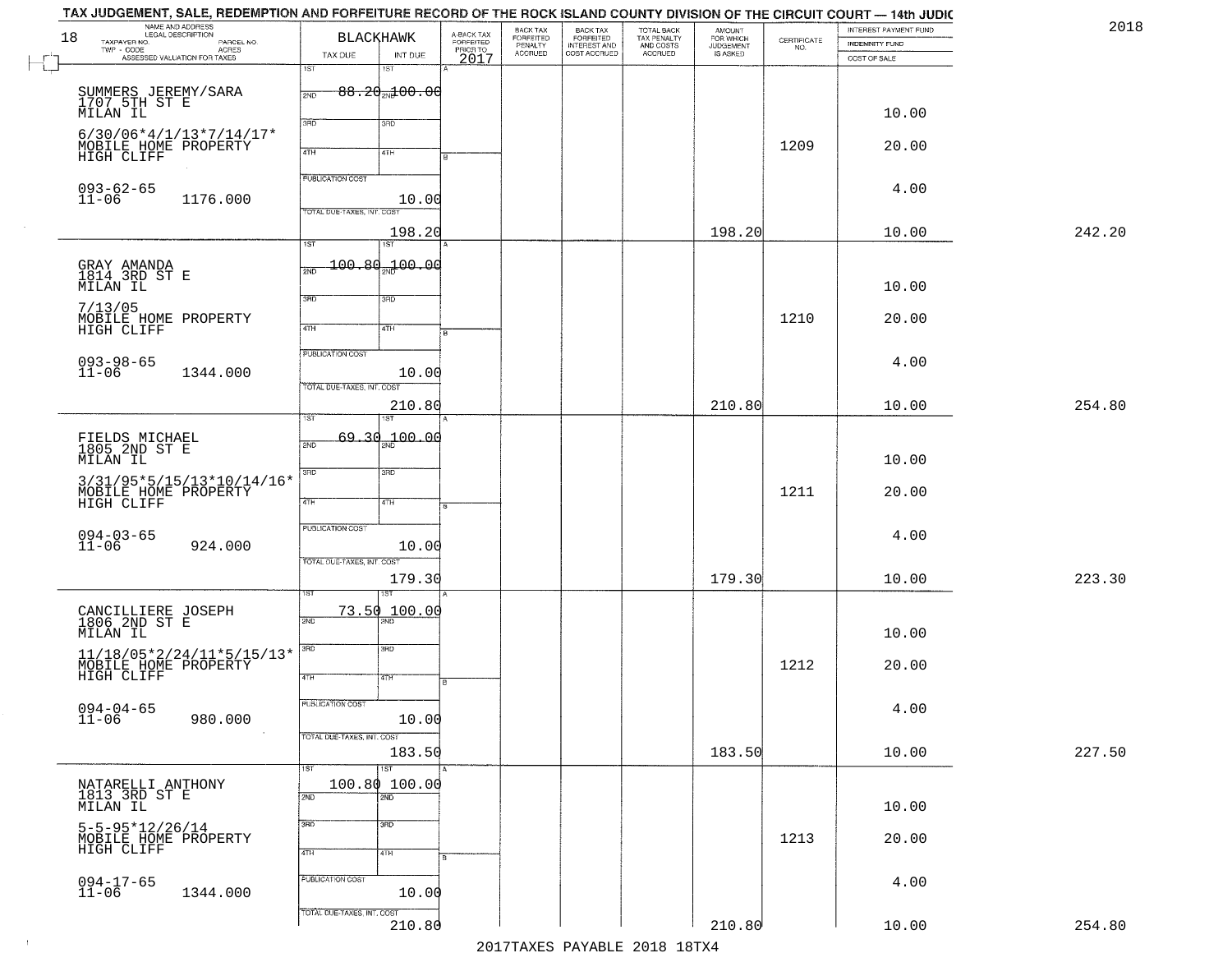| 18<br>TAXPAYER NO.                       | NAME AND ADDRESS<br>LEGAL DESCRIPTION<br>PARCEL NO.                                                                                                                               | BLACKHAWK                                             |                                          | A-BACK TAX<br>FORFEITED<br>PRIOR TO<br>2017 | BACK TAX<br>FORFEITED<br>PENALTY<br>ACCRUED | BACK TAX<br>FORFEITED<br>INTEREST AND<br>COST ACCRUED | TOTAL BACK<br>TAX PENALTY<br>AND COSTS<br>ACCRUED | <b>AMOUNT</b><br>FOR WHICH<br>JUDGEMENT<br>IS ASKED | $\begin{array}{c} \text{CERTIFICATE} \\ \text{NO.} \end{array}$ | INTEREST PAYMENT FUND<br>INDEMNITY FUND | 2018   |
|------------------------------------------|-----------------------------------------------------------------------------------------------------------------------------------------------------------------------------------|-------------------------------------------------------|------------------------------------------|---------------------------------------------|---------------------------------------------|-------------------------------------------------------|---------------------------------------------------|-----------------------------------------------------|-----------------------------------------------------------------|-----------------------------------------|--------|
|                                          | TWP - CODE<br>ASSESSED VALUATION FOR TAXES                                                                                                                                        | TAX DUE<br>1ST                                        | INT DUE<br>1ST                           |                                             |                                             |                                                       |                                                   |                                                     |                                                                 | COST OF SALE                            |        |
| MILAN IL                                 | SUMMERS JEREMY/SARA<br>1707 5TH ST E                                                                                                                                              | 2ND<br>3RD                                            | $88.20$ al $00.00$                       |                                             |                                             |                                                       |                                                   |                                                     |                                                                 | 10.00                                   |        |
| HIGH CLIFF                               | $6/30/06*4/1/13*7/14/17*$<br>MOBILE HOME PROPERTY                                                                                                                                 | 4TH                                                   | 3RD<br>4TH                               |                                             |                                             |                                                       |                                                   |                                                     | 1209                                                            | 20.00                                   |        |
| 093-62-65<br>11-06                       | 1176.000                                                                                                                                                                          | <b>PUBLICATION COST</b><br>TOTAL DUE-TAXES, INT. COST | 10.00                                    |                                             |                                             |                                                       |                                                   |                                                     |                                                                 | 4.00                                    |        |
|                                          |                                                                                                                                                                                   | $\overline{1ST}$                                      | 198.20<br>1ST                            |                                             |                                             |                                                       |                                                   | 198.20                                              |                                                                 | 10.00                                   | 242.20 |
| GRAY AMANDA<br>1814 3RD ST E<br>MILAN IL |                                                                                                                                                                                   | 100.8d<br>2ND                                         | 00.00 <del>س</del>                       |                                             |                                             |                                                       |                                                   |                                                     |                                                                 | 10.00                                   |        |
| 7/13/05<br>HIGH CLIFF                    | MOBILE HOME PROPERTY                                                                                                                                                              | 3BD<br>47H                                            | 3RD<br>4TH                               |                                             |                                             |                                                       |                                                   |                                                     | 1210                                                            | 20.00                                   |        |
| $093 - 98 - 65$<br>11-06                 | 1344.000                                                                                                                                                                          | PUBLICATION COST                                      | 10.00                                    |                                             |                                             |                                                       |                                                   |                                                     |                                                                 | 4.00                                    |        |
|                                          |                                                                                                                                                                                   | TOTAL DUE-TAXES, INT. COST                            | 210.80                                   |                                             |                                             |                                                       |                                                   | 210.80                                              |                                                                 | 10.00                                   | 254.80 |
| MILAN IL                                 | FIELDS MICHAEL<br>1805 2ND ST E                                                                                                                                                   | ist<br>2ND                                            | 69.30 <sub>an</sub> 100.00               |                                             |                                             |                                                       |                                                   |                                                     |                                                                 | 10.00                                   |        |
|                                          | 3/31/95*5/15/13*10/14/16*<br>MOBILE HOME PROPERTY<br>HIGH CLIFF                                                                                                                   | 3 <sub>BD</sub><br>4TH                                | 3 <sub>BD</sub><br>4TH                   |                                             |                                             |                                                       |                                                   |                                                     | 1211                                                            | 20.00                                   |        |
| $094 - 03 - 65$<br>11-06                 | 924.000                                                                                                                                                                           | <b>PUBLICATION COST</b><br>TOTAL OUE-TAXES, INT. COST | 10.00                                    |                                             |                                             |                                                       |                                                   |                                                     |                                                                 | 4.00                                    |        |
|                                          |                                                                                                                                                                                   |                                                       | 179.30                                   |                                             |                                             |                                                       |                                                   | 179.30                                              |                                                                 | 10.00                                   | 223.30 |
| MILAN IL                                 | CANCILLIERE JOSEPH<br>1806 2ND ST E                                                                                                                                               | 73.50<br>2ND                                          | ख़<br>100.00                             |                                             |                                             |                                                       |                                                   |                                                     |                                                                 | 10.00                                   |        |
|                                          | $\begin{array}{lll} 11/18/05{*}2/24/11{*}5/15/13{*} \\ {\tt MOBILE}\hspace{0.05in} {\tt HOME}\hspace{0.05in} {\tt FROPERTY} \\ {\tt HIGH}\hspace{0.05in} {\tt CLIFF} \end{array}$ | 3RD<br>4TH                                            | $\overline{3BD}$<br>4TH                  |                                             |                                             |                                                       |                                                   |                                                     | 1212                                                            | 20.00                                   |        |
| $094 - 04 - 65$<br>11-06                 | 980.000<br>$\sim 100$                                                                                                                                                             | PUBLICATION COST                                      | 10.00                                    |                                             |                                             |                                                       |                                                   |                                                     |                                                                 | 4.00                                    |        |
|                                          |                                                                                                                                                                                   | TOTAL DUE-TAXES, INT. COST                            | 183.50                                   |                                             |                                             |                                                       |                                                   | 183.50                                              |                                                                 | 10.00                                   | 227.50 |
| MILAN IL                                 | NATARELLI ANTHONY<br>1813 3RD ST E                                                                                                                                                | 1ST<br>2ND                                            | 1ST<br>100.80 100.00<br>$\overline{2ND}$ |                                             |                                             |                                                       |                                                   |                                                     |                                                                 | 10.00                                   |        |
| HIGH CLIFF                               | $5 - 5 - 95 * 12 / 26 / 14$<br>MOBILE HOME PROPERTY                                                                                                                               | 3RD<br>4TH                                            | 3 <sub>BD</sub><br>4TH                   |                                             |                                             |                                                       |                                                   |                                                     | 1213                                                            | 20.00                                   |        |
| $094 - 17 - 65$<br>11-06                 | 1344.000                                                                                                                                                                          | PUBLICATION COST                                      | 10.00                                    |                                             |                                             |                                                       |                                                   |                                                     |                                                                 | 4.00                                    |        |
|                                          |                                                                                                                                                                                   | TOTAL DUE-TAXES, INT. COST                            | 210.80                                   |                                             |                                             |                                                       |                                                   | 210.80                                              |                                                                 | 10.00                                   | 254.80 |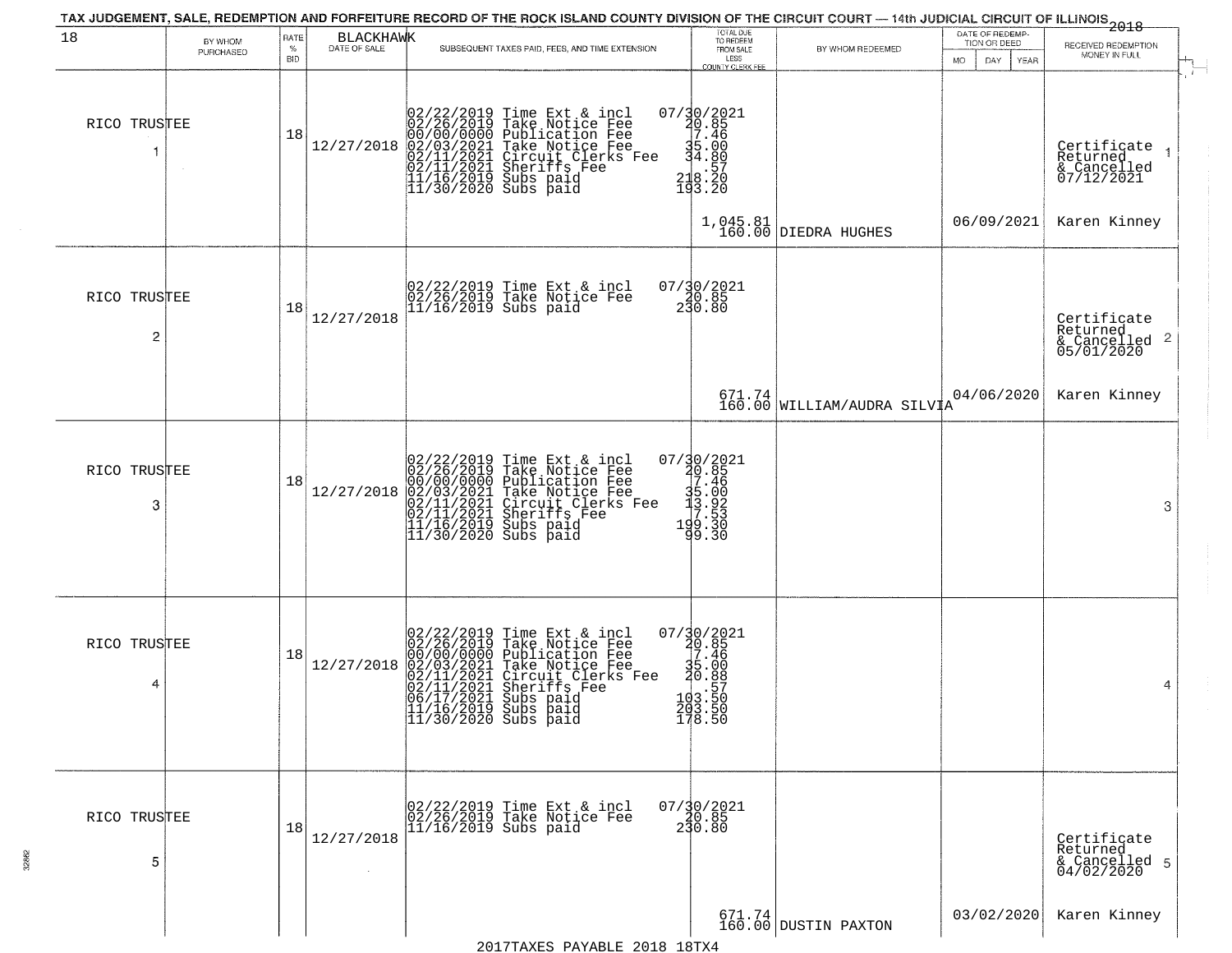| 18                | BY WHOM<br>PURCHASED | RATE<br>$\%$<br><b>BID</b> | BLACKHAWK  | SUBSEQUENT TAXES PAID, FEES, AND TIME EXTENSION                                                                                                                                                                                                          | TOTAL DUE<br>TO REDEEM<br>FROM SALE<br>LESS<br><b>COUNTY CLERK FEE</b>                                     | BY WHOM REDEEMED                      | DATE OF REDEMP-<br>TION OR DEED<br>MO.<br>DAY.<br>YEAR | $-2018$<br>RECEIVED REDEMPTION<br>MONEY IN FULL                    |            |
|-------------------|----------------------|----------------------------|------------|----------------------------------------------------------------------------------------------------------------------------------------------------------------------------------------------------------------------------------------------------------|------------------------------------------------------------------------------------------------------------|---------------------------------------|--------------------------------------------------------|--------------------------------------------------------------------|------------|
| RICO TRUSTEE<br>1 |                      | 18                         | 12/27/2018 | 02/22/2019<br>02/26/2019<br>00/00/0000<br>02/03/2021<br>02/11/2021<br>02/11/2021<br>11/16/2019<br>11/30/2020<br>Time Ext & incl<br>Take Notice Fee<br>Publication Fee<br>Take Notice Fee<br>Chrouit Clerks Fee<br>Sheriffs Fee<br>Subs paid<br>Subs paid | 07/30/2021<br>20.85<br>27.46<br>$\frac{35.00}{4.80}$<br>218.20<br>193.20                                   |                                       |                                                        | Certificate<br>Returned<br>& Cancelled<br>07/12/2021               | $\ddot{r}$ |
|                   |                      |                            |            |                                                                                                                                                                                                                                                          |                                                                                                            | $1,045.81$ DIEDRA HUGHES              | 06/09/2021                                             | Karen Kinney                                                       |            |
| RICO TRUSTEE<br>2 |                      | 18                         | 12/27/2018 | 02/22/2019 Time Ext & incl<br>02/26/2019 Take Notice Fee<br>11/16/2019 Subs paid                                                                                                                                                                         | $07/30/2021$<br>20.85<br>230.80                                                                            |                                       |                                                        | Certificate<br>Returned<br>$\frac{1}{6}$ Cancelled 2<br>05/01/2020 |            |
|                   |                      |                            |            |                                                                                                                                                                                                                                                          |                                                                                                            | 671.74<br>160.00 WILLIAM/AUDRA SILVIA | 04/06/2020                                             | Karen Kinney                                                       |            |
| RICO TRUSTEE<br>3 |                      | 18                         | 12/27/2018 | 02/22/2019 Time Ext & incl<br>02/26/2019 Take Notice Fee<br>00/00/00000 Publication Fee<br>02/03/2021 Take Notice Fee<br>02/11/2021 Sheriffs Fee<br>11/16/2019 Subs paid<br>11/16/2019 Subs paid<br>11/30/2020 Subs paid                                 | $\begin{smallmatrix} 07/30/2021\\ 40.85\\ 7.46\\ 15.00\\ 15.02\\ 19.53\\ 199.30\\ 99.30 \end{smallmatrix}$ |                                       |                                                        | 3                                                                  |            |
| RICO TRUSTEE<br>4 |                      | 18                         | 12/27/2018 | 02/22/2019 Time Ext & incl<br>02/26/2019 Take Notice Fee<br>00/00/000 Publication Fee<br>02/03/2021 Take Notice Fee<br>02/11/2021 Circuit Clerks Fee<br>02/11/2021 Subs paid<br>06/17/2021 Subs paid<br>11/16/2019 Subs paid<br>11/30/2020 Subs paid     | 07/30/2021<br>20.85<br>7.46<br>35.00<br>20.88<br>20.88<br>103.50<br>$\frac{203.50}{178.50}$                |                                       |                                                        | 4                                                                  |            |
| RICO TRUSTEE<br>5 |                      | 18                         | 12/27/2018 | 02/22/2019 Time Ext & incl<br>02/26/2019 Take Notice Fee<br>11/16/2019 Subs paid                                                                                                                                                                         | $07/\frac{3}{20}.85$<br>230.80                                                                             |                                       |                                                        | Certificate<br>Returned<br>& Cancelled 5<br>04/02/2020             |            |
|                   |                      |                            |            | DAVADID OO10 10m                                                                                                                                                                                                                                         |                                                                                                            | $671.74$ DUSTIN PAXTON                | 03/02/2020                                             | Karen Kinney                                                       |            |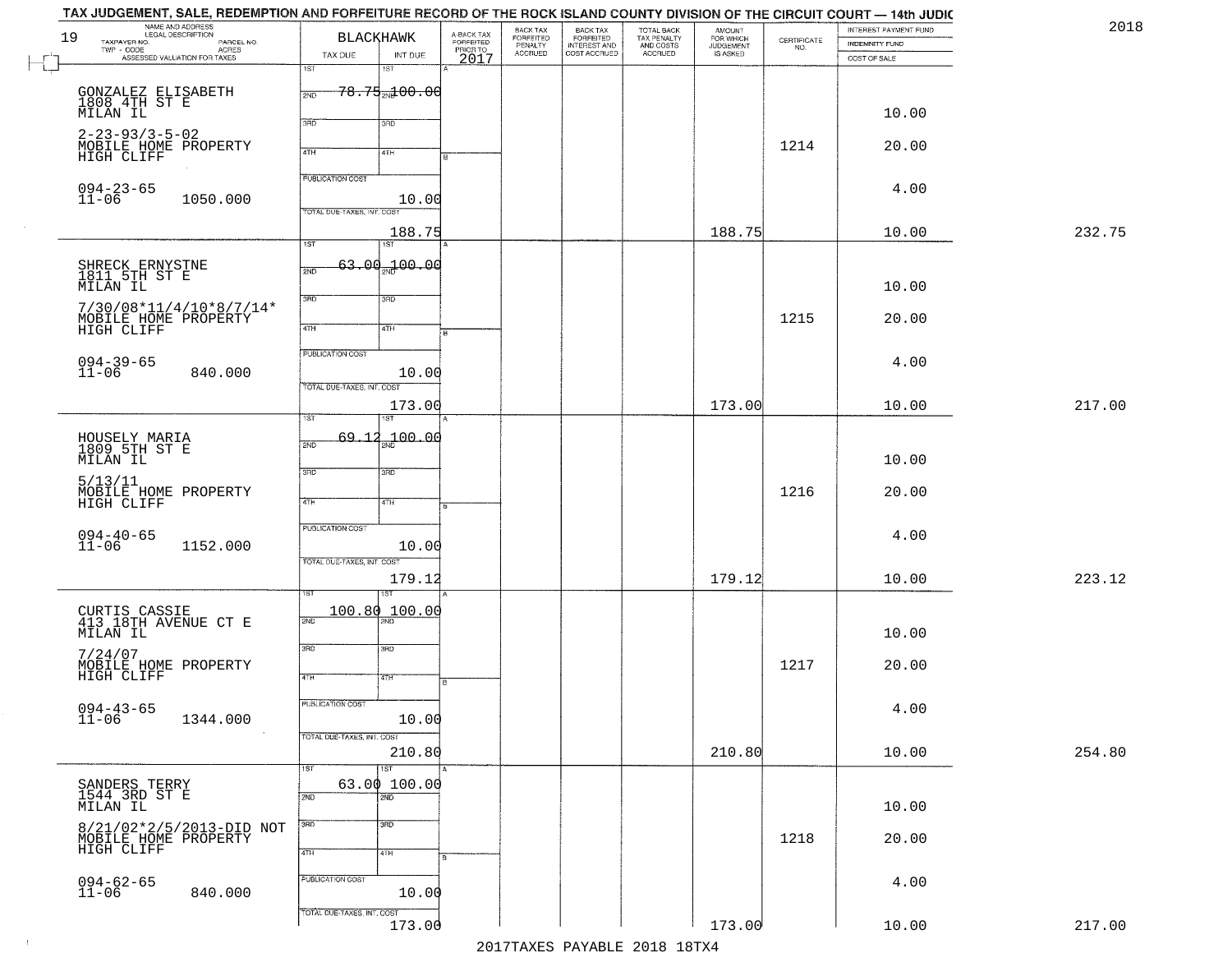| 19 | TAX JUDGEMENT, SALE, REDEMPTION AND FORFEITURE RECORD OF THE ROCK ISLAND COUNTY DIVISION OF THE CIRCUIT COURT — 14th JUDIC<br>NAME AND ADDRESS<br>LEGAL DESCRIPTION<br>TAXPAYER NO.<br>PARCEL NO.<br>TWP - CODE<br>ASSESSED VALUATION FOR TAXES | BLACKHAWK                                              | A-BACK TAX<br>FORFEITED<br>PRIOR TO<br>2017 | BACK TAX<br>FORFEITED<br>PENALTY<br>ACCRUED | BACK TAX<br>FORFEITED<br>INTEREST AND<br>COST ACCRUED | TOTAL BACK<br>TAX PENALTY<br>AND COSTS<br>ACCRUED | <b>AMOUNT</b><br>FOR WHICH<br>JUDGEMENT<br>IS ASKED | $\begin{array}{c} \text{CERTIFICATE} \\ \text{NO.} \end{array}$ | INTEREST PAYMENT FUND<br><b>INDEMNITY FUND</b> | 2018   |
|----|-------------------------------------------------------------------------------------------------------------------------------------------------------------------------------------------------------------------------------------------------|--------------------------------------------------------|---------------------------------------------|---------------------------------------------|-------------------------------------------------------|---------------------------------------------------|-----------------------------------------------------|-----------------------------------------------------------------|------------------------------------------------|--------|
|    |                                                                                                                                                                                                                                                 | TAX DUE<br>INT DUE<br>1ST<br>1ST                       |                                             |                                             |                                                       |                                                   |                                                     |                                                                 | COST OF SALE                                   |        |
|    | GONZALEZ ELISABETH<br>1808 4TH ST E<br>MILAN IL                                                                                                                                                                                                 | $78.75 + 00.00$<br>2ND<br>3RD                          |                                             |                                             |                                                       |                                                   |                                                     |                                                                 | 10.00                                          |        |
|    | $2 - 23 - 93/3 - 5 - 02$<br>MOBILE HOME PROPERTY<br>HIGH CLIFF                                                                                                                                                                                  | 3RD<br>4TH<br>4TH                                      |                                             |                                             |                                                       |                                                   |                                                     | 1214                                                            | 20.00                                          |        |
|    | $094 - 23 - 65$<br>$11 - 06$<br>1050.000                                                                                                                                                                                                        | <b>PUBLICATION COST</b><br>TOTAL DUE-TAXES, INT. COST  | 10.00                                       |                                             |                                                       |                                                   |                                                     |                                                                 | 4.00                                           |        |
|    |                                                                                                                                                                                                                                                 |                                                        | 188.75                                      |                                             |                                                       |                                                   | 188.75                                              |                                                                 | 10.00                                          | 232.75 |
|    | SHRECK ERNYSTNE<br>1811 5TH ST E                                                                                                                                                                                                                | 1ST<br>1ST<br>$63.00_{20}100.00$<br>2ND                |                                             |                                             |                                                       |                                                   |                                                     |                                                                 | 10.00                                          |        |
|    | MILAN IL<br>$7/30/08*11/4/10*8/7/14*$<br>MOBILE HOME PROPERTY<br>HIGH CLIFF                                                                                                                                                                     | 3BD<br>3RD<br>$\sqrt{4}$<br>4TH                        |                                             |                                             |                                                       |                                                   |                                                     | 1215                                                            | 20.00                                          |        |
|    | $094 - 39 - 65$<br>11-06<br>840.000                                                                                                                                                                                                             | PUBLICATION COST                                       | 10.00                                       |                                             |                                                       |                                                   |                                                     |                                                                 | 4.00                                           |        |
|    |                                                                                                                                                                                                                                                 | TOTAL DUE-TAXES, INT. COST<br>1ST                      | 173.00                                      |                                             |                                                       |                                                   | 173.00                                              |                                                                 | 10.00                                          | 217.00 |
|    | HOUSELY MARIA<br>1809 5TH ST E<br>MILAN IL                                                                                                                                                                                                      | 100.00<br>69,12<br>2ND                                 |                                             |                                             |                                                       |                                                   |                                                     |                                                                 | 10.00                                          |        |
|    | 5/13/11<br>MOBILE HOME PROPERTY<br>HIGH CLIFF                                                                                                                                                                                                   | 3RD<br>3RD<br>4TH<br>4TH                               |                                             |                                             |                                                       |                                                   |                                                     | 1216                                                            | 20.00                                          |        |
|    | $094 - 40 - 65$<br>11-06<br>1152.000                                                                                                                                                                                                            | <b>PUBLICATION COST</b><br>TOTAL OUE-TAXES, INT. COST  | 10.00                                       |                                             |                                                       |                                                   |                                                     |                                                                 | 4.00                                           |        |
|    |                                                                                                                                                                                                                                                 | ख़                                                     | 179.12                                      |                                             |                                                       |                                                   | 179.12                                              |                                                                 | 10.00                                          | 223.12 |
|    | CURTIS CASSIE<br>413 18TH AVENUE CT E<br>MILAN IL                                                                                                                                                                                               | 100.80 100.00<br>2ND                                   |                                             |                                             |                                                       |                                                   |                                                     |                                                                 | 10.00                                          |        |
|    | 7/24/07<br>MOBILE HOME PROPERTY<br>HIGH CLIFF                                                                                                                                                                                                   | 3RD<br>3BD<br>4TH<br>वाम                               |                                             |                                             |                                                       |                                                   |                                                     | 1217                                                            | 20.00                                          |        |
|    | $094 - 43 - 65$<br>11-06<br>1344.000                                                                                                                                                                                                            | PUBLICATION COST                                       | 10.00                                       |                                             |                                                       |                                                   |                                                     |                                                                 | 4.00                                           |        |
|    |                                                                                                                                                                                                                                                 | TOTAL DUE-TAXES, INT. COST<br>$\overline{1}$ ST<br>1ST | 210.80                                      |                                             |                                                       |                                                   | 210.80                                              |                                                                 | 10.00                                          | 254.80 |
|    | SANDERS TERRY<br>1544 3RD ST E<br>MILAN IL                                                                                                                                                                                                      | 63.00 100.00<br>2ND<br>$\overline{2ND}$                |                                             |                                             |                                                       |                                                   |                                                     |                                                                 | 10.00                                          |        |
|    | 8/21/02*2/5/2013-DID NOT<br>MOBILE HOME PROPERTY<br>HIGH CLIFF                                                                                                                                                                                  | 3RD<br>$\overline{3}$ RD<br>4TH<br>4TH                 |                                             |                                             |                                                       |                                                   |                                                     | 1218                                                            | 20.00                                          |        |
|    | 094-62-65<br>11-06<br>840.000                                                                                                                                                                                                                   | PUBLICATION COST                                       | 10.00                                       |                                             |                                                       |                                                   |                                                     |                                                                 | 4.00                                           |        |
|    |                                                                                                                                                                                                                                                 | TOTAL DUE-TAXES, INT. COST                             | 173.00                                      |                                             |                                                       | 2017 THAVEC DAVARIE 2010 19TVA                    | 173.00                                              |                                                                 | 10.00                                          | 217.00 |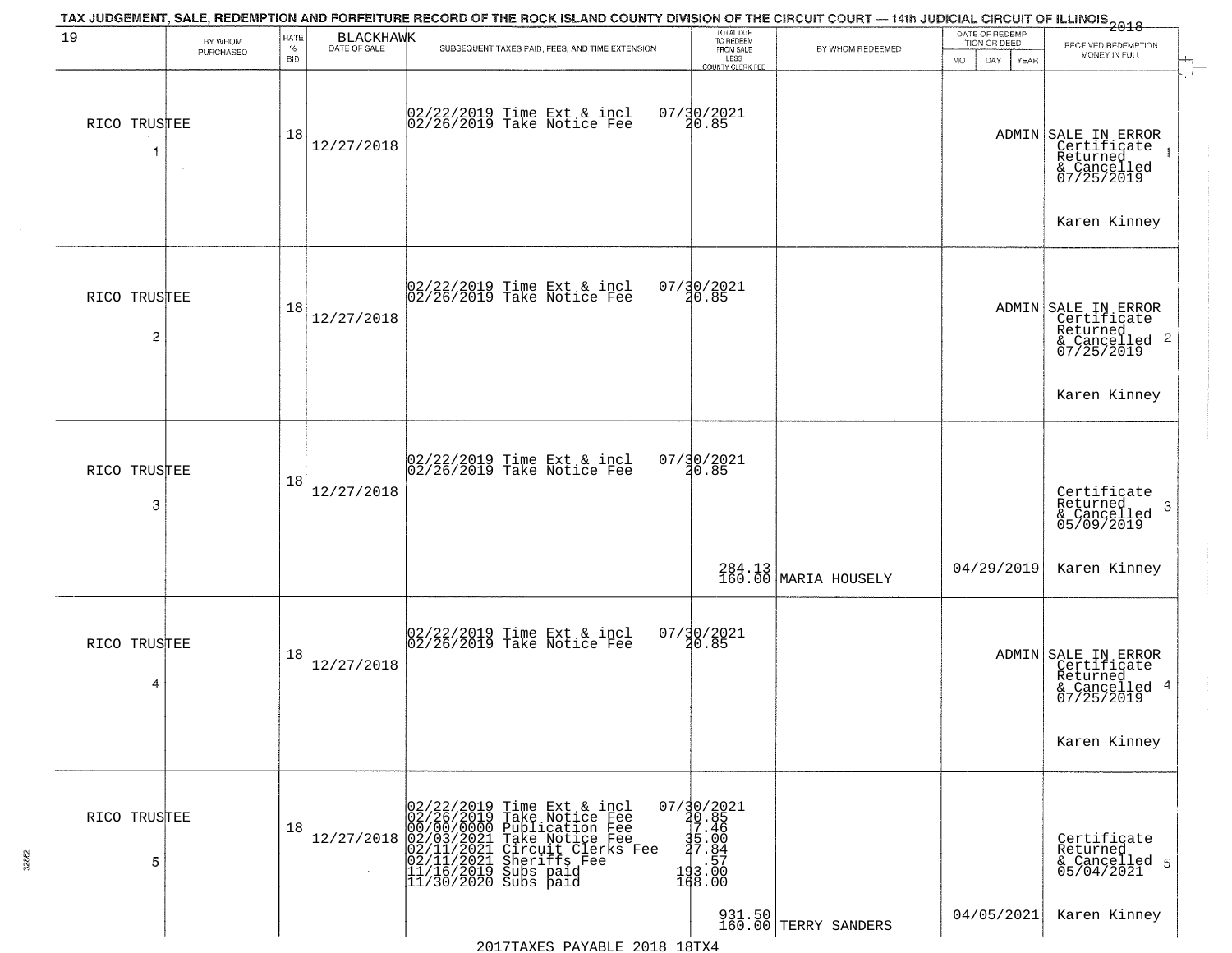| 19                | BY WHOM<br>PURCHASED | RATE<br>$\%$<br><b>BID</b> | <b>BLACKHAWK</b><br>DATE OF SALE | TAX JUDGEMENT, SALE, REDEMPTION AND FORFEITURE RECORD OF THE ROCK ISLAND COUNTY DIVISION OF THE CIRCUIT COURT — 14th JUDICIAL CIRCUIT OF ILLINOIS 2018<br>SUBSEQUENT TAXES PAID, FEES, AND TIME EXTENSION                                                    | TOTAL DUE<br>TO REDEEM<br>FROM SALE<br>LESS                               | BY WHOM REDEEMED               | DATE OF REDEMP-<br>TION OR DEED<br><b>MO</b><br>DAY<br>YEAR | RECEIVED REDEMPTION<br>MONEY IN FULL                                                          |
|-------------------|----------------------|----------------------------|----------------------------------|--------------------------------------------------------------------------------------------------------------------------------------------------------------------------------------------------------------------------------------------------------------|---------------------------------------------------------------------------|--------------------------------|-------------------------------------------------------------|-----------------------------------------------------------------------------------------------|
| RICO TRUSTEE<br>1 | $\sim$               | 18                         | 12/27/2018                       | 02/22/2019 Time Ext & incl<br>02/26/2019 Take Notice Fee                                                                                                                                                                                                     | <b>COUNTY CLERK FEE</b><br>07/30/2021<br>20.85                            |                                |                                                             | ADMIN SALE IN ERROR<br>Certificate<br>Returned<br>& Cancelled<br>07/25/2019                   |
| RICO TRUSTEE      |                      |                            |                                  | 02/22/2019 Time Ext & incl<br>02/26/2019 Take Notice Fee                                                                                                                                                                                                     | 07/30/2021<br>20.85                                                       |                                |                                                             | Karen Kinney                                                                                  |
| 2                 |                      | 18                         | 12/27/2018                       |                                                                                                                                                                                                                                                              |                                                                           |                                |                                                             | ADMIN SALE IN ERROR<br>Certificate<br>Returned<br>$\overline{c}$<br>& Cancelled<br>07/25/2019 |
|                   |                      |                            |                                  |                                                                                                                                                                                                                                                              |                                                                           |                                |                                                             | Karen Kinney                                                                                  |
| RICO TRUSTEE<br>3 |                      | 18                         | 12/27/2018                       | 02/22/2019 Time Ext & incl<br>02/26/2019 Take Notice Fee                                                                                                                                                                                                     | $07/30/2021$<br>20.85                                                     |                                |                                                             | Certificate<br>Returned<br>3<br>& Cancelled<br>05/09/2019                                     |
|                   |                      |                            |                                  |                                                                                                                                                                                                                                                              |                                                                           | 284.13 MARIA HOUSELY           | 04/29/2019                                                  | Karen Kinney                                                                                  |
| RICO TRUSTEE<br>4 |                      | 18                         | 12/27/2018                       | 02/22/2019 Time Ext & incl<br>02/26/2019 Take Notice Fee                                                                                                                                                                                                     | 07/30/2021<br>20.85                                                       |                                |                                                             | ADMIN SALE IN ERROR<br>Certificate<br>Returned<br>-4<br>& Cancelled<br>07/25/2019             |
|                   |                      |                            |                                  |                                                                                                                                                                                                                                                              |                                                                           |                                |                                                             | Karen Kinney                                                                                  |
| RICO TRUSTEE<br>5 |                      | 18                         | 12/27/2018                       | 02/22/2019 Time Ext & incl<br>02/26/2019 Take Notice Fee<br>00/00/0000 Publication Fee<br>02/01/2021 Take Notice Fee<br>02/11/2021 Circuit Clerks Fee<br>93/11/2021 Sheriffs Fee<br> 02/11/2021 Sheriffs I<br> 11/16/2019 Subs paid<br> 11/30/2020 Subs paid | 07/30/2021<br>40.85<br>17.46<br>$\frac{35.00}{27.84}$<br>193.57<br>168.00 |                                |                                                             | Certificate<br>Returned<br>& Cancelled 5<br>05/04/2021                                        |
|                   |                      |                            |                                  |                                                                                                                                                                                                                                                              |                                                                           | 931.50<br>160.00 TERRY SANDERS | 04/05/2021                                                  | Karen Kinney                                                                                  |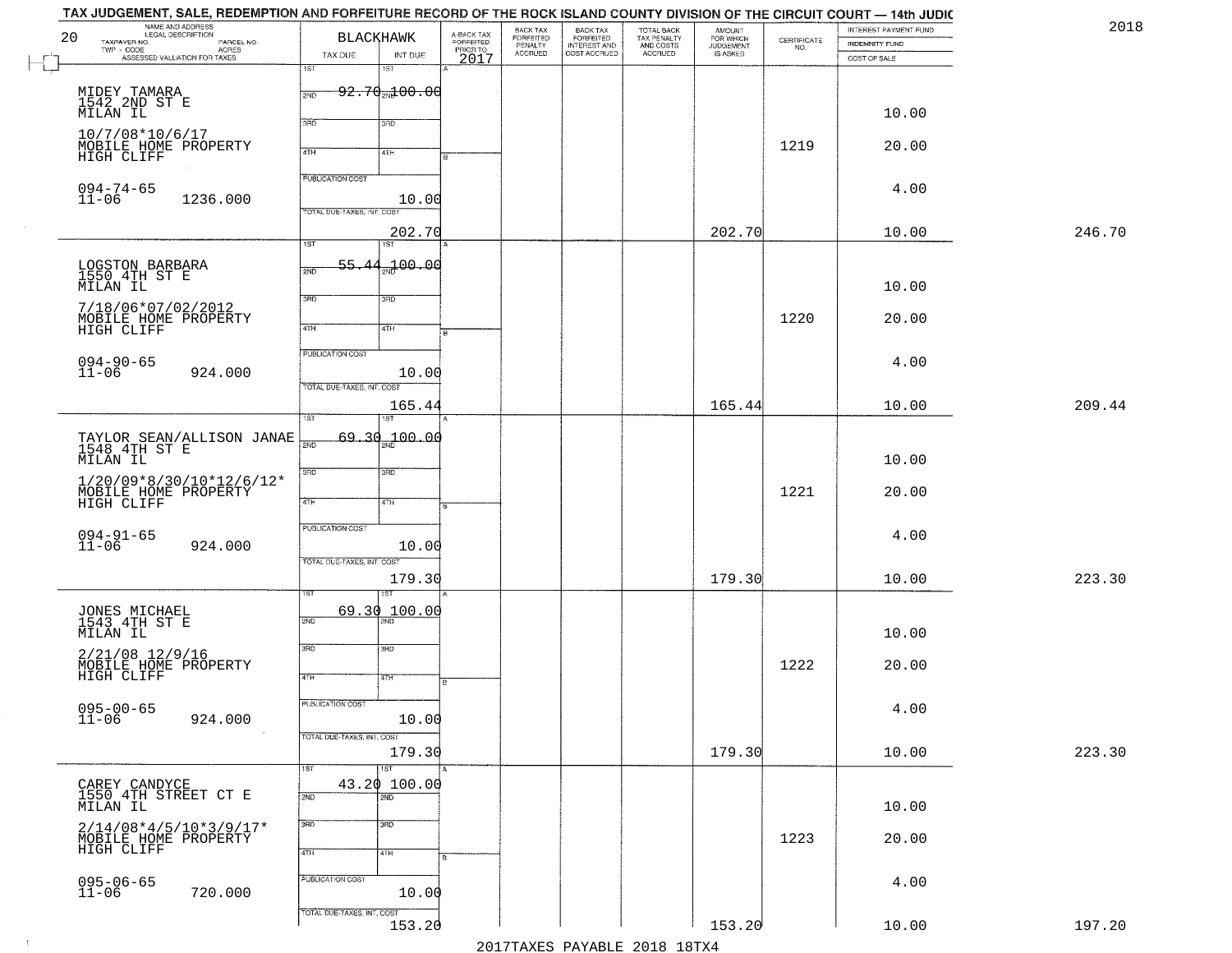|        | INTEREST PAYMENT FUND<br>INDEMNITY FUND | $\begin{array}{c} \text{CERTIFICATE} \\ \text{NO.} \end{array}$ | <b>AMOUNT</b><br>FOR WHICH<br>JUDGEMENT<br>IS ASKED | TOTAL BACK<br>TAX PENALTY<br>AND COSTS<br>ACCRUED | BACK TAX<br>FORFEITED<br>INTEREST AND | BACK TAX<br>FORFEITED<br>PENALTY<br>ACCRUED | A-BACK TAX<br>FORFEITED<br>PRIOR TO<br>2017 | <b>BLACKHAWK</b>                    |                            | NAME AND ADDRESS<br>LEGAL DESCRIPTION<br>TAXPAYER NO.<br>PARCEL NO. | 20 |
|--------|-----------------------------------------|-----------------------------------------------------------------|-----------------------------------------------------|---------------------------------------------------|---------------------------------------|---------------------------------------------|---------------------------------------------|-------------------------------------|----------------------------|---------------------------------------------------------------------|----|
|        | COST OF SALE                            |                                                                 |                                                     |                                                   | COST ACCRUED                          |                                             |                                             | INT DUE<br>18T                      | TAX DUE<br>īSΤ             | TWP - CODE<br>ASSESSED VALUATION FOR TAXES                          |    |
|        |                                         |                                                                 |                                                     |                                                   |                                       |                                             |                                             | <del>92.70<sub>20</sub>100.00</del> | 2ND                        |                                                                     |    |
|        | 10.00                                   |                                                                 |                                                     |                                                   |                                       |                                             |                                             |                                     |                            | MIDEY TAMARA<br>1542 2ND ST E<br>MILAN IL                           |    |
|        |                                         |                                                                 |                                                     |                                                   |                                       |                                             |                                             | 3RD                                 | 3BD                        | 10/7/08*10/6/17                                                     |    |
|        | 20.00                                   | 1219                                                            |                                                     |                                                   |                                       |                                             |                                             | 4TH                                 | 4TH                        | MOBILE HOME PROPERTY<br>HIGH CLIFF                                  |    |
|        |                                         |                                                                 |                                                     |                                                   |                                       |                                             |                                             |                                     | <b>PUBLICATION COST</b>    |                                                                     |    |
|        | 4.00                                    |                                                                 |                                                     |                                                   |                                       |                                             |                                             | 10.00                               |                            | $094 - 74 - 65$<br>$11 - 06$<br>1236.000                            |    |
| 246.70 | 10.00                                   |                                                                 | 202.70                                              |                                                   |                                       |                                             |                                             |                                     | TOTAL DUE-TAXES, INT. COS  |                                                                     |    |
|        |                                         |                                                                 |                                                     |                                                   |                                       |                                             |                                             | 202.70<br>1ST                       | $\overline{1ST}$           |                                                                     |    |
|        |                                         |                                                                 |                                                     |                                                   |                                       |                                             |                                             | 100.00                              | 55<br>2ND                  | LOGSTON BARBARA<br>1550 4TH ST E                                    |    |
|        | 10.00                                   |                                                                 |                                                     |                                                   |                                       |                                             |                                             | 3RD                                 | 3RD                        | MILAN IL                                                            |    |
|        | 20.00                                   | 1220                                                            |                                                     |                                                   |                                       |                                             |                                             |                                     |                            | 7/18/06*07/02/2012<br>MOBILE HOME PROPERTY                          |    |
|        |                                         |                                                                 |                                                     |                                                   |                                       |                                             |                                             | 4TH                                 | $\sqrt{47H}$               | HIGH CLIFF                                                          |    |
|        | 4.00                                    |                                                                 |                                                     |                                                   |                                       |                                             |                                             |                                     | PUBLICATION COST           | 094-90-65<br>11-06                                                  |    |
|        |                                         |                                                                 |                                                     |                                                   |                                       |                                             |                                             | 10.00                               | TOTAL DUE-TAXES, INT. COST | 924.000                                                             |    |
| 209.44 | 10.00                                   |                                                                 | 165.44                                              |                                                   |                                       |                                             |                                             | 165.44                              |                            |                                                                     |    |
|        |                                         |                                                                 |                                                     |                                                   |                                       |                                             |                                             |                                     | TST                        |                                                                     |    |
|        | 10.00                                   |                                                                 |                                                     |                                                   |                                       |                                             |                                             | 69.30 <sub>an</sub> 100.00          | $\overline{200}$           | TAYLOR SEAN/ALLISON JANAE 1548 4TH ST E                             |    |
|        |                                         |                                                                 |                                                     |                                                   |                                       |                                             |                                             | 3 <sub>BD</sub>                     | 3RD                        | MILAN IL<br>$1/20/09*8/30/10*12/6/12*$                              |    |
|        | 20.00                                   | 1221                                                            |                                                     |                                                   |                                       |                                             |                                             | 4TH                                 | 4TH                        | MOBILE HOME PROPERTY<br>HIGH CLIFF                                  |    |
|        |                                         |                                                                 |                                                     |                                                   |                                       |                                             |                                             |                                     | PUBLICATION COST           |                                                                     |    |
|        | 4.00                                    |                                                                 |                                                     |                                                   |                                       |                                             |                                             | 10.00                               |                            | $094 - 91 - 65$<br>11-06<br>924.000                                 |    |
|        |                                         |                                                                 |                                                     |                                                   |                                       |                                             |                                             |                                     | TOTAL OUE-TAXES, INT. COST |                                                                     |    |
| 223.30 | 10.00                                   |                                                                 | 179.30                                              |                                                   |                                       |                                             |                                             | 179.30                              |                            |                                                                     |    |
|        |                                         |                                                                 |                                                     |                                                   |                                       |                                             |                                             | 69.30 100.00                        | 2ND                        | JONES MICHAEL<br>1543 4TH ST E                                      |    |
|        | 10.00                                   |                                                                 |                                                     |                                                   |                                       |                                             |                                             |                                     |                            | MILAN IL                                                            |    |
|        | 20.00                                   | 1222                                                            |                                                     |                                                   |                                       |                                             |                                             | 3BD                                 | 3RD                        | 2/21/08 12/9/16                                                     |    |
|        |                                         |                                                                 |                                                     |                                                   |                                       |                                             | в                                           | 47H                                 | 4TH                        | MOBILE HOME PROPERTY<br>HIGH CLIFF                                  |    |
|        | 4.00                                    |                                                                 |                                                     |                                                   |                                       |                                             |                                             |                                     | <b>PUBLICATION COST</b>    | $095 - 00 - 65$                                                     |    |
|        |                                         |                                                                 |                                                     |                                                   |                                       |                                             |                                             | 10.00                               |                            | $11 - 06$<br>924.000                                                |    |
| 223.30 | 10.00                                   |                                                                 | 179.30                                              |                                                   |                                       |                                             |                                             | 179.30                              | TOTAL DUE-TAXES, INT. COST |                                                                     |    |
|        |                                         |                                                                 |                                                     |                                                   |                                       |                                             |                                             | $\overline{1ST}$                    | 1ST                        |                                                                     |    |
|        |                                         |                                                                 |                                                     |                                                   |                                       |                                             |                                             | 43.20 100.00<br>2ND                 | 2ND                        | CAREY CANDYCE<br>1550 4TH STREET CT E                               |    |
|        | 10.00                                   |                                                                 |                                                     |                                                   |                                       |                                             |                                             | 3 <sub>BD</sub>                     | 3RD                        | MILAN IL                                                            |    |
|        | 20.00                                   | 1223                                                            |                                                     |                                                   |                                       |                                             |                                             |                                     |                            | $2/14/08*4/5/10*3/9/17*$<br>MOBILE HOME PROPERTY                    |    |
|        |                                         |                                                                 |                                                     |                                                   |                                       |                                             |                                             | 4TH                                 | 4TH                        |                                                                     |    |
|        | 4.00                                    |                                                                 |                                                     |                                                   |                                       |                                             |                                             | 10.00                               | PUBLICATION COST           | 095-06-65<br>11-06<br>720.000                                       |    |
|        |                                         |                                                                 |                                                     |                                                   |                                       |                                             |                                             |                                     | TOTAL DUE-TAXES, INT. COST |                                                                     |    |
| 197.20 | 10.00                                   |                                                                 | 153.20                                              |                                                   |                                       |                                             |                                             | 153.20                              |                            |                                                                     |    |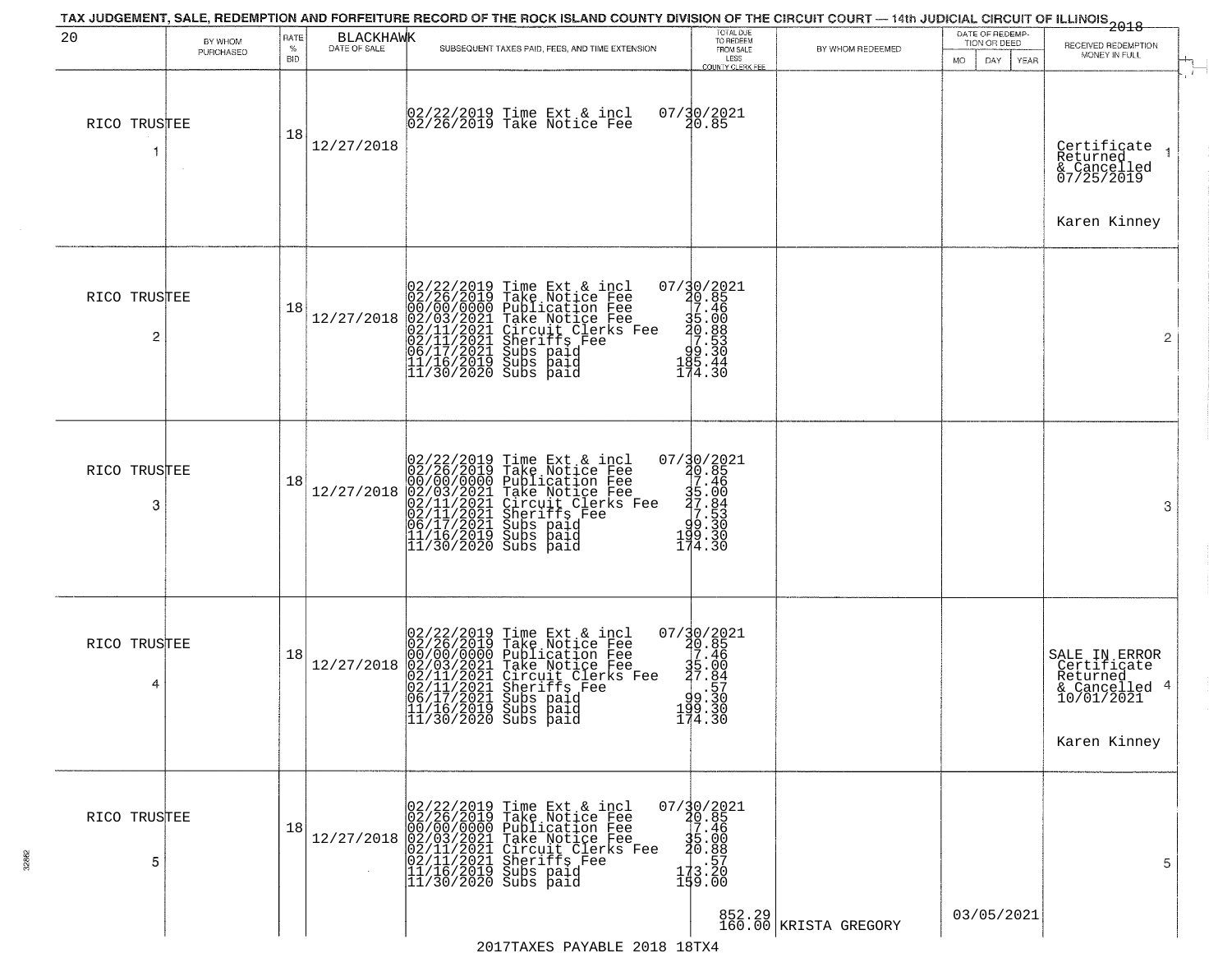| 20                             | BY WHOM<br>PURCHASED | RATE<br>$\%$<br><b>BID</b> | <b>BLACKHAWK</b><br>DATE OF SALE | SUBSEQUENT TAXES PAID, FEES, AND TIME EXTENSION                                                                                                                                                                                                                                                                                                   | TOTAL DUE<br>TO REDEEM<br>FROM SALE<br>LESS<br><b>COUNTY CLERK FEE</b>                                     | BY WHOM REDEEMED                    | DATE OF REDEMP-<br>TION OR DEED<br>MO.<br>DAY.<br>YEAR | .<br>2018<br>RECEIVED REDEMPTION<br>MONEY IN FULL<br>$\ddot{r}$                         |
|--------------------------------|----------------------|----------------------------|----------------------------------|---------------------------------------------------------------------------------------------------------------------------------------------------------------------------------------------------------------------------------------------------------------------------------------------------------------------------------------------------|------------------------------------------------------------------------------------------------------------|-------------------------------------|--------------------------------------------------------|-----------------------------------------------------------------------------------------|
| RICO TRUSTEE                   |                      | 18                         | 12/27/2018                       | 02/22/2019 Time Ext & incl<br>02/26/2019 Take Notice Fee                                                                                                                                                                                                                                                                                          | 07/30/2021<br>20.85                                                                                        |                                     |                                                        | Certificate<br>Returned<br>& Cancelled<br>07/25/2019<br>Karen Kinney                    |
| RICO TRUSTEE<br>$\overline{2}$ |                      | 18                         | 12/27/2018                       | $02/22/2019$ Time Ext & incl<br>02/26/2019 Take Notice Fee<br>00/00/000 Publication Fee<br>02/03/2021 Take Notice Fee<br>02/11/2021 Circuit Clerks Fee<br>02/11/2021 Subs paid<br>06/17/2021 Subs paid<br>11/16/2019 Subs paid<br>11/30/2020 Subs pai                                                                                             | $07/30/2021$<br>20.85<br>27.46<br>$35.000$<br>$30.830$<br>$95.30$<br>$185.44$<br>174.30                    |                                     |                                                        | $\overline{2}$                                                                          |
| RICO TRUSTEE<br>3              |                      | 18                         | 12/27/2018                       | 02/22/2019 Time Ext & incl<br>02/26/2019 Take Notice Fee<br>00/00/000 Publication Fee<br>02/03/2021 Take Notice Fee<br>02/11/2021 Circuit Clerks Fee<br>02/11/2021 Subs paid<br>06/17/2021 Subs paid<br>11/16/2019 Subs paid<br>11/30/2020 Subs paid                                                                                              | $\begin{smallmatrix} 07/30/2021\\ 20.85\\ 7.46\\ 35.60\\ 37.84\\ 9.530\\ 199.30\\ 14.30 \end{smallmatrix}$ |                                     |                                                        | 3                                                                                       |
| RICO TRUSTEE<br>4              |                      | 18                         | 12/27/2018                       | $02/22/2019$ Time Ext & incl<br>02/26/2019 Take Notice Fee<br>00/00/000 Publication Fee<br>02/03/2021 Take Notice Fee<br>02/11/2021 Circuit Clerks F<br>02/11/2021 Subs paid<br>06/17/2021 Subs paid<br>11/16/2019 Subs paid<br>11/16/2019 Subs paid<br><br>rane notice ree<br>Pake Notice Fee<br>Circuit Clerks Fee<br>Sheriffs Fee<br>Subs paid | 07/30/2021<br>20.85<br>35.46<br>35.00<br>37.84<br>93.330<br>$\frac{199.30}{174.30}$                        |                                     |                                                        | SALE IN ERROR<br>Certificate<br>Returned<br>& Cancelled 4<br>10/01/2021<br>Karen Kinney |
| RICO TRUSTEE<br>5              |                      | 18                         |                                  | 02/22/2019 Time Ext & incl<br>02/26/2019 Take Notice Fee<br>00/00/00/0000 Publication Fee<br>12/27/2018 02/03/2021 Take Notice Fee<br>02/11/2021 Chrcuit Clerks Fee<br>02/11/2021 Sheriffs Fee<br>11/16/2019 Subs paid<br>11/30/2020 Subs paid                                                                                                    | $\begin{smallmatrix} 07/30/2021\\ 20.85\\ 7.46\\ 35.00\\ 20.88\\ 17.3.20\\ 199.00 \end{smallmatrix}$       | 852.29  <br>160.00   KRISTA GREGORY | 03/05/2021                                             | 5                                                                                       |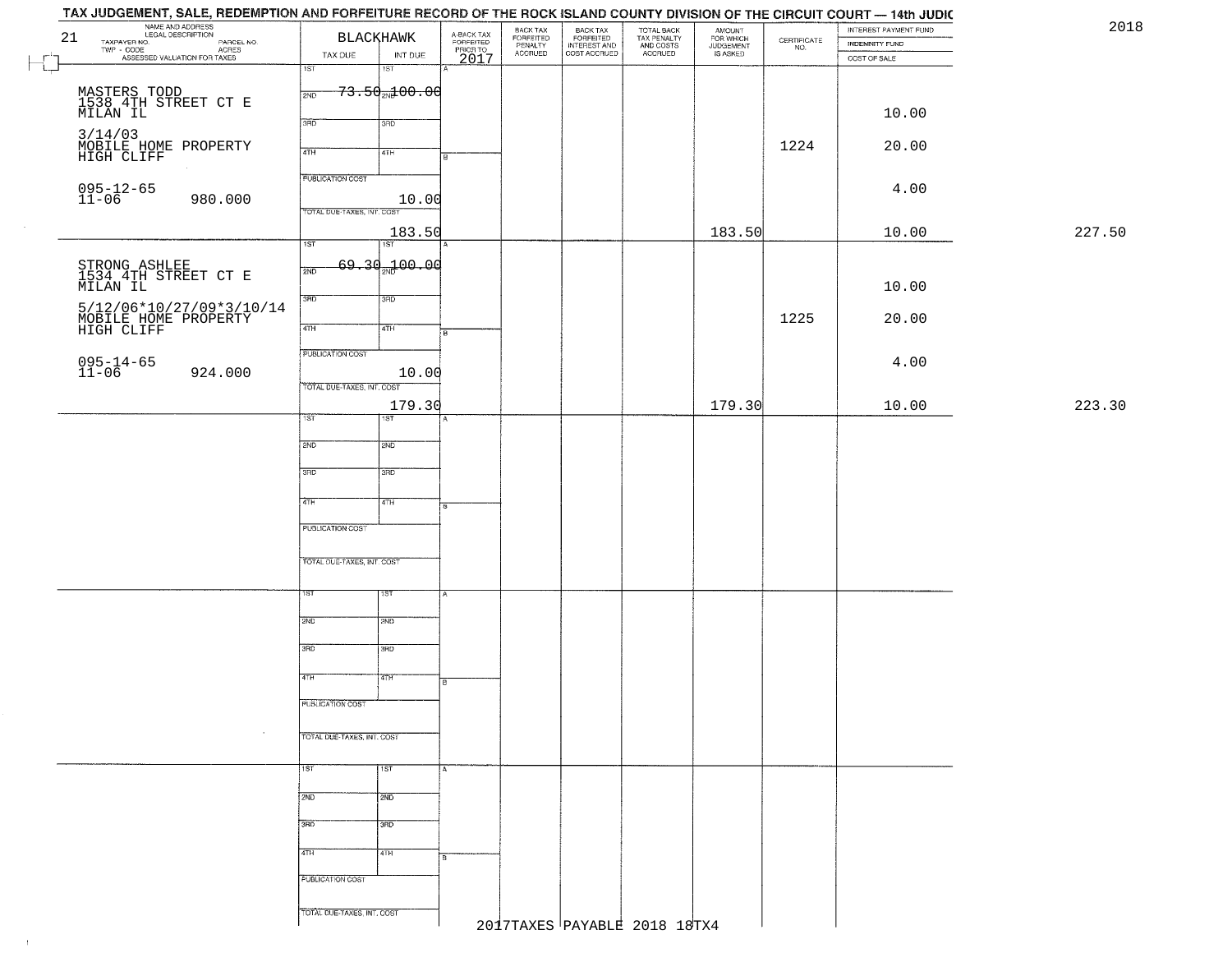| TAX JUDGEMENT, SALE, REDEMPTION AND FORFEITURE RECORD OF THE ROCK ISLAND COUNTY DIVISION OF THE CIRCUIT COURT - 14th JUDIC<br>NAME AND ADDRESS<br>LEGAL DESCRIPTION |                                   |                                     | BACK TAX             |                                                       |                                        |                                  |                                                                 | INTEREST PAYMENT FUND | 2018   |
|---------------------------------------------------------------------------------------------------------------------------------------------------------------------|-----------------------------------|-------------------------------------|----------------------|-------------------------------------------------------|----------------------------------------|----------------------------------|-----------------------------------------------------------------|-----------------------|--------|
| 21<br>TAXPAYER NO.<br>PARCEL NO.<br>ACRES                                                                                                                           | <b>BLACKHAWK</b>                  | A-BACK TAX<br>FORFEITED<br>PRIOR TO | FORFEITED<br>PENALTY | BACK TAX<br>FORFEITED<br>INTEREST AND<br>COST ACCRUED | TOTAL BACK<br>TAX PENALTY<br>AND COSTS | AMOUNT<br>FOR WHICH<br>JUDGEMENT | $\begin{array}{c} \text{CERTIFICATE} \\ \text{NO.} \end{array}$ | INDEMNITY FUND        |        |
| ASSESSED VALUATION FOR TAXES                                                                                                                                        | INT DUE<br>TAX DUE                | 2017                                | ACCRUED              |                                                       | ACCRUED                                | IS ASKED                         |                                                                 | COST OF SALE          |        |
| Ł                                                                                                                                                                   | 1ST <sub>1</sub><br>1ST           |                                     |                      |                                                       |                                        |                                  |                                                                 |                       |        |
|                                                                                                                                                                     | <del>73.50 ad 00.00</del><br>2ND  |                                     |                      |                                                       |                                        |                                  |                                                                 |                       |        |
| MASTERS TODD<br>1538 4TH STREET CT E<br>MILAN IL                                                                                                                    |                                   |                                     |                      |                                                       |                                        |                                  |                                                                 | 10.00                 |        |
|                                                                                                                                                                     | 3RD<br>3RD                        |                                     |                      |                                                       |                                        |                                  |                                                                 |                       |        |
| 3/14/03<br>MOBILE HOME PROPERTY                                                                                                                                     |                                   |                                     |                      |                                                       |                                        |                                  | 1224                                                            | 20.00                 |        |
| HIGH CLIFF                                                                                                                                                          | 4TH<br>4TH                        |                                     |                      |                                                       |                                        |                                  |                                                                 |                       |        |
|                                                                                                                                                                     | <b>PUBLICATION COST</b>           |                                     |                      |                                                       |                                        |                                  |                                                                 |                       |        |
| 095-12-65<br>11-06<br>980.000                                                                                                                                       | 10.00                             |                                     |                      |                                                       |                                        |                                  |                                                                 | 4.00                  |        |
|                                                                                                                                                                     | TOTAL DUE-TAXES, INT. COST        |                                     |                      |                                                       |                                        |                                  |                                                                 |                       |        |
|                                                                                                                                                                     | 183.50                            |                                     |                      |                                                       |                                        | 183.50                           |                                                                 | 10.00                 | 227.50 |
|                                                                                                                                                                     | 1ST<br>1ST                        |                                     |                      |                                                       |                                        |                                  |                                                                 |                       |        |
|                                                                                                                                                                     | 69.30 <sub>2N</sub> 100.00<br>2ND |                                     |                      |                                                       |                                        |                                  |                                                                 |                       |        |
| STRONG ASHLEE<br>1534 4TH STREET CT E<br>MILAN IL                                                                                                                   |                                   |                                     |                      |                                                       |                                        |                                  |                                                                 | 10.00                 |        |
|                                                                                                                                                                     | 3RD<br>3HD                        |                                     |                      |                                                       |                                        |                                  |                                                                 |                       |        |
| 5/12/06*10/27/09*3/10/14<br>MOBILE HOME PROPERTY<br>HIGH CLIFF                                                                                                      |                                   |                                     |                      |                                                       |                                        |                                  | 1225                                                            | 20.00                 |        |
|                                                                                                                                                                     | 47H<br>4TH                        | $\overline{B}$                      |                      |                                                       |                                        |                                  |                                                                 |                       |        |
|                                                                                                                                                                     | <b>PUBLICATION COST</b>           |                                     |                      |                                                       |                                        |                                  |                                                                 |                       |        |
| 095-14-65<br>11-06<br>924.000                                                                                                                                       | 10.00                             |                                     |                      |                                                       |                                        |                                  |                                                                 | 4.00                  |        |
|                                                                                                                                                                     | TOTAL DUE-TAXES, INT. COST        |                                     |                      |                                                       |                                        |                                  |                                                                 |                       |        |
|                                                                                                                                                                     | 179.30                            |                                     |                      |                                                       |                                        | 179.30                           |                                                                 | 10.00                 | 223.30 |
|                                                                                                                                                                     | TST.<br>ST                        |                                     |                      |                                                       |                                        |                                  |                                                                 |                       |        |
|                                                                                                                                                                     | 2ND<br>2ND                        |                                     |                      |                                                       |                                        |                                  |                                                                 |                       |        |
|                                                                                                                                                                     |                                   |                                     |                      |                                                       |                                        |                                  |                                                                 |                       |        |
|                                                                                                                                                                     | 3BD<br>3 <sub>3</sub>             |                                     |                      |                                                       |                                        |                                  |                                                                 |                       |        |
|                                                                                                                                                                     |                                   |                                     |                      |                                                       |                                        |                                  |                                                                 |                       |        |
|                                                                                                                                                                     | 4TH<br>4TH                        |                                     |                      |                                                       |                                        |                                  |                                                                 |                       |        |
|                                                                                                                                                                     | <b>PUBLICATION COST</b>           |                                     |                      |                                                       |                                        |                                  |                                                                 |                       |        |
|                                                                                                                                                                     |                                   |                                     |                      |                                                       |                                        |                                  |                                                                 |                       |        |
|                                                                                                                                                                     | TOTAL OUE-TAXES, INT. COST        |                                     |                      |                                                       |                                        |                                  |                                                                 |                       |        |
|                                                                                                                                                                     |                                   |                                     |                      |                                                       |                                        |                                  |                                                                 |                       |        |
|                                                                                                                                                                     | 1ST<br><b>IST</b>                 |                                     |                      |                                                       |                                        |                                  |                                                                 |                       |        |
|                                                                                                                                                                     | 2ND<br>2ND                        |                                     |                      |                                                       |                                        |                                  |                                                                 |                       |        |
|                                                                                                                                                                     |                                   |                                     |                      |                                                       |                                        |                                  |                                                                 |                       |        |
|                                                                                                                                                                     | 3BD<br>3BD                        |                                     |                      |                                                       |                                        |                                  |                                                                 |                       |        |
|                                                                                                                                                                     | 4TH<br>77H                        |                                     |                      |                                                       |                                        |                                  |                                                                 |                       |        |
|                                                                                                                                                                     |                                   |                                     |                      |                                                       |                                        |                                  |                                                                 |                       |        |
|                                                                                                                                                                     | PUBLICATION COST                  |                                     |                      |                                                       |                                        |                                  |                                                                 |                       |        |
|                                                                                                                                                                     |                                   |                                     |                      |                                                       |                                        |                                  |                                                                 |                       |        |
| $\sim$                                                                                                                                                              | TOTAL DUE-TAXES, INT. COST        |                                     |                      |                                                       |                                        |                                  |                                                                 |                       |        |
|                                                                                                                                                                     |                                   |                                     |                      |                                                       |                                        |                                  |                                                                 |                       |        |
|                                                                                                                                                                     | $ 157\rangle$<br>1ST              | A.                                  |                      |                                                       |                                        |                                  |                                                                 |                       |        |
|                                                                                                                                                                     | 2ND<br>2ND                        |                                     |                      |                                                       |                                        |                                  |                                                                 |                       |        |
|                                                                                                                                                                     |                                   |                                     |                      |                                                       |                                        |                                  |                                                                 |                       |        |
|                                                                                                                                                                     | 3RD<br>3RD                        |                                     |                      |                                                       |                                        |                                  |                                                                 |                       |        |
|                                                                                                                                                                     | 4TH<br>4TH                        |                                     |                      |                                                       |                                        |                                  |                                                                 |                       |        |
|                                                                                                                                                                     |                                   |                                     |                      |                                                       |                                        |                                  |                                                                 |                       |        |
|                                                                                                                                                                     | PUBLICATION COST                  |                                     |                      |                                                       |                                        |                                  |                                                                 |                       |        |
|                                                                                                                                                                     |                                   |                                     |                      |                                                       |                                        |                                  |                                                                 |                       |        |
|                                                                                                                                                                     | TOTAL DUE-TAXES, INT. COST        |                                     |                      |                                                       | 2017TAXES PAYABLE 2018 18TX4           |                                  |                                                                 |                       |        |
|                                                                                                                                                                     |                                   |                                     |                      |                                                       |                                        |                                  |                                                                 |                       |        |

 $\uparrow$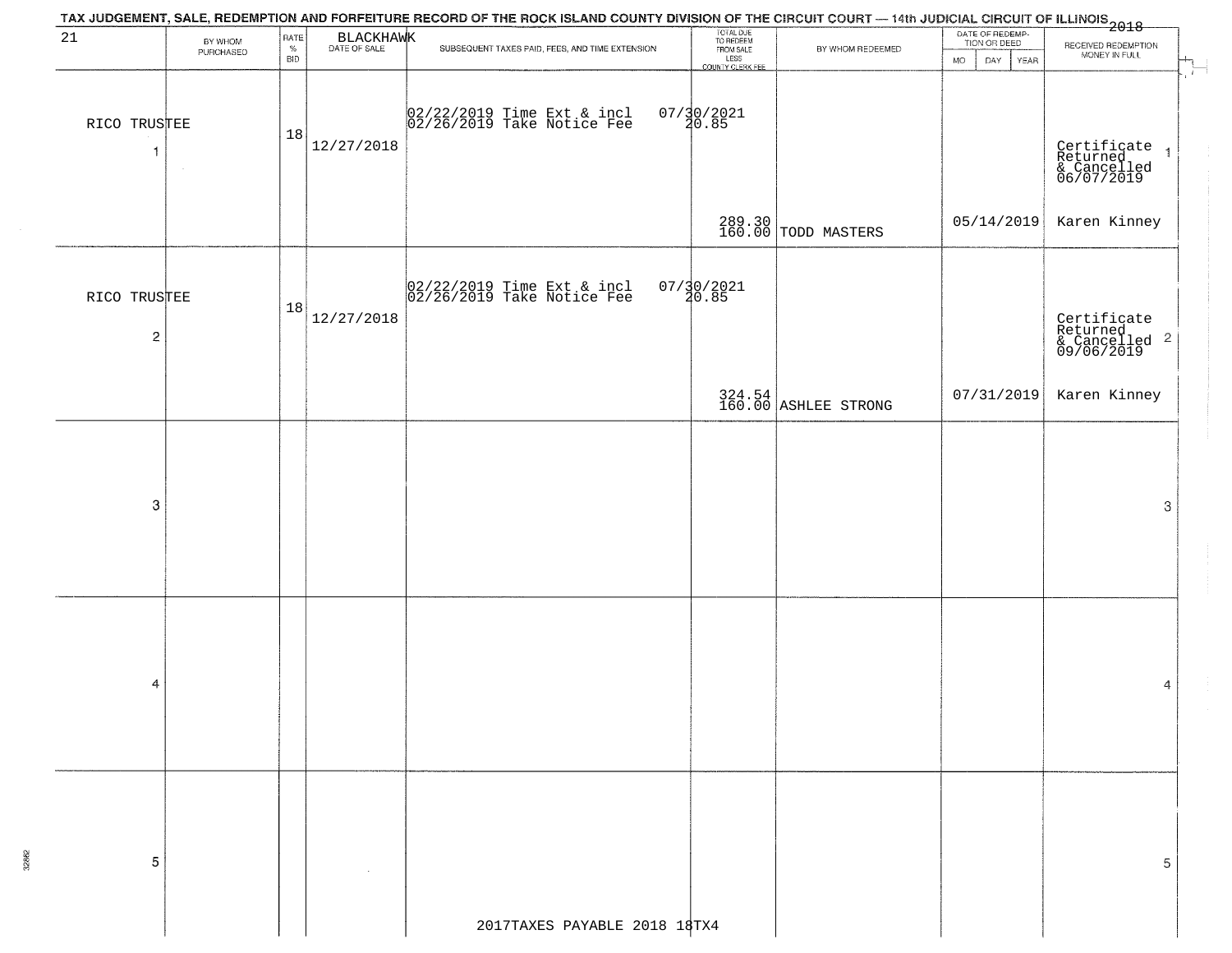|                                         | TAX JUDGEMENT, SALE, REDEMPTION AND FORFEITURE RECORD OF THE ROCK ISLAND COUNTY DIVISION OF THE CIRCUIT COURT — 14th JUDICIAL CIRCUIT OF ILLINOIS<br>2018 - The Contract of December 1999 |                            |            |                                                          |                                                                 |                                |                                                          |                                                                                         |  |  |  |  |  |
|-----------------------------------------|-------------------------------------------------------------------------------------------------------------------------------------------------------------------------------------------|----------------------------|------------|----------------------------------------------------------|-----------------------------------------------------------------|--------------------------------|----------------------------------------------------------|-----------------------------------------------------------------------------------------|--|--|--|--|--|
| 21                                      | BY WHOM<br>PURCHASED                                                                                                                                                                      | RATE<br>$\%$<br><b>BID</b> | BLACKHAWK  | SUBSEQUENT TAXES PAID, FEES, AND TIME EXTENSION          | TOTAL DUE<br>TO REDEEM<br>FROM SALE<br>LESS<br>COUNTY CLERK FEE | BY WHOM REDEEMED               | DATE OF REDEMP-<br>TION OR DEED<br>DAY YEAR<br><b>MO</b> | RECEIVED REDEMPTION<br>MONEY IN FULL                                                    |  |  |  |  |  |
| RICO TRUSTEE<br>$\mathbf{1}$            |                                                                                                                                                                                           | 18                         | 12/27/2018 | 02/22/2019 Time Ext & incl<br>02/26/2019 Take Notice Fee | $07/30/2021$<br>20.85                                           |                                |                                                          | $\mathcal{L}_{\mathcal{L}}$<br>Certificate 1<br>Returned 1<br>& Cancelled<br>06/07/2019 |  |  |  |  |  |
|                                         |                                                                                                                                                                                           |                            |            |                                                          |                                                                 | 289.30<br>160.00 TODD MASTERS  | 05/14/2019                                               | Karen Kinney                                                                            |  |  |  |  |  |
| RICO TRUSTEE<br>$\overline{\mathbf{c}}$ |                                                                                                                                                                                           | 18                         | 12/27/2018 | 02/22/2019 Time Ext & incl<br>02/26/2019 Take Notice Fee | $07/30/2021$<br>$30.85$                                         |                                |                                                          | Certificate<br>Returned<br>& Cancelled <sup>2</sup><br>09/06/2019                       |  |  |  |  |  |
|                                         |                                                                                                                                                                                           |                            |            |                                                          |                                                                 | 324.54<br>160.00 ASHLEE STRONG | 07/31/2019                                               | Karen Kinney                                                                            |  |  |  |  |  |
| 3                                       |                                                                                                                                                                                           |                            |            |                                                          |                                                                 |                                |                                                          | 3                                                                                       |  |  |  |  |  |
| 4                                       |                                                                                                                                                                                           |                            |            |                                                          |                                                                 |                                |                                                          | 4                                                                                       |  |  |  |  |  |
| 5                                       |                                                                                                                                                                                           |                            |            | 2017TAXES PAYABLE 2018 18TX4                             |                                                                 |                                |                                                          | 5                                                                                       |  |  |  |  |  |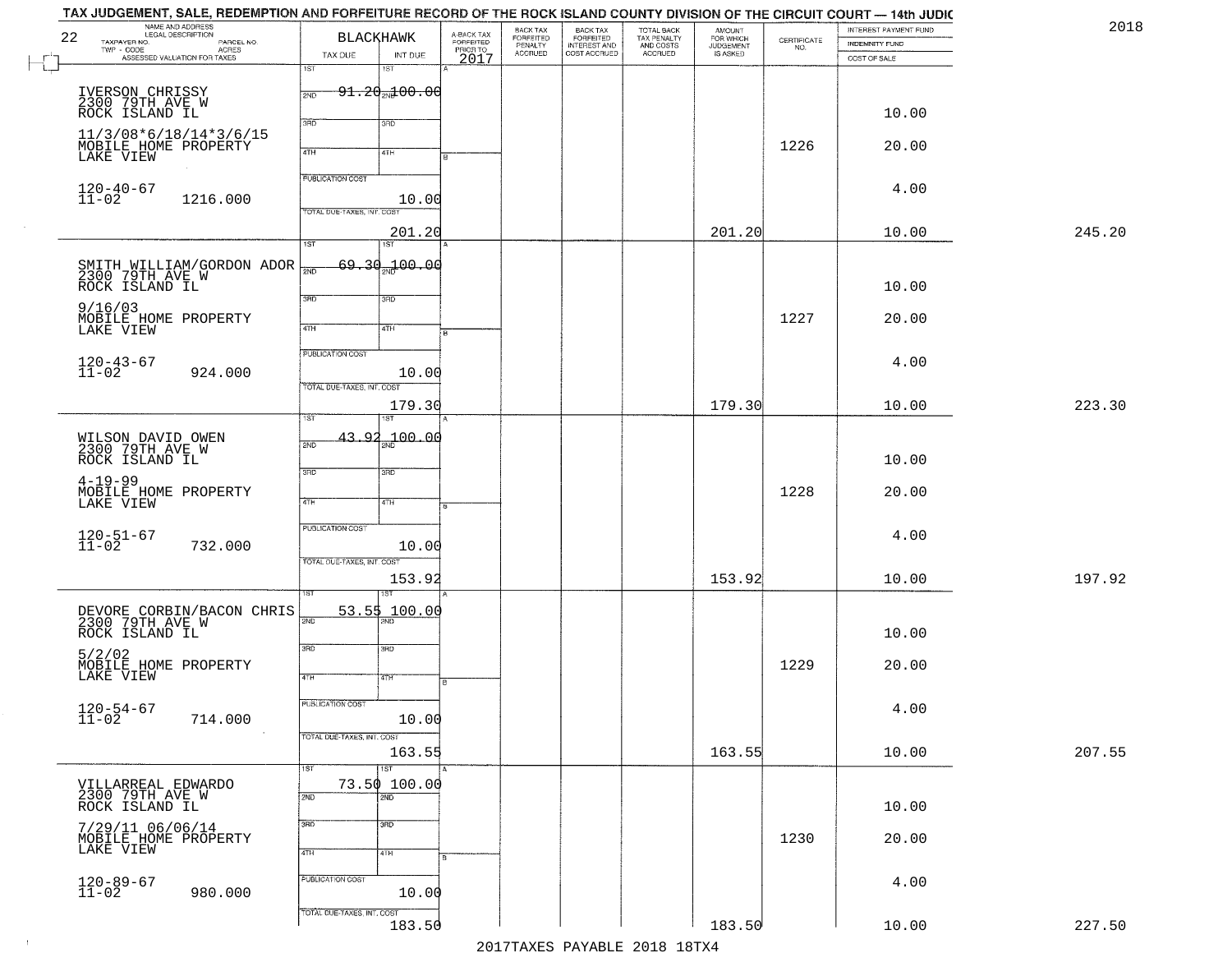| 22 | NAME AND ADDRESS<br>LEGAL DESCRIPTION<br>TAXPAYER NO.<br>PARCEL NO. |                            | <b>BLACKHAWK</b>                 | A-BACK TAX<br>FORFEITED<br>PRIOR TO<br>2017 | BACK TAX<br>FORFEITED<br>PENALTY<br>ACCRUED | <b>BACK TAX</b><br>FORFEITED<br>INTEREST AND | TOTAL BACK<br>TAX PENALTY<br>AND COSTS<br>ACCRUED | <b>AMOUNT</b><br>FOR WHICH<br>JUDGEMENT<br>IS ASKED | $\begin{array}{c} \text{CERTIFICATE} \\ \text{NO.} \end{array}$ | INTEREST PAYMENT FUND<br>INDEMNITY FUND |        |
|----|---------------------------------------------------------------------|----------------------------|----------------------------------|---------------------------------------------|---------------------------------------------|----------------------------------------------|---------------------------------------------------|-----------------------------------------------------|-----------------------------------------------------------------|-----------------------------------------|--------|
|    | TWP - CODE<br>ASSESSED VALUATION FOR TAXES                          | TAX DUE<br>1ST             | INT DUE<br>18T                   |                                             |                                             | COST ACCRUED                                 |                                                   |                                                     |                                                                 | COST OF SALE                            |        |
|    |                                                                     | 2ND                        | $91.20$ $100.00$                 |                                             |                                             |                                              |                                                   |                                                     |                                                                 |                                         |        |
|    | IVERSON CHRISSY<br>2300 79TH AVE W<br>ROCK ISLAND IL                |                            |                                  |                                             |                                             |                                              |                                                   |                                                     |                                                                 | 10.00                                   |        |
|    | 11/3/08*6/18/14*3/6/15                                              | 3RD                        | 3RD                              |                                             |                                             |                                              |                                                   |                                                     |                                                                 |                                         |        |
|    | MOBILE HOME PROPERTY<br>LAKE VIEW                                   | 4TH                        | 4TH                              |                                             |                                             |                                              |                                                   |                                                     | 1226                                                            | 20.00                                   |        |
|    |                                                                     | <b>PUBLICATION COST</b>    |                                  |                                             |                                             |                                              |                                                   |                                                     |                                                                 | 4.00                                    |        |
|    | $120 - 40 - 67$<br>$11 - 02$<br>1216.000                            | TOTAL DUE-TAXES, INT. COS  | 10.00                            |                                             |                                             |                                              |                                                   |                                                     |                                                                 |                                         |        |
|    |                                                                     |                            | 201.20                           |                                             |                                             |                                              |                                                   | 201.20                                              |                                                                 | 10.00                                   | 245.20 |
|    |                                                                     | $\overline{1ST}$           | 1ST<br>69,30,100,00              |                                             |                                             |                                              |                                                   |                                                     |                                                                 |                                         |        |
|    | SMITH WILLIAM/GORDON ADOR<br>2300 79TH AVE W<br>ROCK ISLAND IL      | $\overline{2ND}$           |                                  |                                             |                                             |                                              |                                                   |                                                     |                                                                 | 10.00                                   |        |
|    | 9/16/03                                                             | $\overline{\text{3BD}}$    | 3RD                              |                                             |                                             |                                              |                                                   |                                                     |                                                                 |                                         |        |
|    | MOBILE HOME PROPERTY<br>LAKE VIEW                                   | 47H                        | 4TH                              |                                             |                                             |                                              |                                                   |                                                     | 1227                                                            | 20.00                                   |        |
|    |                                                                     | <b>PUBLICATION COST</b>    |                                  |                                             |                                             |                                              |                                                   |                                                     |                                                                 | 4.00                                    |        |
|    | $120 - 43 - 67$<br>$11 - 02$<br>924.000                             | TOTAL DUE-TAXES, INT. COST | 10.00                            |                                             |                                             |                                              |                                                   |                                                     |                                                                 |                                         |        |
|    |                                                                     |                            | 179.30                           |                                             |                                             |                                              |                                                   | 179.30                                              |                                                                 | 10.00                                   | 223.30 |
|    |                                                                     | īst<br>43.92               |                                  |                                             |                                             |                                              |                                                   |                                                     |                                                                 |                                         |        |
|    | WILSON DAVID OWEN<br>2300 79TH AVE W<br>ROCK ISLAND IL              | 2ND                        | $-100.00$                        |                                             |                                             |                                              |                                                   |                                                     |                                                                 | 10.00                                   |        |
|    | $4 - 19 - 99$                                                       | 3RD                        | 3 <sub>BD</sub>                  |                                             |                                             |                                              |                                                   |                                                     |                                                                 |                                         |        |
|    | MOBILE HOME PROPERTY<br>LAKE VIEW                                   | 4TH                        | 4TH                              |                                             |                                             |                                              |                                                   |                                                     | 1228                                                            | 20.00                                   |        |
|    |                                                                     | PUBLICATION COST           |                                  |                                             |                                             |                                              |                                                   |                                                     |                                                                 |                                         |        |
|    | $120 - 51 - 67$<br>$11 - 02$<br>732.000                             |                            | 10.00                            |                                             |                                             |                                              |                                                   |                                                     |                                                                 | 4.00                                    |        |
|    |                                                                     | TOTAL OUE-TAXES, INT. COST | 153.92                           |                                             |                                             |                                              |                                                   | 153.92                                              |                                                                 | 10.00                                   | 197.92 |
|    |                                                                     |                            | 53.55 100.00                     |                                             |                                             |                                              |                                                   |                                                     |                                                                 |                                         |        |
|    | DEVORE CORBIN/BACON CHRIS<br>2300 79TH AVE W<br>ROCK ISLAND IL      | 2ND                        |                                  |                                             |                                             |                                              |                                                   |                                                     |                                                                 | 10.00                                   |        |
|    | 5/2/02                                                              | 3RD                        | 3BD                              |                                             |                                             |                                              |                                                   |                                                     |                                                                 |                                         |        |
|    | MOBILE HOME PROPERTY<br>LAKE VIEW                                   | 4TH                        | 47H                              |                                             |                                             |                                              |                                                   |                                                     | 1229                                                            | 20.00                                   |        |
|    |                                                                     | <b>PUBLICATION COST</b>    |                                  |                                             |                                             |                                              |                                                   |                                                     |                                                                 | 4.00                                    |        |
|    | $120 - 54 - 67$<br>$11 - 02$<br>714.000                             |                            | 10.00                            |                                             |                                             |                                              |                                                   |                                                     |                                                                 |                                         |        |
|    |                                                                     | TOTAL DUE-TAXES, INT. COST | 163.55                           |                                             |                                             |                                              |                                                   | 163.55                                              |                                                                 | 10.00                                   | 207.55 |
|    | VILLARREAL EDWARDO                                                  | 1ST                        | $\overline{1ST}$<br>73.50 100.00 |                                             |                                             |                                              |                                                   |                                                     |                                                                 |                                         |        |
|    | 2300 79TH AVE W<br>ROCK ISLAND IL                                   | 2ND                        | 2ND                              |                                             |                                             |                                              |                                                   |                                                     |                                                                 | 10.00                                   |        |
|    | 7/29/11 06/06/14                                                    | 3RD                        | 3 <sub>BD</sub>                  |                                             |                                             |                                              |                                                   |                                                     |                                                                 |                                         |        |
|    | MOBILE HOME PROPERTY<br>LAKE VIEW                                   | 4TH                        | 4TH                              |                                             |                                             |                                              |                                                   |                                                     | 1230                                                            | 20.00                                   |        |
|    |                                                                     | PUBLICATION COST           |                                  |                                             |                                             |                                              |                                                   |                                                     |                                                                 | 4.00                                    |        |
|    | $120 - 89 - 67$<br>$11 - 02$<br>980.000                             |                            | 10.00                            |                                             |                                             |                                              |                                                   |                                                     |                                                                 |                                         |        |
|    |                                                                     | TOTAL DUE-TAXES, INT. COST | 183.50                           |                                             |                                             |                                              |                                                   | 183.50                                              |                                                                 | 10.00                                   | 227.50 |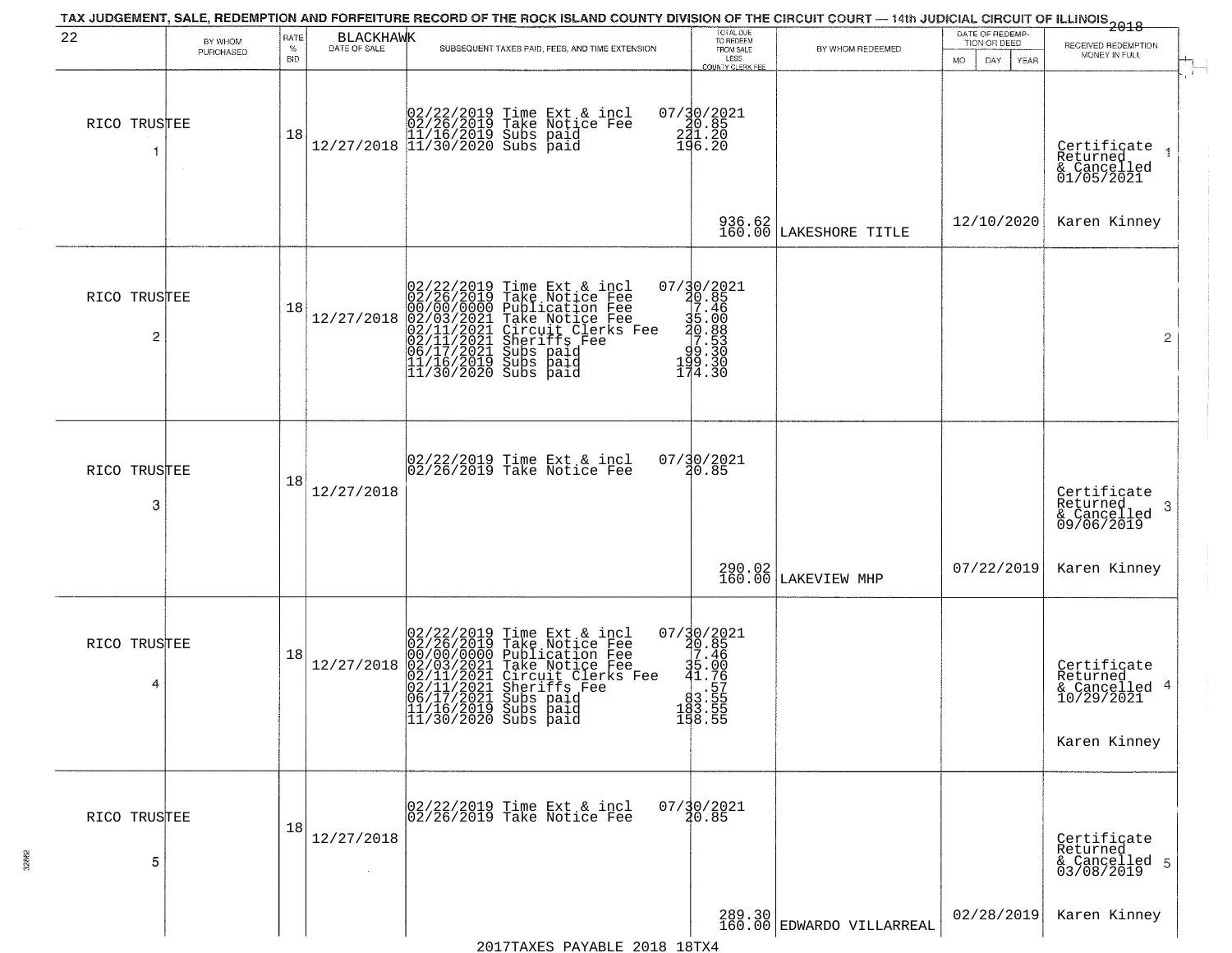|                   |                      |                            |            | TAX JUDGEMENT, SALE, REDEMPTION AND FORFEITURE RECORD OF THE ROCK ISLAND COUNTY DIVISION OF THE CIRCUIT COURT — 14th JUDICIAL CIRCUIT OF ILLINOIS 2018                                                                                                                                                                                                  |                                                                                                                                |                                     |                                                        |                                                                        |
|-------------------|----------------------|----------------------------|------------|---------------------------------------------------------------------------------------------------------------------------------------------------------------------------------------------------------------------------------------------------------------------------------------------------------------------------------------------------------|--------------------------------------------------------------------------------------------------------------------------------|-------------------------------------|--------------------------------------------------------|------------------------------------------------------------------------|
| 22                | BY WHOM<br>PURCHASED | RATE<br>$\%$<br><b>BID</b> | BLACKHAWK  | SUBSEQUENT TAXES PAID, FEES, AND TIME EXTENSION                                                                                                                                                                                                                                                                                                         | TOTAL DUE<br>TO REDEEM<br>FROM SALE<br>LESS<br>COUNTY CLERK FEE                                                                | BY WHOM REDEEMED                    | DATE OF REDEMP-<br>TION OR DEED<br>DAY.<br>YEAR<br>MO. | RECEIVED REDEMPTION<br>MONEY IN FULL                                   |
| RICO TRUSTEE<br>1 |                      | 18                         |            | $\begin{array}{cccc} 02/22/2019 & \text{Time Ext & incl} \\ 02/26/2019 & \text{Take Notice Fee} \\ 11/16/2019 & Subs paid \\ 12/27/2018 & 11/30/2020 & Subs paid \end{array}$                                                                                                                                                                           | 07/30/2021<br>240.85<br>241.20<br>196.20                                                                                       |                                     |                                                        | Certificate<br>Returned<br>& Cancelled<br>01/05/2021                   |
|                   |                      |                            |            |                                                                                                                                                                                                                                                                                                                                                         | 936.62<br>160.00                                                                                                               | LAKESHORE TITLE                     | 12/10/2020                                             | Karen Kinney                                                           |
| RICO TRUSTEE<br>2 |                      | 18                         | 12/27/2018 | $02/22/2019$ Time Ext & incl<br>02/26/2019 Take Notice Fee<br>00/00/000 Publication Fee<br>02/03/2021 Take Notice Fee<br>02/11/2021 Circuit Clerks Fee<br>02/11/2021 Subs paid<br>06/17/2021 Subs paid<br>11/16/2019 Subs paid<br>11/30/2020 Subs pai                                                                                                   | 07/30/2021<br>30.85<br>7.46<br>35.00<br>35.00<br>99.330<br>49.330<br>112.330<br>174.30                                         |                                     |                                                        | $\overline{2}$                                                         |
| RICO TRUSTEE<br>3 |                      | 18                         | 12/27/2018 | 02/22/2019 Time Ext & incl<br>02/26/2019 Take Notice Fee                                                                                                                                                                                                                                                                                                | $07/30/2021$<br>20.85                                                                                                          |                                     |                                                        | Certificate<br>Returned<br>3<br>& Cancelled<br>09/06/2019              |
|                   |                      |                            |            |                                                                                                                                                                                                                                                                                                                                                         |                                                                                                                                | 290.02<br>160.00 LAKEVIEW MHP       | 07/22/2019                                             | Karen Kinney                                                           |
| RICO TRUSTEE<br>4 |                      | 18                         | 12/27/2018 | 02/22/2019 Time Ext &<br>02/26/2019 Take Notic<br>00/00/000 Publicatic<br>02/01/2021 Take Notic<br>02/11/2021 Circuit Cl<br>02/11/2021 Subs paid<br>06/17/2021 Subs paid<br>11/16/2019 Subs paid<br>11/30/2020 Subs paid<br>Time Ext & incl<br>Take Notice Fee<br>Publication Fee<br>Take Notice Fee<br>Circuit Clerks Fee<br>Sheriffs Fee<br>Subs paid | 07/30/2021<br>20.85<br>7.46<br>35.00<br>41.75<br>$\frac{1}{2}$ .57<br>$\begin{array}{r} 83.55 \\ 183.55 \\ 158.55 \end{array}$ |                                     |                                                        | Certificate<br>Returned<br>& Cancelled 4<br>10/29/2021<br>Karen Kinney |
| RICO TRUSTEE<br>5 |                      | 18                         | 12/27/2018 | 02/22/2019 Time Ext & incl<br>02/26/2019 Take Notice Fee                                                                                                                                                                                                                                                                                                | $07/\frac{30}{20.85}$                                                                                                          |                                     |                                                        | Certificate<br>Returned<br>& Cancelled 5<br>03/08/2019                 |
|                   |                      |                            |            |                                                                                                                                                                                                                                                                                                                                                         |                                                                                                                                | 289.30<br>160.00 EDWARDO VILLARREAL | 02/28/2019                                             | Karen Kinney                                                           |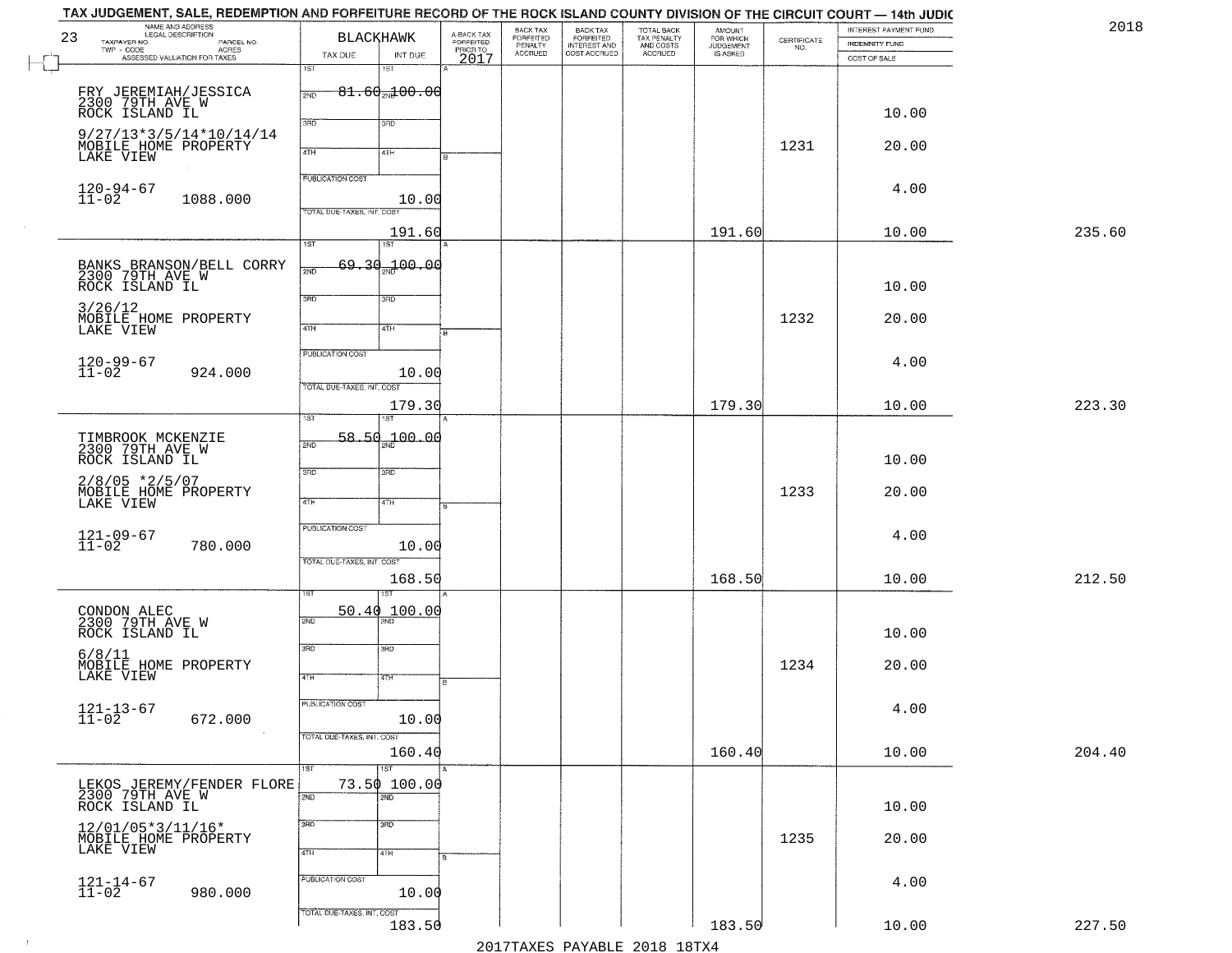| 23 | TAX JUDGEMENT, SALE, REDEMPTION AND FORFEITURE RECORD OF THE ROCK ISLAND COUNTY DIVISION OF THE CIRCUIT COURT — 14th JUDIC<br>NAME AND ADDRESS<br>LEGAL DESCRIPTION<br>TAXPAYER NO.<br>PARCEL NO.<br>$\mathsf{TWP} \, \cdot \, \mathsf{CODE}$<br>- CODE<br>ACRES<br>ASSESSED VALUATION FOR TAXES | BLACKHAWK                                                                       |           | A-BACK TAX<br>FORFEITED<br>PRIOR TO<br>2017 | BACK TAX<br>FORFEITED<br>PENALTY<br>ACCRUED | BACK TAX<br>FORFEITED<br>INTEREST AND<br>COST ACCRUED | TOTAL BACK<br>TAX PENALTY<br>AND COSTS<br>ACCRUED | <b>AMOUNT</b><br>FOR WHICH<br>JUDGEMENT<br>IS ASKED | $\begin{array}{c} \text{CERTIFICATE} \\ \text{NO.} \end{array}$ | INTEREST PAYMENT FUND<br>INDEMNITY FUND | 2018   |
|----|--------------------------------------------------------------------------------------------------------------------------------------------------------------------------------------------------------------------------------------------------------------------------------------------------|---------------------------------------------------------------------------------|-----------|---------------------------------------------|---------------------------------------------|-------------------------------------------------------|---------------------------------------------------|-----------------------------------------------------|-----------------------------------------------------------------|-----------------------------------------|--------|
|    |                                                                                                                                                                                                                                                                                                  | TAX DUE<br>1ST<br>1ST                                                           | INT DUE   |                                             |                                             |                                                       |                                                   |                                                     |                                                                 | COST OF SALE                            |        |
|    | FRY JEREMIAH/JESSICA<br>2300 79TH AVE W<br>ROCK ISLAND IL                                                                                                                                                                                                                                        | $-81.60$ <sub>2N</sub> $\pm00.00$<br>2ND<br>3RD<br>3RD                          |           |                                             |                                             |                                                       |                                                   |                                                     |                                                                 | 10.00                                   |        |
|    | $9/27/13*3/5/14*10/14/14$<br>MOBILE HOME PROPERTY<br>LAKE VIEW                                                                                                                                                                                                                                   | 4TH<br>4TH                                                                      |           |                                             |                                             |                                                       |                                                   |                                                     | 1231                                                            | 20.00                                   |        |
|    | $120 - 94 - 67$<br>$11 - 02$<br>1088.000                                                                                                                                                                                                                                                         | <b>PUBLICATION COST</b><br>TOTAL DUE-TAXES, INT. COST                           | 10.00     |                                             |                                             |                                                       |                                                   |                                                     |                                                                 | 4.00                                    |        |
|    |                                                                                                                                                                                                                                                                                                  |                                                                                 | 191.60    |                                             |                                             |                                                       |                                                   | 191.60                                              |                                                                 | 10.00                                   | 235.60 |
|    | BANKS BRANSON/BELL CORRY<br>2300 79TH AVE W<br>ROCK ISLAND IL                                                                                                                                                                                                                                    | 1ST<br>1ST<br>لمحبوع<br>2ND                                                     | 00.00 مهر |                                             |                                             |                                                       |                                                   |                                                     |                                                                 | 10.00                                   |        |
|    | 3/26/12<br>MOBILE HOME PROPERTY<br>LAKE VIEW                                                                                                                                                                                                                                                     | 3BD<br>3RD<br>47H<br>4TH                                                        |           |                                             |                                             |                                                       |                                                   |                                                     | 1232                                                            | 20.00                                   |        |
|    | 120-99-67<br>11-02<br>924.000                                                                                                                                                                                                                                                                    | PUBLICATION COST                                                                | 10.00     |                                             |                                             |                                                       |                                                   |                                                     |                                                                 | 4.00                                    |        |
|    |                                                                                                                                                                                                                                                                                                  | TOTAL DUE-TAXES, INT. COST                                                      | 179.30    |                                             |                                             |                                                       |                                                   | 179.30                                              |                                                                 | 10.00                                   | 223.30 |
|    | TIMBROOK MCKENZIE<br>2300 79TH AVE W<br>ROCK ISLAND IL                                                                                                                                                                                                                                           | 1ST<br>$58.50 + 00.00$<br>2ND                                                   |           |                                             |                                             |                                                       |                                                   |                                                     |                                                                 | 10.00                                   |        |
|    | $2/8/05$ *2/5/07<br>MOBILE HOME PROPERTY<br>LAKE VIEW                                                                                                                                                                                                                                            | 3RD<br>3 <sub>BD</sub><br>4TH<br>4TH                                            |           |                                             |                                             |                                                       |                                                   |                                                     | 1233                                                            | 20.00                                   |        |
|    | $121 - 09 - 67$<br>$11 - 02$<br>780.000                                                                                                                                                                                                                                                          | <b>PUBLICATION COST</b><br>TOTAL OUE-TAXES, INT. COST                           | 10.00     |                                             |                                             |                                                       |                                                   |                                                     |                                                                 | 4.00                                    |        |
|    |                                                                                                                                                                                                                                                                                                  | ख़ा                                                                             | 168.50    |                                             |                                             |                                                       |                                                   | 168.50                                              |                                                                 | 10.00                                   | 212.50 |
|    | CONDON ALEC<br>2300 79TH AVE W<br>ROCK ISLAND IL                                                                                                                                                                                                                                                 | 50.40 100.00<br>2ND                                                             |           |                                             |                                             |                                                       |                                                   |                                                     |                                                                 | 10.00                                   |        |
|    | 6/8/11<br>MOBILE HOME PROPERTY<br>LAKE VIEW                                                                                                                                                                                                                                                      | 3RD<br>3BD<br>4TH<br>वाम                                                        |           |                                             |                                             |                                                       |                                                   |                                                     | 1234                                                            | 20.00                                   |        |
|    | $121 - 13 - 67$<br>$11 - 02$<br>672.000                                                                                                                                                                                                                                                          | PUBLICATION COST<br>TOTAL DUE-TAXES, INT. COST                                  | 10.00     |                                             |                                             |                                                       |                                                   |                                                     |                                                                 | 4.00                                    |        |
|    |                                                                                                                                                                                                                                                                                                  |                                                                                 | 160.40    |                                             |                                             |                                                       |                                                   | 160.40                                              |                                                                 | 10.00                                   | 204.40 |
|    | LEKOS JEREMY/FENDER FLORE<br>2300 79TH AVE W<br>ROCK ISLAND IL                                                                                                                                                                                                                                   | $\overline{1ST}$<br>$\overline{1ST}$<br>73.50 100.00<br>2ND<br>$\overline{2ND}$ |           |                                             |                                             |                                                       |                                                   |                                                     |                                                                 | 10.00                                   |        |
|    | 12/01/05*3/11/16*<br>MOBILE HOME PROPERTY<br>LAKE VIEW                                                                                                                                                                                                                                           | 3RD<br>3 <sub>BD</sub><br>4TH<br>4TH                                            |           |                                             |                                             |                                                       |                                                   |                                                     | 1235                                                            | 20.00                                   |        |
|    | $121 - 14 - 67$<br>$11 - 02$<br>980.000                                                                                                                                                                                                                                                          | PUBLICATION COST                                                                | 10.00     |                                             |                                             |                                                       |                                                   |                                                     |                                                                 | 4.00                                    |        |
|    |                                                                                                                                                                                                                                                                                                  | TOTAL DUE-TAXES, INT. COST                                                      | 183.50    |                                             |                                             |                                                       | 2017 THAVEC DAVARIE 2010 19TVA                    | 183.50                                              |                                                                 | 10.00                                   | 227.50 |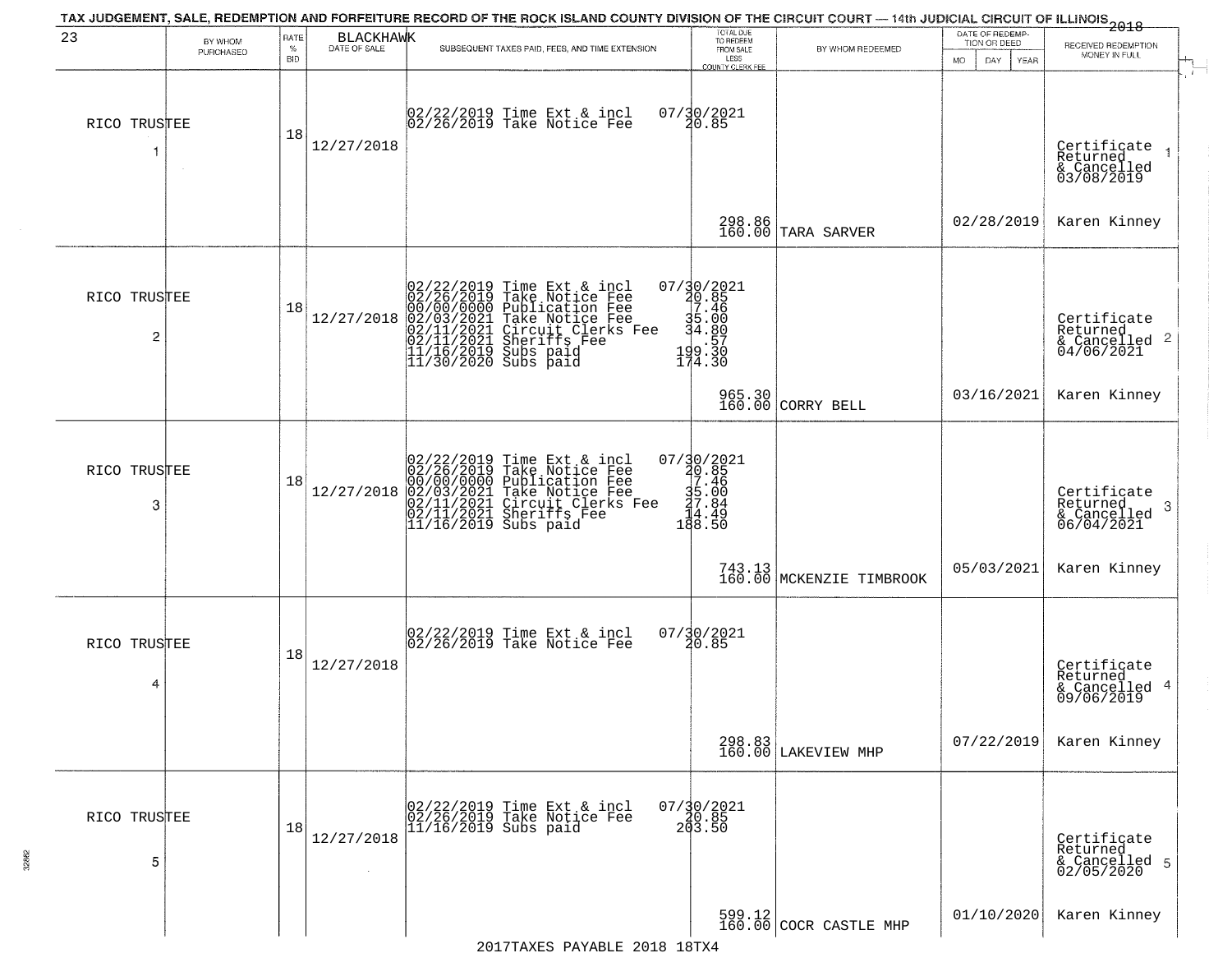| 23                | BY WHOM<br>PURCHASED | RATE<br>$\%$     | BLACKHAWK  | SUBSEQUENT TAXES PAID, FEES, AND TIME EXTENSION                                                                                                                                                                          | TOTAL DUE<br>TO REDEEM<br>FROM SALE                                                                                                                            | BY WHOM REDEEMED                   | DATE OF REDEMP-<br>TION OR DEED | $-2018$<br>RECEIVED REDEMPTION<br>MONEY IN FULL           |  |
|-------------------|----------------------|------------------|------------|--------------------------------------------------------------------------------------------------------------------------------------------------------------------------------------------------------------------------|----------------------------------------------------------------------------------------------------------------------------------------------------------------|------------------------------------|---------------------------------|-----------------------------------------------------------|--|
| RICO TRUSTEE      |                      | <b>BID</b><br>18 | 12/27/2018 | 02/22/2019 Time Ext & incl<br>02/26/2019 Take Notice Fee                                                                                                                                                                 | LESS<br><b>COUNTY CLERK FEE</b><br>07/30/2021<br>20.85                                                                                                         |                                    | DAY.<br>MO.<br>YEAR             | Certificate<br>Returned<br>& Cancelled<br>03/08/2019      |  |
|                   |                      |                  |            |                                                                                                                                                                                                                          |                                                                                                                                                                | 298.86<br>160.00 TARA SARVER       | 02/28/2019                      | Karen Kinney                                              |  |
| RICO TRUSTEE<br>2 |                      | 18               | 12/27/2018 | 02/22/2019 Time Ext & incl<br>02/26/2019 Take Notice Fee<br>00/00/00000 Publication Fee<br>02/03/2021 Take Notice Fee<br>02/11/2021 Sheriffs Fee<br>11/16/2019 Subs paid<br>11/16/2019 Subs paid<br>11/30/2020 Subs paid | 07/30/2021<br>20.85<br>7.46<br>35.00<br>34.80<br>$199.30$<br>199.30<br>174.30                                                                                  |                                    |                                 | Certificate<br>Returned                                   |  |
|                   |                      |                  |            |                                                                                                                                                                                                                          |                                                                                                                                                                | 965.30<br>160.00 CORRY BELL        | 03/16/2021                      | Karen Kinney                                              |  |
| RICO TRUSTEE<br>3 |                      | 18               | 12/27/2018 | 02/22/2019 Time Ext & incl<br>02/26/2019 Take Notice Fee<br>00/00/0000 Publication Fee<br>02/03/2021 Take Notice Fee<br>02/11/2021 Circuit Clerks Fee<br>02/11/2021 Sheriffs Fee<br>11/16/2019 Subs paid                 | $\begin{array}{r} 07 \ / \ \ 30 \ / \ \ 2021 \\ \ 40 \ . \ 85 \\ \ 7 \ . \ 46 \\ \ 35 \ . \ 00 \\ \ 47 \ . \ 84 \\ \ 14 \ . \ 49 \\ \ 18 \ . \ 50 \end{array}$ |                                    |                                 | Certificate<br>Returned<br>3<br>& Cancelled<br>06/04/2021 |  |
|                   |                      |                  |            |                                                                                                                                                                                                                          |                                                                                                                                                                | 743.13<br>160.00 MCKENZIE TIMBROOK | 05/03/2021                      | Karen Kinney                                              |  |
| RICO TRUSTEE<br>4 |                      | 18               | 12/27/2018 | 02/22/2019 Time Ext & incl<br>02/26/2019 Take Notice Fee                                                                                                                                                                 | 07/30/2021<br>20.85                                                                                                                                            |                                    |                                 | Certificate<br>Returned<br>& Cancelled 4<br>09/06/2019    |  |
|                   |                      |                  |            |                                                                                                                                                                                                                          |                                                                                                                                                                | 298.83<br>160.00 LAKEVIEW MHP      | 07/22/2019                      | Karen Kinney                                              |  |
| RICO TRUSTEE<br>5 |                      | 18               | 12/27/2018 | 02/22/2019 Time Ext & incl<br>02/26/2019 Take Notice Fee<br>11/16/2019 Subs paid                                                                                                                                         | $07/\frac{30}{20}.85$<br>20.85<br>203.50                                                                                                                       |                                    |                                 | Certificate<br>Returned<br>& Cancelled 5<br>02/05/2020    |  |
|                   |                      |                  |            |                                                                                                                                                                                                                          |                                                                                                                                                                | $599.12$ COCR CASTLE MHP           | 01/10/2020                      | Karen Kinney                                              |  |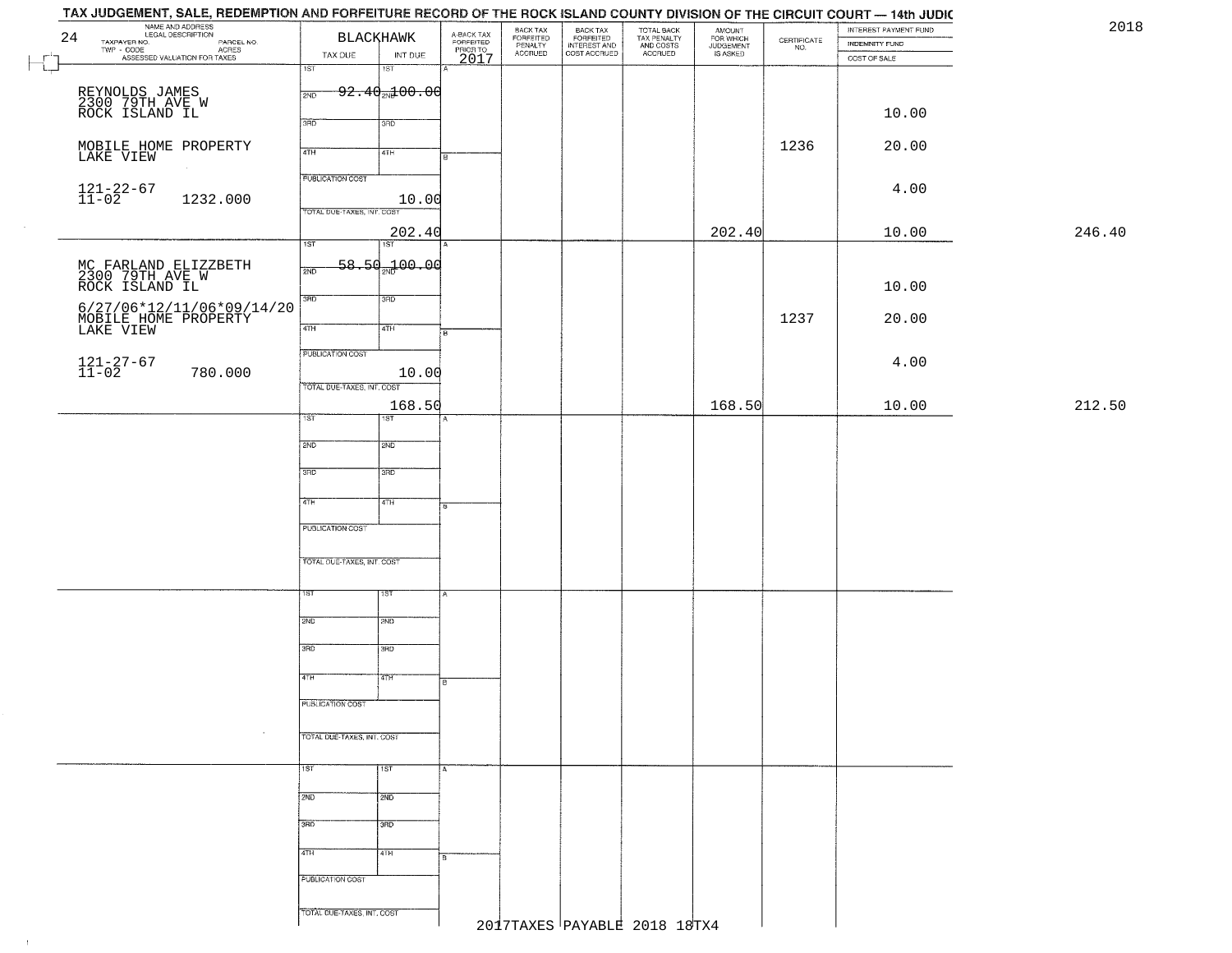| TAX JUDGEMENT, SALE, REDEMPTION AND FORFEITURE RECORD OF THE ROCK ISLAND COUNTY DIVISION OF THE CIRCUIT COURT - 14th JUDIC |                                       |                                     |                                  |                                                       |                                        |                                  |                                                                 |                                         |        |
|----------------------------------------------------------------------------------------------------------------------------|---------------------------------------|-------------------------------------|----------------------------------|-------------------------------------------------------|----------------------------------------|----------------------------------|-----------------------------------------------------------------|-----------------------------------------|--------|
| NAME AND ADDRESS<br>LEGAL DESCRIPTION<br>24                                                                                | <b>BLACKHAWK</b>                      | A-BACK TAX<br>FORFEITED<br>PRIOR TO | BACK TAX<br>FORFEITED<br>PENALTY | BACK TAX<br>FORFEITED<br>INTEREST AND<br>COST ACCRUED | TOTAL BACK<br>TAX PENALTY<br>AND COSTS | AMOUNT<br>FOR WHICH<br>JUDGEMENT |                                                                 | INTEREST PAYMENT FUND<br>INDEMNITY FUND | 2018   |
| TAXPAYER NO.<br>PARCEL NO.<br>ACRES<br>ASSESSED VALUATION FOR TAXES<br>$\mathbf{r}$                                        | INT DUE<br>TAX DUE                    | 2017                                | <b>ACCRUED</b>                   |                                                       | ACCRUED                                | IS ASKED                         | $\begin{array}{c} \text{CERTIFICATE} \\ \text{NO.} \end{array}$ | COST OF SALE                            |        |
| L.                                                                                                                         | 1ST<br>18T                            |                                     |                                  |                                                       |                                        |                                  |                                                                 |                                         |        |
|                                                                                                                            | $92.40$ <sub>2N</sub> $200.00$<br>2ND |                                     |                                  |                                                       |                                        |                                  |                                                                 |                                         |        |
| REYNOLDS JAMES<br>2300 79TH AVE W<br>ROCK ISLAND IL                                                                        |                                       |                                     |                                  |                                                       |                                        |                                  |                                                                 | 10.00                                   |        |
|                                                                                                                            | 3RD<br>3RD                            |                                     |                                  |                                                       |                                        |                                  |                                                                 |                                         |        |
|                                                                                                                            |                                       |                                     |                                  |                                                       |                                        |                                  | 1236                                                            | 20.00                                   |        |
| MOBILE HOME PROPERTY<br>LAKE VIEW                                                                                          | 4TH<br>4TH                            |                                     |                                  |                                                       |                                        |                                  |                                                                 |                                         |        |
|                                                                                                                            | <b>PUBLICATION COST</b>               |                                     |                                  |                                                       |                                        |                                  |                                                                 |                                         |        |
| $121 - 22 - 67$<br>$11 - 02$<br>1232.000                                                                                   | 10.00                                 |                                     |                                  |                                                       |                                        |                                  |                                                                 | 4.00                                    |        |
|                                                                                                                            | TOTAL DUE-TAXES, INT. COST            |                                     |                                  |                                                       |                                        |                                  |                                                                 |                                         |        |
|                                                                                                                            | 202.40                                |                                     |                                  |                                                       |                                        | 202.40                           |                                                                 | 10.00                                   | 246.40 |
|                                                                                                                            | 1ST<br>1ST <sup>-</sup>               |                                     |                                  |                                                       |                                        |                                  |                                                                 |                                         |        |
|                                                                                                                            | 58.50 <sub>37</sub> 00.00<br>2ND      |                                     |                                  |                                                       |                                        |                                  |                                                                 |                                         |        |
| MC FARLAND ELIZZBETH<br>2300 79TH AVE W<br>ROCK ISLAND IL                                                                  |                                       |                                     |                                  |                                                       |                                        |                                  |                                                                 | 10.00                                   |        |
|                                                                                                                            | 3RD<br>3HD                            |                                     |                                  |                                                       |                                        |                                  |                                                                 |                                         |        |
| 6/27/06*12/11/06*09/14/20<br>MOBILE HOME PROPERTY<br>LAKE VIEW                                                             | $\sqrt{47H}$<br>4TH                   |                                     |                                  |                                                       |                                        |                                  | 1237                                                            | 20.00                                   |        |
|                                                                                                                            |                                       |                                     |                                  |                                                       |                                        |                                  |                                                                 |                                         |        |
|                                                                                                                            | PUBLICATION COST                      |                                     |                                  |                                                       |                                        |                                  |                                                                 | 4.00                                    |        |
| $121 - 27 - 67$<br>$11 - 02$<br>780.000                                                                                    | 10.00                                 |                                     |                                  |                                                       |                                        |                                  |                                                                 |                                         |        |
|                                                                                                                            | TOTAL DUE-TAXES, INT. COST            |                                     |                                  |                                                       |                                        |                                  |                                                                 |                                         |        |
|                                                                                                                            | 168.50<br>1ST<br>1ST                  |                                     |                                  |                                                       |                                        | 168.50                           |                                                                 | 10.00                                   | 212.50 |
|                                                                                                                            |                                       |                                     |                                  |                                                       |                                        |                                  |                                                                 |                                         |        |
|                                                                                                                            | 2ND<br>SMD                            |                                     |                                  |                                                       |                                        |                                  |                                                                 |                                         |        |
|                                                                                                                            | 3RD<br>3 <sub>BD</sub>                |                                     |                                  |                                                       |                                        |                                  |                                                                 |                                         |        |
|                                                                                                                            |                                       |                                     |                                  |                                                       |                                        |                                  |                                                                 |                                         |        |
|                                                                                                                            | 4TH<br>4TH                            | l٥                                  |                                  |                                                       |                                        |                                  |                                                                 |                                         |        |
|                                                                                                                            |                                       |                                     |                                  |                                                       |                                        |                                  |                                                                 |                                         |        |
|                                                                                                                            | PUBLICATION COST                      |                                     |                                  |                                                       |                                        |                                  |                                                                 |                                         |        |
|                                                                                                                            | TOTAL OUE-TAXES, INT. COST            |                                     |                                  |                                                       |                                        |                                  |                                                                 |                                         |        |
|                                                                                                                            |                                       |                                     |                                  |                                                       |                                        |                                  |                                                                 |                                         |        |
|                                                                                                                            | 1ST<br>1ST                            |                                     |                                  |                                                       |                                        |                                  |                                                                 |                                         |        |
|                                                                                                                            |                                       |                                     |                                  |                                                       |                                        |                                  |                                                                 |                                         |        |
|                                                                                                                            | 2ND<br>2ND                            |                                     |                                  |                                                       |                                        |                                  |                                                                 |                                         |        |
|                                                                                                                            | 3RD<br>3BD                            |                                     |                                  |                                                       |                                        |                                  |                                                                 |                                         |        |
|                                                                                                                            |                                       |                                     |                                  |                                                       |                                        |                                  |                                                                 |                                         |        |
|                                                                                                                            | 4TH<br>77H                            |                                     |                                  |                                                       |                                        |                                  |                                                                 |                                         |        |
|                                                                                                                            | PUBLICATION COST                      |                                     |                                  |                                                       |                                        |                                  |                                                                 |                                         |        |
|                                                                                                                            |                                       |                                     |                                  |                                                       |                                        |                                  |                                                                 |                                         |        |
| $\sim$                                                                                                                     | TOTAL DUE-TAXES, INT. COST            |                                     |                                  |                                                       |                                        |                                  |                                                                 |                                         |        |
|                                                                                                                            |                                       |                                     |                                  |                                                       |                                        |                                  |                                                                 |                                         |        |
|                                                                                                                            | $\frac{1}{15}$<br>1ST                 | A                                   |                                  |                                                       |                                        |                                  |                                                                 |                                         |        |
|                                                                                                                            | 2ND<br>2ND                            |                                     |                                  |                                                       |                                        |                                  |                                                                 |                                         |        |
|                                                                                                                            |                                       |                                     |                                  |                                                       |                                        |                                  |                                                                 |                                         |        |
|                                                                                                                            | 3BD<br>3 <sub>BD</sub>                |                                     |                                  |                                                       |                                        |                                  |                                                                 |                                         |        |
|                                                                                                                            | 4TH<br>4TH                            |                                     |                                  |                                                       |                                        |                                  |                                                                 |                                         |        |
|                                                                                                                            |                                       | 8                                   |                                  |                                                       |                                        |                                  |                                                                 |                                         |        |
|                                                                                                                            | PUBLICATION COST                      |                                     |                                  |                                                       |                                        |                                  |                                                                 |                                         |        |
|                                                                                                                            |                                       |                                     |                                  |                                                       |                                        |                                  |                                                                 |                                         |        |
|                                                                                                                            | TOTAL DUE-TAXES, INT. COST            |                                     |                                  |                                                       | 2017TAXES PAYABLE 2018 18TX4           |                                  |                                                                 |                                         |        |
|                                                                                                                            |                                       |                                     |                                  |                                                       |                                        |                                  |                                                                 |                                         |        |

 $\overline{\phantom{a}}$ 

 $\uparrow$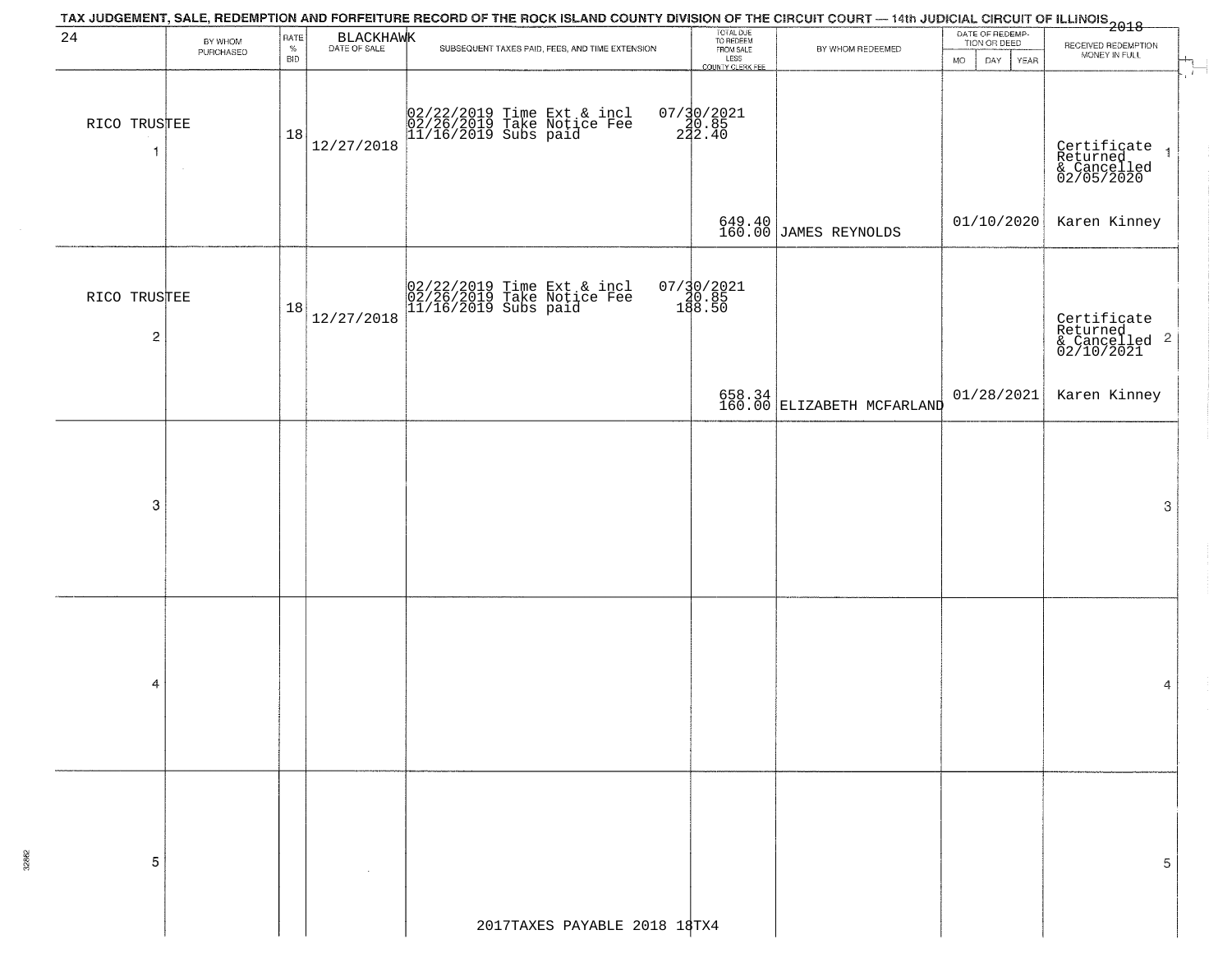| TAX JUDGEMENT, SALE, REDEMPTION AND FORFEITURE RECORD OF THE ROCK ISLAND COUNTY DIVISION OF THE CIRCUIT COURT — 14th JUDICIAL CIRCUIT OF ILLINOIS<br>2018 - The Contract of December 1999<br>DATE OF REDEMP-<br>24 |                              |            |                                                 |                                                                                                                                                                                   |                                                                                                                                                                 |                                     |                                                                   |  |  |  |  |  |  |
|--------------------------------------------------------------------------------------------------------------------------------------------------------------------------------------------------------------------|------------------------------|------------|-------------------------------------------------|-----------------------------------------------------------------------------------------------------------------------------------------------------------------------------------|-----------------------------------------------------------------------------------------------------------------------------------------------------------------|-------------------------------------|-------------------------------------------------------------------|--|--|--|--|--|--|
| BY WHOM<br>PURCHASED                                                                                                                                                                                               | RATE<br>$\%$<br><b>BID</b>   |            | SUBSEQUENT TAXES PAID, FEES, AND TIME EXTENSION | FROM SALE                                                                                                                                                                         | BY WHOM REDEEMED                                                                                                                                                | TION OR DEED<br>MO.<br>DAY.<br>YEAR | RECEIVED REDEMPTION<br>MONEY IN FULL<br>$\frac{1}{\sqrt{2}}$      |  |  |  |  |  |  |
|                                                                                                                                                                                                                    | 18                           | 12/27/2018 |                                                 |                                                                                                                                                                                   |                                                                                                                                                                 |                                     | Certificate<br>Returned<br>& Cancelled<br>02/05/2020              |  |  |  |  |  |  |
|                                                                                                                                                                                                                    |                              |            |                                                 |                                                                                                                                                                                   |                                                                                                                                                                 |                                     | Karen Kinney                                                      |  |  |  |  |  |  |
|                                                                                                                                                                                                                    | 18                           | 12/27/2018 |                                                 |                                                                                                                                                                                   |                                                                                                                                                                 |                                     | Certificate<br>Returned<br>& Cancelled <sup>2</sup><br>02/10/2021 |  |  |  |  |  |  |
|                                                                                                                                                                                                                    |                              |            |                                                 |                                                                                                                                                                                   |                                                                                                                                                                 | 01/28/2021                          | Karen Kinney                                                      |  |  |  |  |  |  |
|                                                                                                                                                                                                                    |                              |            |                                                 |                                                                                                                                                                                   |                                                                                                                                                                 |                                     | 3                                                                 |  |  |  |  |  |  |
|                                                                                                                                                                                                                    |                              |            |                                                 |                                                                                                                                                                                   |                                                                                                                                                                 |                                     | 4                                                                 |  |  |  |  |  |  |
|                                                                                                                                                                                                                    |                              |            |                                                 |                                                                                                                                                                                   |                                                                                                                                                                 |                                     | 5                                                                 |  |  |  |  |  |  |
|                                                                                                                                                                                                                    | RICO TRUSTEE<br>RICO TRUSTEE |            |                                                 | BLACKHAWK<br>02/22/2019 Time Ext & incl<br>02/26/2019 Take Notice Fee<br>11/16/2019 Subs paid<br>02/22/2019 Time Ext & incl<br>02/26/2019 Take Notice Fee<br>11/16/2019 Subs paid | TOTAL DUE<br>TO REDEEM<br>LESS<br>LESS<br>COUNTY CLERK FEE<br>07/30/2021<br>20.85<br>222.40<br>$07/30/2021$<br>180.85<br>188.50<br>2017TAXES PAYABLE 2018 18TX4 | 649.40<br>160.00 JAMES REYNOLDS     | 01/10/2020<br>658.34<br>160.00 ELIZABETH MCFARLAND                |  |  |  |  |  |  |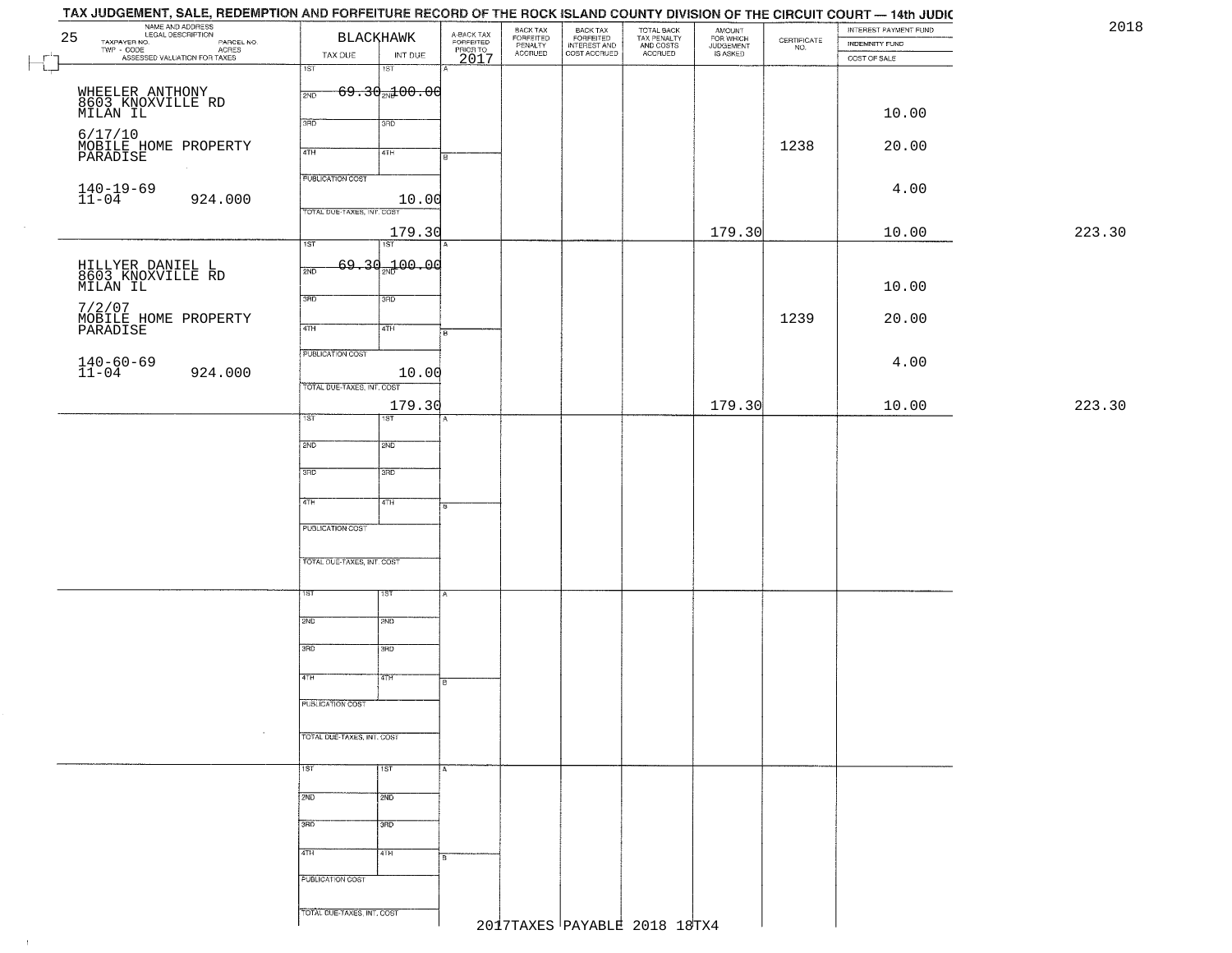| NAME AND ADDRESS<br>LEGAL DESCRIPTION<br>25                         | <b>BLACKHAWK</b>                     | A-BACK TAX<br>FORFEITED<br>PRIOR TO | BACK TAX<br>FORFEITED<br>PENALTY | BACK TAX<br>FORFEITED<br>INTEREST AND | TOTAL BACK<br>TAX PENALTY<br>AND COSTS | AMOUNT<br>FOR WHICH<br>JUDGEMENT |                                                                 | INTEREST PAYMENT FUND                 | 2018   |
|---------------------------------------------------------------------|--------------------------------------|-------------------------------------|----------------------------------|---------------------------------------|----------------------------------------|----------------------------------|-----------------------------------------------------------------|---------------------------------------|--------|
| TAXPAYER NO.<br>PARCEL NO.<br>ACRES<br>ASSESSED VALUATION FOR TAXES | TAX DUE<br>INT DUE                   |                                     | <b>ACCRUED</b>                   | COST ACCRUED                          | ACCRUED                                | IS ASKED                         | $\begin{array}{c} \text{CERTIFICATE} \\ \text{NO.} \end{array}$ | <b>INDEMNITY FUND</b><br>COST OF SALE |        |
|                                                                     | 1ST<br>18T                           | 2017                                |                                  |                                       |                                        |                                  |                                                                 |                                       |        |
| WHEELER ANTHONY                                                     | $69.30$ <sub>212</sub> 100.00<br>2ND |                                     |                                  |                                       |                                        |                                  |                                                                 |                                       |        |
| 8603 KNOXVILLE RD<br>MILAN IL                                       |                                      |                                     |                                  |                                       |                                        |                                  |                                                                 | 10.00                                 |        |
|                                                                     | 3RD<br>3RD                           |                                     |                                  |                                       |                                        |                                  |                                                                 |                                       |        |
| 6/17/10<br>MOBILE HOME PROPERTY<br>PARADISE                         | 4TH<br>4TH                           |                                     |                                  |                                       |                                        |                                  | 1238                                                            | 20.00                                 |        |
|                                                                     |                                      |                                     |                                  |                                       |                                        |                                  |                                                                 |                                       |        |
|                                                                     | <b>PUBLICATION COST</b>              |                                     |                                  |                                       |                                        |                                  |                                                                 | 4.00                                  |        |
| $140 - 19 - 69$<br>$11 - 04$<br>924.000                             | 10.00                                |                                     |                                  |                                       |                                        |                                  |                                                                 |                                       |        |
|                                                                     | TOTAL DUE-TAXES, INT. COST           |                                     |                                  |                                       |                                        |                                  |                                                                 |                                       |        |
|                                                                     | 179.30<br>1ST<br>1ST                 |                                     |                                  |                                       |                                        | 179.30                           |                                                                 | 10.00                                 | 223.30 |
|                                                                     | 69.30 <sub>2w</sub> 100.00           |                                     |                                  |                                       |                                        |                                  |                                                                 |                                       |        |
| HILLYER DANIEL L<br>8603 KNOXVILLE RD<br>MILAN IL                   | 2ND                                  |                                     |                                  |                                       |                                        |                                  |                                                                 |                                       |        |
|                                                                     | 3RD<br>3RD                           |                                     |                                  |                                       |                                        |                                  |                                                                 | 10.00                                 |        |
| 7/2/07<br>MOBILE HOME PROPERTY<br>PARADISE                          |                                      |                                     |                                  |                                       |                                        |                                  | 1239                                                            | 20.00                                 |        |
|                                                                     | 47H<br>4TH                           | $\overline{B}$                      |                                  |                                       |                                        |                                  |                                                                 |                                       |        |
|                                                                     | PUBLICATION COST                     |                                     |                                  |                                       |                                        |                                  |                                                                 |                                       |        |
| $140 - 60 - 69$<br>$11 - 04$<br>924.000                             | 10.00                                |                                     |                                  |                                       |                                        |                                  |                                                                 | 4.00                                  |        |
|                                                                     | TOTAL DUE-TAXES, INT. COST           |                                     |                                  |                                       |                                        |                                  |                                                                 |                                       |        |
|                                                                     | 179.30<br>1ST<br>1ST                 |                                     |                                  |                                       |                                        | 179.30                           |                                                                 | 10.00                                 | 223.30 |
|                                                                     |                                      |                                     |                                  |                                       |                                        |                                  |                                                                 |                                       |        |
|                                                                     | 2ND<br>2ND                           |                                     |                                  |                                       |                                        |                                  |                                                                 |                                       |        |
|                                                                     | 3 <sub>BD</sub><br>3RD               |                                     |                                  |                                       |                                        |                                  |                                                                 |                                       |        |
|                                                                     |                                      |                                     |                                  |                                       |                                        |                                  |                                                                 |                                       |        |
|                                                                     | 4TH<br>$\sqrt{4TH}$                  | 8                                   |                                  |                                       |                                        |                                  |                                                                 |                                       |        |
|                                                                     | PUBLICATION COST                     |                                     |                                  |                                       |                                        |                                  |                                                                 |                                       |        |
|                                                                     |                                      |                                     |                                  |                                       |                                        |                                  |                                                                 |                                       |        |
|                                                                     | TOTAL OUE-TAXES, INT. COST           |                                     |                                  |                                       |                                        |                                  |                                                                 |                                       |        |
|                                                                     |                                      |                                     |                                  |                                       |                                        |                                  |                                                                 |                                       |        |
|                                                                     | 1ST<br>१९४                           |                                     |                                  |                                       |                                        |                                  |                                                                 |                                       |        |
|                                                                     | 2ND<br>2ND                           |                                     |                                  |                                       |                                        |                                  |                                                                 |                                       |        |
|                                                                     | 3RD<br>3BD                           |                                     |                                  |                                       |                                        |                                  |                                                                 |                                       |        |
|                                                                     |                                      |                                     |                                  |                                       |                                        |                                  |                                                                 |                                       |        |
|                                                                     | ৰাম<br>4TH                           | ١e                                  |                                  |                                       |                                        |                                  |                                                                 |                                       |        |
|                                                                     | PUBLICATION COST                     |                                     |                                  |                                       |                                        |                                  |                                                                 |                                       |        |
|                                                                     |                                      |                                     |                                  |                                       |                                        |                                  |                                                                 |                                       |        |
| $\sim$                                                              | TOTAL DUE-TAXES, INT. COST           |                                     |                                  |                                       |                                        |                                  |                                                                 |                                       |        |
|                                                                     |                                      |                                     |                                  |                                       |                                        |                                  |                                                                 |                                       |        |
|                                                                     | 1ST <sup>1</sup><br>1ST              | IA.                                 |                                  |                                       |                                        |                                  |                                                                 |                                       |        |
|                                                                     | 2ND<br>2ND                           |                                     |                                  |                                       |                                        |                                  |                                                                 |                                       |        |
|                                                                     |                                      |                                     |                                  |                                       |                                        |                                  |                                                                 |                                       |        |
|                                                                     | 3BD<br>3RD                           |                                     |                                  |                                       |                                        |                                  |                                                                 |                                       |        |
|                                                                     | 4TH<br>4TH                           | lв                                  |                                  |                                       |                                        |                                  |                                                                 |                                       |        |
|                                                                     | PUBLICATION COST                     |                                     |                                  |                                       |                                        |                                  |                                                                 |                                       |        |
|                                                                     |                                      |                                     |                                  |                                       |                                        |                                  |                                                                 |                                       |        |
|                                                                     | TOTAL DUE-TAXES, INT. COST           |                                     |                                  |                                       |                                        |                                  |                                                                 |                                       |        |
|                                                                     |                                      |                                     |                                  | 2017TAXES PAYABLE 2018 18TX4          |                                        |                                  |                                                                 |                                       |        |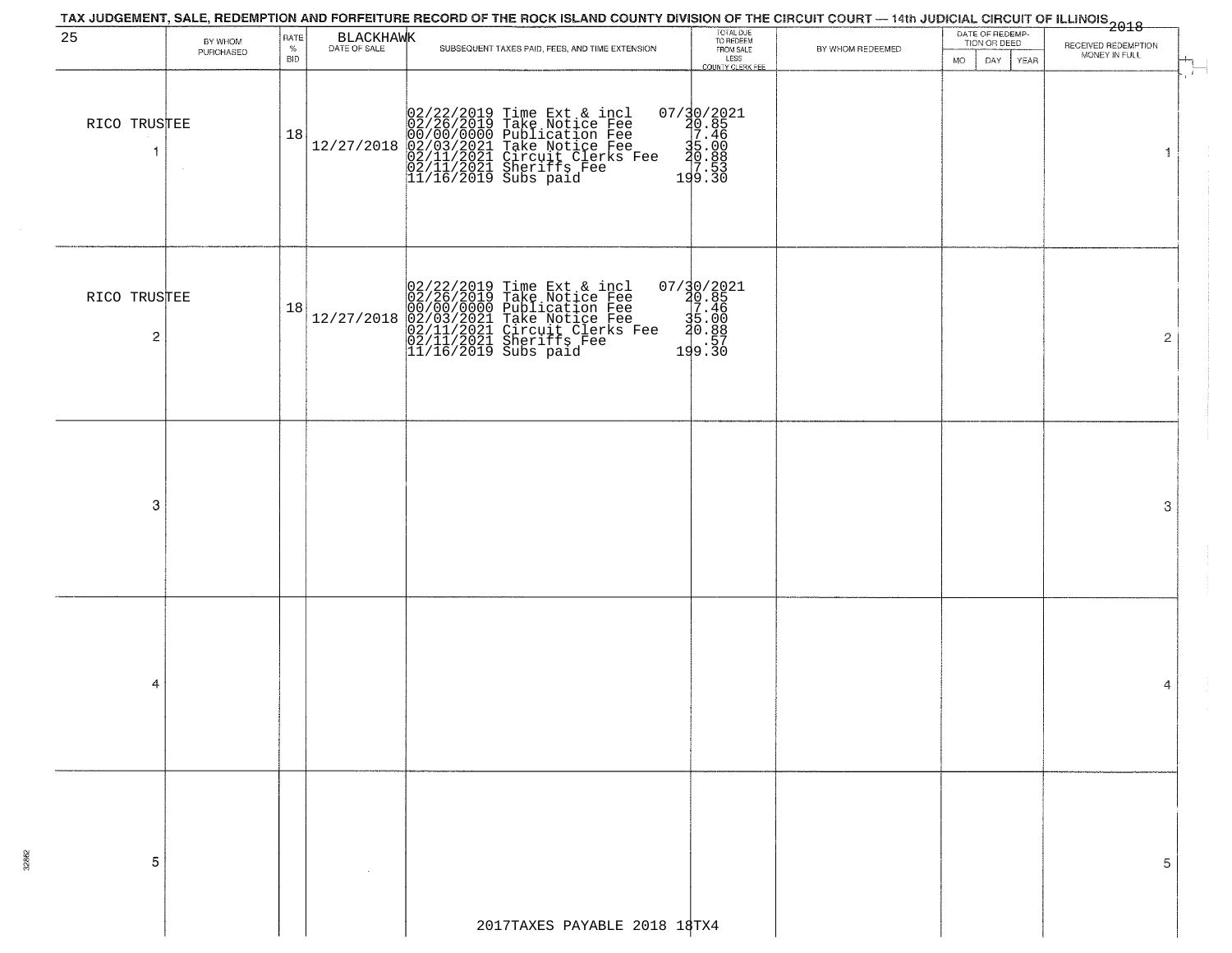|                                |                      |                  |            | TAX JUDGEMENT, SALE, REDEMPTION AND FORFEITURE RECORD OF THE ROCK ISLAND COUNTY DIVISION OF THE CIRCUIT COURT — 14th JUDICIAL CIRCUIT OF ILLINOIS<br>2018 - The Contract of December 1999                |                                                                                                                                                                   |                  |                                                                    |                                      |
|--------------------------------|----------------------|------------------|------------|----------------------------------------------------------------------------------------------------------------------------------------------------------------------------------------------------------|-------------------------------------------------------------------------------------------------------------------------------------------------------------------|------------------|--------------------------------------------------------------------|--------------------------------------|
| 25                             | BY WHOM<br>PURCHASED | RATE<br>%<br>BID | BLACKHAWK  | SUBSEQUENT TAXES PAID, FEES, AND TIME EXTENSION                                                                                                                                                          | TOTAL DUE<br>TO REDEEM<br>FROM SALE<br>LESS<br>COUNTY CLERK FEE                                                                                                   | BY WHOM REDEEMED | DATE OF REDEMP-<br>TION OR DEED<br><b>MO</b><br>DAY<br><b>YEAR</b> | RECEIVED REDEMPTION<br>MONEY IN FULL |
| RICO TRUSTEE                   |                      | 18               | 12/27/2018 | 02/22/2019 Time Ext & incl<br>02/26/2019 Take Notice Fee<br>00/00/0000 Publication Fee<br>02/03/2021 Take Notice Fee<br>02/11/2021 Circuit Clerks Fee<br>02/11/2021 Sheriffs Fee<br>11/16/2019 Subs paid | $\begin{smallmatrix} 07/30/2021\\ 20.85\\ 17.46\\ 35.00\\ 49.89\\ 199.30 \end{smallmatrix}$                                                                       |                  |                                                                    | $\mathbf{f}$<br>1                    |
| RICO TRUSTEE<br>$\overline{c}$ |                      | 18               | 12/27/2018 | 02/22/2019 Time Ext & incl<br>02/26/2019 Take Notice Fee<br>00/00/0000 Publication Fee<br>02/03/2021 Take Notice Fee<br>02/11/2021 Circuit Clerks Fee<br>02/11/2021 Sheriffs Fee<br>11/16/2019 Subs paid | $\begin{smallmatrix} 07 \ / \ \ 30 \ / \ \ 2021 \\ \ 20 \ . \ \ 85 \\ \ 35 \ . \ \ 46 \\ \ 36 \ . \ \ 88 \\ \ 20 \ . \ \ 88 \\ \ 19 \ . \ \ 30 \end{smallmatrix}$ |                  |                                                                    | $\overline{2}$                       |
| -3                             |                      |                  |            |                                                                                                                                                                                                          |                                                                                                                                                                   |                  |                                                                    | 3                                    |
| 4                              |                      |                  |            |                                                                                                                                                                                                          |                                                                                                                                                                   |                  |                                                                    | 4                                    |
| 5                              |                      |                  |            | 2017TAXES PAYABLE 2018 18TX4                                                                                                                                                                             |                                                                                                                                                                   |                  |                                                                    | 5                                    |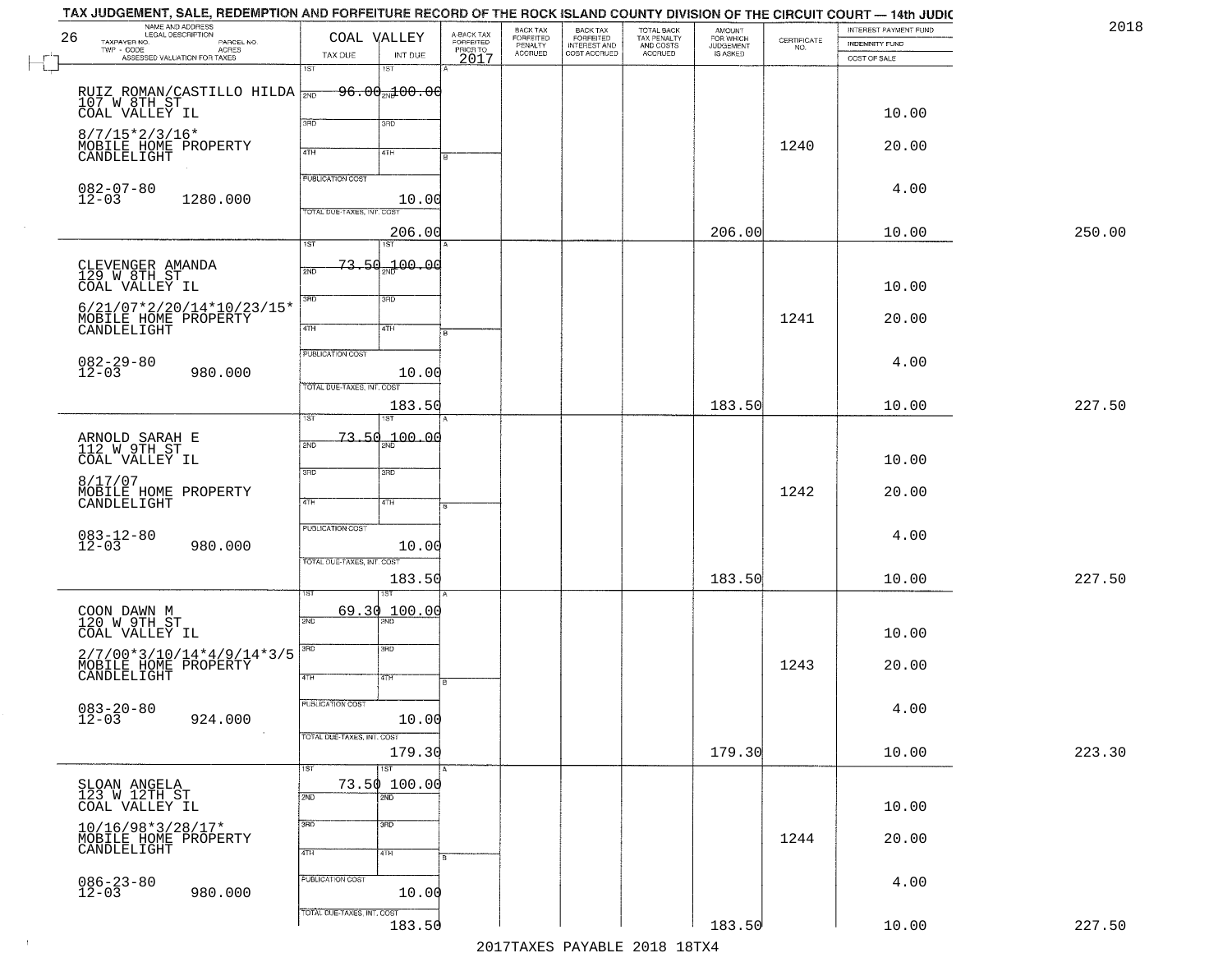|        | INTEREST PAYMENT FUND<br>INDEMNITY FUND | CERTIFICATE<br>NO. | <b>AMOUNT</b><br>FOR WHICH<br>JUDGEMENT<br>IS ASKED | TOTAL BACK<br>TAX PENALTY<br>AND COSTS<br>ACCRUED | BACK TAX<br>FORFEITED<br>INTEREST AND<br>COST ACCRUED | BACK TAX<br>FORFEITED<br>PENALTY<br>ACCRUED | A-BACK TAX<br>FORFEITED |                                     | COAL VALLEY                      | NAME AND ADDRESS<br>LEGAL DESCRIPTION<br>TAXPAYER NO.<br>PARCEL NO.                                           | 26                       |
|--------|-----------------------------------------|--------------------|-----------------------------------------------------|---------------------------------------------------|-------------------------------------------------------|---------------------------------------------|-------------------------|-------------------------------------|----------------------------------|---------------------------------------------------------------------------------------------------------------|--------------------------|
|        | COST OF SALE                            |                    |                                                     |                                                   |                                                       |                                             | PRIORTO<br>2017         | INT DUE<br>1ST                      | TAX DUE<br>1ST                   | - CODE ACRES<br>ASSESSED VALUATION FOR TAXES                                                                  | TWP - CODE               |
|        |                                         |                    |                                                     |                                                   |                                                       |                                             |                         |                                     |                                  | RUIZ ROMAN/CASTILLO HILDA $\frac{107}{200}$ 96.0 $\frac{103}{200}$ 0.00                                       |                          |
|        | 10.00                                   |                    |                                                     |                                                   |                                                       |                                             |                         | 3RD                                 | 3PD                              | COAL VALLEY IL                                                                                                |                          |
|        | 20.00                                   | 1240               |                                                     |                                                   |                                                       |                                             |                         | 4TH                                 | 4TH                              | $8/7/15*2/3/16*$<br>MOBILE HOME PROPERTY<br>CANDLELIGHT                                                       |                          |
|        | 4.00                                    |                    |                                                     |                                                   |                                                       |                                             |                         |                                     | <b>PUBLICATION COST</b>          |                                                                                                               |                          |
|        |                                         |                    |                                                     |                                                   |                                                       |                                             |                         | 10.00                               | TOTAL DUE-TAXES, INT. COST       | 1280.000                                                                                                      | 082-07-80<br>12-03       |
| 250.00 | 10.00                                   |                    | 206.00                                              |                                                   |                                                       |                                             |                         | 206.00<br>1ST                       | $\overline{1ST}$                 |                                                                                                               |                          |
|        | 10.00                                   |                    |                                                     |                                                   |                                                       |                                             |                         | <del>73.50<sub>2N</sub>100.00</del> | 2ND                              | CLEVENGER AMANDA<br>129 W 8TH ST<br>COAL VALLEY IL                                                            |                          |
|        | 20.00                                   | 1241               |                                                     |                                                   |                                                       |                                             |                         | 3RD<br>4TH                          | $\overline{3BD}$<br>$\sqrt{47H}$ | $6/21/07*2/20/14*10/23/15*$<br>MOBILE HOME PROPERTY<br>CANDLELIGHT                                            |                          |
|        | 4.00                                    |                    |                                                     |                                                   |                                                       |                                             |                         |                                     | PUBLICATION COST                 |                                                                                                               | $082 - 29 - 80$<br>12-03 |
| 227.50 | 10.00                                   |                    | 183.50                                              |                                                   |                                                       |                                             |                         | 10.00<br>183.50                     | TOTAL DUE-TAXES, INT. COST       | 980.000                                                                                                       |                          |
|        |                                         |                    |                                                     |                                                   |                                                       |                                             |                         |                                     | ist                              |                                                                                                               |                          |
|        | 10.00                                   |                    |                                                     |                                                   |                                                       |                                             |                         | 00.04 مهر                           | 73,50<br>2ND                     | ARNOLD SARAH E<br>112 W 9TH ST<br>COAL VALLEY IL                                                              |                          |
|        | 20.00                                   | 1242               |                                                     |                                                   |                                                       |                                             |                         | 3 <sub>BD</sub><br>4TH              | 3BD<br>4TH                       | MOBILE HOME PROPERTY<br>CANDLELIGHT                                                                           | 8/17/07                  |
|        | 4.00                                    |                    |                                                     |                                                   |                                                       |                                             |                         |                                     | PUBLICATION COST                 |                                                                                                               |                          |
|        |                                         |                    |                                                     |                                                   |                                                       |                                             |                         | 10.00                               | TOTAL OUE-TAXES, INT. COST       | 980.000                                                                                                       | $083 - 12 - 80$<br>12-03 |
| 227.50 | 10.00                                   |                    | 183.50                                              |                                                   |                                                       |                                             |                         | 183.50                              |                                  |                                                                                                               |                          |
|        | 10.00                                   |                    |                                                     |                                                   |                                                       |                                             |                         | 100.00                              | 69.30<br>2ND                     | COON DAWN M<br>120 W 9TH ST<br>COAL VALLEY IL                                                                 |                          |
|        | 20.00                                   | 1243               |                                                     |                                                   |                                                       |                                             |                         | 3BD<br>वाम                          | 3RD<br>4TH                       | $\begin{array}{c} 2/7/00*3/10/14*4/9/14*3/5 \\ \text{MOBILE HOME PROPERTY} \\ \text{CANDLELIGHT} \end{array}$ |                          |
|        | 4.00                                    |                    |                                                     |                                                   |                                                       |                                             |                         |                                     | PUBLICATION COST                 |                                                                                                               | $083 - 20 - 80$<br>12-03 |
| 223.30 |                                         |                    | 179.30                                              |                                                   |                                                       |                                             |                         | 10.00                               | TOTAL DUE-TAXES, INT. COST       | 924.000                                                                                                       |                          |
|        | 10.00                                   |                    |                                                     |                                                   |                                                       |                                             |                         | 179.30<br>$\overline{1ST}$          | 1ST                              |                                                                                                               |                          |
|        | 10.00                                   |                    |                                                     |                                                   |                                                       |                                             |                         | 73.50 100.00<br>2ND                 | 2ND                              | SLOAN ANGELA<br>123 W 12TH ST<br>COAL VALLEY IL                                                               |                          |
|        | 20.00                                   | 1244               |                                                     |                                                   |                                                       |                                             |                         | 3 <sub>RD</sub><br>4TH              | 3RD<br>4TH                       | $10/16/98*3/28/17*$<br>MOBILE HOME PROPERTY<br>CANDLELIGHT                                                    |                          |
|        | 4.00                                    |                    |                                                     |                                                   |                                                       |                                             |                         |                                     | PUBLICATION COST                 |                                                                                                               | $086 - 23 - 80$<br>12-03 |
|        |                                         |                    |                                                     |                                                   |                                                       |                                             |                         | 10.00                               | TOTAL DUE-TAXES, INT. COST       | 980.000                                                                                                       |                          |
| 227.50 | 10.00                                   |                    | 183.50                                              |                                                   |                                                       |                                             |                         | 183.50                              |                                  |                                                                                                               |                          |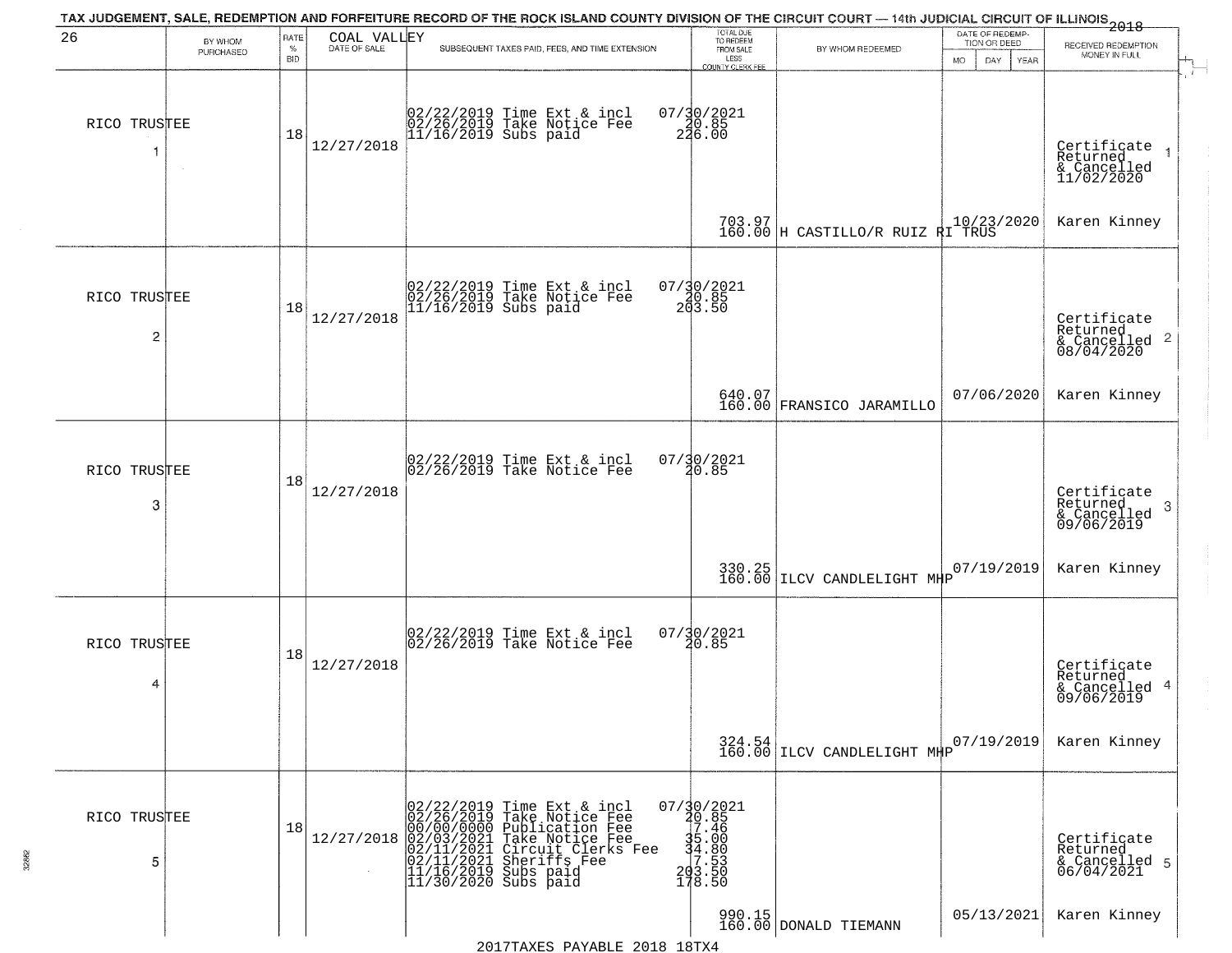| 26                             | BY WHOM   | RATE               | COAL VALLEY  | TAX JUDGEMENT, SALE, REDEMPTION AND FORFEITURE RECORD OF THE ROCK ISLAND COUNTY DIVISION OF THE CIRCUIT COURT — 14th JUDICIAL CIRCUIT OF ILLINOIS 2018                                            | TOTAL DUE<br>TO REDEEM                                                                                                  |                                                                     | DATE OF REDEMP-                                 |                                                                        |
|--------------------------------|-----------|--------------------|--------------|---------------------------------------------------------------------------------------------------------------------------------------------------------------------------------------------------|-------------------------------------------------------------------------------------------------------------------------|---------------------------------------------------------------------|-------------------------------------------------|------------------------------------------------------------------------|
|                                | PURCHASED | $\%$<br><b>BID</b> | DATE OF SALE | SUBSEQUENT TAXES PAID, FEES, AND TIME EXTENSION                                                                                                                                                   | FROM SALE<br>LESS                                                                                                       | BY WHOM REDEEMED                                                    | TION OR DEED<br><b>MO</b><br>DAY<br><b>YEAR</b> | RECEIVED REDEMPTION<br>MONEY IN FULL                                   |
| RICO TRUSTEE<br>-1             | $\sim$    | 18                 | 12/27/2018   | 02/22/2019 Time Ext & incl<br>02/26/2019 Take Notice Fee<br>11/16/2019 Subs paid                                                                                                                  | <b>COUNTY CLERK FEE</b><br>$07/30/2021$<br>20.85<br>246.00                                                              |                                                                     |                                                 | Certificate<br>Returned<br>& Cancelled<br>11/02/2020                   |
|                                |           |                    |              |                                                                                                                                                                                                   |                                                                                                                         | 703.97<br>160.00 H CASTILLO/R RUIZ RI TRUS                          |                                                 | Karen Kinney                                                           |
| RICO TRUSTEE<br>$\overline{c}$ |           | 18                 | 12/27/2018   | 02/22/2019 Time Ext & incl<br>02/26/2019 Take Notice Fee<br>11/16/2019 Subs paid                                                                                                                  | $07/30/2021$<br>$20.85$<br>$203.50$                                                                                     |                                                                     |                                                 | Certificate<br>Returned<br>$\overline{c}$<br>& Cancelled<br>08/04/2020 |
|                                |           |                    |              |                                                                                                                                                                                                   |                                                                                                                         | 640.07<br>160.00 FRANSICO JARAMILLO                                 | 07/06/2020                                      | Karen Kinney                                                           |
| RICO TRUSTEE<br>3              |           | 18                 | 12/27/2018   | 02/22/2019 Time Ext & incl<br>02/26/2019 Take Notice Fee                                                                                                                                          | $07/30/2021$<br>20.85                                                                                                   |                                                                     |                                                 | Certificate<br>Returned<br>3<br>& Cancelled<br>09/06/2019              |
|                                |           |                    |              |                                                                                                                                                                                                   |                                                                                                                         | 330.25 LLCV CANDLELIGHT MHP                                         | 07/19/2019                                      | Karen Kinney                                                           |
| RICO TRUSTEE<br>4              |           | 18                 | 12/27/2018   | 02/22/2019 Time Ext & incl<br>02/26/2019 Take Notice Fee                                                                                                                                          | $07/\frac{30}{20.85}$                                                                                                   |                                                                     |                                                 | Certificate<br>Returned<br>4<br>& Cancelled<br>09/06/2019              |
|                                |           |                    |              |                                                                                                                                                                                                   |                                                                                                                         | $\begin{array}{c} 324.54 \ 160.00 \end{array}$ LLCV CANDLELIGHT MHP | 07/19/2019                                      | Karen Kinney                                                           |
| RICO TRUSTEE<br>5              |           | 18                 | 12/27/2018   | 02/22/2019 Time Ext & incl<br>02/26/2019 Take Notice Fee<br>00/00/00/000 Publication Fee<br>02/03/2021 Take Notice Fee<br>02/11/2021 Sheriffs Fee<br>11/16/2019 Subs paid<br>11/30/2020 Subs paid | $07/\frac{30}{20}.85$<br>$7.\frac{46}{45}$<br>$\frac{35}{4}$ .000<br>$\frac{4}{7}$ .53<br>$\frac{20}{3}$ .500<br>178.50 |                                                                     |                                                 | Certificate<br>Returned<br>& Cancelled 5<br>06/04/2021                 |
|                                |           |                    |              | 2017TAXES PAYABLE 2018 18TX4                                                                                                                                                                      |                                                                                                                         | 990.15<br>160.00 DONALD TIEMANN                                     | 05/13/2021                                      | Karen Kinney                                                           |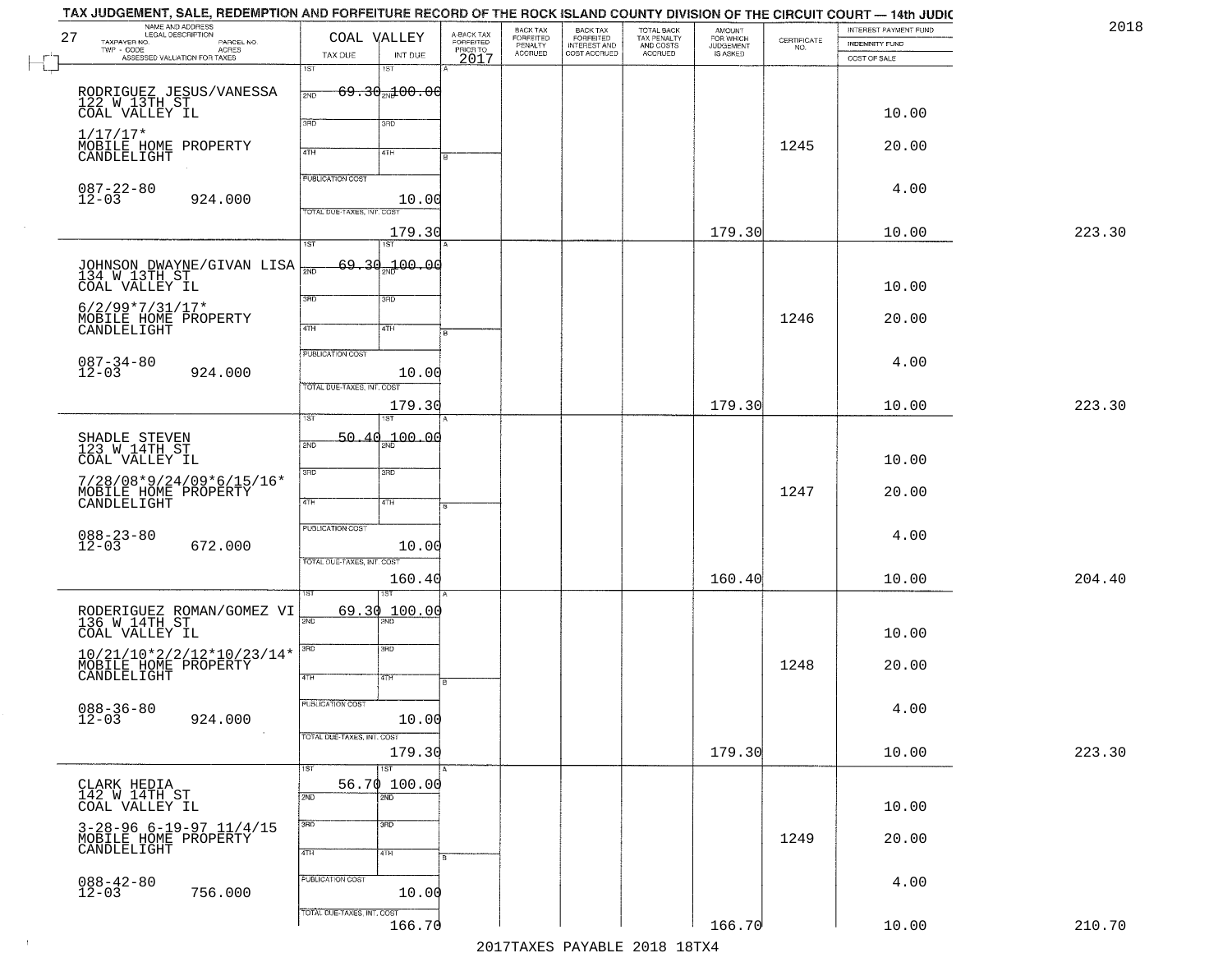| 2018   | INTEREST PAYMENT FUND<br><b>INDEMNITY FUND</b> | $\begin{array}{c} \text{CERTIFICATE} \\ \text{NO.} \end{array}$ | AMOUNT<br>FOR WHICH<br><b>JUDGEMENT</b> | TOTAL BACK<br>TAX PENALTY<br>AND COSTS | BACK TAX<br>FORFEITED<br>INTEREST AND | BACK TAX<br>FORFEITED<br>PENALTY | A-BACK TAX<br>FORFEITED<br>PRIOR TO | COAL VALLEY                                                    | NAME AND ADDRESS<br>LEGAL DESCRIPTION<br>TAXPAYER NO.<br>PARCEL NO.<br>ACRES<br>TWP - CODE |
|--------|------------------------------------------------|-----------------------------------------------------------------|-----------------------------------------|----------------------------------------|---------------------------------------|----------------------------------|-------------------------------------|----------------------------------------------------------------|--------------------------------------------------------------------------------------------|
|        | COST OF SALE                                   |                                                                 | IS ASKED                                | ACCRUED                                | COST ACCRUED                          | <b>ACCRUED</b>                   | 2017                                | TAX DUE<br>INT DUE                                             | ASSESSED VALUATION FOR TAXES                                                               |
|        |                                                |                                                                 |                                         |                                        |                                       |                                  |                                     | 1ST<br>18T<br>$69.30 - 00.00$<br>2ND                           | RODRIGUEZ JESUS/VANESSA<br>122 W 13TH ST<br>COAL VALLEY IL                                 |
|        | 10.00                                          |                                                                 |                                         |                                        |                                       |                                  |                                     | 3RD<br>3RD                                                     | $1/17/17*$                                                                                 |
|        | 20.00                                          | 1245                                                            |                                         |                                        |                                       |                                  |                                     | 4TH<br>4TH                                                     | MOBILE HOME PROPERTY<br>CANDLELIGHT                                                        |
|        | 4.00                                           |                                                                 |                                         |                                        |                                       |                                  |                                     | <b>PUBLICATION COST</b><br>10.00<br>TOTAL DUE-TAXES, INT. COST | $087 - 22 - 80$<br>12-03<br>924.000                                                        |
| 223.30 | 10.00                                          |                                                                 | 179.30                                  |                                        |                                       |                                  |                                     | 179.30<br>1ST<br>IST                                           |                                                                                            |
|        | 10.00                                          |                                                                 |                                         |                                        |                                       |                                  |                                     | 69.30 <sub>30</sub> 100.00<br>সাঁচ                             | JOHNSON DWAYNE/GIVAN LISA<br>134 W 13TH ST<br>COAL VALLEY IL                               |
|        | 20.00                                          | 1246                                                            |                                         |                                        |                                       |                                  |                                     | 3RD<br>3RD<br>47H<br>4TH                                       | $6/2/99*7/31/17*$<br>MOBILE HOME PROPERTY<br>CANDLELIGHT                                   |
|        | 4.00                                           |                                                                 |                                         |                                        |                                       |                                  |                                     | PUBLICATION COST<br>10.00                                      | $087 - 34 - 80$<br>12-03<br>924.000                                                        |
| 223.30 | 10.00                                          |                                                                 | 179.30                                  |                                        |                                       |                                  |                                     | TOTAL DUE-TAXES, INT. COST<br>179.30<br>ist.<br><b>ST</b>      |                                                                                            |
|        | 10.00                                          |                                                                 |                                         |                                        |                                       |                                  |                                     | 100.00<br>50.40<br>2ND                                         | SHADLE STEVEN<br>123 W 14TH ST<br>COAL VALLEY IL                                           |
|        | 20.00                                          | 1247                                                            |                                         |                                        |                                       |                                  |                                     | 3BD<br>3RD<br>4TH<br>4TH                                       | 7/28/08*9/24/09*6/15/16*<br>MOBILE HOME PROPERTY<br>CANDLELIGHT                            |
|        | 4.00                                           |                                                                 |                                         |                                        |                                       |                                  |                                     | <b>PUBLICATION COST</b><br>10.00                               | $088 - 23 - 80$<br>12-03<br>672.000                                                        |
| 204.40 | 10.00                                          |                                                                 | 160.40                                  |                                        |                                       |                                  |                                     | TOTAL OUE-TAXES, INT. COST<br>160.40                           |                                                                                            |
|        | 10.00                                          |                                                                 |                                         |                                        |                                       |                                  |                                     | 69.30<br>100.00<br>2ND<br>$\overline{\text{ND}}$               | RODERIGUEZ ROMAN/GOMEZ VI<br>136 W 14TH ST<br>COAL VALLEY IL                               |
|        | 20.00                                          | 1248                                                            |                                         |                                        |                                       |                                  |                                     | 3RD<br>3RD<br>4TH<br>4TH                                       | $10/21/10*2/2/12*10/23/14*$<br>MOBILE HOME PROPERTY                                        |
|        | 4.00                                           |                                                                 |                                         |                                        |                                       |                                  |                                     | PUBLICATION COST<br>10.00                                      | $088 - 36 - 80$<br>12-03<br>924.000                                                        |
| 223.30 | 10.00                                          |                                                                 | 179.30                                  |                                        |                                       |                                  |                                     | TOTAL DUE-TAXES, INT. COST<br>179.30<br>1ST<br>1ST             |                                                                                            |
|        | 10.00                                          |                                                                 |                                         |                                        |                                       |                                  |                                     | 56.70 100.00<br>2ND<br>2ND                                     | CLARK HEDIA<br>142 W 14TH ST<br>COAL VALLEY IL                                             |
|        | 20.00                                          | 1249                                                            |                                         |                                        |                                       |                                  |                                     | 3BD<br>$\overline{\text{3AD}}$<br>4TH<br>4TH                   | $3-28-96$ 6-19-97 11/4/15<br>MOBILE HOME PROPERTY<br>CANDLELIGHT                           |
|        | 4.00                                           |                                                                 |                                         |                                        |                                       |                                  |                                     | PUBLICATION COST<br>10.00                                      | $088 - 42 - 80$<br>12-03<br>756.000                                                        |
| 210.70 | 10.00                                          |                                                                 | 166.70                                  |                                        |                                       |                                  |                                     | TOTAL DUE-TAXES, INT. COST<br>166.70                           |                                                                                            |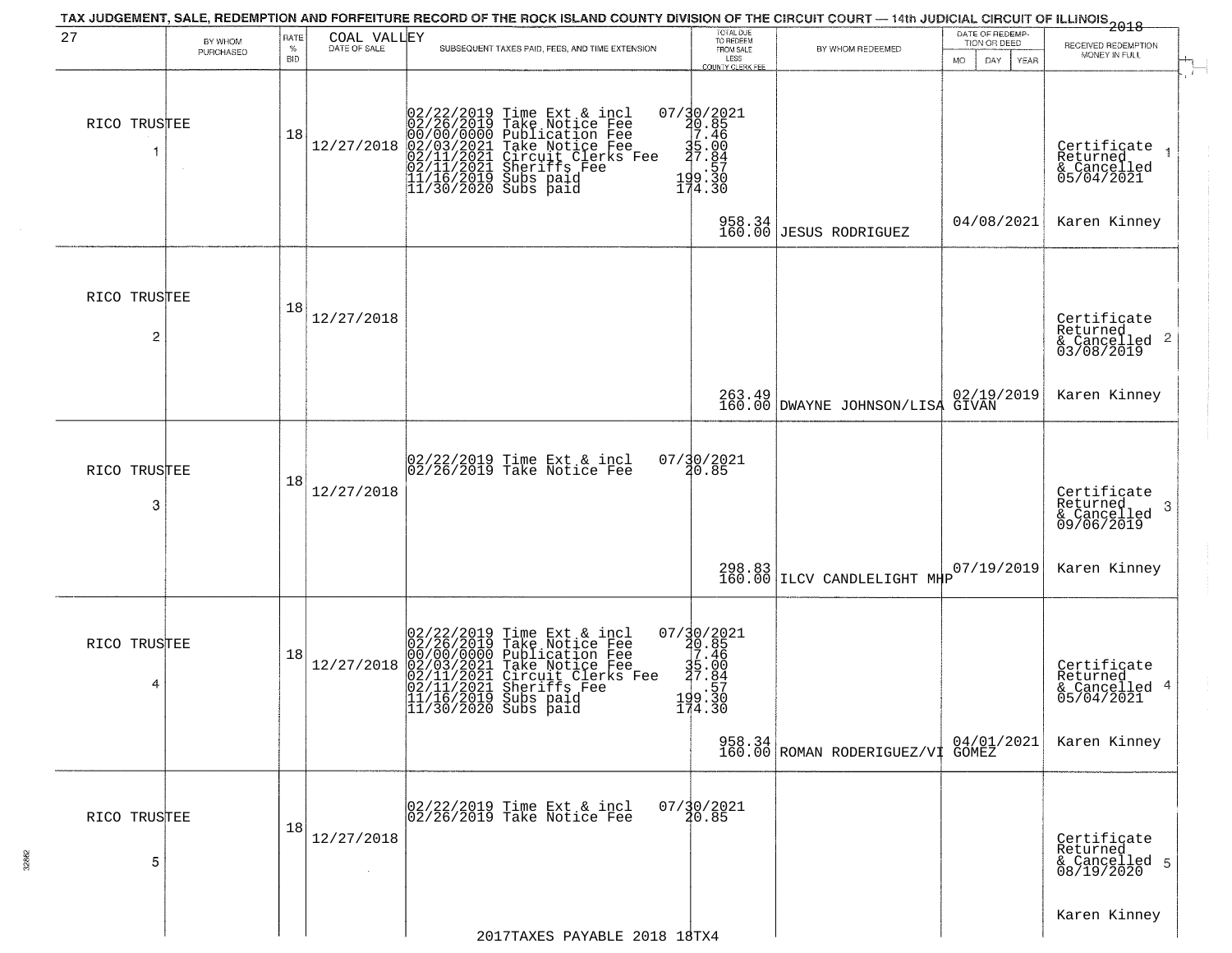| 27                | BY WHOM   | RATE            | COAL VALLEY<br>DATE OF SALE | TAX JUDGEMENT, SALE, REDEMPTION AND FORFEITURE RECORD OF THE ROCK ISLAND COUNTY DIVISION OF THE CIRCUIT COURT — 14th JUDICIAL CIRCUIT OF ILLINOIS 2018                                                                           | TOTAL DUE<br>TO REDEEM                                                      |                                            | DATE OF REDEMP-<br>TION OR DEED |                                                            |
|-------------------|-----------|-----------------|-----------------------------|----------------------------------------------------------------------------------------------------------------------------------------------------------------------------------------------------------------------------------|-----------------------------------------------------------------------------|--------------------------------------------|---------------------------------|------------------------------------------------------------|
|                   | PURCHASED | %<br><b>BID</b> |                             | SUBSEQUENT TAXES PAID, FEES, AND TIME EXTENSION                                                                                                                                                                                  | FROM SALE<br>LESS<br>COUNTY CLERK FEE                                       | BY WHOM REDEEMED                           | <b>MO</b><br>DAY<br>YEAR        | RECEIVED REDEMPTION<br>MONEY IN FULL                       |
| RICO TRUSTEE<br>1 | $\sim$    | 18              | 12/27/2018                  | 02/22/2019 Time Ext & incl<br>02/26/2019 Take Notice Fee<br>00/00/00/000 Publication Fee<br>02/03/2021 Take Notice Fee<br>02/11/2021 Sheriffs Fee<br>11/16/2019 Subs paid<br>11/30/2020 Subs paid<br>11/30/2020 Subs paid        | 07/30/2021<br>20.85<br>7.46<br>35.00<br>37.84<br>199:30<br>174.30           |                                            |                                 | Certificate<br>Returned<br>& Cancelled<br>05/04/2021       |
|                   |           |                 |                             |                                                                                                                                                                                                                                  | 958.34<br>160.00                                                            | <b>JESUS RODRIGUEZ</b>                     | 04/08/2021                      | Karen Kinney                                               |
| RICO TRUSTEE<br>2 |           | 18              | 12/27/2018                  |                                                                                                                                                                                                                                  |                                                                             |                                            |                                 | Certificate<br>Returned<br>& Cancelled 2<br>03/08/2019     |
|                   |           |                 |                             |                                                                                                                                                                                                                                  |                                                                             | 263.49<br>160.00 DWAYNE JOHNSON/LISA GIVAN | 02/19/2019                      | Karen Kinney                                               |
| RICO TRUSTEE<br>3 |           | 18              | 12/27/2018                  | 02/22/2019 Time Ext & incl<br>02/26/2019 Take Notice Fee                                                                                                                                                                         | 07/30/2021<br>20.85                                                         |                                            |                                 | Certificate<br>Returned<br>-3<br>& Cancelled<br>09/06/2019 |
|                   |           |                 |                             |                                                                                                                                                                                                                                  | 298.83<br>160.00                                                            | ILCV CANDLELIGHT MHP                       | 07/19/2019                      | Karen Kinney                                               |
| RICO TRUSTEE<br>4 |           | 18              | 12/27/2018                  | 02/22/2019 Time Ext & incl<br>02/26/2019 Take Notice Fee<br>00/00/0000 Publication Fee<br>02/03/2021 Take Notice Fee<br>02/11/2021 Circuit Clerks Fee<br>02/11/2021 Sheriffs Fee<br>11/16/2019 Subs paid<br>11/30/2020 Subs paid | $07/30/2021$<br>20.85<br>17.46<br>$\frac{35.00}{27.84}$<br>199.30<br>174.30 |                                            |                                 | Certificate<br>Returned<br>& Cancelled 4<br>05/04/2021     |
|                   |           |                 |                             |                                                                                                                                                                                                                                  |                                                                             | 958.34 ROMAN RODERIGUEZ/VI GOMEZ           |                                 | Karen Kinney                                               |
| RICO TRUSTEE<br>5 |           | 18              | 12/27/2018                  | 02/22/2019 Time Ext & incl<br>02/26/2019 Take Notice Fee                                                                                                                                                                         | $07/\frac{30}{20.85}$                                                       |                                            |                                 | Certificate<br>Returned<br>& Cancelled 5<br>08/19/2020     |
|                   |           |                 |                             | 2017TAXES PAYABLE 2018 18TX4                                                                                                                                                                                                     |                                                                             |                                            |                                 | Karen Kinney                                               |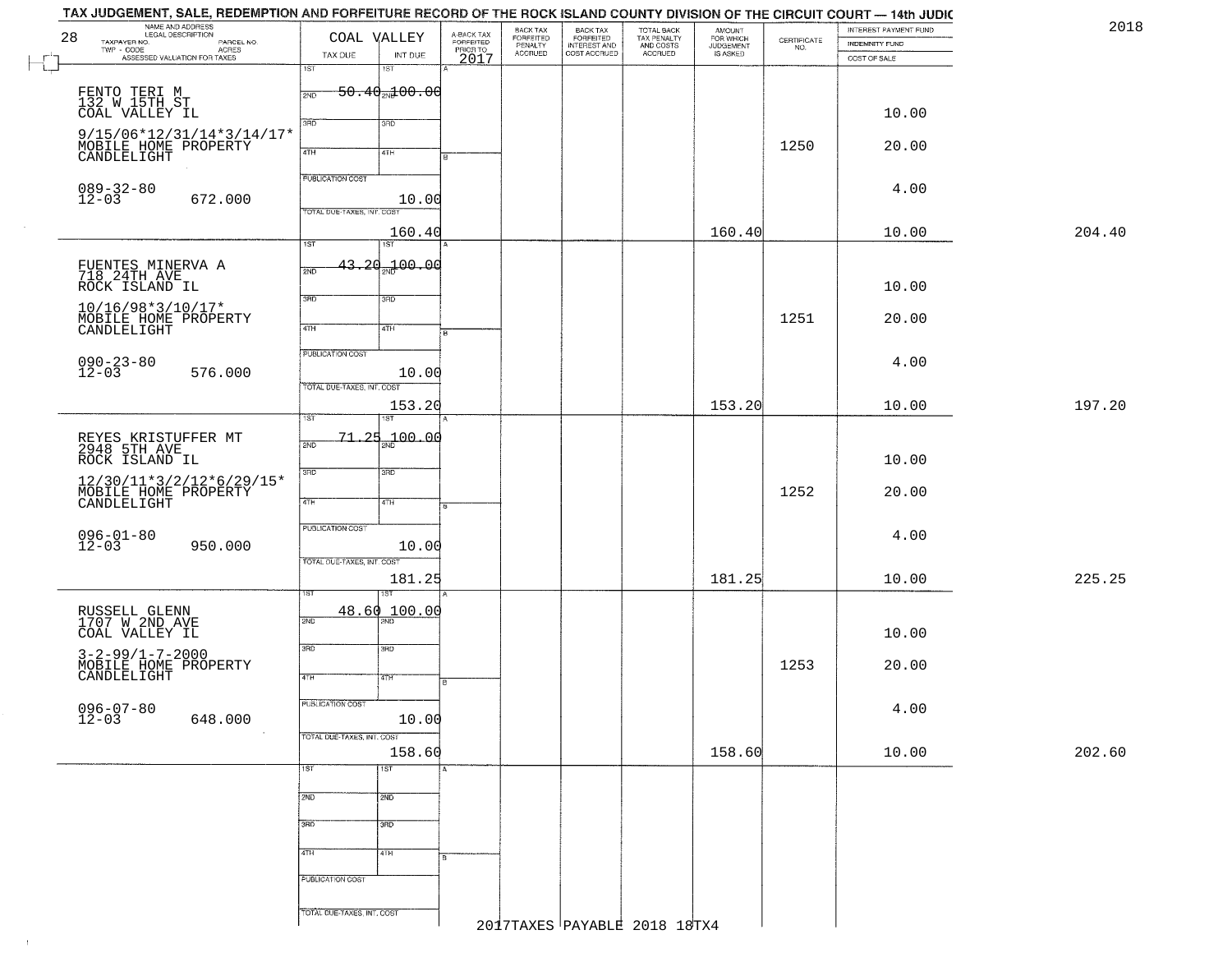| 2018   | INTEREST PAYMENT FUND          | $\begin{array}{c} \text{CERTIFICATE} \\ \text{NO.} \end{array}$ | AMOUNT<br>FOR WHICH | TOTAL BACK<br>TAX PENALTY<br>AND COSTS |                                                       | BACK TAX<br>FORFEITED<br>PENALTY | A-BACK TAX<br>FORFEITED<br>PRIOR TO | COAL VALLEY                    |                            | NAME AND ADDRESS<br>28                                              |
|--------|--------------------------------|-----------------------------------------------------------------|---------------------|----------------------------------------|-------------------------------------------------------|----------------------------------|-------------------------------------|--------------------------------|----------------------------|---------------------------------------------------------------------|
|        | INDEMNITY FUND<br>COST OF SALE |                                                                 | <b>JUDGEMENT</b>    | <b>ACCRUED</b>                         | BACK TAX<br>FORFEITED<br>INTEREST AND<br>COST ACCRUED | <b>ACCRUED</b>                   | 2017                                | INT DUE                        | TAX DUE                    | TAXPAYER NO.<br>PARCEL NO.<br>ACRES<br>ASSESSED VALUATION FOR TAXES |
|        |                                |                                                                 |                     |                                        |                                                       |                                  |                                     | 18T                            | 1ST                        |                                                                     |
|        |                                |                                                                 |                     |                                        |                                                       |                                  |                                     | $50.40$ <sub>2N</sub> $100.00$ | 2ND                        | FENTO TERI M<br>132 W 15TH ST                                       |
|        | 10.00                          |                                                                 |                     |                                        |                                                       |                                  |                                     | 3RD                            | 3HD                        | COAL VALLEY IL                                                      |
|        | 20.00                          | 1250                                                            |                     |                                        |                                                       |                                  |                                     |                                |                            | 9/15/06*12/31/14*3/14/17*                                           |
|        |                                |                                                                 |                     |                                        |                                                       |                                  | lΒ                                  | 4TH                            | 4TH                        | MOBILE HOME PROPERTY<br>CANDLELIGHT                                 |
|        | 4.00                           |                                                                 |                     |                                        |                                                       |                                  |                                     |                                | <b>PUBLICATION COST</b>    |                                                                     |
|        |                                |                                                                 |                     |                                        |                                                       |                                  |                                     | 10.00                          | TOTAL DUE-TAXES, INT. COST | $089 - 32 - 80$<br>12-03<br>672.000                                 |
| 204.40 | 10.00                          |                                                                 | 160.40              |                                        |                                                       |                                  |                                     | 160.40                         |                            |                                                                     |
|        |                                |                                                                 |                     |                                        |                                                       |                                  |                                     | 1ST                            | 1ST                        |                                                                     |
|        |                                |                                                                 |                     |                                        |                                                       |                                  |                                     | 43.20 <sub>37</sub> 100.00     | 2ND                        | FUENTES MINERVA A<br>718 24TH AVE                                   |
|        | 10.00                          |                                                                 |                     |                                        |                                                       |                                  |                                     | 3RD                            | 3BD                        | ROCK ISLAND IL                                                      |
|        | 20.00                          | 1251                                                            |                     |                                        |                                                       |                                  |                                     |                                |                            | $10/16/98*3/10/17*$                                                 |
|        |                                |                                                                 |                     |                                        |                                                       |                                  | ŀв                                  | 4TH                            | 4TH                        | MOBILE HOME PROPERTY<br>CANDLELIGHT                                 |
|        | 4.00                           |                                                                 |                     |                                        |                                                       |                                  |                                     |                                | PUBLICATION COST           | $090 - 23 - 80$                                                     |
|        |                                |                                                                 |                     |                                        |                                                       |                                  |                                     | 10.00                          | TOTAL DUE-TAXES, INT. COST | $12 - 03$<br>576.000                                                |
| 197.20 | 10.00                          |                                                                 | 153.20              |                                        |                                                       |                                  |                                     | 153.20                         |                            |                                                                     |
|        |                                |                                                                 |                     |                                        |                                                       |                                  |                                     | 187                            | 1ST                        |                                                                     |
|        |                                |                                                                 |                     |                                        |                                                       |                                  |                                     | 00.04 مج                       | $-25$<br>-71<br>2ND        | REYES KRISTUFFER MT<br>2948 5TH AVE                                 |
|        | 10.00                          |                                                                 |                     |                                        |                                                       |                                  |                                     | 3RD                            | 3BD                        | ROCK ISLAND IL<br>12/30/11*3/2/12*6/29/15*                          |
|        | 20.00                          | 1252                                                            |                     |                                        |                                                       |                                  |                                     | 4TH                            | 4TH                        | MOBILE HOME PROPERTY                                                |
|        |                                |                                                                 |                     |                                        |                                                       |                                  |                                     |                                | <b>PUBLICATION COST</b>    |                                                                     |
|        | 4.00                           |                                                                 |                     |                                        |                                                       |                                  |                                     | 10.00                          |                            | $096 - 01 - 80$<br>12-03<br>950.000                                 |
|        |                                |                                                                 |                     |                                        |                                                       |                                  |                                     |                                | TOTAL OUE-TAXES, INT. COST |                                                                     |
| 225.25 | 10.00                          |                                                                 | 181.25              |                                        |                                                       |                                  |                                     | 181.25<br>1ST                  | ST                         |                                                                     |
|        |                                |                                                                 |                     |                                        |                                                       |                                  |                                     | 48.60 100.00                   |                            | RUSSELL GLENN<br>1707 W 2ND AVE                                     |
|        | 10.00                          |                                                                 |                     |                                        |                                                       |                                  |                                     |                                | 2ND                        | COAL VALLEY IL                                                      |
|        |                                |                                                                 |                     |                                        |                                                       |                                  |                                     | 3BD                            | 3RD                        | $3 - 2 - 99/1 - 7 - 2000$                                           |
|        | 20.00                          | 1253                                                            |                     |                                        |                                                       |                                  | B                                   | वाम                            | 4TH                        | MOBILE HOME PROPERTY<br>CANDLELIGHT                                 |
|        |                                |                                                                 |                     |                                        |                                                       |                                  |                                     |                                | PUBLICATION COST           |                                                                     |
|        | 4.00                           |                                                                 |                     |                                        |                                                       |                                  |                                     | 10.00                          |                            | $096 - 07 - 80$<br>12-03<br>648.000                                 |
| 202.60 | 10.00                          |                                                                 | 158.60              |                                        |                                                       |                                  |                                     | 158.60                         | TOTAL DUE-TAXES, INT. COST |                                                                     |
|        |                                |                                                                 |                     |                                        |                                                       |                                  |                                     | 1ST                            | 1ST                        |                                                                     |
|        |                                |                                                                 |                     |                                        |                                                       |                                  |                                     | 2ND                            | 2ND                        |                                                                     |
|        |                                |                                                                 |                     |                                        |                                                       |                                  |                                     |                                |                            |                                                                     |
|        |                                |                                                                 |                     |                                        |                                                       |                                  |                                     | 3BD                            | 3BD                        |                                                                     |
|        |                                |                                                                 |                     |                                        |                                                       |                                  |                                     | 4TH                            | 4TH                        |                                                                     |
|        |                                |                                                                 |                     |                                        |                                                       |                                  |                                     |                                | PUBLICATION COST           |                                                                     |
|        |                                |                                                                 |                     |                                        |                                                       |                                  |                                     |                                |                            |                                                                     |

 $\pm 1$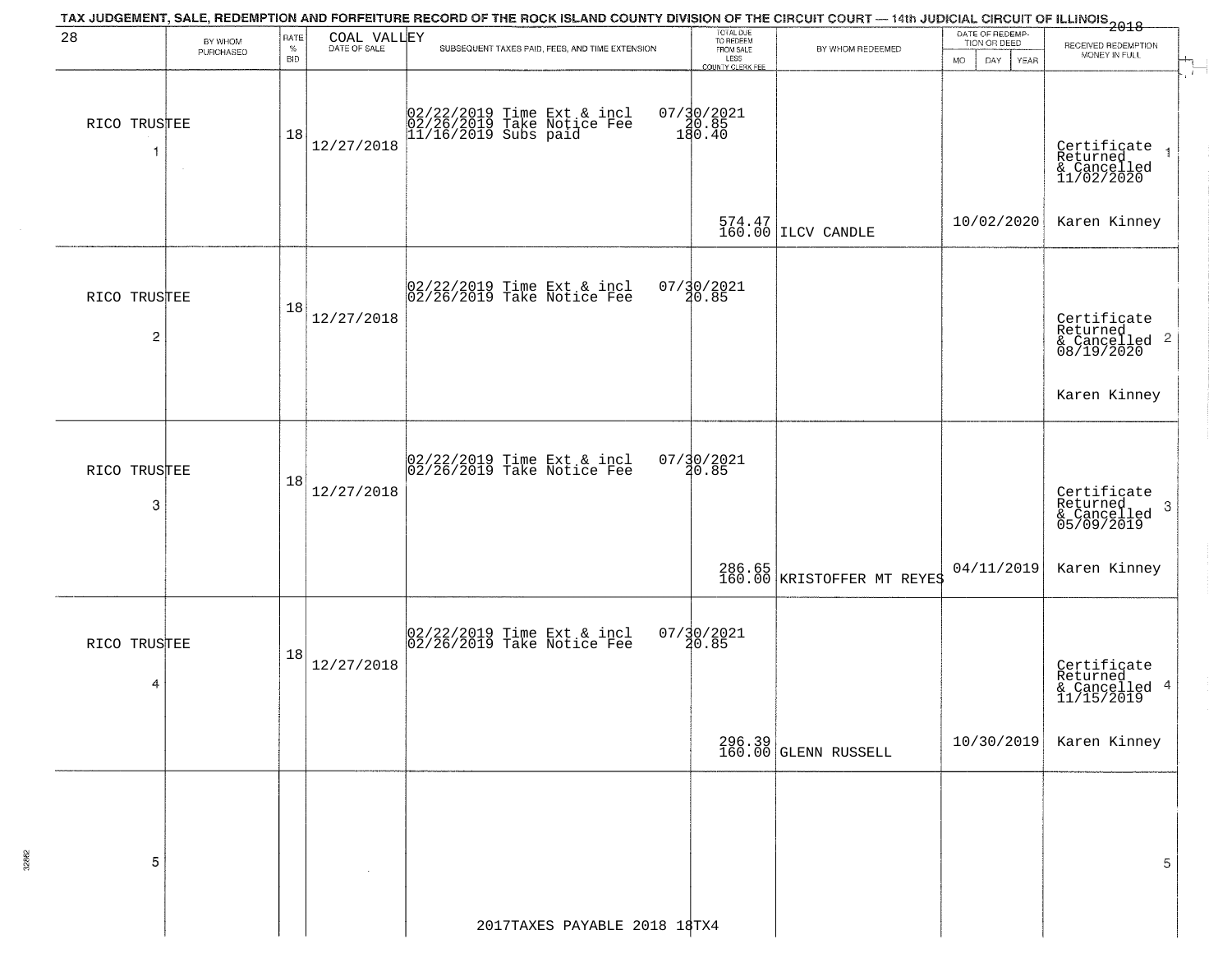|                   |                      |                            |             | TAX JUDGEMENT, SALE, REDEMPTION AND FORFEITURE RECORD OF THE ROCK ISLAND COUNTY DIVISION OF THE CIRCUIT COURT — 14th JUDICIAL CIRCUIT OF ILLINOIS 2018 |                                                                         |                                                             |                                                        |                                                                    |
|-------------------|----------------------|----------------------------|-------------|--------------------------------------------------------------------------------------------------------------------------------------------------------|-------------------------------------------------------------------------|-------------------------------------------------------------|--------------------------------------------------------|--------------------------------------------------------------------|
| 28                | BY WHOM<br>PURCHASED | RATE<br>$\%$<br><b>BID</b> | COAL VALLEY | SUBSEQUENT TAXES PAID, FEES, AND TIME EXTENSION                                                                                                        | TOTAL DUE<br>TO REDEEM<br>FROM SALE<br>LESS<br>LESS<br>COUNTY CLERK FEE | BY WHOM REDEEMED                                            | DATE OF REDEMP-<br>TION OR DEED<br>MO.<br>DAY.<br>YEAR | RECEIVED REDEMPTION<br>MONEY IN FULL                               |
| RICO TRUSTEE<br>1 | $\sim$               | 18                         | 12/27/2018  | 02/22/2019 Time Ext & incl<br>02/26/2019 Take Notice Fee<br>11/16/2019 Subs paid                                                                       | $07/30/2021$<br>180.85<br>180.40                                        |                                                             |                                                        | Certificate<br>Returned<br>& Cancelled<br>11/02/2020               |
|                   |                      |                            |             |                                                                                                                                                        |                                                                         | $\begin{array}{c} 574.47 \\ 160.00 \end{array}$ ILCV CANDLE | 10/02/2020                                             | Karen Kinney                                                       |
| RICO TRUSTEE<br>2 |                      | 18                         | 12/27/2018  | 02/22/2019 Time Ext & incl<br>02/26/2019 Take Notice Fee                                                                                               | $07/\frac{30}{20.85}$                                                   |                                                             |                                                        | Certificate<br>Returned<br>$\frac{1}{2}$ Cancelled 2<br>08/19/2020 |
|                   |                      |                            |             |                                                                                                                                                        |                                                                         |                                                             |                                                        | Karen Kinney                                                       |
| RICO TRUSTEE<br>3 |                      | 18                         | 12/27/2018  | 02/22/2019 Time Ext & incl<br>02/26/2019 Take Notice Fee                                                                                               | $07/30/2021$<br>20.85                                                   |                                                             |                                                        | Certificate<br>Returned<br>3<br>& Cancelled<br>05/09/2019          |
|                   |                      |                            |             |                                                                                                                                                        |                                                                         | 286.65  <br>160.00   KRISTOFFER MT REYES                    | 04/11/2019                                             | Karen Kinney                                                       |
| RICO TRUSTEE<br>4 |                      | 18                         | 12/27/2018  | $ 02/22/2019$ Time Ext & incl<br>$ 02/26/2019$ Take Notice Fee                                                                                         | $07/\frac{1}{4}0/\frac{2021}{85}$                                       |                                                             |                                                        | Certificate<br>Returned<br>& Cancelled 4<br>11/15/2019             |
|                   |                      |                            |             |                                                                                                                                                        |                                                                         | 296.39<br>160.00 GLENN RUSSELL                              | 10/30/2019                                             | Karen Kinney                                                       |
| 5                 |                      |                            |             |                                                                                                                                                        |                                                                         |                                                             |                                                        | 5                                                                  |
|                   |                      |                            |             | 2017TAXES PAYABLE 2018 18TX4                                                                                                                           |                                                                         |                                                             |                                                        |                                                                    |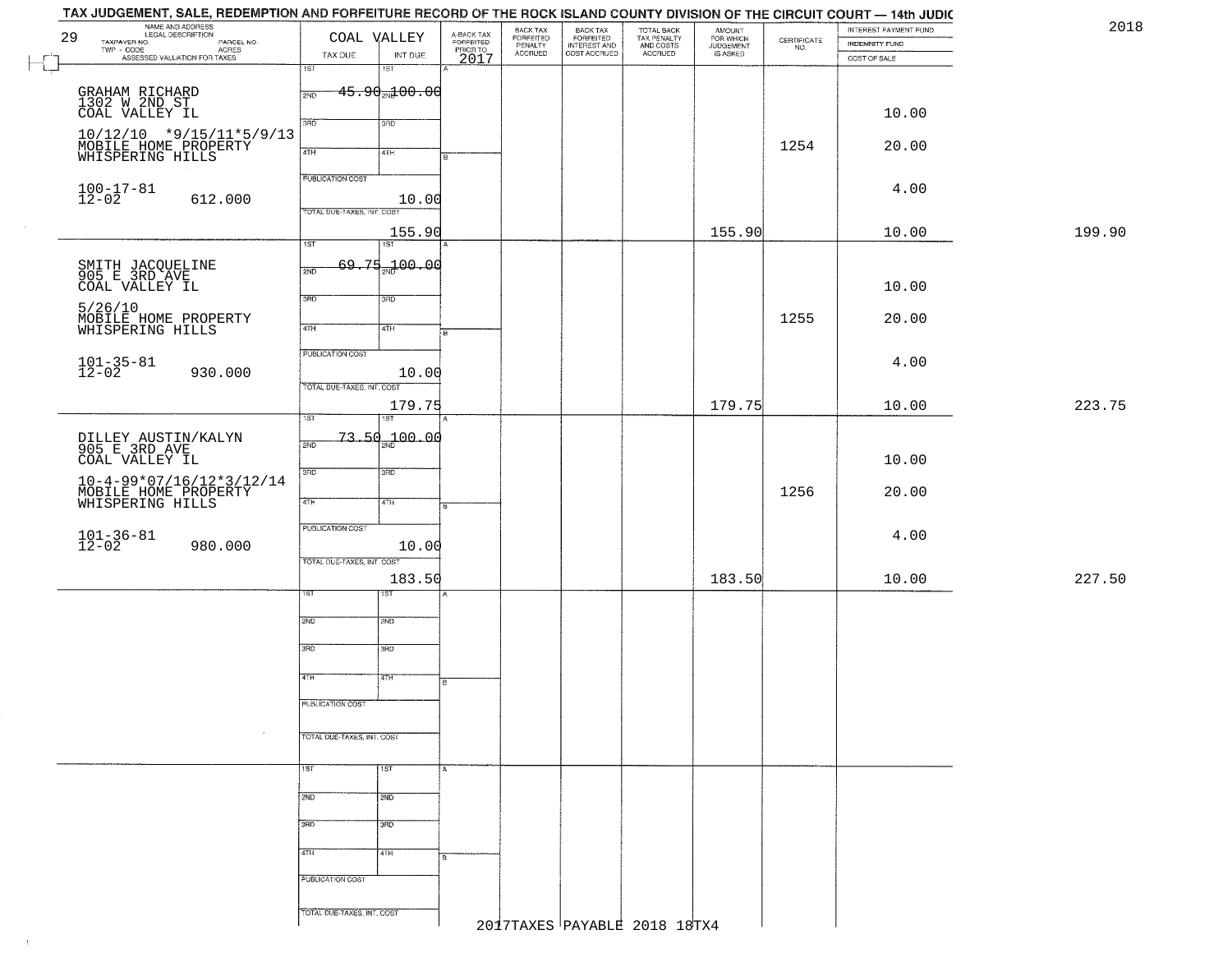| 29 | NAME AND ADDRESS<br>LEGAL DESCRIPTION              |                            | COAL VALLEY                     |                                     | BACK TAX<br>FORFEITED<br>PENALTY | BACK TAX<br>FORFEITED<br>INTEREST AND<br>COST ACCRUED | TOTAL BACK<br>TAX PENALTY<br>AND COSTS<br>ACCRUED | <b>AMOUNT</b>                      |                                                                 | INTEREST PAYMENT FUND | 2018   |
|----|----------------------------------------------------|----------------------------|---------------------------------|-------------------------------------|----------------------------------|-------------------------------------------------------|---------------------------------------------------|------------------------------------|-----------------------------------------------------------------|-----------------------|--------|
|    | TAXPAYER NO.<br>PARCEL NO.<br>TWP - CODE           |                            |                                 | A-BACK TAX<br>FORFEITED<br>PRIOR TO |                                  |                                                       |                                                   | FOR WHICH<br>JUDGEMENT<br>IS ASKED | $\begin{array}{c} \text{CERTIFICATE} \\ \text{NO.} \end{array}$ | <b>INDEMNITY FUND</b> |        |
|    | - CODE<br>ASSESSED VALUATION FOR TAXES             | TAX DUE                    | INT DUE                         | 2017                                | <b>ACCRUED</b>                   |                                                       |                                                   |                                    |                                                                 | COST OF SALE          |        |
|    |                                                    | 1ST                        | 1ST                             |                                     |                                  |                                                       |                                                   |                                    |                                                                 |                       |        |
|    | GRAHAM RICHARD                                     | 2ND                        | $-45.90$ <sub>2N</sub> $100.00$ |                                     |                                  |                                                       |                                                   |                                    |                                                                 |                       |        |
|    | 1302 W 2ND ST<br>COAL VALLEY IL                    |                            |                                 |                                     |                                  |                                                       |                                                   |                                    |                                                                 | 10.00                 |        |
|    |                                                    | 3RD                        | 3RD                             |                                     |                                  |                                                       |                                                   |                                    |                                                                 |                       |        |
|    | $10/12/10$ *9/15/11*5/9/13                         |                            |                                 |                                     |                                  |                                                       |                                                   |                                    | 1254                                                            | 20.00                 |        |
|    | MOBILE HOME PROPERTY<br>WHISPERING HILLS           | 4TH                        | 4TH                             |                                     |                                  |                                                       |                                                   |                                    |                                                                 |                       |        |
|    |                                                    | PUBLICATION COST           |                                 |                                     |                                  |                                                       |                                                   |                                    |                                                                 |                       |        |
|    | $100 - 17 - 81$<br>12-02                           |                            |                                 |                                     |                                  |                                                       |                                                   |                                    |                                                                 | 4.00                  |        |
|    | 612.000                                            | TOTAL DUE-TAXES, INT. COST | 10.00                           |                                     |                                  |                                                       |                                                   |                                    |                                                                 |                       |        |
|    |                                                    |                            |                                 |                                     |                                  |                                                       |                                                   |                                    |                                                                 |                       |        |
|    |                                                    | 1ST                        | 155.90<br>1ST                   |                                     |                                  |                                                       |                                                   | 155.90                             |                                                                 | 10.00                 | 199.90 |
|    |                                                    |                            |                                 |                                     |                                  |                                                       |                                                   |                                    |                                                                 |                       |        |
|    | SMITH JACQUELINE<br>905 E 3RD AVE                  | 2ND                        | 69.75 <sub>37</sub> 00.00       |                                     |                                  |                                                       |                                                   |                                    |                                                                 |                       |        |
|    | COAL VALLEY IL                                     |                            |                                 |                                     |                                  |                                                       |                                                   |                                    |                                                                 | 10.00                 |        |
|    | 5/26/10                                            | 3RD                        | 3BD                             |                                     |                                  |                                                       |                                                   |                                    |                                                                 |                       |        |
|    | MOBILE HOME PROPERTY<br>WHISPERING HILLS           | 47H                        | 4TH                             |                                     |                                  |                                                       |                                                   |                                    | 1255                                                            | 20.00                 |        |
|    |                                                    |                            |                                 | 'nв                                 |                                  |                                                       |                                                   |                                    |                                                                 |                       |        |
|    |                                                    | PUBLICATION COST           |                                 |                                     |                                  |                                                       |                                                   |                                    |                                                                 |                       |        |
|    | $101 - 35 - 81$<br>12-02<br>930.000                |                            | 10.00                           |                                     |                                  |                                                       |                                                   |                                    |                                                                 | 4.00                  |        |
|    |                                                    | TOTAL DUE-TAXES, INT. COST |                                 |                                     |                                  |                                                       |                                                   |                                    |                                                                 |                       |        |
|    |                                                    |                            | 179.75                          |                                     |                                  |                                                       |                                                   | 179.75                             |                                                                 | 10.00                 | 223.75 |
|    |                                                    | 1ST                        |                                 |                                     |                                  |                                                       |                                                   |                                    |                                                                 |                       |        |
|    | DILLEY AUSTIN/KALYN<br>905 E 3RD AVE               | 2ND                        | $73.50_{m}100.00$               |                                     |                                  |                                                       |                                                   |                                    |                                                                 |                       |        |
|    | COAL VALLEY IL                                     |                            |                                 |                                     |                                  |                                                       |                                                   |                                    |                                                                 | 10.00                 |        |
|    |                                                    | 3BD                        | 3RD                             |                                     |                                  |                                                       |                                                   |                                    |                                                                 |                       |        |
|    | $10-4-99*07/16/12*3/12/14$<br>MOBILE HOME PROPERTY |                            |                                 |                                     |                                  |                                                       |                                                   |                                    | 1256                                                            | 20.00                 |        |
|    | WHISPERING HILLS                                   | 4TH                        | 4TH                             | क                                   |                                  |                                                       |                                                   |                                    |                                                                 |                       |        |
|    |                                                    | PUBLICATION COST           |                                 |                                     |                                  |                                                       |                                                   |                                    |                                                                 |                       |        |
|    | $101 - 36 - 81$<br>12-02                           |                            |                                 |                                     |                                  |                                                       |                                                   |                                    |                                                                 | 4.00                  |        |
|    | 980.000                                            | TOTAL OUE-TAXES, INT. COST | 10.00                           |                                     |                                  |                                                       |                                                   |                                    |                                                                 |                       |        |
|    |                                                    |                            | 183.50                          |                                     |                                  |                                                       |                                                   | 183.50                             |                                                                 | 10.00                 | 227.50 |
|    |                                                    | 1ST                        | IST                             |                                     |                                  |                                                       |                                                   |                                    |                                                                 |                       |        |
|    |                                                    |                            |                                 |                                     |                                  |                                                       |                                                   |                                    |                                                                 |                       |        |
|    |                                                    | 2ND                        | 2ND                             |                                     |                                  |                                                       |                                                   |                                    |                                                                 |                       |        |
|    |                                                    |                            |                                 |                                     |                                  |                                                       |                                                   |                                    |                                                                 |                       |        |
|    |                                                    | 3RD                        | 3RD                             |                                     |                                  |                                                       |                                                   |                                    |                                                                 |                       |        |
|    |                                                    | 4TH                        | 47H                             |                                     |                                  |                                                       |                                                   |                                    |                                                                 |                       |        |
|    |                                                    |                            |                                 | छा                                  |                                  |                                                       |                                                   |                                    |                                                                 |                       |        |
|    |                                                    | PUBLICATION COST           |                                 |                                     |                                  |                                                       |                                                   |                                    |                                                                 |                       |        |
|    |                                                    |                            |                                 |                                     |                                  |                                                       |                                                   |                                    |                                                                 |                       |        |
|    |                                                    | TOTAL DUE-TAXES, INT. COST |                                 |                                     |                                  |                                                       |                                                   |                                    |                                                                 |                       |        |
|    |                                                    |                            |                                 |                                     |                                  |                                                       |                                                   |                                    |                                                                 |                       |        |
|    |                                                    | 1ST                        | 1ST                             |                                     |                                  |                                                       |                                                   |                                    |                                                                 |                       |        |
|    |                                                    | 2ND                        | 2ND                             |                                     |                                  |                                                       |                                                   |                                    |                                                                 |                       |        |
|    |                                                    |                            |                                 |                                     |                                  |                                                       |                                                   |                                    |                                                                 |                       |        |
|    |                                                    | 3RD                        | 3HD                             |                                     |                                  |                                                       |                                                   |                                    |                                                                 |                       |        |
|    |                                                    |                            |                                 |                                     |                                  |                                                       |                                                   |                                    |                                                                 |                       |        |
|    |                                                    | 4TH                        | 4TH                             |                                     |                                  |                                                       |                                                   |                                    |                                                                 |                       |        |
|    |                                                    | PUBLICATION COST           |                                 |                                     |                                  |                                                       |                                                   |                                    |                                                                 |                       |        |
|    |                                                    |                            |                                 |                                     |                                  |                                                       |                                                   |                                    |                                                                 |                       |        |
|    |                                                    | TOTAL DUE-TAXES, INT. COST |                                 |                                     |                                  |                                                       |                                                   |                                    |                                                                 |                       |        |
|    |                                                    |                            |                                 |                                     |                                  |                                                       | 2017TAXES PAYABLE 2018 18TX4                      |                                    |                                                                 |                       |        |
|    |                                                    |                            |                                 |                                     |                                  |                                                       |                                                   |                                    |                                                                 |                       |        |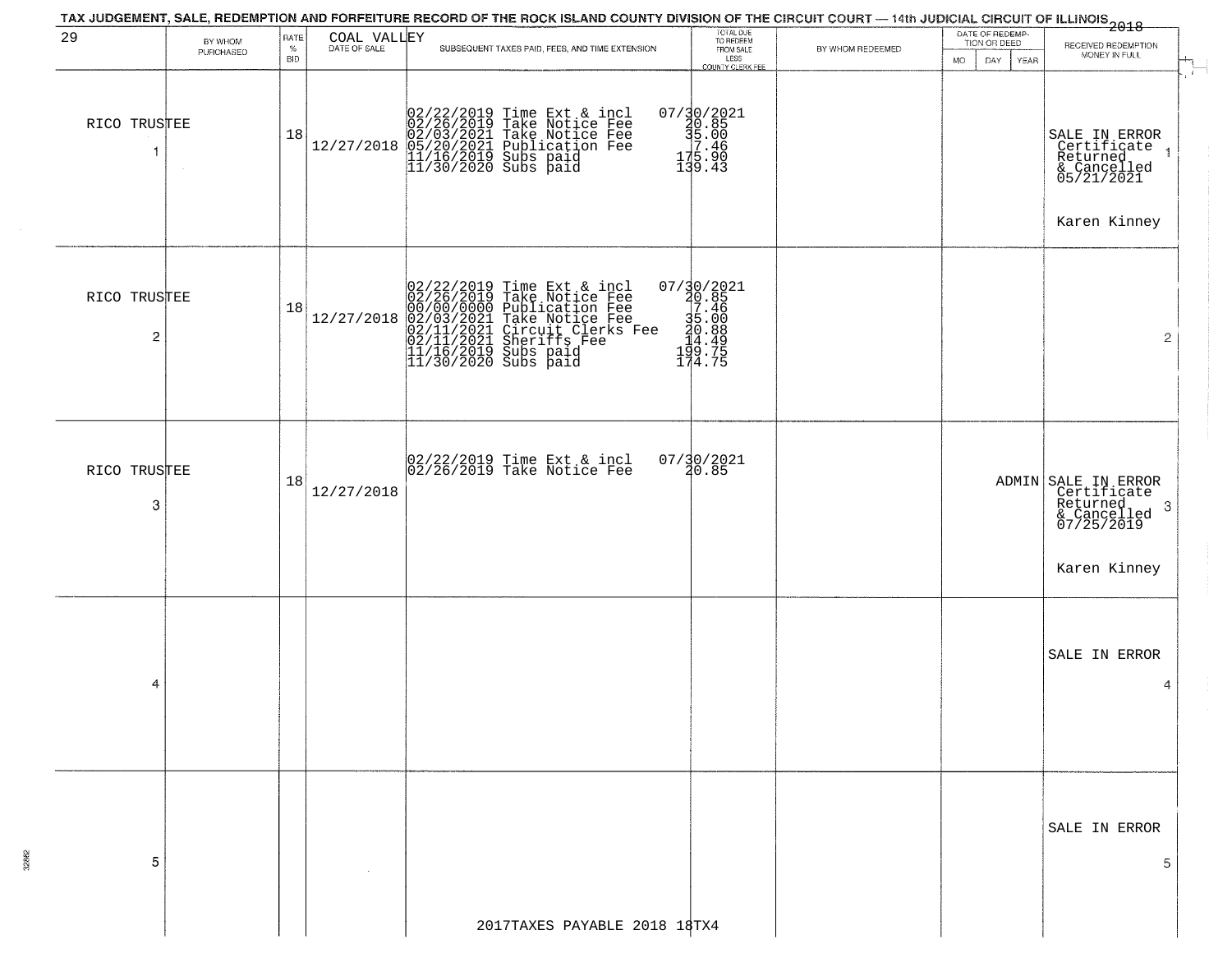|                                         |                      |                            |             | TAX JUDGEMENT, SALE, REDEMPTION AND FORFEITURE RECORD OF THE ROCK ISLAND COUNTY DIVISION OF THE CIRCUIT COURT — 14th JUDICIAL CIRCUIT OF ILLINOIS<br>2018 - The Contract of December 1999                      |                                                                                                     |                  |                                                                     |                                                                                                   |
|-----------------------------------------|----------------------|----------------------------|-------------|----------------------------------------------------------------------------------------------------------------------------------------------------------------------------------------------------------------|-----------------------------------------------------------------------------------------------------|------------------|---------------------------------------------------------------------|---------------------------------------------------------------------------------------------------|
| 29                                      | BY WHOM<br>PURCHASED | RATE<br>$\%$<br><b>BID</b> | COAL VALLEY | SUBSEQUENT TAXES PAID, FEES, AND TIME EXTENSION                                                                                                                                                                | TOTAL DUE<br>TO REDEEM<br>FROM SALE<br>LESS<br>COUNTY CLERK FEE                                     | BY WHOM REDEEMED | DATE OF REDEMP-<br>TION OR DEED<br><b>MO</b><br>DAY.<br><b>YEAR</b> | RECEIVED REDEMPTION<br>MONEY IN FULL                                                              |
| RICO TRUSTEE<br>$\mathbf{1}$            |                      | 18                         | 12/27/2018  | 02/22/2019 Time Ext & incl<br>02/26/2019 Take Notice Fee<br>02/03/2021 Take Notice Fee<br>05/20/2021 Publication Fee<br>11/16/2019 Subs paid<br>11/30/2020 Subs paid                                           | $07/\substack{30}{\substack{20.85 \\ 40.85 \\ 5.00 \\ 7.46 \\ 175.90 \\ 139.43}}$                   |                  |                                                                     | <b>A</b><br>SALE IN ERROR<br>Certificate<br>Returned<br>& Cancelled<br>05/21/2021<br>Karen Kinney |
| RICO TRUSTEE<br>$\overline{\mathbf{c}}$ |                      | 18                         | 12/27/2018  | $02/22/2019$ Time Ext & incl<br>$02/26/2019$ Take Notice Fee<br>$00/00/00000$ Publication Fee<br>$02/03/2021$ Take Notice Fee<br>$02/11/2021$ Sheriffs Fee<br>$11/16/2019$ Subs paid<br>$11/30/2020$ Subs paid | $\begin{smallmatrix} 07/30/2021\\ 20.85\\ 7.46\\ 35.00\\ 14.49\\ 199.75\\ 174.75 \end{smallmatrix}$ |                  |                                                                     | $\overline{2}$                                                                                    |
| RICO TRUSTEE<br>3                       |                      | 18                         | 12/27/2018  | 02/22/2019 Time Ext & incl<br>02/26/2019 Take Notice Fee                                                                                                                                                       | $07/30/2021$<br>$30.85$                                                                             |                  |                                                                     | ADMIN SALE IN ERROR<br>Certificate<br>Returned,<br>3<br>& Cancelled<br>07/25/2019<br>Karen Kinney |
| 4                                       |                      |                            |             |                                                                                                                                                                                                                |                                                                                                     |                  |                                                                     | SALE IN ERROR<br>4                                                                                |
| 5                                       |                      |                            |             |                                                                                                                                                                                                                |                                                                                                     |                  |                                                                     | SALE IN ERROR<br>5                                                                                |
|                                         |                      |                            |             | 2017TAXES PAYABLE 2018 18TX4                                                                                                                                                                                   |                                                                                                     |                  |                                                                     |                                                                                                   |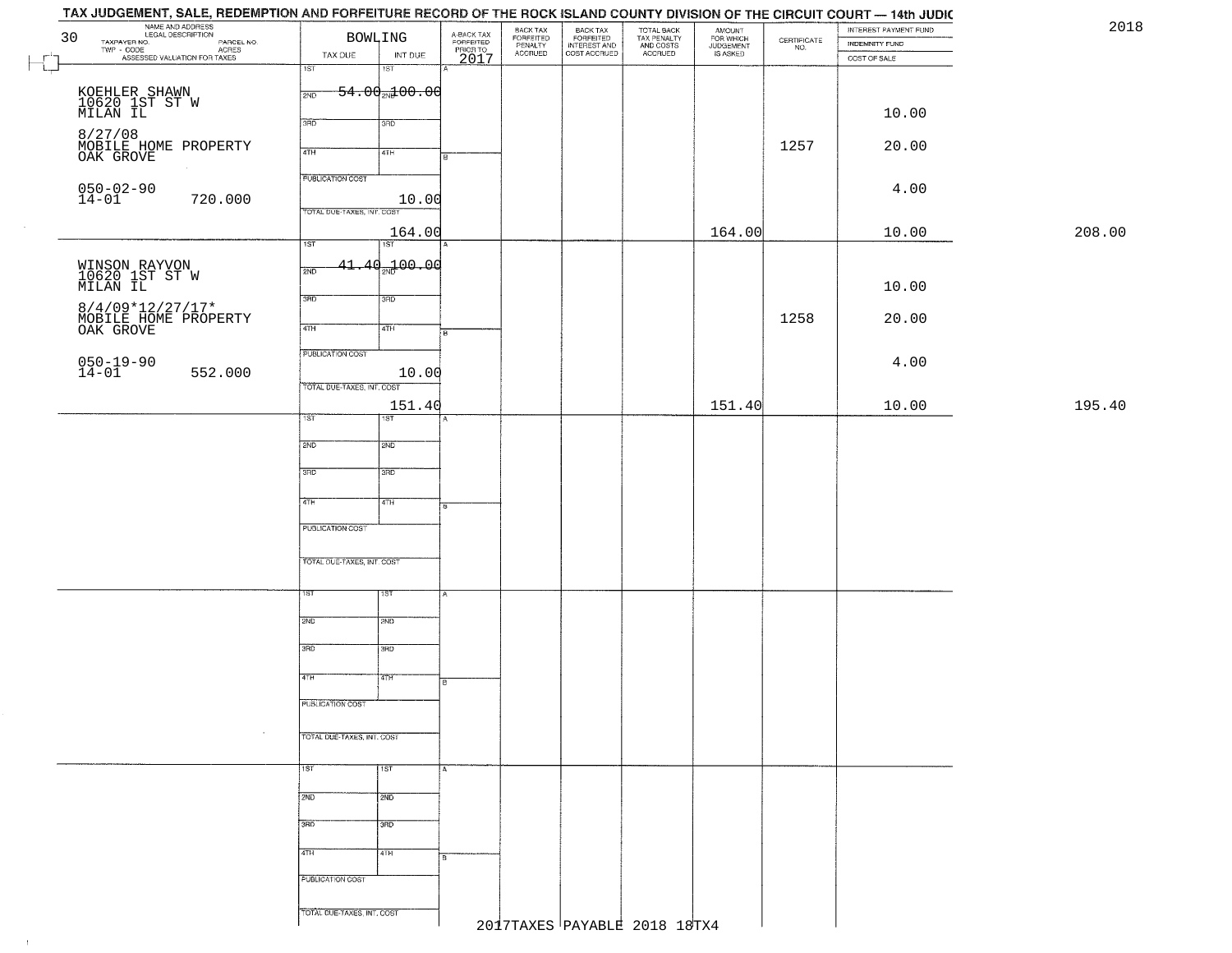| NAME AND ADDRESS<br>LEGAL DESCRIPTION<br>30                                                             | BOWLING                                | A-BACK TAX<br>FORFEITED<br>PRIOR TO | BACK TAX<br>FORFEITED<br>PENALTY | BACK TAX<br>FORFEITED<br>INTEREST AND | TOTAL BACK<br>TAX PENALTY<br>AND COSTS | AMOUNT<br>FOR WHICH<br>JUDGEMENT | $\begin{array}{c} \text{CERTIFICATE} \\ \text{NO.} \end{array}$ | INTEREST PAYMENT FUND<br><b>INDEMNITY FUND</b> | 2018   |
|---------------------------------------------------------------------------------------------------------|----------------------------------------|-------------------------------------|----------------------------------|---------------------------------------|----------------------------------------|----------------------------------|-----------------------------------------------------------------|------------------------------------------------|--------|
| TAXPAYER NO.<br>PARCEL NO.<br>ACRES<br>ASSESSED VALUATION FOR TAXES                                     | TAX DUE<br>INT DUE                     | 2017                                | <b>ACCRUED</b>                   | COST ACCRUED                          | ACCRUED                                | IS ASKED                         |                                                                 | COST OF SALE                                   |        |
| $\begin{array}{c} \begin{array}{c} \text{ } \\ \text{ } \\ \text{ } \end{array} \end{array}$            | 18T<br>1ST                             |                                     |                                  |                                       |                                        |                                  |                                                                 |                                                |        |
| KOEHLER SHAWN<br>10620 1ST ST W<br>MILAN IL                                                             | $-54.00$ <sub>2N</sub> $100.00$<br>2ND |                                     |                                  |                                       |                                        |                                  |                                                                 |                                                |        |
|                                                                                                         | 3RD<br>3RD                             |                                     |                                  |                                       |                                        |                                  |                                                                 | 10.00                                          |        |
|                                                                                                         |                                        |                                     |                                  |                                       |                                        |                                  |                                                                 |                                                |        |
| 8/27/08<br>MOBILE HOME PROPERTY<br>OAK GROVE                                                            | 4TH<br>4TH                             |                                     |                                  |                                       |                                        |                                  | 1257                                                            | 20.00                                          |        |
|                                                                                                         | <b>PUBLICATION COST</b>                |                                     |                                  |                                       |                                        |                                  |                                                                 |                                                |        |
| $050 - 02 - 90$<br>14-01<br>720.000                                                                     | 10.00                                  |                                     |                                  |                                       |                                        |                                  |                                                                 | 4.00                                           |        |
|                                                                                                         | TOTAL DUE-TAXES, INT. COST             |                                     |                                  |                                       |                                        |                                  |                                                                 |                                                |        |
|                                                                                                         | 164.00<br>1ST<br>1ST                   |                                     |                                  |                                       |                                        | 164.00                           |                                                                 | 10.00                                          | 208.00 |
|                                                                                                         | $41.40 - 00.00$<br>2ND                 |                                     |                                  |                                       |                                        |                                  |                                                                 |                                                |        |
| WINSON RAYVON<br>10620 1ST ST W<br>MILAN IL                                                             |                                        |                                     |                                  |                                       |                                        |                                  |                                                                 | 10.00                                          |        |
|                                                                                                         | 3RD<br>3RD                             |                                     |                                  |                                       |                                        |                                  |                                                                 |                                                |        |
| $\begin{array}{ll} 8/4/09{*}12/27/17{*} \\ {\tt MOBILE HOME PROPERTIES} \\ {\tt OAK GROVE} \end{array}$ | 47H<br>4TH                             | $\overline{B}$                      |                                  |                                       |                                        |                                  | 1258                                                            | 20.00                                          |        |
|                                                                                                         | PUBLICATION COST                       |                                     |                                  |                                       |                                        |                                  |                                                                 |                                                |        |
| $050 - 19 - 90$<br>14-01<br>552.000                                                                     | 10.00                                  |                                     |                                  |                                       |                                        |                                  |                                                                 | 4.00                                           |        |
|                                                                                                         | TOTAL DUE-TAXES, INT. COST             |                                     |                                  |                                       |                                        |                                  |                                                                 |                                                |        |
|                                                                                                         | 151.40<br>1ST<br>1ST                   |                                     |                                  |                                       |                                        | 151.40                           |                                                                 | 10.00                                          | 195.40 |
|                                                                                                         |                                        |                                     |                                  |                                       |                                        |                                  |                                                                 |                                                |        |
|                                                                                                         | 2ND<br>2ND                             |                                     |                                  |                                       |                                        |                                  |                                                                 |                                                |        |
|                                                                                                         | 3 <sub>BD</sub><br>3RD                 |                                     |                                  |                                       |                                        |                                  |                                                                 |                                                |        |
|                                                                                                         | 4TH<br>$\sqrt{4TH}$                    |                                     |                                  |                                       |                                        |                                  |                                                                 |                                                |        |
|                                                                                                         |                                        | 8                                   |                                  |                                       |                                        |                                  |                                                                 |                                                |        |
|                                                                                                         | PUBLICATION COST                       |                                     |                                  |                                       |                                        |                                  |                                                                 |                                                |        |
|                                                                                                         | TOTAL OUE-TAXES, INT. COST             |                                     |                                  |                                       |                                        |                                  |                                                                 |                                                |        |
|                                                                                                         |                                        |                                     |                                  |                                       |                                        |                                  |                                                                 |                                                |        |
|                                                                                                         | 1ST<br>१९४                             |                                     |                                  |                                       |                                        |                                  |                                                                 |                                                |        |
|                                                                                                         | 2ND<br>2ND                             |                                     |                                  |                                       |                                        |                                  |                                                                 |                                                |        |
|                                                                                                         | 3RD<br>3BD                             |                                     |                                  |                                       |                                        |                                  |                                                                 |                                                |        |
|                                                                                                         |                                        |                                     |                                  |                                       |                                        |                                  |                                                                 |                                                |        |
|                                                                                                         | 77H<br>4TH                             | ١e                                  |                                  |                                       |                                        |                                  |                                                                 |                                                |        |
|                                                                                                         | PUBLICATION COST                       |                                     |                                  |                                       |                                        |                                  |                                                                 |                                                |        |
| $\sim$                                                                                                  | TOTAL DUE-TAXES, INT. COST             |                                     |                                  |                                       |                                        |                                  |                                                                 |                                                |        |
|                                                                                                         |                                        |                                     |                                  |                                       |                                        |                                  |                                                                 |                                                |        |
|                                                                                                         | 1ST <sup>1</sup><br>1ST                | IA.                                 |                                  |                                       |                                        |                                  |                                                                 |                                                |        |
|                                                                                                         | 2ND<br>2ND                             |                                     |                                  |                                       |                                        |                                  |                                                                 |                                                |        |
|                                                                                                         | 3BD<br>3RD                             |                                     |                                  |                                       |                                        |                                  |                                                                 |                                                |        |
|                                                                                                         |                                        |                                     |                                  |                                       |                                        |                                  |                                                                 |                                                |        |
|                                                                                                         | 4TH<br>4TH                             | lв                                  |                                  |                                       |                                        |                                  |                                                                 |                                                |        |
|                                                                                                         | PUBLICATION COST                       |                                     |                                  |                                       |                                        |                                  |                                                                 |                                                |        |
|                                                                                                         |                                        |                                     |                                  |                                       |                                        |                                  |                                                                 |                                                |        |
|                                                                                                         | TOTAL DUE-TAXES, INT. COST             |                                     |                                  | 2017TAXES PAYABLE 2018 18TX4          |                                        |                                  |                                                                 |                                                |        |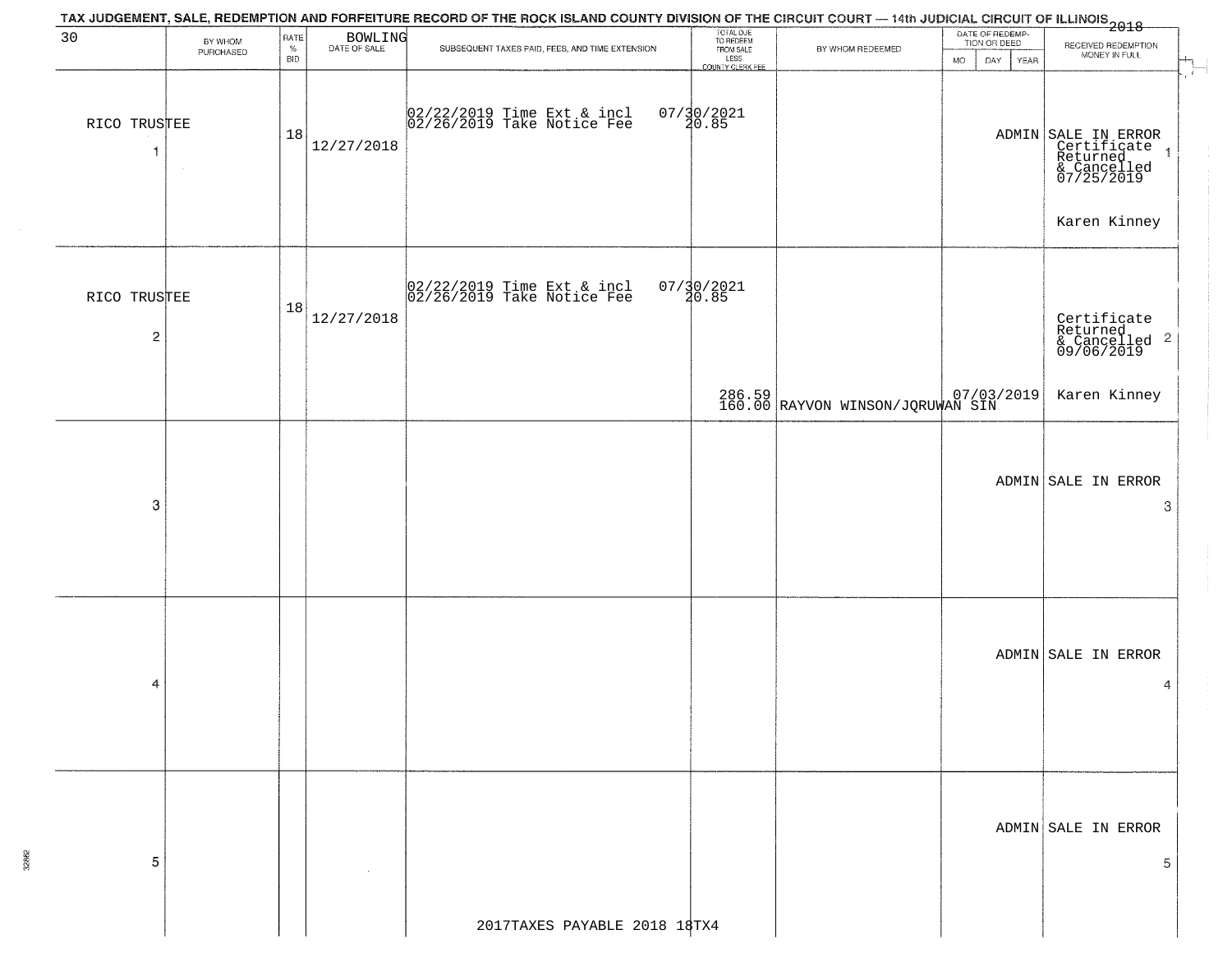|                                         |                      |                            |                         | TAX JUDGEMENT, SALE, REDEMPTION AND FORFEITURE RECORD OF THE ROCK ISLAND COUNTY DIVISION OF THE CIRCUIT COURT — 14th JUDICIAL CIRCUIT OF ILLINOIS<br>2018 - The Contract of December 1999 |                                                                 |                                                       |                                                             |                                                                                                              |
|-----------------------------------------|----------------------|----------------------------|-------------------------|-------------------------------------------------------------------------------------------------------------------------------------------------------------------------------------------|-----------------------------------------------------------------|-------------------------------------------------------|-------------------------------------------------------------|--------------------------------------------------------------------------------------------------------------|
| 30                                      | BY WHOM<br>PURCHASED | RATE<br>$\%$<br><b>BID</b> | BOWLING<br>DATE OF SALE | SUBSEQUENT TAXES PAID, FEES, AND TIME EXTENSION                                                                                                                                           | TOTAL DUE<br>TO REDEEM<br>FROM SALE<br>LESS<br>COUNTY CLERK FEE | BY WHOM REDEEMED                                      | DATE OF REDEMP-<br>TION OR DEED<br><b>MO</b><br>YEAR<br>DAY | RECEIVED REDEMPTION<br>MONEY IN FULL                                                                         |
| RICO TRUSTEE<br>-1                      | $\sim$               | 18                         | 12/27/2018              | 02/22/2019 Time Ext & incl<br>02/26/2019 Take Notice Fee                                                                                                                                  | $07/30/2021$<br>20.85                                           |                                                       |                                                             | $\sim$ $\sim$<br>ADMIN SALE IN ERROR<br>Certificate<br>Returned<br>& Cancelled<br>07/25/2019<br>$\mathbf{1}$ |
|                                         |                      |                            |                         |                                                                                                                                                                                           |                                                                 |                                                       |                                                             | Karen Kinney                                                                                                 |
| RICO TRUSTEE<br>$\overline{\mathbf{c}}$ |                      | 18                         | 12/27/2018              | 02/22/2019 Time Ext & incl<br>02/26/2019 Take Notice Fee                                                                                                                                  | $07/30/2021$<br>$30.85$                                         |                                                       |                                                             | Certificate<br>Returned<br>& Cancelled <sup>2</sup><br>09/06/2019                                            |
|                                         |                      |                            |                         |                                                                                                                                                                                           |                                                                 | 286.59 07/03/2019<br>160.00 RAYVON WINSON/JQRUWAN SIN |                                                             | Karen Kinney                                                                                                 |
| 3                                       |                      |                            |                         |                                                                                                                                                                                           |                                                                 |                                                       |                                                             | ADMIN SALE IN ERROR<br>3                                                                                     |
| 4                                       |                      |                            |                         |                                                                                                                                                                                           |                                                                 |                                                       |                                                             | ADMIN SALE IN ERROR<br>4                                                                                     |
| -5                                      |                      |                            |                         |                                                                                                                                                                                           |                                                                 |                                                       |                                                             | ADMIN SALE IN ERROR<br>5.                                                                                    |
|                                         |                      |                            |                         | 2017TAXES PAYABLE 2018 18TX4                                                                                                                                                              |                                                                 |                                                       |                                                             |                                                                                                              |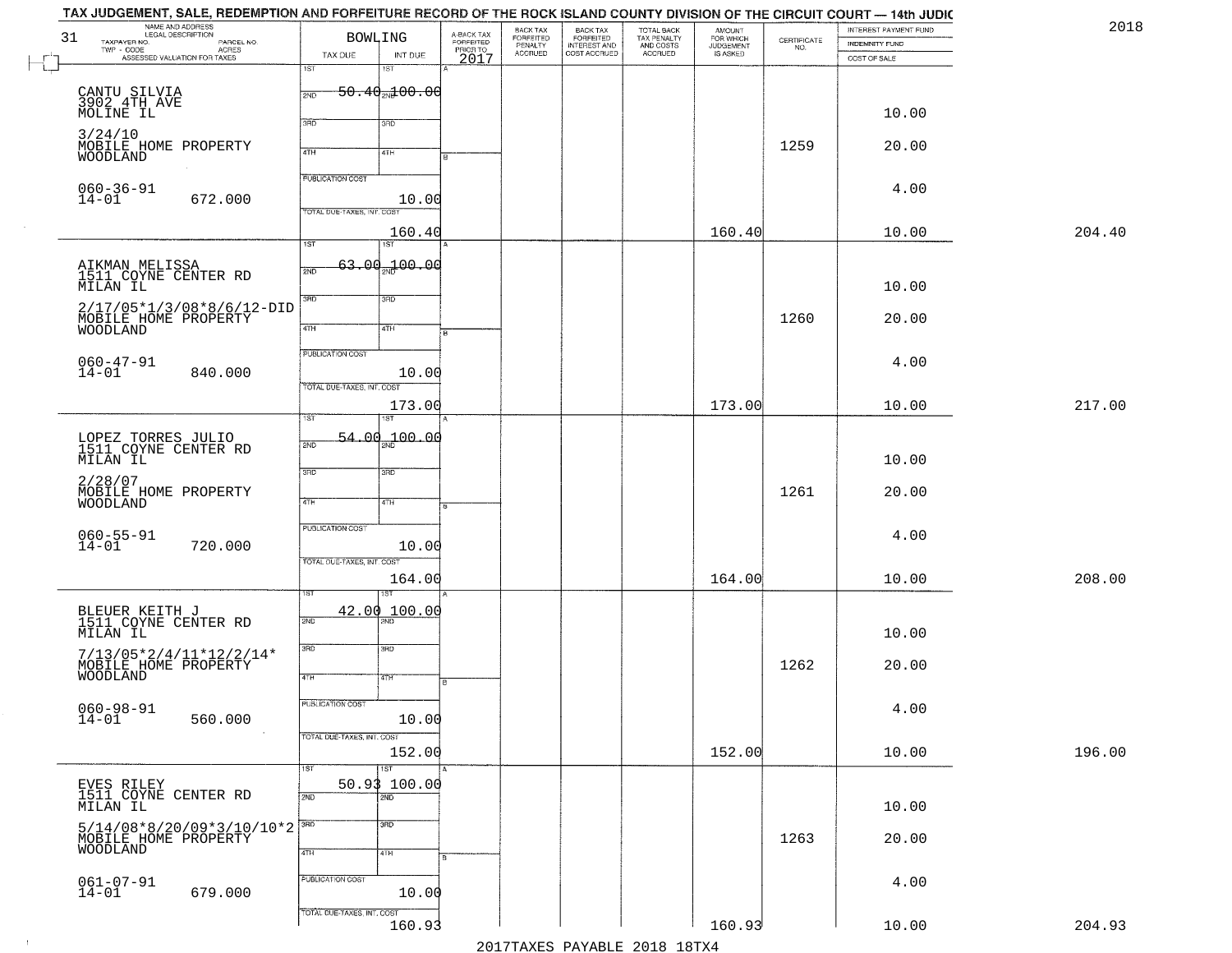| 2018   | INTEREST PAYMENT FUND<br><b>INDEMNITY FUND</b> | $\begin{array}{c} \text{CERTIFICATE} \\ \text{NO.} \end{array}$ | AMOUNT<br>FOR WHICH<br>JUDGEMENT<br>IS ASKED | TOTAL BACK<br>TAX PENALTY<br>AND COSTS | BACK TAX<br>FORFEITED<br>INTEREST AND | BACK TAX<br>FORFEITED<br>PENALTY | A-BACK TAX<br>FORFEITED<br>PRIOR TO<br>2017 |                                            | <b>BOWLING</b>                                        | TAX JUDGEMENT, SALE, REDEMPTION AND FORFEITURE RECORD OF THE ROCK ISLAND COUNTY DIVISION OF THE CIRCUIT COURT — 14th JUDIC<br>NAME AND ADDRESS<br>LEGAL DESCRIPTION<br>LEGAL DESCRIPTION<br>- CODE PARCEL NO.<br>- CODE ACRES<br>- ASSESSED VALUATION FOR TAXES | 31<br>TAXPAYER NO.                        |
|--------|------------------------------------------------|-----------------------------------------------------------------|----------------------------------------------|----------------------------------------|---------------------------------------|----------------------------------|---------------------------------------------|--------------------------------------------|-------------------------------------------------------|-----------------------------------------------------------------------------------------------------------------------------------------------------------------------------------------------------------------------------------------------------------------|-------------------------------------------|
|        | COST OF SALE                                   |                                                                 |                                              | <b>ACCRUED</b>                         | COST ACCRUED                          | <b>ACCRUED</b>                   |                                             | INT DUE<br>18T                             | TAX DUE<br>1ST                                        |                                                                                                                                                                                                                                                                 | $\textsf{TWP} \textsf{-}\textsf{CODE}$    |
|        | 10.00                                          |                                                                 |                                              |                                        |                                       |                                  |                                             | <del>50.40<sub>20</sub>100.00</del><br>3RD | 2ND<br>370                                            |                                                                                                                                                                                                                                                                 | CANTU SILVIA<br>3902 4TH AVE<br>MOLINE IL |
|        | 20.00                                          | 1259                                                            |                                              |                                        |                                       |                                  |                                             | 41H                                        | 4TH                                                   | MOBILE HOME PROPERTY                                                                                                                                                                                                                                            | 3/24/10<br>WOODLAND                       |
|        | 4.00                                           |                                                                 |                                              |                                        |                                       |                                  |                                             | 10.00                                      | PUBLICATION COST<br>TOTAL DUE-TAXES, INT. COST        | 672.000                                                                                                                                                                                                                                                         | $060 - 36 - 91$<br>14-01                  |
| 204.40 | 10.00                                          |                                                                 | 160.40                                       |                                        |                                       |                                  |                                             | 160.40<br>1ST                              | 1ST                                                   |                                                                                                                                                                                                                                                                 |                                           |
|        | 10.00                                          |                                                                 |                                              |                                        |                                       |                                  |                                             | 63.00 <sub>30</sub> 100.00                 | 2ND                                                   | AIKMAN MELISSA<br>1511 COYNE CENTER RD                                                                                                                                                                                                                          | MILAN IL                                  |
|        | 20.00                                          | 1260                                                            |                                              |                                        |                                       |                                  |                                             | 3RD<br>4TH                                 | 3RD<br>47H                                            | 2/17/05*1/3/08*8/6/12-DID<br>MOBILE HOME PROPERTY                                                                                                                                                                                                               | <b>WOODLAND</b>                           |
|        | 4.00                                           |                                                                 |                                              |                                        |                                       |                                  |                                             | 10.00                                      | PUBLICATION COST<br>TOTAL DUE-TAXES, INT. COST        | 840.000                                                                                                                                                                                                                                                         | $060 - 47 - 91$<br>14-01                  |
| 217.00 | 10.00                                          |                                                                 | 173.00                                       |                                        |                                       |                                  |                                             | 173.00                                     | TST                                                   |                                                                                                                                                                                                                                                                 |                                           |
|        | 10.00                                          |                                                                 |                                              |                                        |                                       |                                  |                                             | $54.00_{20}100.00$                         | 2ND                                                   | LOPEZ TORRES JULIO<br>1511 COYNE CENTER RD                                                                                                                                                                                                                      | MILAN IL                                  |
|        | 20.00                                          | 1261                                                            |                                              |                                        |                                       |                                  |                                             | 3RD<br>4TH                                 | 3RD<br>4TH                                            | MOBILE HOME PROPERTY                                                                                                                                                                                                                                            | 2/28/07<br>WOODLAND                       |
|        | 4.00                                           |                                                                 |                                              |                                        |                                       |                                  |                                             | 10.00                                      | <b>PUBLICATION COST</b><br>TOTAL OUE-TAXES, INT. COST | 720.000                                                                                                                                                                                                                                                         | $060 - 55 - 91$<br>14-01                  |
| 208.00 | 10.00                                          |                                                                 | 164.00                                       |                                        |                                       |                                  |                                             | 164.00<br>ख़ा                              |                                                       |                                                                                                                                                                                                                                                                 |                                           |
|        | 10.00                                          |                                                                 |                                              |                                        |                                       |                                  |                                             | 100.00                                     | 42.00<br>2ND                                          | BLEUER KEITH J<br>1511 COYNE CENTER RD                                                                                                                                                                                                                          | MILAN IL                                  |
|        | 20.00                                          | 1262                                                            |                                              |                                        |                                       |                                  | R                                           | 3BD<br>4TH                                 | 3RD<br>4TH                                            | $\begin{array}{l} 7/13/05*2/4/11*12/2/14* \\ \text{MOBILE HOME PROPERTY} \\ \text{WOODLAND} \end{array}$                                                                                                                                                        |                                           |
|        | 4.00                                           |                                                                 |                                              |                                        |                                       |                                  |                                             | 10.00                                      | PUBLICATION COST<br>TOTAL DUE-TAXES, INT. COST        | 560.000                                                                                                                                                                                                                                                         | $060 - 98 - 91$<br>$14 - 01$              |
| 196.00 | 10.00                                          |                                                                 | 152.00                                       |                                        |                                       |                                  |                                             | 152.00                                     |                                                       |                                                                                                                                                                                                                                                                 |                                           |
|        | 10.00                                          |                                                                 |                                              |                                        |                                       |                                  |                                             | <b>IST</b><br>50.93 100.00<br>2ND          | 1ST<br>2ND                                            | EVES RILEY<br>1511 COYNE CENTER RD                                                                                                                                                                                                                              | MILAN IL                                  |
|        | 20.00                                          | 1263                                                            |                                              |                                        |                                       |                                  |                                             | 3HD<br>4TH                                 | 3RD<br>4TH                                            | $5/14/08*8/20/09*3/10/10*2$<br>MOBILE HOME PROPERTY                                                                                                                                                                                                             | <b>WOODLAND</b>                           |
|        | 4.00                                           |                                                                 |                                              |                                        |                                       |                                  |                                             | 10.00                                      | PUBLICATION COST                                      | 679.000                                                                                                                                                                                                                                                         | $061 - 07 - 91$<br>14-01                  |
| 204.93 | 10.00                                          |                                                                 | 160.93                                       |                                        |                                       |                                  |                                             | 160.93                                     | TOTAL DUE-TAXES, INT. COST                            |                                                                                                                                                                                                                                                                 |                                           |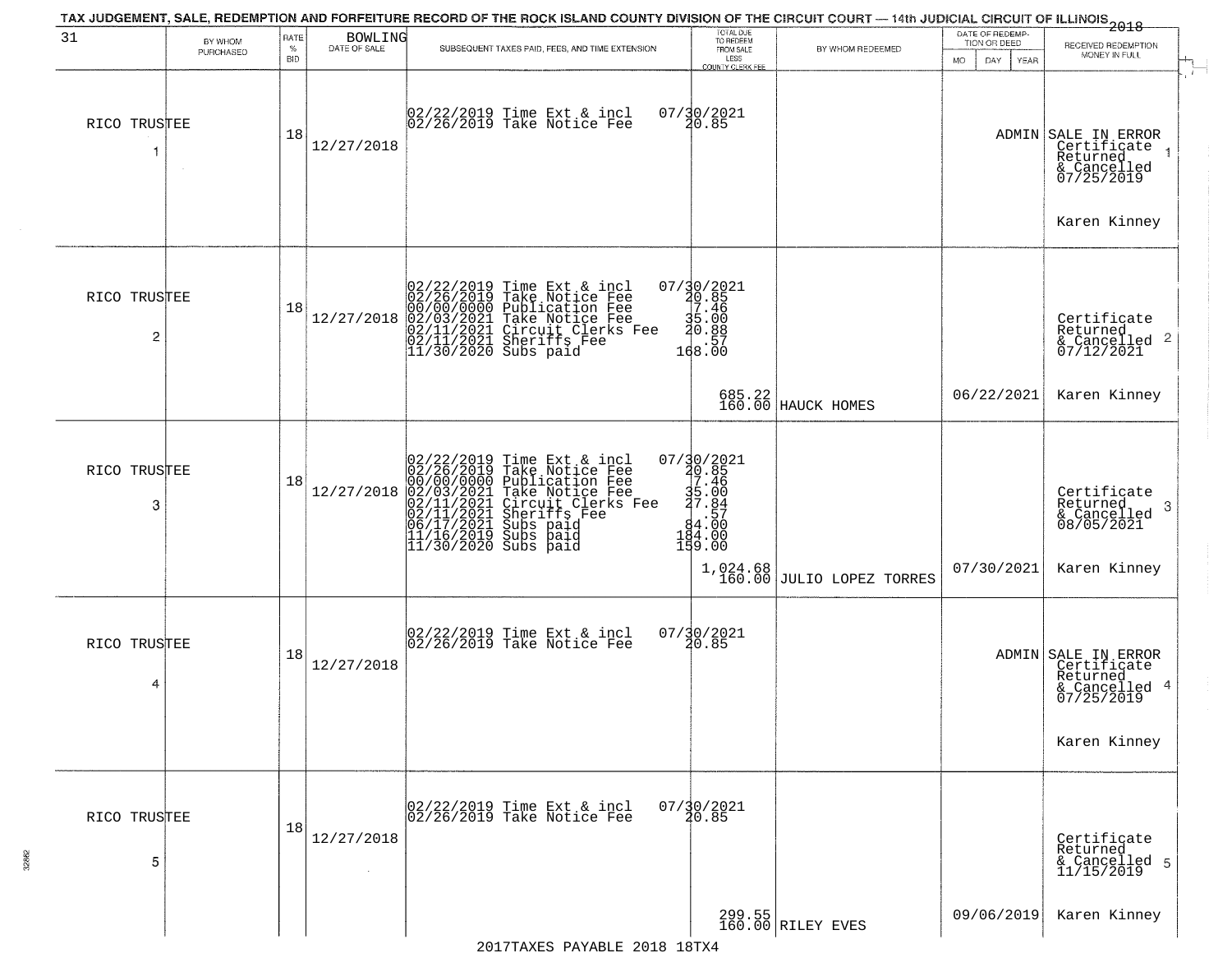| 31                             | BY WHOM<br>PURCHASED | RATE<br>$\%$<br><b>BID</b> | BOWLING<br>DATE OF SALE | SUBSEQUENT TAXES PAID, FEES, AND TIME EXTENSION                                                                                                                                                                                                                                                                                                                                                                   | TOTAL DUE<br>TO REDEEM<br>FROM SALE<br>LESS<br><b>COUNTY CLERK FEE</b>                          | BY WHOM REDEEMED              | DATE OF REDEMP-<br>TION OR DEED<br>MO.<br>DAY.<br>YEAR | $-2018$<br>RECEIVED REDEMPTION<br>MONEY IN FULL                                               |
|--------------------------------|----------------------|----------------------------|-------------------------|-------------------------------------------------------------------------------------------------------------------------------------------------------------------------------------------------------------------------------------------------------------------------------------------------------------------------------------------------------------------------------------------------------------------|-------------------------------------------------------------------------------------------------|-------------------------------|--------------------------------------------------------|-----------------------------------------------------------------------------------------------|
| RICO TRUSTEE                   |                      | 18                         | 12/27/2018              | 02/22/2019 Time Ext & incl<br>02/26/2019 Take Notice Fee                                                                                                                                                                                                                                                                                                                                                          | 07/30/2021<br>20.85                                                                             |                               |                                                        | ADMIN SALE IN ERROR<br>Certificate<br>Returned<br>& Cancelled<br>07/25/2019                   |
| RICO TRUSTEE<br>$\overline{c}$ |                      | 18                         | 12/27/2018              | $02/22/2019$ Time Ext & incl<br>02/26/2019 Take Notice Fee<br>00/00/0000 Publication Fee<br>02/03/2021 Take Notice Fee<br>02/11/2021 Circuit Clerks Fee<br>02/11/2021 Sheriffs Fee<br>11/30/2020 Subs paid                                                                                                                                                                                                        | 07/30/2021<br>20.85<br>27.46<br>$35.00$<br>$20.88$<br>168:57                                    |                               |                                                        | Karen Kinney<br>Certificate<br>Returned<br>$\frac{1}{2}$ Cancelled 2<br>07/12/2021            |
|                                |                      |                            |                         |                                                                                                                                                                                                                                                                                                                                                                                                                   |                                                                                                 | 685.22<br>160.00 HAUCK HOMES  | 06/22/2021                                             | Karen Kinney                                                                                  |
| RICO TRUSTEE<br>3              |                      | 18                         |                         | $12/27/2018 \begin{tabular}{ll} \multicolumn{1}{l} \textbf{02}/22/2019 \text{ Time Ext & incl} \\ 02/26/2019 \text{ Take Notice Free} \\ 000/00/0000 \text{ Public} \text{R}e \\ 02/03/2021 \text{ Take Notice Free} \\ 02/11/2021 \text{ Circuit Clerks Free} \\ 02/11/2021 \text{ Surifies Free} \\ 06/17/2021 \text{ Subs paid} \\ 11/16/2019 \text{ Subs paid} \\ 11/30/2020 \text{ Subs paid} \end{tabular}$ | 07/30/2021<br>20.85<br>27.46<br>$35.00$<br>$37.84$<br>$84.00$<br>$184.00$<br>$194.00$<br>159.00 | $1,024.68$ JULIO LOPEZ TORRES | 07/30/2021                                             | Certificate<br>Returned<br>3<br>& Cancelled<br>08/05/2021<br>Karen Kinney                     |
| RICO TRUSTEE<br>4              |                      | 18                         | 12/27/2018              | 02/22/2019 Time Ext & incl<br>02/26/2019 Take Notice Fee                                                                                                                                                                                                                                                                                                                                                          | 07/30/2021<br>20.85                                                                             |                               |                                                        | ADMIN SALE IN ERROR<br>Certificate<br>Returned<br>& Cancelled 4<br>07/25/2019<br>Karen Kinney |
| RICO TRUSTEE<br>5              |                      | 18                         | 12/27/2018              | 02/22/2019 Time Ext & incl<br>02/26/2019 Take Notice Fee                                                                                                                                                                                                                                                                                                                                                          | $07/\frac{30}{20.85}$                                                                           |                               |                                                        | Certificate<br>Returned<br>& Cancelled 5<br>11/15/2019                                        |
|                                |                      |                            |                         |                                                                                                                                                                                                                                                                                                                                                                                                                   |                                                                                                 | 299.55<br>160.00 RILEY EVES   | 09/06/2019                                             | Karen Kinney                                                                                  |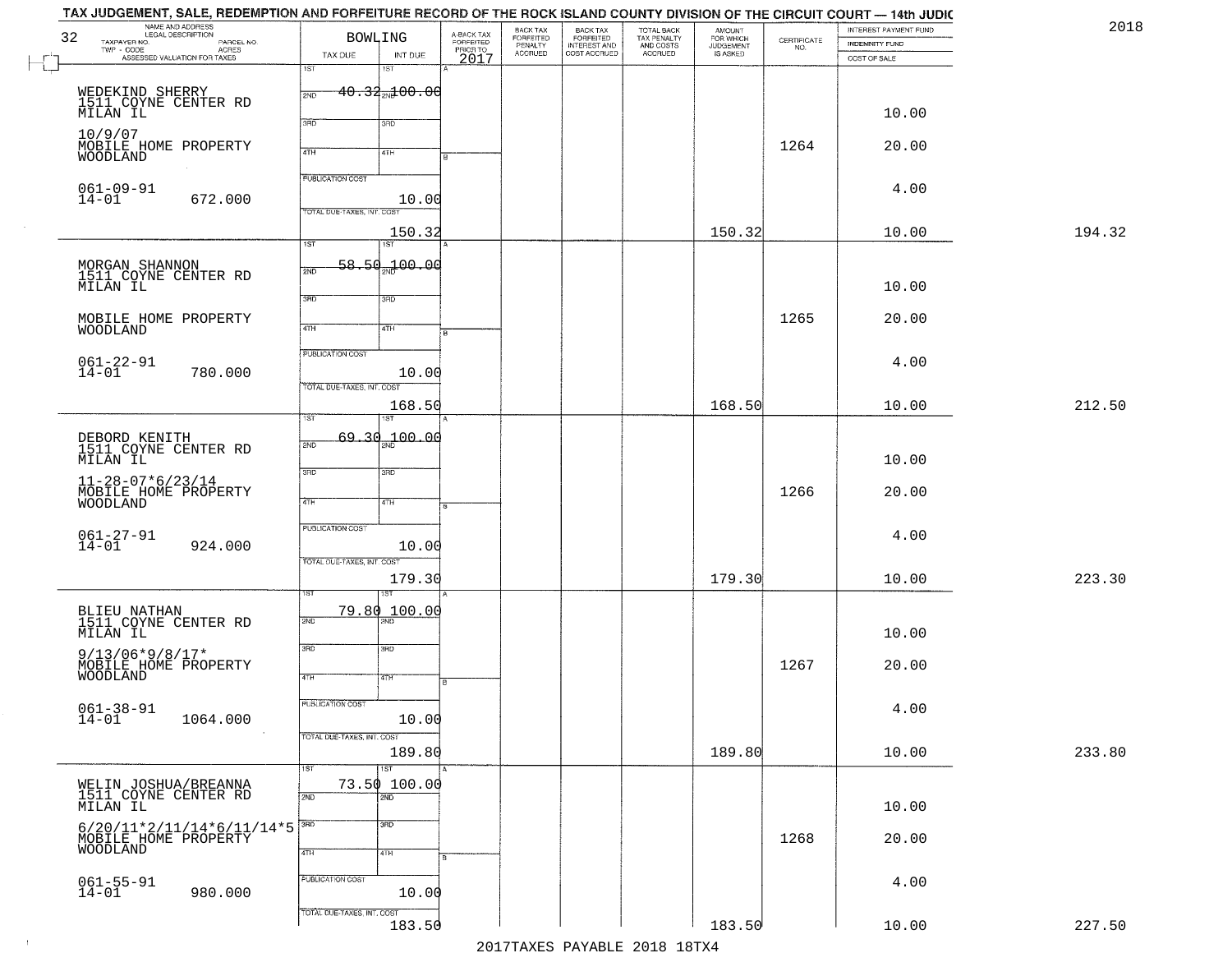|        | INTEREST PAYMENT FUND<br><b>INDEMNITY FUND</b> | $\begin{array}{c} \text{CERTIFICATE} \\ \text{NO.} \end{array}$ | AMOUNT<br>FOR WHICH<br>JUDGEMENT<br>IS ASKED | TOTAL BACK<br>TAX PENALTY<br>AND COSTS<br>ACCRUED | BACK TAX<br>FORFEITED<br>INTEREST AND<br>COST ACCRUED | BACK TAX<br>FORFEITED<br>PENALTY<br>ACCRUED | A-BACK TAX<br>FORFEITED<br>PRIOR TO<br>2017 | BOWLING                        |                            | NAME AND ADDRESS<br>LEGAL DESCRIPTION<br>TAXPAYER NO.<br>PARCEL NO. | 32              |
|--------|------------------------------------------------|-----------------------------------------------------------------|----------------------------------------------|---------------------------------------------------|-------------------------------------------------------|---------------------------------------------|---------------------------------------------|--------------------------------|----------------------------|---------------------------------------------------------------------|-----------------|
|        | COST OF SALE                                   |                                                                 |                                              |                                                   |                                                       |                                             |                                             | INT DUE<br>18T                 | TAX DUE<br>1ST             | TWP - CODE<br>ASSESSED VALUATION FOR TAXES                          |                 |
|        |                                                |                                                                 |                                              |                                                   |                                                       |                                             |                                             | $40.33$ <sub>2N</sub> $100.00$ | 2ND                        |                                                                     |                 |
|        | 10.00                                          |                                                                 |                                              |                                                   |                                                       |                                             |                                             | 3RD                            | 3BD                        | WEDEKIND SHERRY<br>1511 COYNE CENTER RD<br>MILAN IL                 |                 |
|        | 20.00                                          | 1264                                                            |                                              |                                                   |                                                       |                                             |                                             |                                |                            | MOBILE HOME PROPERTY                                                | 10/9/07         |
|        |                                                |                                                                 |                                              |                                                   |                                                       |                                             |                                             | 4TH                            | 4TH                        |                                                                     | WOODLAND        |
|        | 4.00                                           |                                                                 |                                              |                                                   |                                                       |                                             |                                             | 10.00                          | <b>PUBLICATION COST</b>    | $061 - 09 - 91$<br>672.000                                          | $14 - 01$       |
|        |                                                |                                                                 |                                              |                                                   |                                                       |                                             |                                             |                                | TOTAL DUE-TAXES, INT. COS  |                                                                     |                 |
| 194.32 | 10.00                                          |                                                                 | 150.32                                       |                                                   |                                                       |                                             |                                             | 150.32<br>1ST                  | $\overline{1ST}$           |                                                                     |                 |
|        |                                                |                                                                 |                                              |                                                   |                                                       |                                             |                                             | 58.50.100.00                   | 2ND                        | MORGAN SHANNON<br>1511 COYNE CENTER RD                              |                 |
|        | 10.00                                          |                                                                 |                                              |                                                   |                                                       |                                             |                                             | 3RD                            | 3RD                        |                                                                     | MILAN IL        |
|        | 20.00                                          | 1265                                                            |                                              |                                                   |                                                       |                                             |                                             |                                |                            | MOBILE HOME PROPERTY                                                |                 |
|        |                                                |                                                                 |                                              |                                                   |                                                       |                                             |                                             | 4TH                            | 47H<br>PUBLICATION COST    |                                                                     | WOODLAND        |
|        | 4.00                                           |                                                                 |                                              |                                                   |                                                       |                                             |                                             | 10.00                          |                            | $061 - 22 - 91$<br>14-01<br>780.000                                 |                 |
|        |                                                |                                                                 |                                              |                                                   |                                                       |                                             |                                             |                                | TOTAL DUE-TAXES, INT. COST |                                                                     |                 |
| 212.50 | 10.00                                          |                                                                 | 168.50                                       |                                                   |                                                       |                                             |                                             | 168.50                         | īst                        |                                                                     |                 |
|        |                                                |                                                                 |                                              |                                                   |                                                       |                                             |                                             | 69.30 <sub>22</sub> 00.00      | 2ND                        | DEBORD KENITH<br>1511 COYNE CENTER RD                               |                 |
|        | 10.00                                          |                                                                 |                                              |                                                   |                                                       |                                             |                                             | 3 <sub>3</sub>                 | 3RD                        |                                                                     | MILAN IL        |
|        | 20.00                                          | 1266                                                            |                                              |                                                   |                                                       |                                             |                                             | 4TH                            | 4TH                        | $11 - 28 - 07 * 6 / 23 / 14$<br>MOBILE HOME PROPERTY                | WOODLAND        |
|        |                                                |                                                                 |                                              |                                                   |                                                       |                                             |                                             |                                | PUBLICATION COST           |                                                                     |                 |
|        | 4.00                                           |                                                                 |                                              |                                                   |                                                       |                                             |                                             | 10.00                          |                            | $061 - 27 - 91$<br>14-01<br>924.000                                 |                 |
| 223.30 | 10.00                                          |                                                                 | 179.30                                       |                                                   |                                                       |                                             |                                             | 179.30                         | TOTAL OUE-TAXES, INT. COST |                                                                     |                 |
|        |                                                |                                                                 |                                              |                                                   |                                                       |                                             |                                             |                                |                            |                                                                     |                 |
|        |                                                |                                                                 |                                              |                                                   |                                                       |                                             |                                             | 79.80 100.00                   | 2ND                        | BLIEU NATHAN<br>1511 COYNE CENTER RD                                |                 |
|        | 10.00                                          |                                                                 |                                              |                                                   |                                                       |                                             |                                             | 3BD                            | 3RD                        | $9/13/06*9/8/17*$                                                   | MILAN IL        |
|        | 20.00                                          | 1267                                                            |                                              |                                                   |                                                       |                                             | в                                           | 47H                            | 4TH                        | MOBILE HOME PROPERTY                                                | <b>WOODLAND</b> |
|        |                                                |                                                                 |                                              |                                                   |                                                       |                                             |                                             |                                | <b>PUBLICATION COST</b>    |                                                                     |                 |
|        | 4.00                                           |                                                                 |                                              |                                                   |                                                       |                                             |                                             | 10.00                          |                            | $061 - 38 - 91$<br>1064.000                                         | $14 - 01$       |
| 233.80 | 10.00                                          |                                                                 | 189.80                                       |                                                   |                                                       |                                             |                                             | 189.80                         | TOTAL DUE-TAXES, INT. COST |                                                                     |                 |
|        |                                                |                                                                 |                                              |                                                   |                                                       |                                             |                                             | $\overline{151}$               | 1ST                        |                                                                     |                 |
|        | 10.00                                          |                                                                 |                                              |                                                   |                                                       |                                             |                                             | 73.50 100.00<br>2ND            | 2ND                        | WELIN JOSHUA/BREANNA<br>1511 COYNE CENTER RD                        | MILAN IL        |
|        |                                                |                                                                 |                                              |                                                   |                                                       |                                             |                                             | 3 <sub>BD</sub>                | 3BD                        | $6/20/11*2/11/14*6/11/14*5$                                         |                 |
|        | 20.00                                          | 1268                                                            |                                              |                                                   |                                                       |                                             |                                             | 4TH                            | 4TH                        | MOBILE HOME PROPERTY                                                | WOODLAND        |
|        | 4.00                                           |                                                                 |                                              |                                                   |                                                       |                                             |                                             |                                | PUBLICATION COST           |                                                                     |                 |
|        |                                                |                                                                 |                                              |                                                   |                                                       |                                             |                                             | 10.00                          |                            | $061 - 55 - 91$<br>14-01<br>980.000                                 |                 |
| 227.50 | 10.00                                          |                                                                 | 183.50                                       |                                                   |                                                       |                                             |                                             | 183.50                         | TOTAL DUE-TAXES, INT. COST |                                                                     |                 |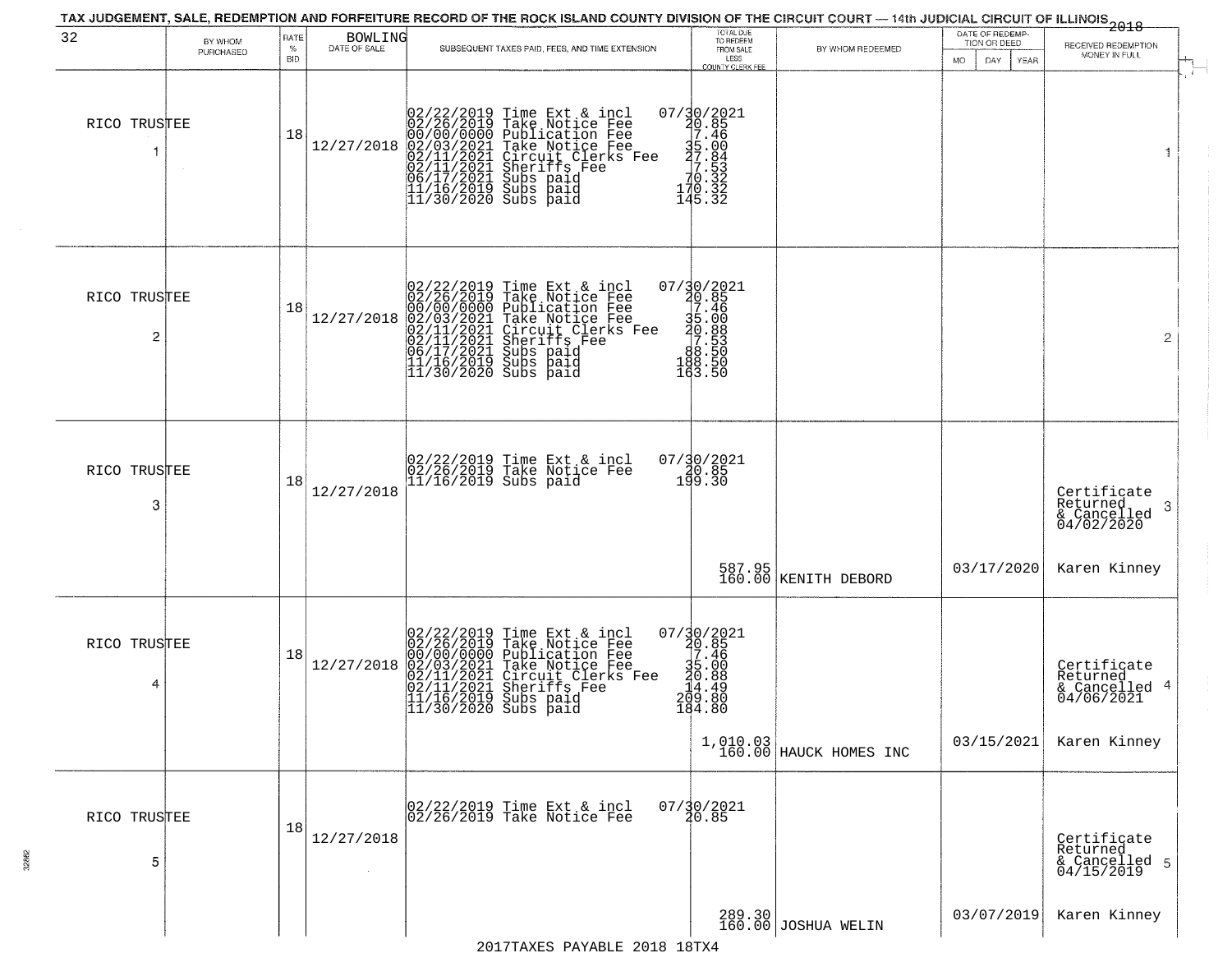| 32                | BY WHOM<br>PURCHASED | RATE<br>%<br><b>BID</b> | BOWLING<br>DATE OF SALE | SUBSEQUENT TAXES PAID, FEES, AND TIME EXTENSION                                                                                                                                                                                                       | TOTAL DUE<br>TO REDEEM<br>FROM SALE<br>LESS<br>COUNTY CLERK FEE                                                        | BY WHOM REDEEMED                   | DATE OF REDEMP-<br>TION OR DEED<br>YEAR<br>MO.<br>DAY. | <del>2018</del><br>RECEIVED REDEMPTION<br>MONEY IN FULL   |
|-------------------|----------------------|-------------------------|-------------------------|-------------------------------------------------------------------------------------------------------------------------------------------------------------------------------------------------------------------------------------------------------|------------------------------------------------------------------------------------------------------------------------|------------------------------------|--------------------------------------------------------|-----------------------------------------------------------|
| RICO TRUSTEE      |                      | 18                      | 12/27/2018              | $02/22/2019$ Time Ext & incl<br>02/26/2019 Take Notice Fee<br>00/00/000 Publication Fee<br>02/03/2021 Take Notice Fee<br>02/11/2021 Circuit Clerks Fee<br>02/11/2021 Subs paid<br>06/17/2021 Subs paid<br>11/16/2019 Subs paid<br>11/30/2020 Subs pai | $07/30/2021$<br>$30.85$<br>$7.46$<br>$\begin{array}{r} 35.00 \\ 7.84 \\ 7.53 \\ 70.32 \\ 170.32 \\ 145.32 \end{array}$ |                                    |                                                        | 1                                                         |
| RICO TRUSTEE<br>2 |                      | 18                      | 12/27/2018              | $02/22/2019$ Time Ext & incl<br>02/26/2019 Take Notice Fee<br>00/00/000 Publication Fee<br>02/03/2021 Take Notice Fee<br>02/11/2021 Circuit Clerks Fee<br>02/11/2021 Subs paid<br>06/17/2021 Subs paid<br>11/16/2019 Subs paid<br>11/30/2020 Subs pai | 07/30/2021<br>30.85<br>35.46<br>35.88<br>30.88<br>30.553<br>38.553<br>38.550<br>188.50<br>163.50                       |                                    |                                                        | $\overline{2}$                                            |
| RICO TRUSTEE<br>3 |                      | 18                      | 12/27/2018              | 02/22/2019 Time Ext & incl<br>02/26/2019 Take Notice Fee<br>11/16/2019 Subs paid                                                                                                                                                                      | $07/30/2021$<br>$199.30$                                                                                               |                                    |                                                        | Certificate<br>Returned<br>3<br>& Cancelled<br>04/02/2020 |
|                   |                      |                         |                         |                                                                                                                                                                                                                                                       |                                                                                                                        | 587.95<br>160.00 KENITH DEBORD     | 03/17/2020                                             | Karen Kinney                                              |
| RICO TRUSTEE<br>4 |                      | 18                      | 12/27/2018              | 02/22/2019 Time Ext & incl<br>02/26/2019 Take Notice Fee<br>00/00/00000 Publication Fee<br>02/03/2021 Take Notice Fee<br>02/11/2021 Sheriffs Fee<br>11/16/2019 Subs paid<br>11/30/2020 Subs paid<br>11/30/2020 Subs paid                              | $07/30/2021$<br>20.85<br>17.46<br>$\frac{35}{20}$<br>$-10.88$<br>$-10.89$<br>$-8.80$<br>184.80                         |                                    |                                                        | Certificate<br>Returned<br>& Cancelled<br>04/06/2021      |
|                   |                      |                         |                         |                                                                                                                                                                                                                                                       |                                                                                                                        | 1,010.03<br>160.00 HAUCK HOMES INC | 03/15/2021                                             | Karen Kinney                                              |
| RICO TRUSTEE<br>5 |                      | 18                      | 12/27/2018              | 02/22/2019 Time Ext & incl<br>02/26/2019 Take Notice Fee                                                                                                                                                                                              | $07/\frac{30}{20.85}$                                                                                                  |                                    |                                                        | Certificate<br>Returned<br>& Cancelled 5<br>04/15/2019    |
|                   |                      |                         |                         |                                                                                                                                                                                                                                                       |                                                                                                                        | 289.30 JOSHUA WELIN                | 03/07/2019                                             | Karen Kinney                                              |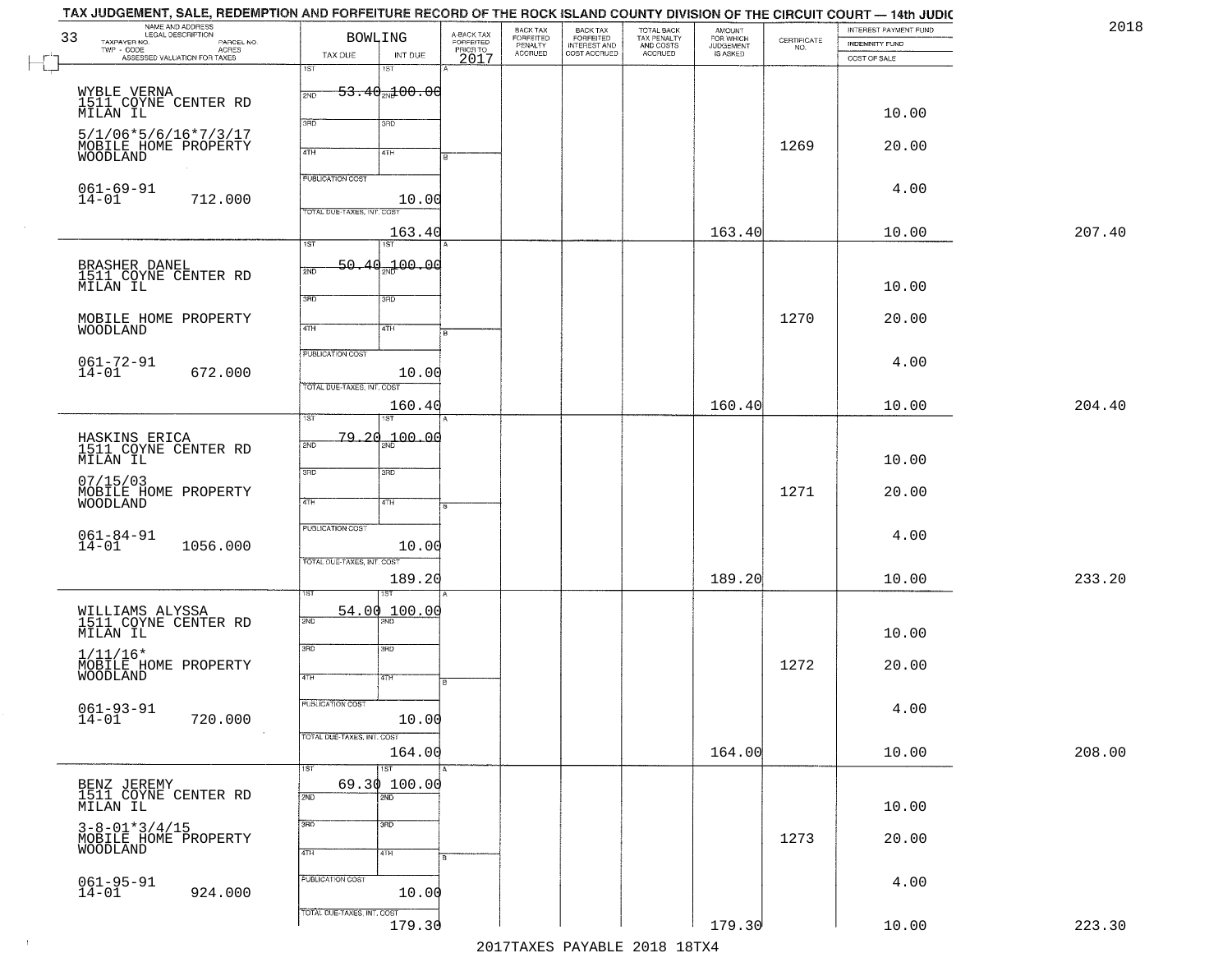| 2018   | INTEREST PAYMENT FUND<br><b>INDEMNITY FUND</b> | $\begin{array}{c} \text{CERTIFICATE} \\ \text{NO.} \end{array}$ | AMOUNT<br>FOR WHICH<br>JUDGEMENT<br>IS ASKED | TOTAL BACK<br>TAX PENALTY<br>AND COSTS | BACK TAX<br>FORFEITED<br>INTEREST AND | BACK TAX<br>FORFEITED<br>PENALTY |                                             |                                     | <b>BOWLING</b>                                        | NAME AND ADDRESS<br>LEGAL DESCRIPTION<br>TAXPAYER NO.                                                                              | 33        |
|--------|------------------------------------------------|-----------------------------------------------------------------|----------------------------------------------|----------------------------------------|---------------------------------------|----------------------------------|---------------------------------------------|-------------------------------------|-------------------------------------------------------|------------------------------------------------------------------------------------------------------------------------------------|-----------|
|        | COST OF SALE                                   |                                                                 |                                              | ACCRUED                                | COST ACCRUED                          | <b>ACCRUED</b>                   | A-BACK TAX<br>FORFEITED<br>PRIOR TO<br>2017 | INT DUE<br>1ST                      | TAX DUE<br>1ST                                        | LEGAL DESCRIPTION<br>- CODE PARCEL NO.<br>- CODE ACRES<br>- ASSESSED VALUATION FOR TAXES<br>$\textsf{TWP} \textsf{-}\textsf{CODE}$ | $\perp$   |
|        | 10.00                                          |                                                                 |                                              |                                        |                                       |                                  |                                             | <del>53.40<sub>20</sub>100.00</del> | 2ND                                                   | WYBLE VERNA<br>1511 CQYNE CENTER RD<br>MILAN IL                                                                                    |           |
|        | 20.00                                          | 1269                                                            |                                              |                                        |                                       |                                  |                                             | 3RD                                 | 3RD                                                   | $5/1/06*5/6/16*7/3/17$<br>MOBILE HOME PROPERTY                                                                                     |           |
|        |                                                |                                                                 |                                              |                                        |                                       |                                  |                                             | 41H                                 | 4TH                                                   | WOODLAND                                                                                                                           |           |
|        | 4.00                                           |                                                                 |                                              |                                        |                                       |                                  |                                             | 10.00                               | PUBLICATION COST<br>TOTAL DUE-TAXES, INT. COST        | $061 - 69 - 91$<br>712.000                                                                                                         | $14 - 01$ |
| 207.40 | 10.00                                          |                                                                 | 163.40                                       |                                        |                                       |                                  |                                             | 163.40<br>1ST                       | 1ST                                                   |                                                                                                                                    |           |
|        | 10.00                                          |                                                                 |                                              |                                        |                                       |                                  |                                             | 50.40 <sub>37</sub> 100.00          | 2ND                                                   | BRASHER DANEL<br>1511 COYNE CENTER RD<br>MILAN IL                                                                                  |           |
|        | 20.00                                          | 1270                                                            |                                              |                                        |                                       |                                  |                                             | 3RD<br>4TH                          | 3BD<br>$\sqrt{4}$                                     | MOBILE HOME PROPERTY<br>WOODLAND                                                                                                   |           |
|        | 4.00                                           |                                                                 |                                              |                                        |                                       |                                  |                                             | 10.00                               | PUBLICATION COST<br>TOTAL DUE-TAXES, INT. COST        | $061 - 72 - 91$<br>14-01<br>672.000                                                                                                |           |
| 204.40 | 10.00                                          |                                                                 | 160.40                                       |                                        |                                       |                                  |                                             | 160.40<br>ST                        | TST.                                                  |                                                                                                                                    |           |
|        | 10.00                                          |                                                                 |                                              |                                        |                                       |                                  |                                             | 100.00                              | <u>79.20</u><br>2ND                                   | HASKINS ERICA<br>1511 COYNE CENTER RD<br>MILAN IL                                                                                  |           |
|        | 20.00                                          | 1271                                                            |                                              |                                        |                                       |                                  |                                             | 3RD<br>4TH                          | 3RD<br>4TH                                            | 07/15/03<br>MOBILE HOME PROPERTY<br>WOODLAND                                                                                       |           |
|        | 4.00                                           |                                                                 |                                              |                                        |                                       |                                  |                                             | 10.00                               | <b>PUBLICATION COST</b><br>TOTAL OUE-TAXES, INT. COST | $061 - 84 - 91$<br>14-01<br>1056.000                                                                                               |           |
| 233.20 | 10.00                                          |                                                                 | 189.20                                       |                                        |                                       |                                  |                                             | 189.20<br>1ST                       |                                                       |                                                                                                                                    |           |
|        | 10.00                                          |                                                                 |                                              |                                        |                                       |                                  |                                             | 100.00                              | 54.00<br>2ND                                          | WILLIAMS ALYSSA<br>1511 COYNE CENTER RD<br>MILAN IL                                                                                |           |
|        | 20.00                                          | 1272                                                            |                                              |                                        |                                       |                                  | R                                           | 3BD<br>4TH                          | 3RD<br>4TH                                            | $1/11/16*$<br>MOBILE HOME PROPERTY<br>WOODLAND                                                                                     |           |
|        | 4.00                                           |                                                                 |                                              |                                        |                                       |                                  |                                             | 10.00                               | PUBLICATION COST                                      | $061 - 93 - 91$<br>14-01<br>720.000                                                                                                |           |
| 208.00 | 10.00                                          |                                                                 | 164.00                                       |                                        |                                       |                                  |                                             | 164.00<br><b>IST</b>                | TOTAL DUE-TAXES, INT. COST<br>1ST                     |                                                                                                                                    |           |
|        | 10.00                                          |                                                                 |                                              |                                        |                                       |                                  |                                             | 69.30 100.00<br>$\overline{2ND}$    | 2ND                                                   | BENZ JEREMY<br>1511 COYNE CENTER RD<br>MILAN IL                                                                                    |           |
|        | 20.00                                          | 1273                                                            |                                              |                                        |                                       |                                  |                                             | 3BD<br>4TH                          | 3RD<br>4TH                                            | $3 - 8 - 01 * 3 / 4 / 15$<br>MOBILE HOME PROPERTY<br><b>WOODLAND</b>                                                               |           |
|        | 4.00                                           |                                                                 |                                              |                                        |                                       |                                  |                                             | 10.00                               | PUBLICATION COST                                      | $061 - 95 - 91$<br>14-01<br>924.000                                                                                                |           |
| 223.30 | 10.00                                          |                                                                 | 179.30                                       |                                        |                                       |                                  |                                             | 179.30                              | TOTAL DUE-TAXES, INT. COST                            |                                                                                                                                    |           |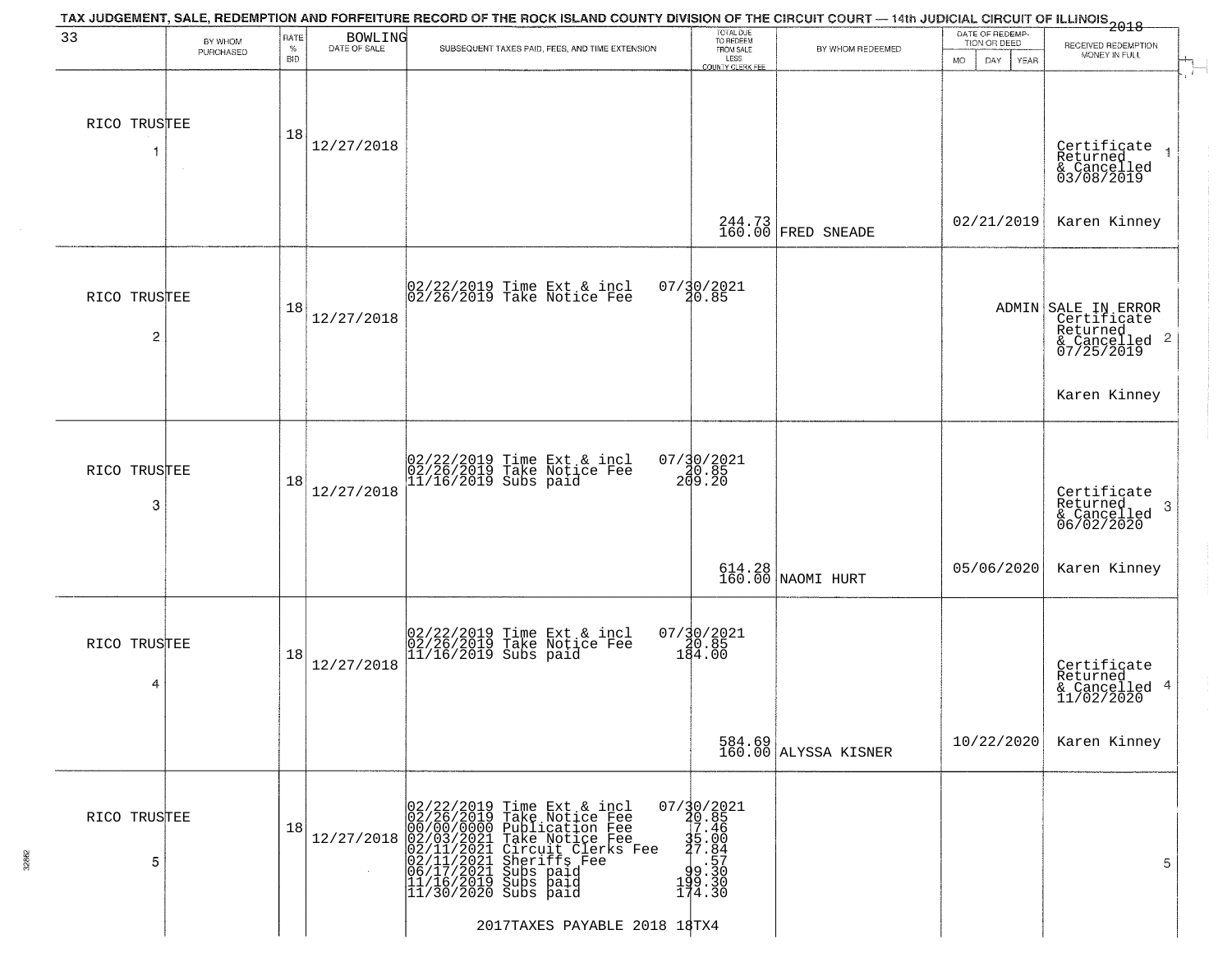| PURCHASED |                                                                                                     |              | BOWLING                                         |                                                                                                                                                                                                                                                                                                                                                                                                                                                                                                                                                                  |                                                                                                                                                                                                                                | TION OR DEED                                                                                  | TAX JUDGEMENT, SALE, REDEMPTION AND FORFEITURE RECORD OF THE ROCK ISLAND COUNTY DIVISION OF THE CIRCUIT COURT — 14th JUDICIAL CIRCUIT OF ILLINOIS 2018<br>RECEIVED REDEMPTION |  |
|-----------|-----------------------------------------------------------------------------------------------------|--------------|-------------------------------------------------|------------------------------------------------------------------------------------------------------------------------------------------------------------------------------------------------------------------------------------------------------------------------------------------------------------------------------------------------------------------------------------------------------------------------------------------------------------------------------------------------------------------------------------------------------------------|--------------------------------------------------------------------------------------------------------------------------------------------------------------------------------------------------------------------------------|-----------------------------------------------------------------------------------------------|-------------------------------------------------------------------------------------------------------------------------------------------------------------------------------|--|
|           | $\%$<br><b>BID</b>                                                                                  | DATE OF SALE | SUBSEQUENT TAXES PAID, FEES, AND TIME EXTENSION | TOTAL DUE<br>TO REDEEM<br>FROM SALE<br>LESS<br><b>COUNTY CLERK FEE</b>                                                                                                                                                                                                                                                                                                                                                                                                                                                                                           | BY WHOM REDEEMED                                                                                                                                                                                                               | MO.<br>DAY.<br>YEAR                                                                           | MONEY IN FULL                                                                                                                                                                 |  |
|           | 18                                                                                                  | 12/27/2018   |                                                 |                                                                                                                                                                                                                                                                                                                                                                                                                                                                                                                                                                  |                                                                                                                                                                                                                                |                                                                                               | Certificate<br>Returned<br>& Cancelled<br>03/08/2019                                                                                                                          |  |
|           |                                                                                                     |              |                                                 |                                                                                                                                                                                                                                                                                                                                                                                                                                                                                                                                                                  |                                                                                                                                                                                                                                | 02/21/2019                                                                                    | Karen Kinney                                                                                                                                                                  |  |
|           | 18                                                                                                  | 12/27/2018   |                                                 |                                                                                                                                                                                                                                                                                                                                                                                                                                                                                                                                                                  |                                                                                                                                                                                                                                |                                                                                               | ADMIN SALE IN ERROR<br>Certificate<br>Returned<br>& Cancelled 2<br>07/25/2019                                                                                                 |  |
|           |                                                                                                     |              |                                                 |                                                                                                                                                                                                                                                                                                                                                                                                                                                                                                                                                                  |                                                                                                                                                                                                                                |                                                                                               | Karen Kinney                                                                                                                                                                  |  |
|           | 18                                                                                                  | 12/27/2018   |                                                 |                                                                                                                                                                                                                                                                                                                                                                                                                                                                                                                                                                  |                                                                                                                                                                                                                                |                                                                                               | Certificate<br>Returned<br>3<br>& Cancelled<br>06/02/2020                                                                                                                     |  |
|           |                                                                                                     |              |                                                 |                                                                                                                                                                                                                                                                                                                                                                                                                                                                                                                                                                  |                                                                                                                                                                                                                                | 05/06/2020                                                                                    | Karen Kinney                                                                                                                                                                  |  |
|           | 18                                                                                                  | 12/27/2018   |                                                 |                                                                                                                                                                                                                                                                                                                                                                                                                                                                                                                                                                  |                                                                                                                                                                                                                                |                                                                                               | Certificate<br>Returned<br>& Cancelled 4<br>11/02/2020                                                                                                                        |  |
|           |                                                                                                     |              |                                                 |                                                                                                                                                                                                                                                                                                                                                                                                                                                                                                                                                                  |                                                                                                                                                                                                                                | 10/22/2020                                                                                    | Karen Kinney                                                                                                                                                                  |  |
|           | 18                                                                                                  | 12/27/2018   |                                                 |                                                                                                                                                                                                                                                                                                                                                                                                                                                                                                                                                                  |                                                                                                                                                                                                                                |                                                                                               | 5                                                                                                                                                                             |  |
|           | RICO TRUSTEE<br>RICO TRUSTEE<br>$\overline{c}$<br>RICO TRUSTEE<br>3<br>RICO TRUSTEE<br>RICO TRUSTEE |              |                                                 | $\begin{array}{c}  02/22/2019 \text{ Time} \text{ Ext} & \text{incl} \\  02/26/2019 \text{ Take Notice } \text{Fe} \end{array}$<br>02/22/2019 Time Ext & incl<br>02/26/2019 Take Notice Fee<br>11/16/2019 Subs paid<br>02/22/2019 Time Ext & incl<br>02/26/2019 Take Notice Fee<br>11/16/2019 Subs paid<br>02/22/2019 Time Ext & incl<br>02/26/2019 Take Notice Fee<br>00/00/0000 Publication Fee<br>02/01/2021 Take Notice Fee<br>02/11/2021 Circuit Clerks Fee<br>02/11/2021 Subs paid<br>06/17/2021 Subs paid<br>11/16/2019 Subs paid<br>11/16/2019 Subs paid | 07/30/2021<br>20.85<br>$07/30/2021$<br>20.85<br>209.20<br>$07/\frac{30}{20.85}$<br>184.00<br>$07/30/2021$<br>20.85<br>17.46<br>$35.00$<br>$37.84$<br>$9.570$<br>$9.30$<br>$199.30$<br>$174.30$<br>2017TAXES PAYABLE 2018 18TX4 | 244.73<br>160.00 FRED SNEADE<br>614.28<br>160.00 NAOMI HURT<br>584.69<br>160.00 ALYSSA KISNER |                                                                                                                                                                               |  |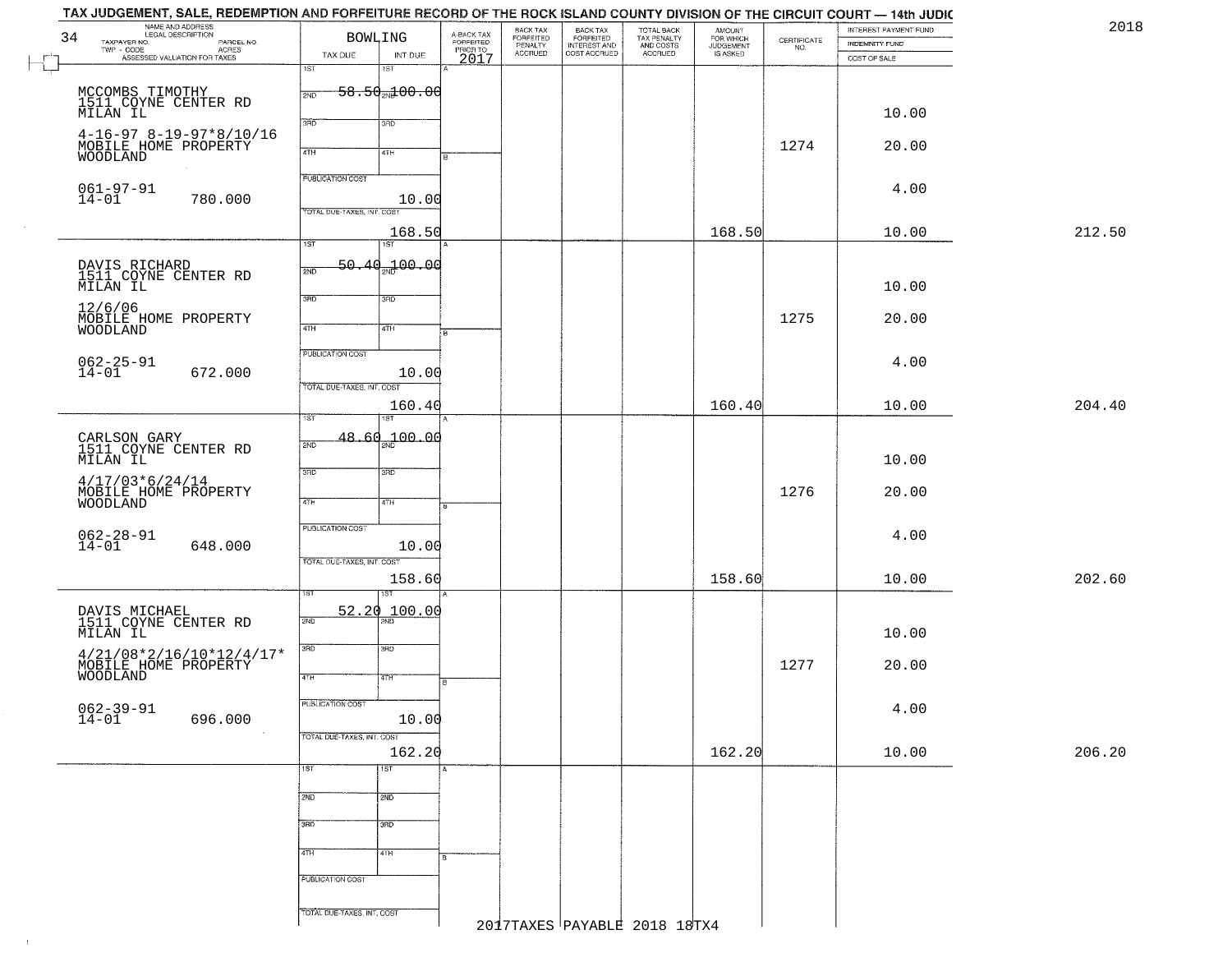| NAME AND ADDRESS<br>34<br>TAXPAYER NO.                                                              | <b>BOWLING</b>             | A-BACK TAX<br>FORFEITED<br>PRIOR TO | BACK TAX<br>FORFEITED<br>PENALTY | BACK TAX<br>FORFEITED<br>INTEREST AND<br>COST ACCRUED |  | AMOUNT<br>FOR WHICH                               |                  | INTEREST PAYMENT FUND                                           | 2018                                  |        |
|-----------------------------------------------------------------------------------------------------|----------------------------|-------------------------------------|----------------------------------|-------------------------------------------------------|--|---------------------------------------------------|------------------|-----------------------------------------------------------------|---------------------------------------|--------|
| LEGAL DESCRIPTION<br>- CODE AGRES<br>- CODE AGRES<br>- ASSESSED VALUATION FOR TAXES<br>$TWP - CODE$ | TAX DUE                    | INT DUE                             |                                  | <b>ACCRUED</b>                                        |  | TOTAL BACK<br>TAX PENALTY<br>AND COSTS<br>ACCRUED | <b>JUDGEMENT</b> | $\begin{array}{c} \text{CERTIFICATE} \\ \text{NO.} \end{array}$ | <b>INDEMNITY FUND</b><br>COST OF SALE |        |
|                                                                                                     | 1ST                        | 1ST                                 | 2017                             |                                                       |  |                                                   |                  |                                                                 |                                       |        |
| MCCOMBS TIMOTHY<br>1511 COYNE CENTER RD                                                             | 2ND                        | $58.50$ <sub>2N</sub> $100.00$      |                                  |                                                       |  |                                                   |                  |                                                                 |                                       |        |
| MILAN IL                                                                                            |                            |                                     |                                  |                                                       |  |                                                   |                  |                                                                 | 10.00                                 |        |
| $4-16-97$ $8-19-97*8/10/16$                                                                         | 3RD                        | 3RD                                 |                                  |                                                       |  |                                                   |                  |                                                                 |                                       |        |
| MOBILE HOME PROPERTY<br>WOODLAND                                                                    | 4TH                        | 4TH                                 | lв                               |                                                       |  |                                                   |                  | 1274                                                            | 20.00                                 |        |
|                                                                                                     | <b>PUBLICATION COST</b>    |                                     |                                  |                                                       |  |                                                   |                  |                                                                 |                                       |        |
| $061 - 97 - 91$<br>$14 - 01$<br>780.000                                                             |                            | 10.00                               |                                  |                                                       |  |                                                   |                  |                                                                 | 4.00                                  |        |
|                                                                                                     | TOTAL DUE-TAXES, INT. COST |                                     |                                  |                                                       |  |                                                   |                  |                                                                 |                                       |        |
|                                                                                                     | 1ST                        | 168.50<br>1ST                       |                                  |                                                       |  |                                                   | 168.50           |                                                                 | 10.00                                 | 212.50 |
| DAVIS RICHARD<br>1511 COYNE CENTER RD                                                               | 2ND                        | 50.40 <sub>%</sub> 100.00           |                                  |                                                       |  |                                                   |                  |                                                                 |                                       |        |
| MILAN IL                                                                                            |                            |                                     |                                  |                                                       |  |                                                   |                  |                                                                 | 10.00                                 |        |
| 12/6/06                                                                                             | 3RD                        | 3RD                                 |                                  |                                                       |  |                                                   |                  |                                                                 |                                       |        |
| MOBILE HOME PROPERTY<br><b>WOODLAND</b>                                                             | 4TH                        | 4TH                                 | ŀв                               |                                                       |  |                                                   |                  | 1275                                                            | 20.00                                 |        |
|                                                                                                     | PUBLICATION COST           |                                     |                                  |                                                       |  |                                                   |                  |                                                                 |                                       |        |
| $062 - 25 - 91$<br>$14 - 01$<br>672.000                                                             |                            | 10.00                               |                                  |                                                       |  |                                                   |                  |                                                                 | 4.00                                  |        |
|                                                                                                     | TOTAL DUE-TAXES, INT. COST | 160.40                              |                                  |                                                       |  |                                                   | 160.40           |                                                                 | 10.00                                 | 204.40 |
|                                                                                                     | 1ST                        | 1ST                                 |                                  |                                                       |  |                                                   |                  |                                                                 |                                       |        |
| CARLSON GARY<br>1511 COYNE CENTER RD                                                                | 2ND                        | $48.60_{20}100.00$                  |                                  |                                                       |  |                                                   |                  |                                                                 |                                       |        |
| MILAN IL                                                                                            | 3 <sub>BD</sub>            | 3RD                                 |                                  |                                                       |  |                                                   |                  |                                                                 | 10.00                                 |        |
| $4/17/03*6/24/14$<br>MOBILE HOME PROPERTY                                                           |                            |                                     |                                  |                                                       |  |                                                   |                  | 1276                                                            | 20.00                                 |        |
| WOODLAND                                                                                            | 4TH                        | 4TH                                 |                                  |                                                       |  |                                                   |                  |                                                                 |                                       |        |
|                                                                                                     | <b>PUBLICATION COST</b>    |                                     |                                  |                                                       |  |                                                   |                  |                                                                 | 4.00                                  |        |
| $062 - 28 - 91$<br>14-01<br>648.000                                                                 |                            | 10.00                               |                                  |                                                       |  |                                                   |                  |                                                                 |                                       |        |
|                                                                                                     | TOTAL OUE-TAXES, INT. COST | 158.60                              |                                  |                                                       |  |                                                   | 158.60           |                                                                 | 10.00                                 | 202.60 |
|                                                                                                     | ST                         | 1ST                                 |                                  |                                                       |  |                                                   |                  |                                                                 |                                       |        |
| DAVIS MICHAEL<br>1511 COYNE CENTER RD                                                               | 52.20<br>2ND               | 100.00                              |                                  |                                                       |  |                                                   |                  |                                                                 |                                       |        |
| MILAN IL                                                                                            | 3 <sub>BD</sub>            | 3BD                                 |                                  |                                                       |  |                                                   |                  |                                                                 | 10.00                                 |        |
| 4/21/08*2/16/10*12/4/17*<br>MOBILE_HOME_PROPERTY                                                    |                            |                                     |                                  |                                                       |  |                                                   |                  | 1277                                                            | 20.00                                 |        |
| WOODLAND                                                                                            | 4TH                        | वाम                                 | ١B.                              |                                                       |  |                                                   |                  |                                                                 |                                       |        |
| $062 - 39 - 91$<br>14-01                                                                            | PUBLICATION COST           |                                     |                                  |                                                       |  |                                                   |                  |                                                                 | 4.00                                  |        |
| 696.000                                                                                             | TOTAL DUE-TAXES, INT. COST | 10.00                               |                                  |                                                       |  |                                                   |                  |                                                                 |                                       |        |
|                                                                                                     |                            | 162.20                              |                                  |                                                       |  |                                                   | 162.20           |                                                                 | 10.00                                 | 206.20 |
|                                                                                                     | 1ST                        | 1ST                                 |                                  |                                                       |  |                                                   |                  |                                                                 |                                       |        |
|                                                                                                     | 2ND                        | 2ND                                 |                                  |                                                       |  |                                                   |                  |                                                                 |                                       |        |
|                                                                                                     | 3BD                        | 3BD                                 |                                  |                                                       |  |                                                   |                  |                                                                 |                                       |        |
|                                                                                                     |                            |                                     |                                  |                                                       |  |                                                   |                  |                                                                 |                                       |        |
|                                                                                                     | 4TH                        | 4TH                                 |                                  |                                                       |  |                                                   |                  |                                                                 |                                       |        |
|                                                                                                     | PUBLICATION COST           |                                     |                                  |                                                       |  |                                                   |                  |                                                                 |                                       |        |
|                                                                                                     |                            |                                     |                                  |                                                       |  |                                                   |                  |                                                                 |                                       |        |

 $\pm 1$